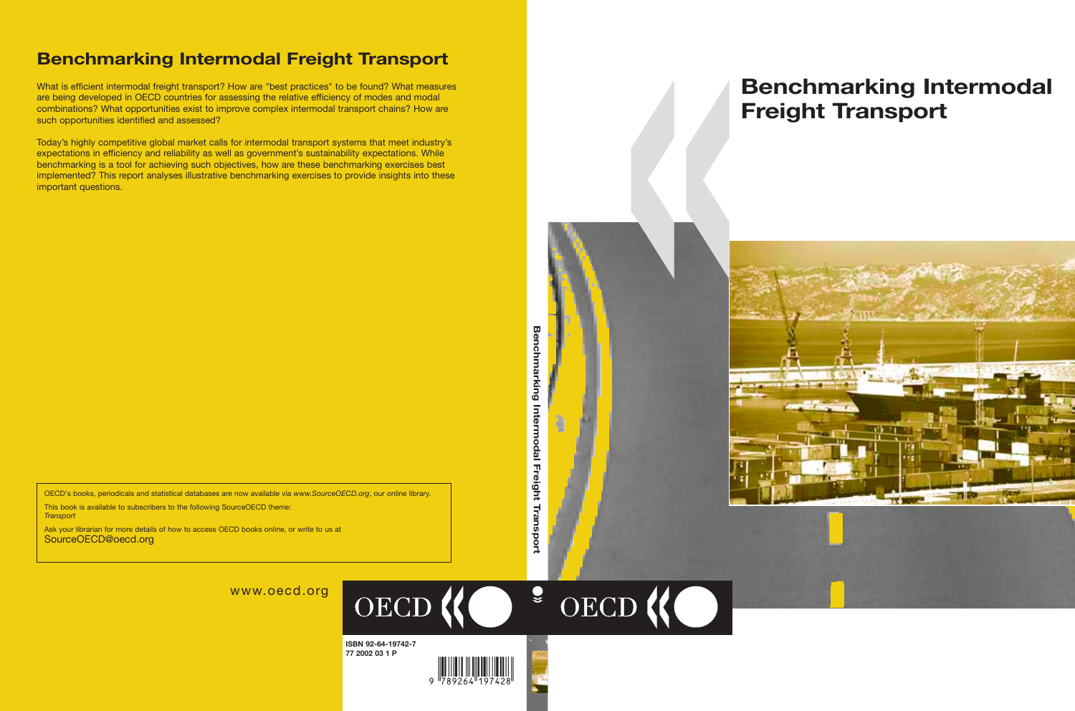**Benchmarking Intermodal Freight Transport «**





ł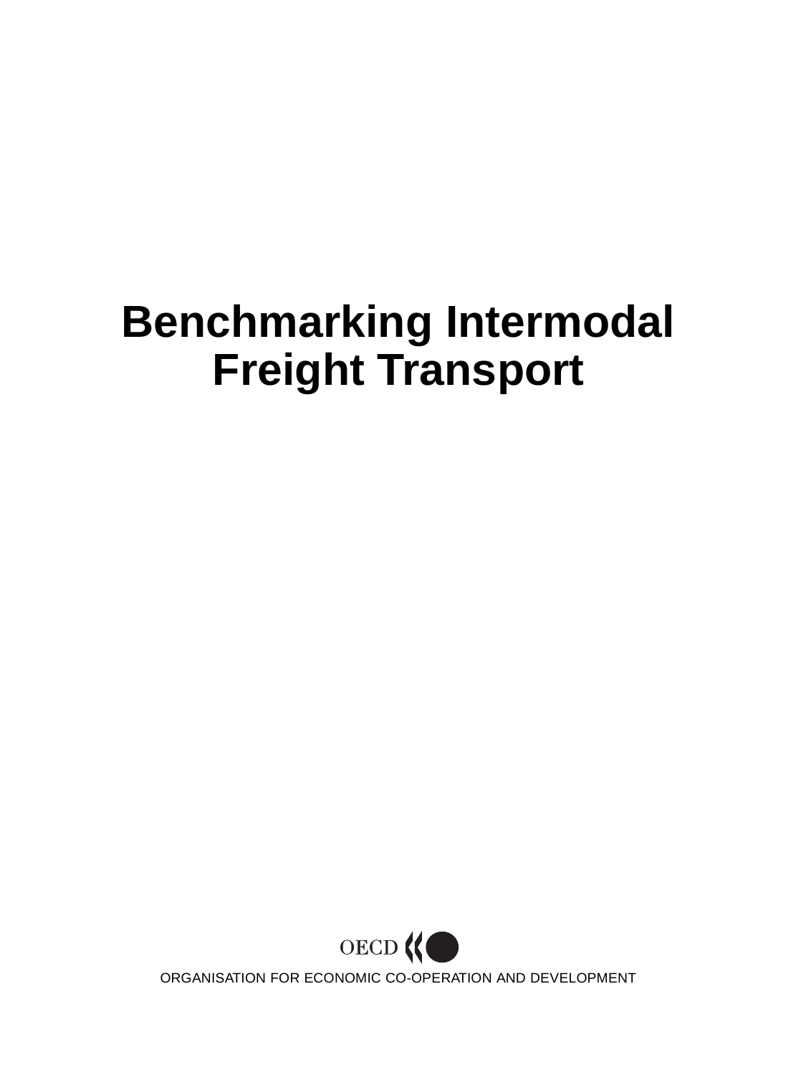# **Benchmarking Intermodal Freight Transport**

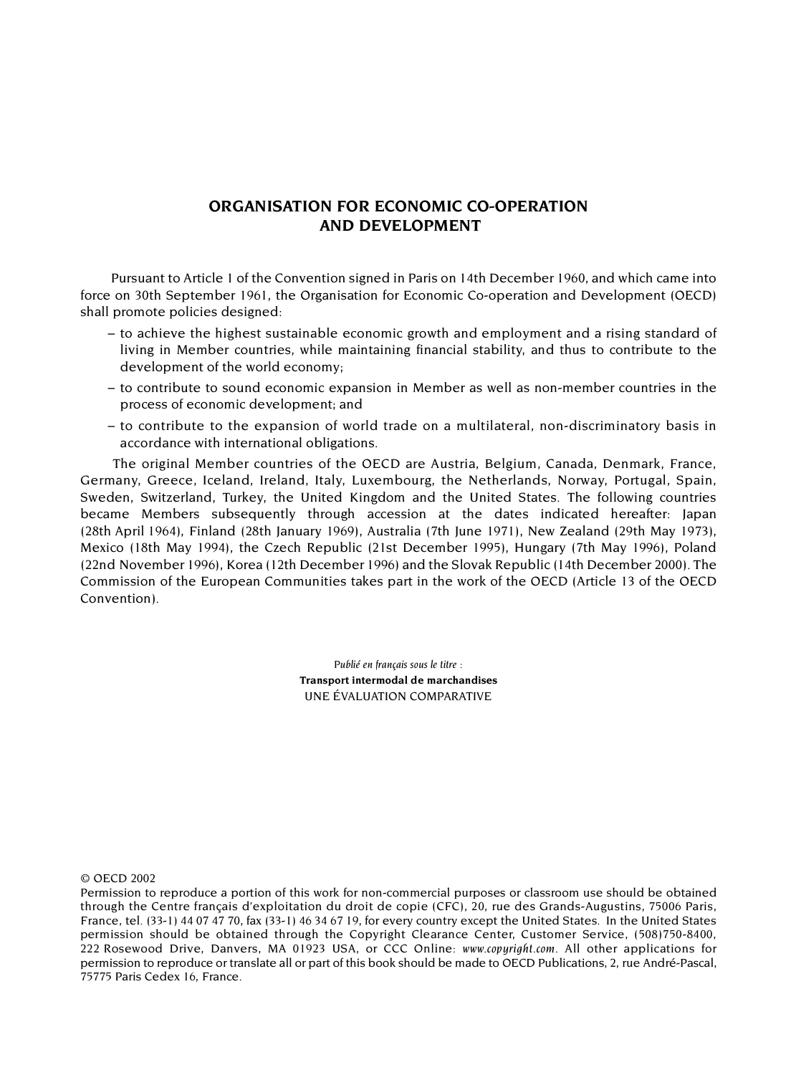# **ORGANISATION FOR ECONOMIC CO-OPERATION AND DEVELOPMENT**

 Pursuant to Article 1 of the Convention signed in Paris on 14th December 1960, and which came into force on 30th September 1961, the Organisation for Economic Co-operation and Development (OECD) shall promote policies designed:

- to achieve the highest sustainable economic growth and employment and a rising standard of living in Member countries, while maintaining financial stability, and thus to contribute to the development of the world economy;
- to contribute to sound economic expansion in Member as well as non-member countries in the process of economic development; and
- to contribute to the expansion of world trade on a multilateral, non-discriminatory basis in accordance with international obligations.

 The original Member countries of the OECD are Austria, Belgium, Canada, Denmark, France, Germany, Greece, Iceland, Ireland, Italy, Luxembourg, the Netherlands, Norway, Portugal, Spain, Sweden, Switzerland, Turkey, the United Kingdom and the United States. The following countries became Members subsequently through accession at the dates indicated hereafter: Japan (28th April 1964), Finland (28th January 1969), Australia (7th June 1971), New Zealand (29th May 1973), Mexico (18th May 1994), the Czech Republic (21st December 1995), Hungary (7th May 1996), Poland (22nd November 1996), Korea (12th December 1996) and the Slovak Republic (14th December 2000). The Commission of the European Communities takes part in the work of the OECD (Article 13 of the OECD Convention).

> *Publié en français sous le titre :* **Transport intermodal de marchandises** UNE ÉVALUATION COMPARATIVE

© OECD 2002

Permission to reproduce a portion of this work for non-commercial purposes or classroom use should be obtained through the Centre français d'exploitation du droit de copie (CFC), 20, rue des Grands-Augustins, 75006 Paris, France, tel. (33-1) 44 07 47 70, fax (33-1) 46 34 67 19, for every country except the United States. In the United States permission should be obtained through the Copyright Clearance Center, Customer Service, (508)750-8400, 222 Rosewood Drive, Danvers, MA 01923 USA, or CCC Online: *www.copyright.com*. All other applications for permission to reproduce or translate all or part of this book should be made to OECD Publications, 2, rue André-Pascal, 75775 Paris Cedex 16, France.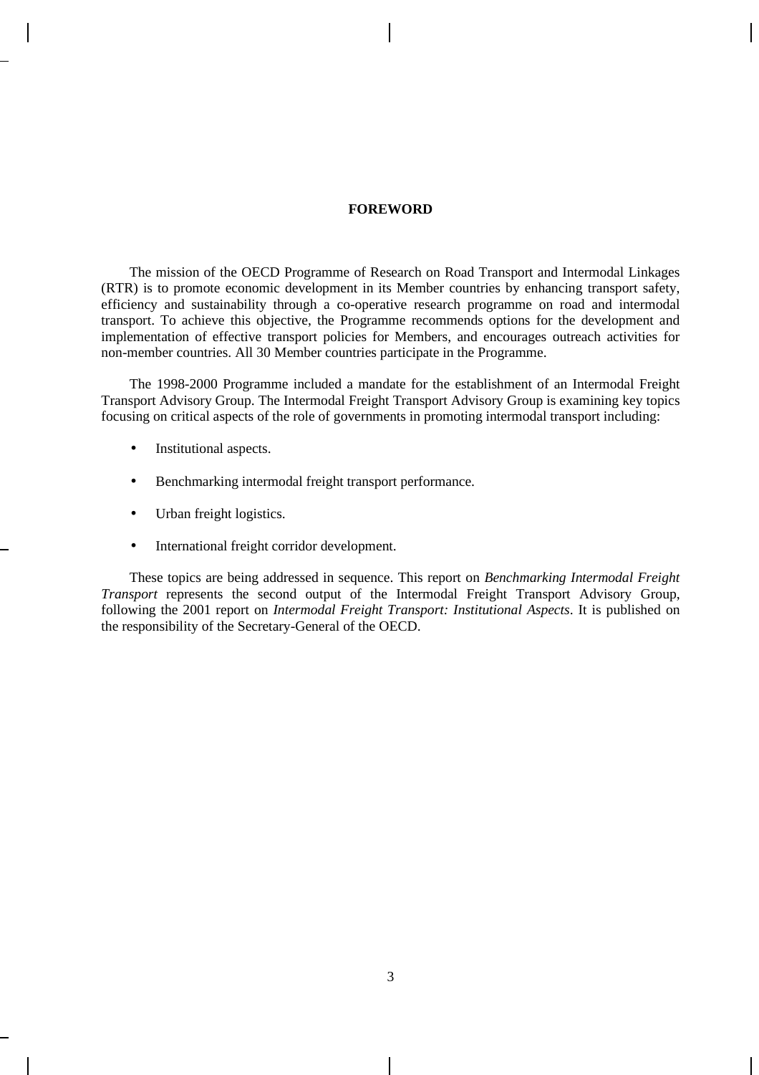#### **FOREWORD**

The mission of the OECD Programme of Research on Road Transport and Intermodal Linkages (RTR) is to promote economic development in its Member countries by enhancing transport safety, efficiency and sustainability through a co-operative research programme on road and intermodal transport. To achieve this objective, the Programme recommends options for the development and implementation of effective transport policies for Members, and encourages outreach activities for non-member countries. All 30 Member countries participate in the Programme.

The 1998-2000 Programme included a mandate for the establishment of an Intermodal Freight Transport Advisory Group. The Intermodal Freight Transport Advisory Group is examining key topics focusing on critical aspects of the role of governments in promoting intermodal transport including:

- Institutional aspects.
- Benchmarking intermodal freight transport performance.
- Urban freight logistics.
- International freight corridor development.

These topics are being addressed in sequence. This report on *Benchmarking Intermodal Freight Transport* represents the second output of the Intermodal Freight Transport Advisory Group, following the 2001 report on *Intermodal Freight Transport: Institutional Aspects*. It is published on the responsibility of the Secretary-General of the OECD.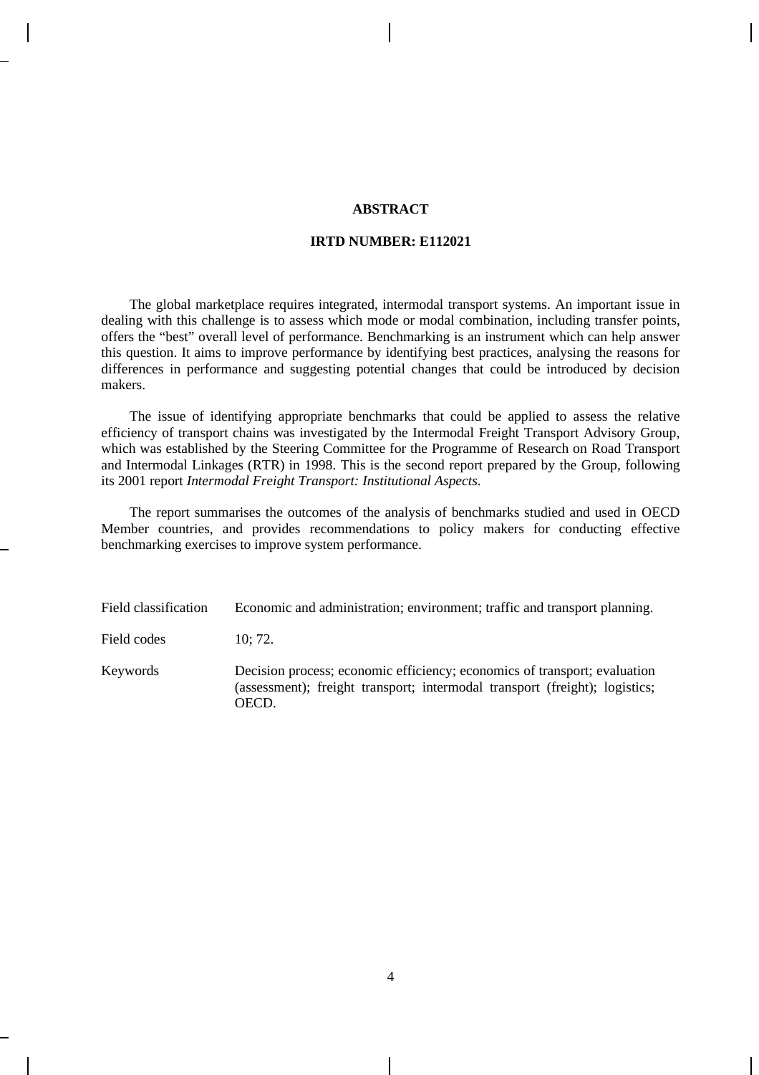## **ABSTRACT**

### **IRTD NUMBER: E112021**

The global marketplace requires integrated, intermodal transport systems. An important issue in dealing with this challenge is to assess which mode or modal combination, including transfer points, offers the "best" overall level of performance. Benchmarking is an instrument which can help answer this question. It aims to improve performance by identifying best practices, analysing the reasons for differences in performance and suggesting potential changes that could be introduced by decision makers.

The issue of identifying appropriate benchmarks that could be applied to assess the relative efficiency of transport chains was investigated by the Intermodal Freight Transport Advisory Group, which was established by the Steering Committee for the Programme of Research on Road Transport and Intermodal Linkages (RTR) in 1998. This is the second report prepared by the Group, following its 2001 report *Intermodal Freight Transport: Institutional Aspects*.

The report summarises the outcomes of the analysis of benchmarks studied and used in OECD Member countries, and provides recommendations to policy makers for conducting effective benchmarking exercises to improve system performance.

| Field classification | Economic and administration; environment; traffic and transport planning. |  |  |
|----------------------|---------------------------------------------------------------------------|--|--|
|                      |                                                                           |  |  |

Field codes 10; 72.

Keywords Decision process; economic efficiency; economics of transport; evaluation (assessment); freight transport; intermodal transport (freight); logistics; OECD.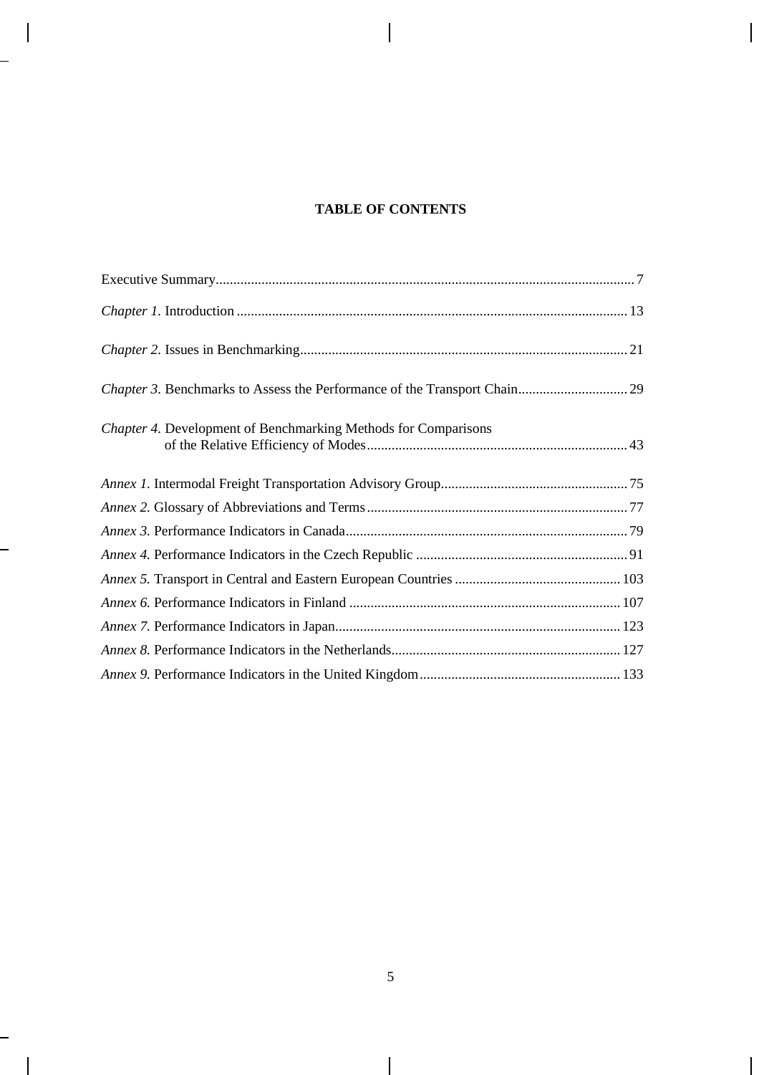# **TABLE OF CONTENTS**

| Chapter 4. Development of Benchmarking Methods for Comparisons |
|----------------------------------------------------------------|
|                                                                |
|                                                                |
|                                                                |
|                                                                |
|                                                                |
|                                                                |
|                                                                |
|                                                                |
|                                                                |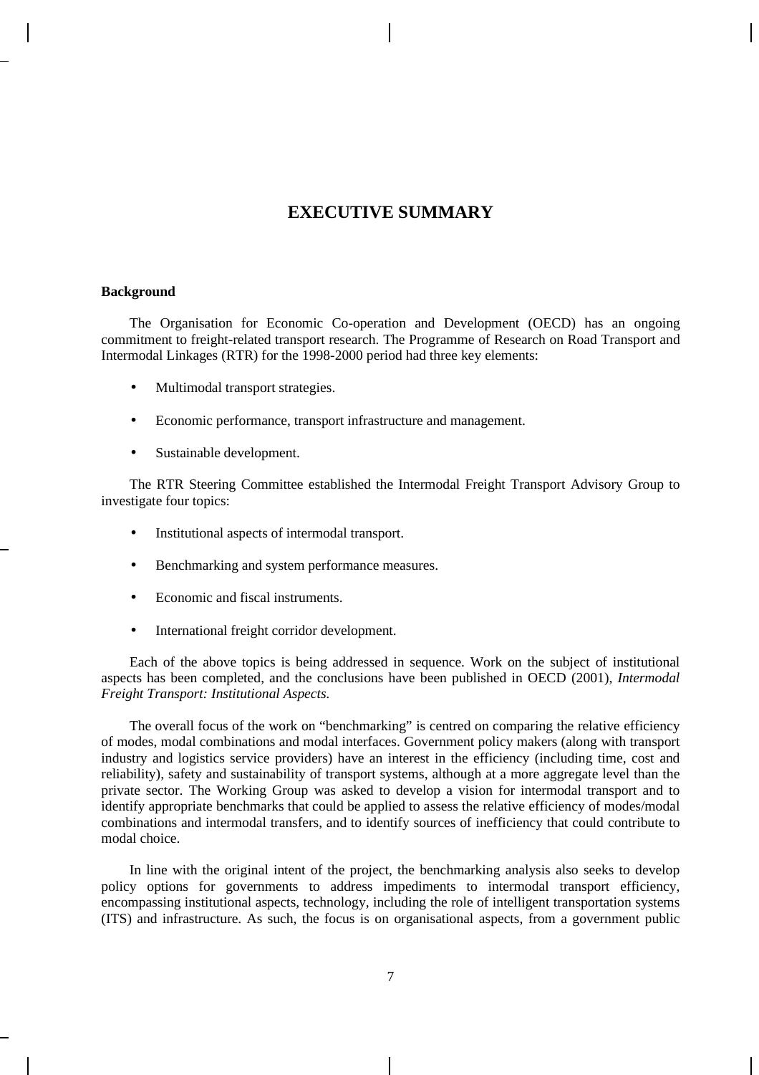# **EXECUTIVE SUMMARY**

#### **Background**

The Organisation for Economic Co-operation and Development (OECD) has an ongoing commitment to freight-related transport research. The Programme of Research on Road Transport and Intermodal Linkages (RTR) for the 1998-2000 period had three key elements:

- Multimodal transport strategies.
- Economic performance, transport infrastructure and management.
- Sustainable development.

The RTR Steering Committee established the Intermodal Freight Transport Advisory Group to investigate four topics:

- Institutional aspects of intermodal transport.
- Benchmarking and system performance measures.
- Economic and fiscal instruments.
- International freight corridor development.

Each of the above topics is being addressed in sequence. Work on the subject of institutional aspects has been completed, and the conclusions have been published in OECD (2001), *Intermodal Freight Transport: Institutional Aspects.*

The overall focus of the work on "benchmarking" is centred on comparing the relative efficiency of modes, modal combinations and modal interfaces. Government policy makers (along with transport industry and logistics service providers) have an interest in the efficiency (including time, cost and reliability), safety and sustainability of transport systems, although at a more aggregate level than the private sector. The Working Group was asked to develop a vision for intermodal transport and to identify appropriate benchmarks that could be applied to assess the relative efficiency of modes/modal combinations and intermodal transfers, and to identify sources of inefficiency that could contribute to modal choice.

In line with the original intent of the project, the benchmarking analysis also seeks to develop policy options for governments to address impediments to intermodal transport efficiency, encompassing institutional aspects, technology, including the role of intelligent transportation systems (ITS) and infrastructure. As such, the focus is on organisational aspects, from a government public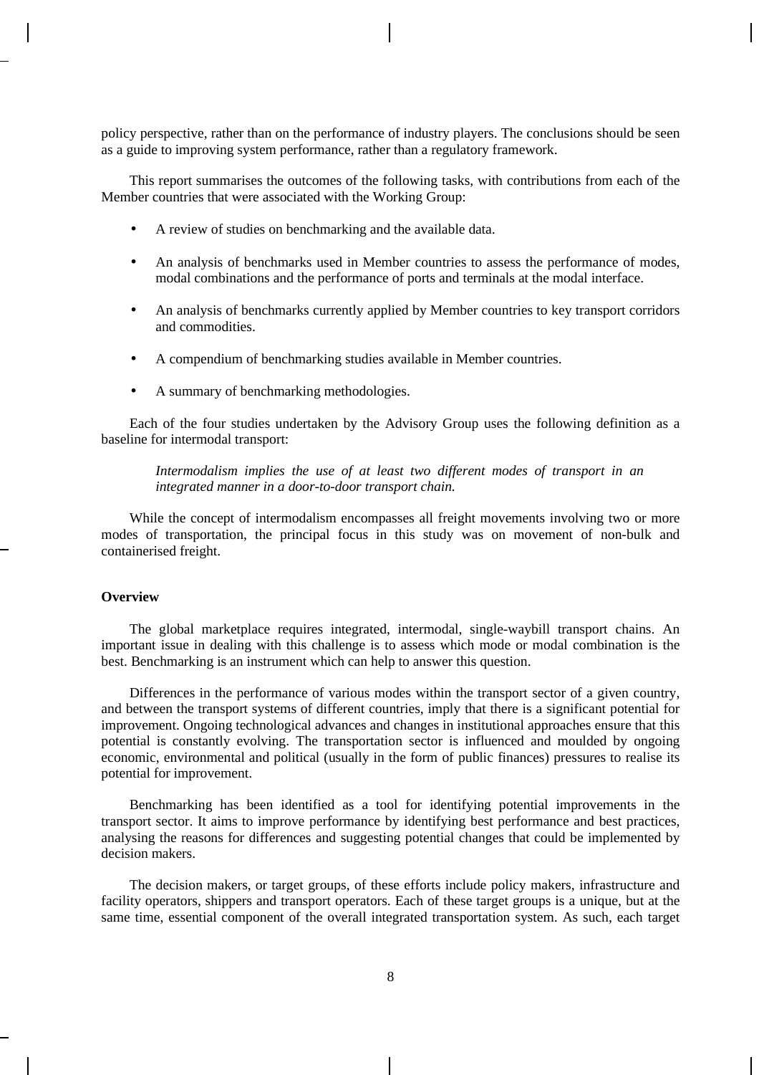policy perspective, rather than on the performance of industry players. The conclusions should be seen as a guide to improving system performance, rather than a regulatory framework.

This report summarises the outcomes of the following tasks, with contributions from each of the Member countries that were associated with the Working Group:

- A review of studies on benchmarking and the available data.
- An analysis of benchmarks used in Member countries to assess the performance of modes, modal combinations and the performance of ports and terminals at the modal interface.
- An analysis of benchmarks currently applied by Member countries to key transport corridors and commodities.
- A compendium of benchmarking studies available in Member countries.
- A summary of benchmarking methodologies.

Each of the four studies undertaken by the Advisory Group uses the following definition as a baseline for intermodal transport:

*Intermodalism implies the use of at least two different modes of transport in an integrated manner in a door-to-door transport chain.*

While the concept of intermodalism encompasses all freight movements involving two or more modes of transportation, the principal focus in this study was on movement of non-bulk and containerised freight.

## **Overview**

The global marketplace requires integrated, intermodal, single-waybill transport chains. An important issue in dealing with this challenge is to assess which mode or modal combination is the best. Benchmarking is an instrument which can help to answer this question.

Differences in the performance of various modes within the transport sector of a given country, and between the transport systems of different countries, imply that there is a significant potential for improvement. Ongoing technological advances and changes in institutional approaches ensure that this potential is constantly evolving. The transportation sector is influenced and moulded by ongoing economic, environmental and political (usually in the form of public finances) pressures to realise its potential for improvement.

Benchmarking has been identified as a tool for identifying potential improvements in the transport sector. It aims to improve performance by identifying best performance and best practices, analysing the reasons for differences and suggesting potential changes that could be implemented by decision makers.

The decision makers, or target groups, of these efforts include policy makers, infrastructure and facility operators, shippers and transport operators. Each of these target groups is a unique, but at the same time, essential component of the overall integrated transportation system. As such, each target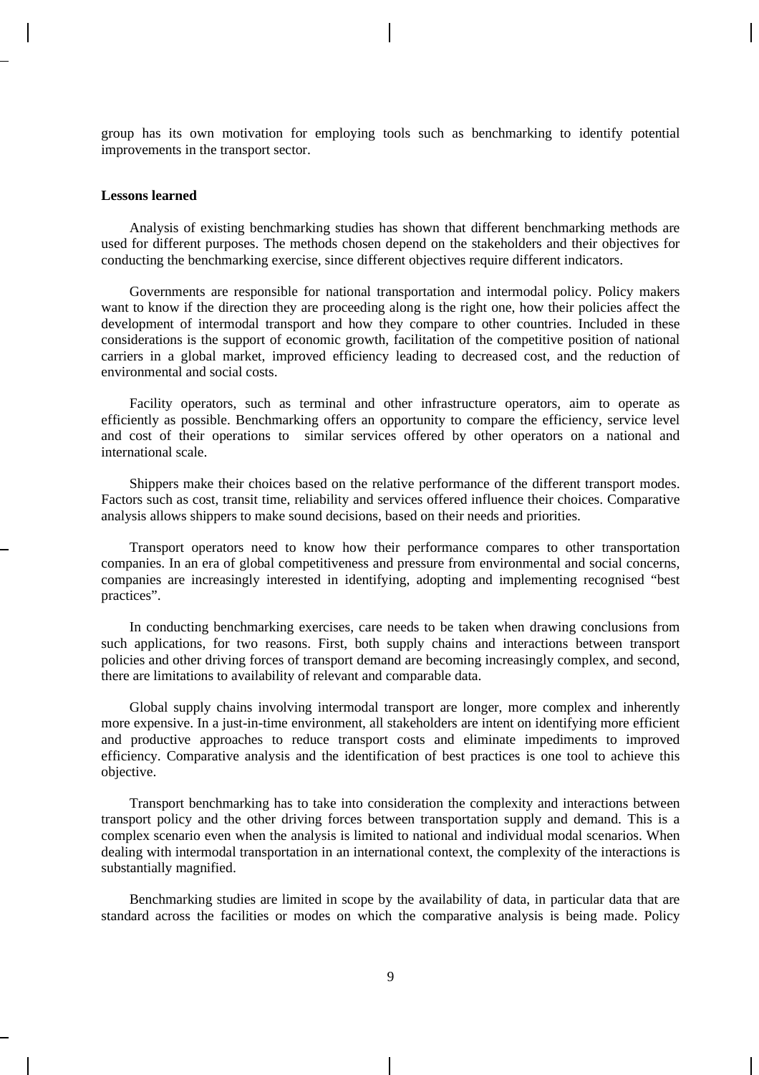group has its own motivation for employing tools such as benchmarking to identify potential improvements in the transport sector.

#### **Lessons learned**

Analysis of existing benchmarking studies has shown that different benchmarking methods are used for different purposes. The methods chosen depend on the stakeholders and their objectives for conducting the benchmarking exercise, since different objectives require different indicators.

Governments are responsible for national transportation and intermodal policy. Policy makers want to know if the direction they are proceeding along is the right one, how their policies affect the development of intermodal transport and how they compare to other countries. Included in these considerations is the support of economic growth, facilitation of the competitive position of national carriers in a global market, improved efficiency leading to decreased cost, and the reduction of environmental and social costs.

Facility operators, such as terminal and other infrastructure operators, aim to operate as efficiently as possible. Benchmarking offers an opportunity to compare the efficiency, service level and cost of their operations to similar services offered by other operators on a national and international scale.

Shippers make their choices based on the relative performance of the different transport modes. Factors such as cost, transit time, reliability and services offered influence their choices. Comparative analysis allows shippers to make sound decisions, based on their needs and priorities.

Transport operators need to know how their performance compares to other transportation companies. In an era of global competitiveness and pressure from environmental and social concerns, companies are increasingly interested in identifying, adopting and implementing recognised "best practices".

In conducting benchmarking exercises, care needs to be taken when drawing conclusions from such applications, for two reasons. First, both supply chains and interactions between transport policies and other driving forces of transport demand are becoming increasingly complex, and second, there are limitations to availability of relevant and comparable data.

Global supply chains involving intermodal transport are longer, more complex and inherently more expensive. In a just-in-time environment, all stakeholders are intent on identifying more efficient and productive approaches to reduce transport costs and eliminate impediments to improved efficiency. Comparative analysis and the identification of best practices is one tool to achieve this objective.

Transport benchmarking has to take into consideration the complexity and interactions between transport policy and the other driving forces between transportation supply and demand. This is a complex scenario even when the analysis is limited to national and individual modal scenarios. When dealing with intermodal transportation in an international context, the complexity of the interactions is substantially magnified.

Benchmarking studies are limited in scope by the availability of data, in particular data that are standard across the facilities or modes on which the comparative analysis is being made. Policy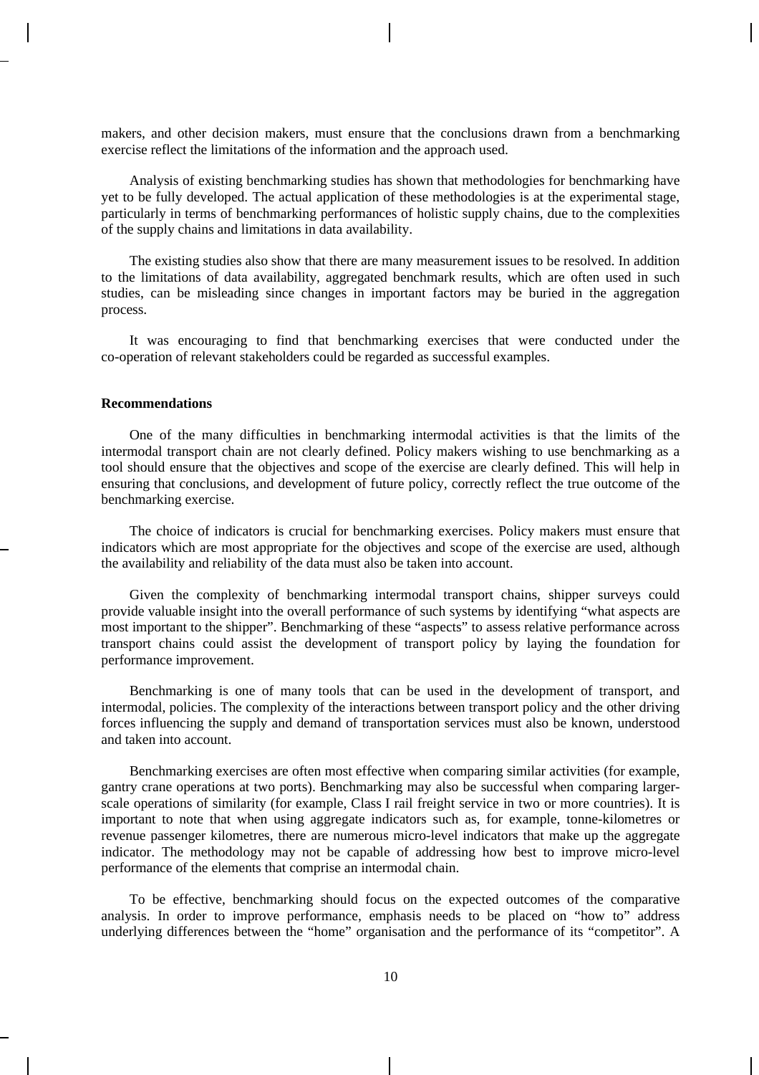makers, and other decision makers, must ensure that the conclusions drawn from a benchmarking exercise reflect the limitations of the information and the approach used.

Analysis of existing benchmarking studies has shown that methodologies for benchmarking have yet to be fully developed. The actual application of these methodologies is at the experimental stage, particularly in terms of benchmarking performances of holistic supply chains, due to the complexities of the supply chains and limitations in data availability.

The existing studies also show that there are many measurement issues to be resolved. In addition to the limitations of data availability, aggregated benchmark results, which are often used in such studies, can be misleading since changes in important factors may be buried in the aggregation process.

It was encouraging to find that benchmarking exercises that were conducted under the co-operation of relevant stakeholders could be regarded as successful examples.

#### **Recommendations**

One of the many difficulties in benchmarking intermodal activities is that the limits of the intermodal transport chain are not clearly defined. Policy makers wishing to use benchmarking as a tool should ensure that the objectives and scope of the exercise are clearly defined. This will help in ensuring that conclusions, and development of future policy, correctly reflect the true outcome of the benchmarking exercise.

The choice of indicators is crucial for benchmarking exercises. Policy makers must ensure that indicators which are most appropriate for the objectives and scope of the exercise are used, although the availability and reliability of the data must also be taken into account.

Given the complexity of benchmarking intermodal transport chains, shipper surveys could provide valuable insight into the overall performance of such systems by identifying "what aspects are most important to the shipper". Benchmarking of these "aspects" to assess relative performance across transport chains could assist the development of transport policy by laying the foundation for performance improvement.

Benchmarking is one of many tools that can be used in the development of transport, and intermodal, policies. The complexity of the interactions between transport policy and the other driving forces influencing the supply and demand of transportation services must also be known, understood and taken into account.

Benchmarking exercises are often most effective when comparing similar activities (for example, gantry crane operations at two ports). Benchmarking may also be successful when comparing largerscale operations of similarity (for example, Class I rail freight service in two or more countries). It is important to note that when using aggregate indicators such as, for example, tonne-kilometres or revenue passenger kilometres, there are numerous micro-level indicators that make up the aggregate indicator. The methodology may not be capable of addressing how best to improve micro-level performance of the elements that comprise an intermodal chain.

To be effective, benchmarking should focus on the expected outcomes of the comparative analysis. In order to improve performance, emphasis needs to be placed on "how to" address underlying differences between the "home" organisation and the performance of its "competitor". A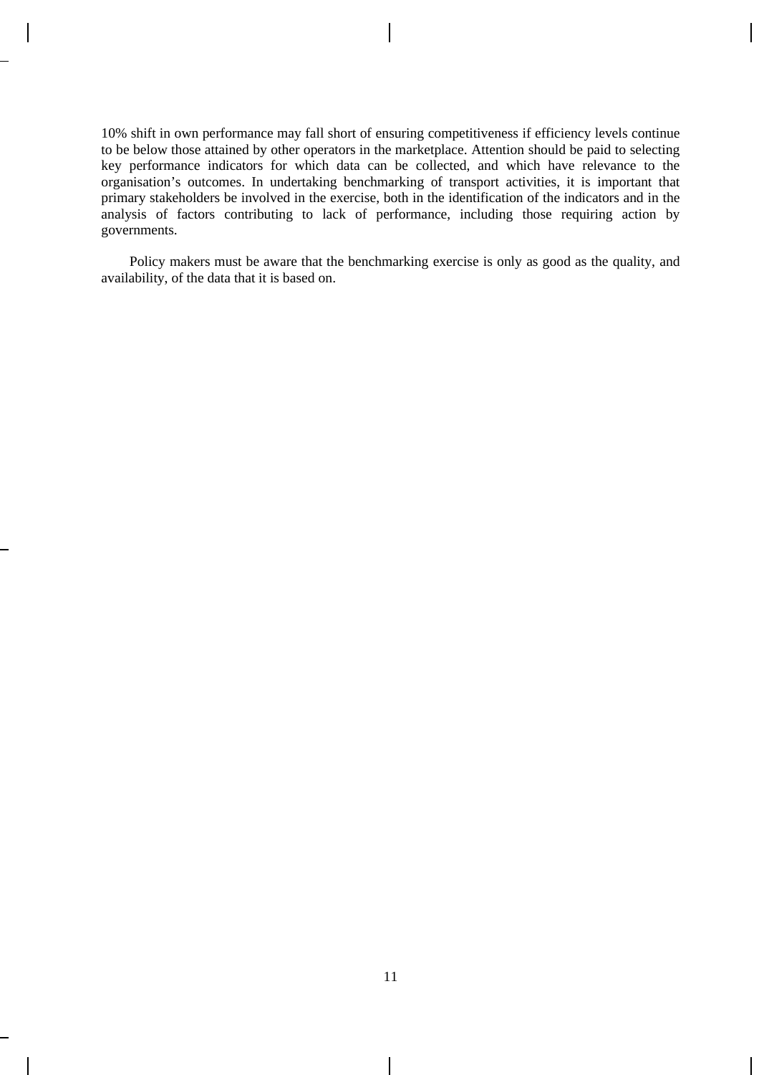10% shift in own performance may fall short of ensuring competitiveness if efficiency levels continue to be below those attained by other operators in the marketplace. Attention should be paid to selecting key performance indicators for which data can be collected, and which have relevance to the organisation's outcomes. In undertaking benchmarking of transport activities, it is important that primary stakeholders be involved in the exercise, both in the identification of the indicators and in the analysis of factors contributing to lack of performance, including those requiring action by governments.

Policy makers must be aware that the benchmarking exercise is only as good as the quality, and availability, of the data that it is based on.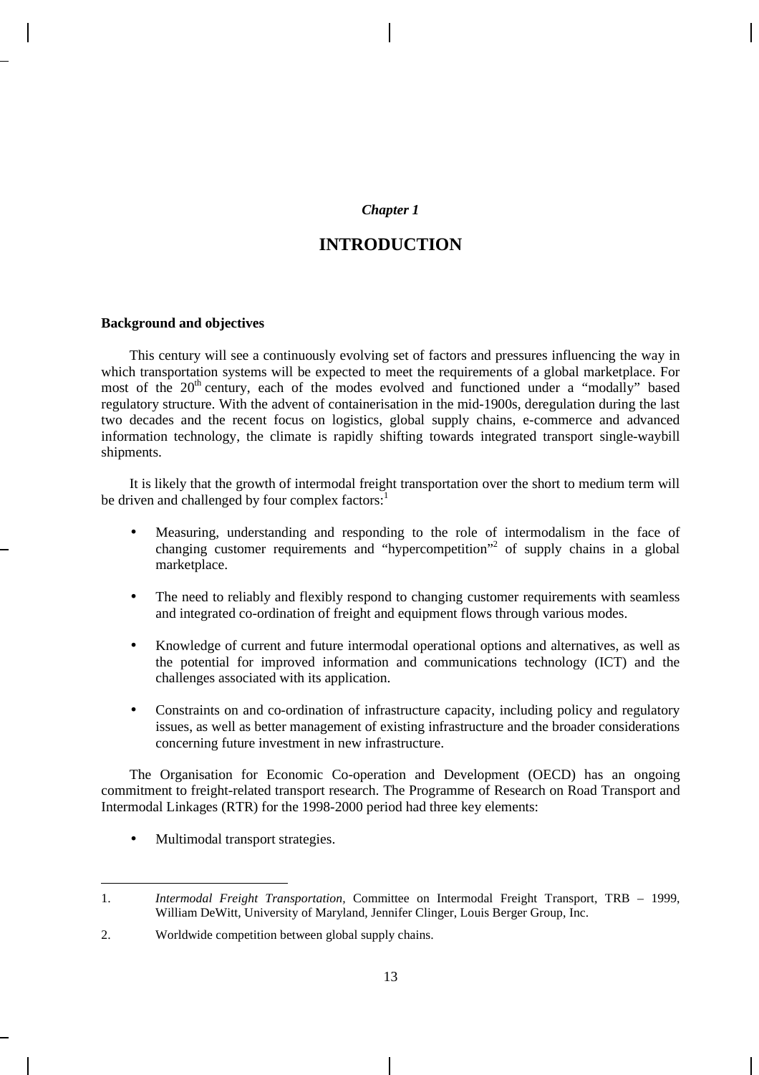#### *Chapter 1*

# **INTRODUCTION**

#### **Background and objectives**

This century will see a continuously evolving set of factors and pressures influencing the way in which transportation systems will be expected to meet the requirements of a global marketplace. For most of the 20<sup>th</sup> century, each of the modes evolved and functioned under a "modally" based regulatory structure. With the advent of containerisation in the mid-1900s, deregulation during the last two decades and the recent focus on logistics, global supply chains, e-commerce and advanced information technology, the climate is rapidly shifting towards integrated transport single-waybill shipments.

It is likely that the growth of intermodal freight transportation over the short to medium term will be driven and challenged by four complex factors: $<sup>1</sup>$ </sup>

- Measuring, understanding and responding to the role of intermodalism in the face of changing customer requirements and "hypercompetition"<sup>2</sup> of supply chains in a global marketplace.
- The need to reliably and flexibly respond to changing customer requirements with seamless and integrated co-ordination of freight and equipment flows through various modes.
- Knowledge of current and future intermodal operational options and alternatives, as well as the potential for improved information and communications technology (ICT) and the challenges associated with its application.
- Constraints on and co-ordination of infrastructure capacity, including policy and regulatory issues, as well as better management of existing infrastructure and the broader considerations concerning future investment in new infrastructure.

The Organisation for Economic Co-operation and Development (OECD) has an ongoing commitment to freight-related transport research. The Programme of Research on Road Transport and Intermodal Linkages (RTR) for the 1998-2000 period had three key elements:

Multimodal transport strategies.

 $\overline{a}$ 1. *Intermodal Freight Transportation,* Committee on Intermodal Freight Transport, TRB – 1999, William DeWitt, University of Maryland, Jennifer Clinger, Louis Berger Group, Inc.

<sup>2.</sup> Worldwide competition between global supply chains.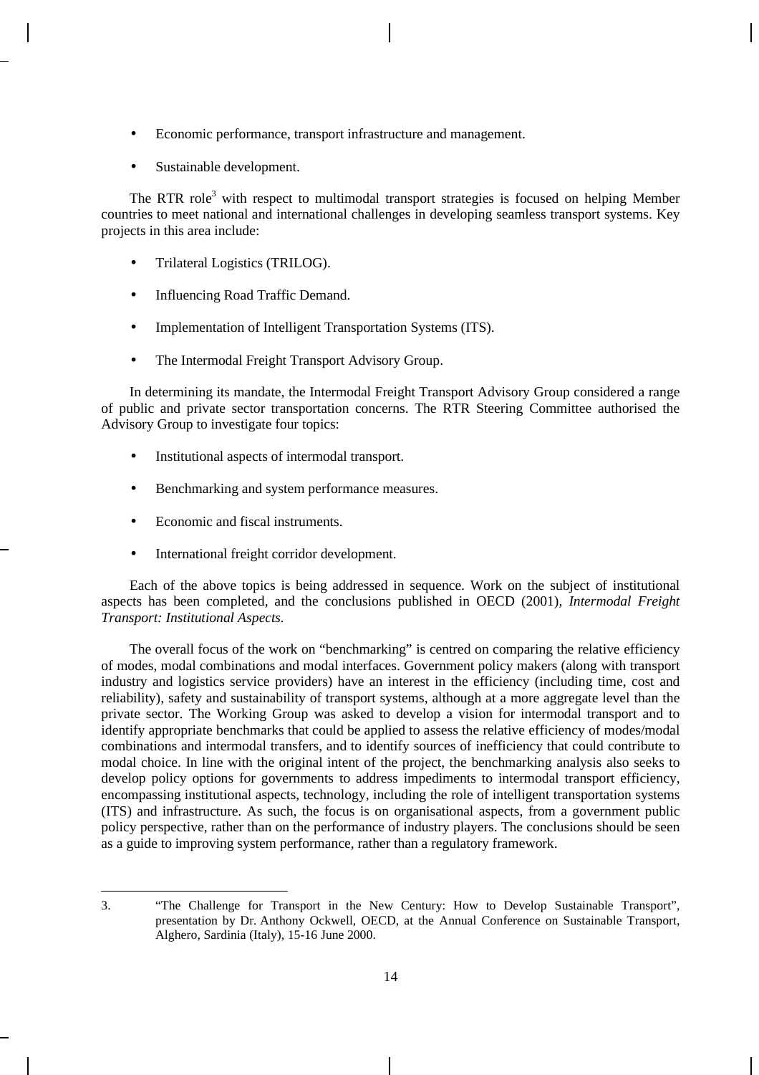- Economic performance, transport infrastructure and management.
- Sustainable development.

The RTR role<sup>3</sup> with respect to multimodal transport strategies is focused on helping Member countries to meet national and international challenges in developing seamless transport systems. Key projects in this area include:

- Trilateral Logistics (TRILOG).
- Influencing Road Traffic Demand.
- Implementation of Intelligent Transportation Systems (ITS).
- The Intermodal Freight Transport Advisory Group.

In determining its mandate, the Intermodal Freight Transport Advisory Group considered a range of public and private sector transportation concerns. The RTR Steering Committee authorised the Advisory Group to investigate four topics:

- Institutional aspects of intermodal transport.
- Benchmarking and system performance measures.
- Economic and fiscal instruments.
- International freight corridor development.

Each of the above topics is being addressed in sequence. Work on the subject of institutional aspects has been completed, and the conclusions published in OECD (2001), *Intermodal Freight Transport: Institutional Aspects.*

The overall focus of the work on "benchmarking" is centred on comparing the relative efficiency of modes, modal combinations and modal interfaces. Government policy makers (along with transport industry and logistics service providers) have an interest in the efficiency (including time, cost and reliability), safety and sustainability of transport systems, although at a more aggregate level than the private sector. The Working Group was asked to develop a vision for intermodal transport and to identify appropriate benchmarks that could be applied to assess the relative efficiency of modes/modal combinations and intermodal transfers, and to identify sources of inefficiency that could contribute to modal choice. In line with the original intent of the project, the benchmarking analysis also seeks to develop policy options for governments to address impediments to intermodal transport efficiency, encompassing institutional aspects, technology, including the role of intelligent transportation systems (ITS) and infrastructure. As such, the focus is on organisational aspects, from a government public policy perspective, rather than on the performance of industry players. The conclusions should be seen as a guide to improving system performance, rather than a regulatory framework.

 $\overline{a}$ 3. "The Challenge for Transport in the New Century: How to Develop Sustainable Transport", presentation by Dr. Anthony Ockwell, OECD, at the Annual Conference on Sustainable Transport, Alghero, Sardinia (Italy), 15-16 June 2000.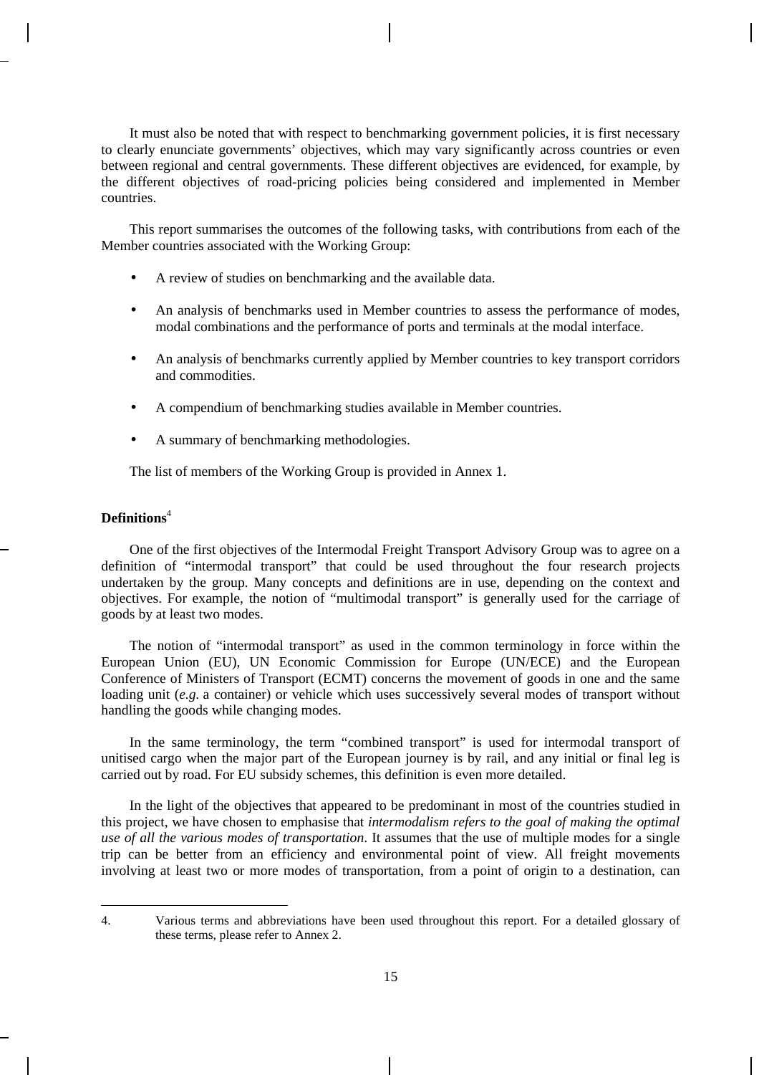It must also be noted that with respect to benchmarking government policies, it is first necessary to clearly enunciate governments' objectives, which may vary significantly across countries or even between regional and central governments. These different objectives are evidenced, for example, by the different objectives of road-pricing policies being considered and implemented in Member countries.

This report summarises the outcomes of the following tasks, with contributions from each of the Member countries associated with the Working Group:

- A review of studies on benchmarking and the available data.
- An analysis of benchmarks used in Member countries to assess the performance of modes, modal combinations and the performance of ports and terminals at the modal interface.
- An analysis of benchmarks currently applied by Member countries to key transport corridors and commodities.
- A compendium of benchmarking studies available in Member countries.
- A summary of benchmarking methodologies.

The list of members of the Working Group is provided in Annex 1.

# **Definitions**<sup>4</sup>

One of the first objectives of the Intermodal Freight Transport Advisory Group was to agree on a definition of "intermodal transport" that could be used throughout the four research projects undertaken by the group. Many concepts and definitions are in use, depending on the context and objectives. For example, the notion of "multimodal transport" is generally used for the carriage of goods by at least two modes.

The notion of "intermodal transport" as used in the common terminology in force within the European Union (EU), UN Economic Commission for Europe (UN/ECE) and the European Conference of Ministers of Transport (ECMT) concerns the movement of goods in one and the same loading unit (*e.g.* a container) or vehicle which uses successively several modes of transport without handling the goods while changing modes.

In the same terminology, the term "combined transport" is used for intermodal transport of unitised cargo when the major part of the European journey is by rail, and any initial or final leg is carried out by road. For EU subsidy schemes, this definition is even more detailed.

In the light of the objectives that appeared to be predominant in most of the countries studied in this project, we have chosen to emphasise that *intermodalism refers to the goal of making the optimal use of all the various modes of transportation*. It assumes that the use of multiple modes for a single trip can be better from an efficiency and environmental point of view. All freight movements involving at least two or more modes of transportation, from a point of origin to a destination, can

j 4. Various terms and abbreviations have been used throughout this report. For a detailed glossary of these terms, please refer to Annex 2.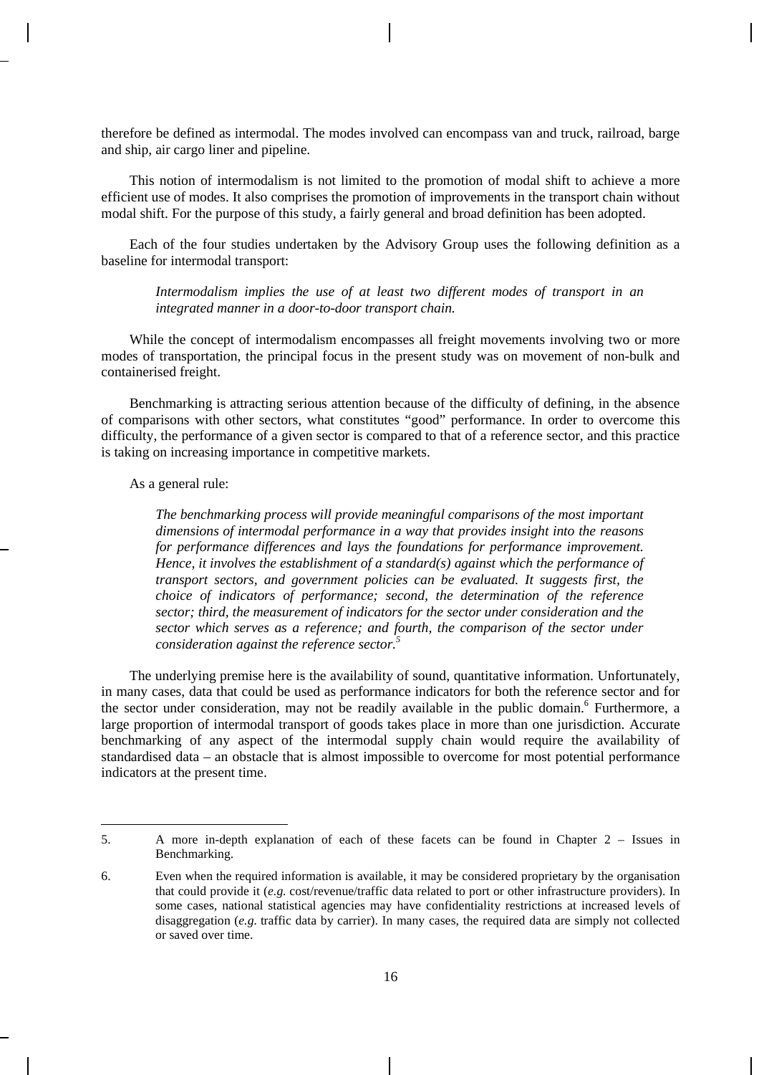therefore be defined as intermodal. The modes involved can encompass van and truck, railroad, barge and ship, air cargo liner and pipeline.

This notion of intermodalism is not limited to the promotion of modal shift to achieve a more efficient use of modes. It also comprises the promotion of improvements in the transport chain without modal shift. For the purpose of this study, a fairly general and broad definition has been adopted.

Each of the four studies undertaken by the Advisory Group uses the following definition as a baseline for intermodal transport:

*Intermodalism implies the use of at least two different modes of transport in an integrated manner in a door-to-door transport chain.*

While the concept of intermodalism encompasses all freight movements involving two or more modes of transportation, the principal focus in the present study was on movement of non-bulk and containerised freight.

Benchmarking is attracting serious attention because of the difficulty of defining, in the absence of comparisons with other sectors, what constitutes "good" performance. In order to overcome this difficulty, the performance of a given sector is compared to that of a reference sector, and this practice is taking on increasing importance in competitive markets.

#### As a general rule:

1

*The benchmarking process will provide meaningful comparisons of the most important dimensions of intermodal performance in a way that provides insight into the reasons for performance differences and lays the foundations for performance improvement. Hence, it involves the establishment of a standard(s) against which the performance of transport sectors, and government policies can be evaluated. It suggests first, the choice of indicators of performance; second, the determination of the reference sector; third, the measurement of indicators for the sector under consideration and the sector which serves as a reference; and fourth, the comparison of the sector under consideration against the reference sector.5*

The underlying premise here is the availability of sound, quantitative information. Unfortunately, in many cases, data that could be used as performance indicators for both the reference sector and for the sector under consideration, may not be readily available in the public domain.<sup>6</sup> Furthermore, a large proportion of intermodal transport of goods takes place in more than one jurisdiction. Accurate benchmarking of any aspect of the intermodal supply chain would require the availability of standardised data – an obstacle that is almost impossible to overcome for most potential performance indicators at the present time.

<sup>5.</sup> A more in-depth explanation of each of these facets can be found in Chapter 2 – Issues in Benchmarking.

<sup>6.</sup> Even when the required information is available, it may be considered proprietary by the organisation that could provide it (*e.g.* cost/revenue/traffic data related to port or other infrastructure providers). In some cases, national statistical agencies may have confidentiality restrictions at increased levels of disaggregation (*e.g.* traffic data by carrier). In many cases, the required data are simply not collected or saved over time.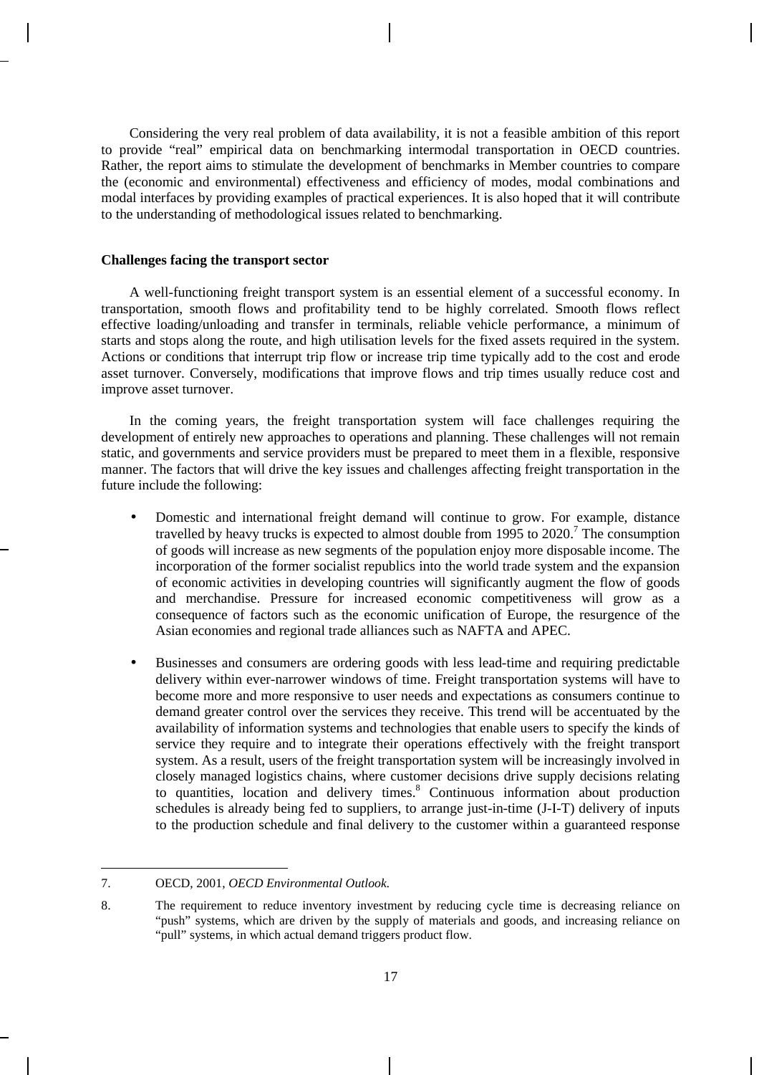Considering the very real problem of data availability, it is not a feasible ambition of this report to provide "real" empirical data on benchmarking intermodal transportation in OECD countries. Rather, the report aims to stimulate the development of benchmarks in Member countries to compare the (economic and environmental) effectiveness and efficiency of modes, modal combinations and modal interfaces by providing examples of practical experiences. It is also hoped that it will contribute to the understanding of methodological issues related to benchmarking.

#### **Challenges facing the transport sector**

A well-functioning freight transport system is an essential element of a successful economy. In transportation, smooth flows and profitability tend to be highly correlated. Smooth flows reflect effective loading/unloading and transfer in terminals, reliable vehicle performance, a minimum of starts and stops along the route, and high utilisation levels for the fixed assets required in the system. Actions or conditions that interrupt trip flow or increase trip time typically add to the cost and erode asset turnover. Conversely, modifications that improve flows and trip times usually reduce cost and improve asset turnover.

In the coming years, the freight transportation system will face challenges requiring the development of entirely new approaches to operations and planning. These challenges will not remain static, and governments and service providers must be prepared to meet them in a flexible, responsive manner. The factors that will drive the key issues and challenges affecting freight transportation in the future include the following:

- Domestic and international freight demand will continue to grow. For example, distance travelled by heavy trucks is expected to almost double from 1995 to  $2020$ .<sup>7</sup> The consumption of goods will increase as new segments of the population enjoy more disposable income. The incorporation of the former socialist republics into the world trade system and the expansion of economic activities in developing countries will significantly augment the flow of goods and merchandise. Pressure for increased economic competitiveness will grow as a consequence of factors such as the economic unification of Europe, the resurgence of the Asian economies and regional trade alliances such as NAFTA and APEC.
- Businesses and consumers are ordering goods with less lead-time and requiring predictable delivery within ever-narrower windows of time. Freight transportation systems will have to become more and more responsive to user needs and expectations as consumers continue to demand greater control over the services they receive. This trend will be accentuated by the availability of information systems and technologies that enable users to specify the kinds of service they require and to integrate their operations effectively with the freight transport system. As a result, users of the freight transportation system will be increasingly involved in closely managed logistics chains, where customer decisions drive supply decisions relating to quantities, location and delivery times.<sup>8</sup> Continuous information about production schedules is already being fed to suppliers, to arrange just-in-time (J-I-T) delivery of inputs to the production schedule and final delivery to the customer within a guaranteed response

<sup>1</sup> 7. OECD, 2001, *OECD Environmental Outlook.*

<sup>8.</sup> The requirement to reduce inventory investment by reducing cycle time is decreasing reliance on "push" systems, which are driven by the supply of materials and goods, and increasing reliance on "pull" systems, in which actual demand triggers product flow.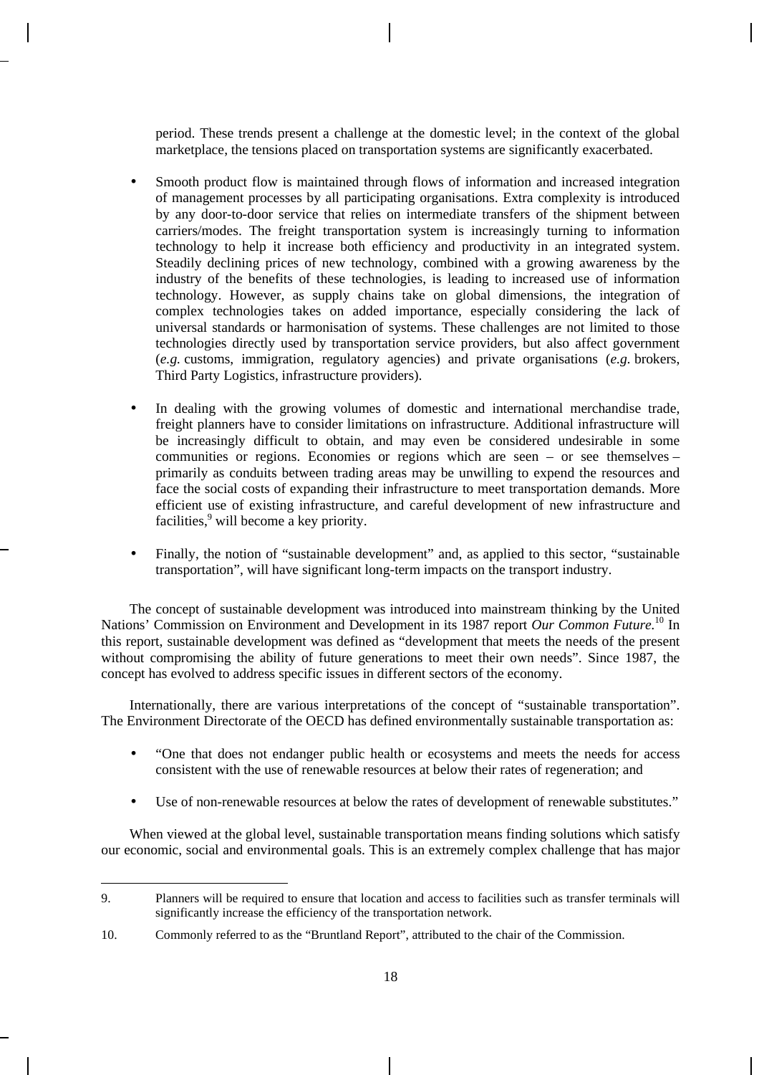period. These trends present a challenge at the domestic level; in the context of the global marketplace, the tensions placed on transportation systems are significantly exacerbated.

- Smooth product flow is maintained through flows of information and increased integration of management processes by all participating organisations. Extra complexity is introduced by any door-to-door service that relies on intermediate transfers of the shipment between carriers/modes. The freight transportation system is increasingly turning to information technology to help it increase both efficiency and productivity in an integrated system. Steadily declining prices of new technology, combined with a growing awareness by the industry of the benefits of these technologies, is leading to increased use of information technology. However, as supply chains take on global dimensions, the integration of complex technologies takes on added importance, especially considering the lack of universal standards or harmonisation of systems. These challenges are not limited to those technologies directly used by transportation service providers, but also affect government (*e.g.* customs, immigration, regulatory agencies) and private organisations (*e.g.* brokers, Third Party Logistics, infrastructure providers).
- In dealing with the growing volumes of domestic and international merchandise trade, freight planners have to consider limitations on infrastructure. Additional infrastructure will be increasingly difficult to obtain, and may even be considered undesirable in some communities or regions. Economies or regions which are seen – or see themselves – primarily as conduits between trading areas may be unwilling to expend the resources and face the social costs of expanding their infrastructure to meet transportation demands. More efficient use of existing infrastructure, and careful development of new infrastructure and facilities,<sup>9</sup> will become a key priority.
- Finally, the notion of "sustainable development" and, as applied to this sector, "sustainable transportation", will have significant long-term impacts on the transport industry.

The concept of sustainable development was introduced into mainstream thinking by the United Nations' Commission on Environment and Development in its 1987 report *Our Common Future.*10 In this report, sustainable development was defined as "development that meets the needs of the present without compromising the ability of future generations to meet their own needs". Since 1987, the concept has evolved to address specific issues in different sectors of the economy.

Internationally, there are various interpretations of the concept of "sustainable transportation". The Environment Directorate of the OECD has defined environmentally sustainable transportation as:

- "One that does not endanger public health or ecosystems and meets the needs for access consistent with the use of renewable resources at below their rates of regeneration; and
- Use of non-renewable resources at below the rates of development of renewable substitutes."

When viewed at the global level, sustainable transportation means finding solutions which satisfy our economic, social and environmental goals. This is an extremely complex challenge that has major

 $\overline{a}$ 9. Planners will be required to ensure that location and access to facilities such as transfer terminals will significantly increase the efficiency of the transportation network.

<sup>10.</sup> Commonly referred to as the "Bruntland Report", attributed to the chair of the Commission.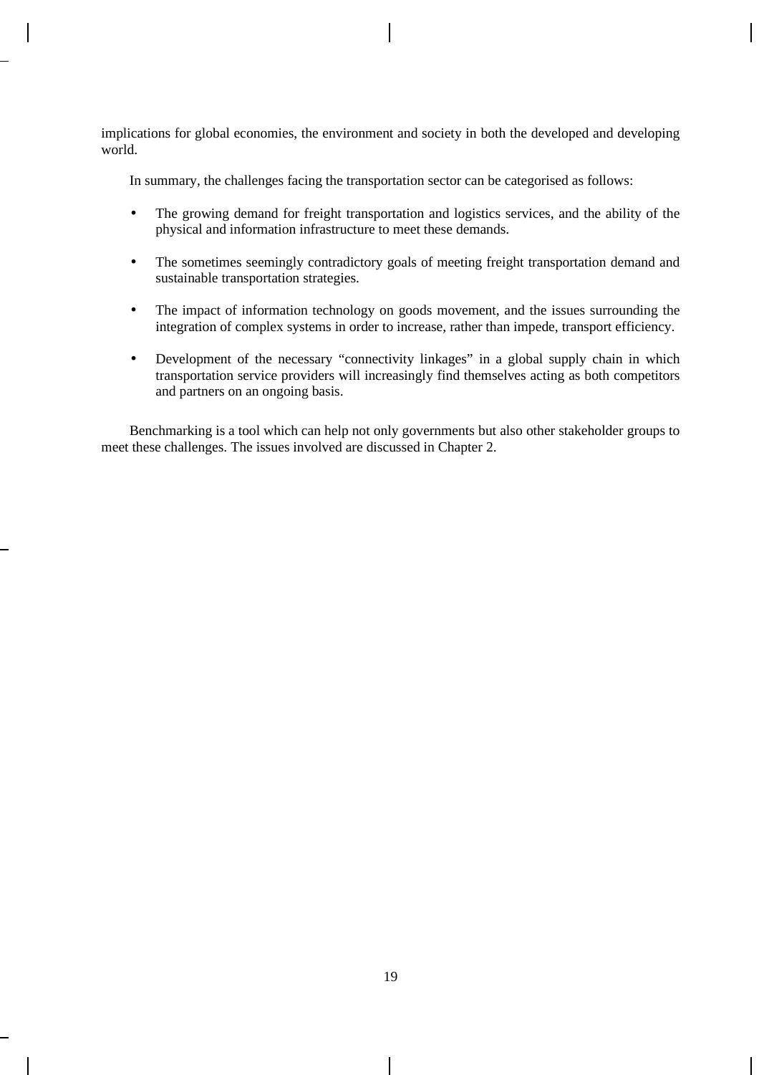implications for global economies, the environment and society in both the developed and developing world.

In summary, the challenges facing the transportation sector can be categorised as follows:

- The growing demand for freight transportation and logistics services, and the ability of the physical and information infrastructure to meet these demands.
- The sometimes seemingly contradictory goals of meeting freight transportation demand and sustainable transportation strategies.
- The impact of information technology on goods movement, and the issues surrounding the integration of complex systems in order to increase, rather than impede, transport efficiency.
- Development of the necessary "connectivity linkages" in a global supply chain in which transportation service providers will increasingly find themselves acting as both competitors and partners on an ongoing basis.

Benchmarking is a tool which can help not only governments but also other stakeholder groups to meet these challenges. The issues involved are discussed in Chapter 2.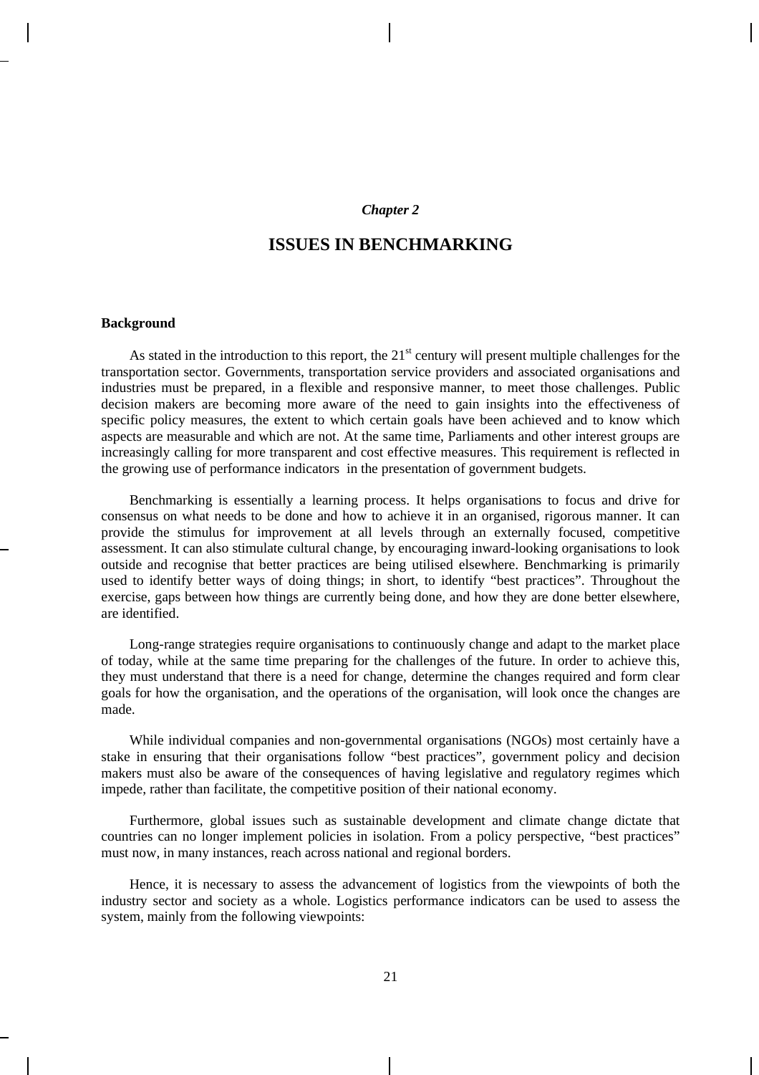#### *Chapter 2*

# **ISSUES IN BENCHMARKING**

#### **Background**

As stated in the introduction to this report, the  $21<sup>st</sup>$  century will present multiple challenges for the transportation sector. Governments, transportation service providers and associated organisations and industries must be prepared, in a flexible and responsive manner, to meet those challenges. Public decision makers are becoming more aware of the need to gain insights into the effectiveness of specific policy measures, the extent to which certain goals have been achieved and to know which aspects are measurable and which are not. At the same time, Parliaments and other interest groups are increasingly calling for more transparent and cost effective measures. This requirement is reflected in the growing use of performance indicators in the presentation of government budgets.

Benchmarking is essentially a learning process. It helps organisations to focus and drive for consensus on what needs to be done and how to achieve it in an organised, rigorous manner. It can provide the stimulus for improvement at all levels through an externally focused, competitive assessment. It can also stimulate cultural change, by encouraging inward-looking organisations to look outside and recognise that better practices are being utilised elsewhere. Benchmarking is primarily used to identify better ways of doing things; in short, to identify "best practices". Throughout the exercise, gaps between how things are currently being done, and how they are done better elsewhere, are identified.

Long-range strategies require organisations to continuously change and adapt to the market place of today, while at the same time preparing for the challenges of the future. In order to achieve this, they must understand that there is a need for change, determine the changes required and form clear goals for how the organisation, and the operations of the organisation, will look once the changes are made.

While individual companies and non-governmental organisations (NGOs) most certainly have a stake in ensuring that their organisations follow "best practices", government policy and decision makers must also be aware of the consequences of having legislative and regulatory regimes which impede, rather than facilitate, the competitive position of their national economy.

Furthermore, global issues such as sustainable development and climate change dictate that countries can no longer implement policies in isolation. From a policy perspective, "best practices" must now, in many instances, reach across national and regional borders.

Hence, it is necessary to assess the advancement of logistics from the viewpoints of both the industry sector and society as a whole. Logistics performance indicators can be used to assess the system, mainly from the following viewpoints: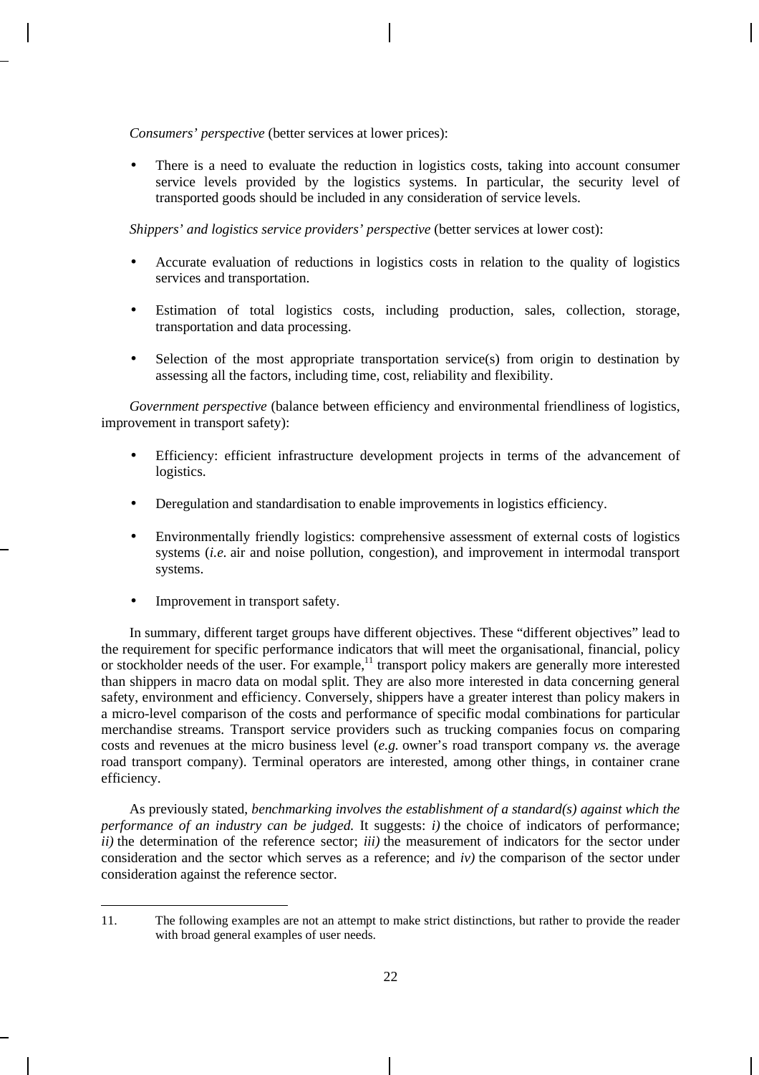*Consumers' perspective* (better services at lower prices):

• There is a need to evaluate the reduction in logistics costs, taking into account consumer service levels provided by the logistics systems. In particular, the security level of transported goods should be included in any consideration of service levels.

*Shippers' and logistics service providers' perspective* (better services at lower cost):

- Accurate evaluation of reductions in logistics costs in relation to the quality of logistics services and transportation.
- Estimation of total logistics costs, including production, sales, collection, storage, transportation and data processing.
- Selection of the most appropriate transportation service(s) from origin to destination by assessing all the factors, including time, cost, reliability and flexibility.

*Government perspective* (balance between efficiency and environmental friendliness of logistics, improvement in transport safety):

- Efficiency: efficient infrastructure development projects in terms of the advancement of logistics.
- Deregulation and standardisation to enable improvements in logistics efficiency.
- Environmentally friendly logistics: comprehensive assessment of external costs of logistics systems *(i.e.* air and noise pollution, congestion), and improvement in intermodal transport systems.
- Improvement in transport safety.

In summary, different target groups have different objectives. These "different objectives" lead to the requirement for specific performance indicators that will meet the organisational, financial, policy or stockholder needs of the user. For example,<sup>11</sup> transport policy makers are generally more interested than shippers in macro data on modal split. They are also more interested in data concerning general safety, environment and efficiency. Conversely, shippers have a greater interest than policy makers in a micro-level comparison of the costs and performance of specific modal combinations for particular merchandise streams. Transport service providers such as trucking companies focus on comparing costs and revenues at the micro business level (*e.g.* owner's road transport company *vs.* the average road transport company). Terminal operators are interested, among other things, in container crane efficiency.

As previously stated, *benchmarking involves the establishment of a standard(s) against which the performance of an industry can be judged.* It suggests: *i)* the choice of indicators of performance; *ii*) the determination of the reference sector; *iii*) the measurement of indicators for the sector under consideration and the sector which serves as a reference; and *iv)* the comparison of the sector under consideration against the reference sector.

j 11. The following examples are not an attempt to make strict distinctions, but rather to provide the reader with broad general examples of user needs.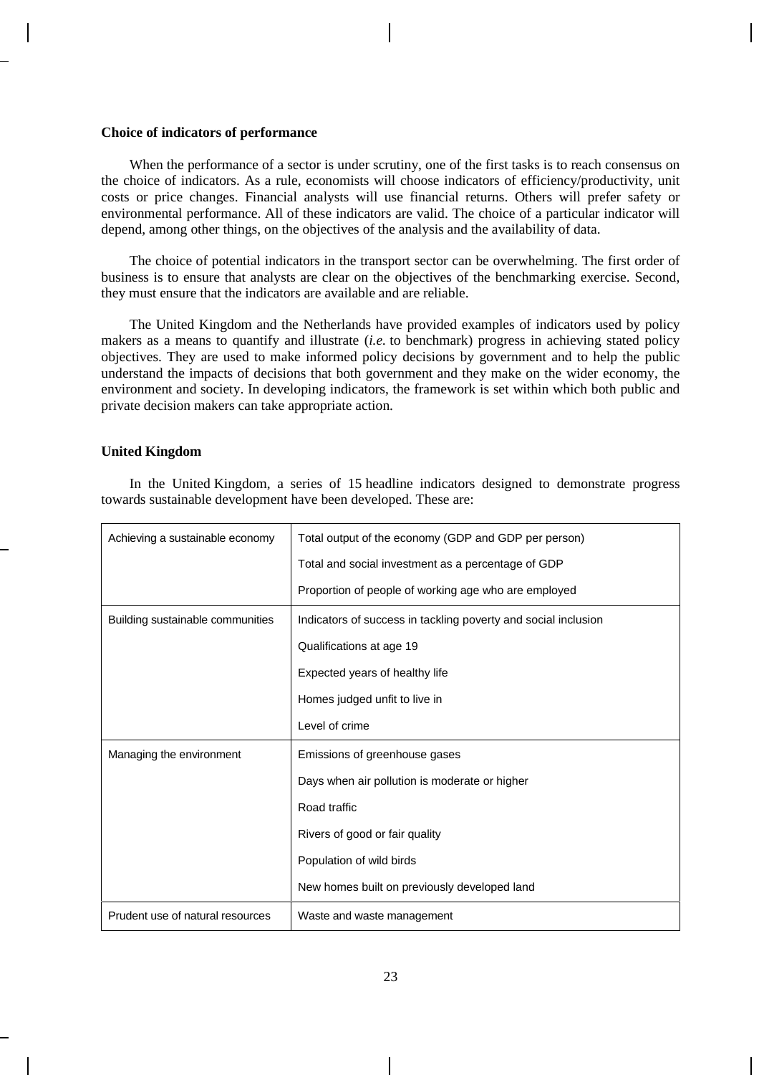#### **Choice of indicators of performance**

When the performance of a sector is under scrutiny, one of the first tasks is to reach consensus on the choice of indicators. As a rule, economists will choose indicators of efficiency/productivity, unit costs or price changes. Financial analysts will use financial returns. Others will prefer safety or environmental performance. All of these indicators are valid. The choice of a particular indicator will depend, among other things, on the objectives of the analysis and the availability of data.

The choice of potential indicators in the transport sector can be overwhelming. The first order of business is to ensure that analysts are clear on the objectives of the benchmarking exercise. Second, they must ensure that the indicators are available and are reliable.

The United Kingdom and the Netherlands have provided examples of indicators used by policy makers as a means to quantify and illustrate (*i.e.* to benchmark) progress in achieving stated policy objectives. They are used to make informed policy decisions by government and to help the public understand the impacts of decisions that both government and they make on the wider economy, the environment and society. In developing indicators, the framework is set within which both public and private decision makers can take appropriate action.

#### **United Kingdom**

In the United Kingdom, a series of 15 headline indicators designed to demonstrate progress towards sustainable development have been developed. These are:

| Achieving a sustainable economy  | Total output of the economy (GDP and GDP per person)           |
|----------------------------------|----------------------------------------------------------------|
|                                  | Total and social investment as a percentage of GDP             |
|                                  | Proportion of people of working age who are employed           |
| Building sustainable communities | Indicators of success in tackling poverty and social inclusion |
|                                  | Qualifications at age 19                                       |
|                                  | Expected years of healthy life                                 |
|                                  | Homes judged unfit to live in                                  |
|                                  | Level of crime                                                 |
| Managing the environment         | Emissions of greenhouse gases                                  |
|                                  | Days when air pollution is moderate or higher                  |
|                                  | Road traffic                                                   |
|                                  | Rivers of good or fair quality                                 |
|                                  | Population of wild birds                                       |
|                                  | New homes built on previously developed land                   |
| Prudent use of natural resources | Waste and waste management                                     |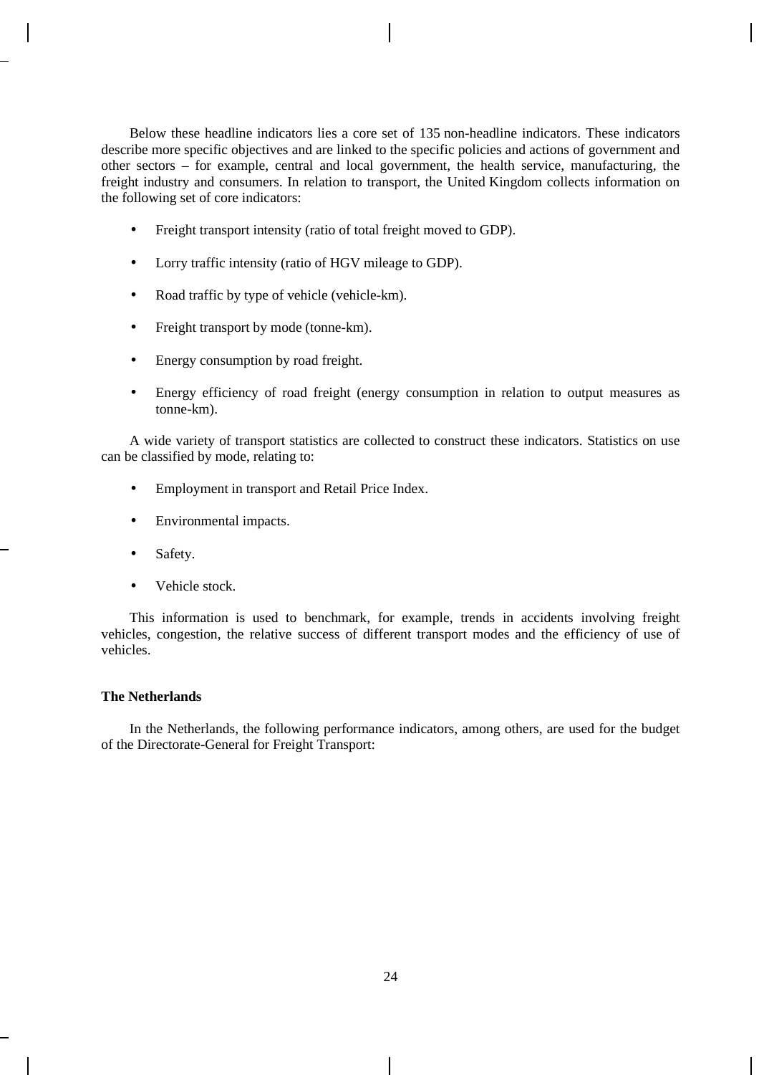Below these headline indicators lies a core set of 135 non-headline indicators. These indicators describe more specific objectives and are linked to the specific policies and actions of government and other sectors – for example, central and local government, the health service, manufacturing, the freight industry and consumers. In relation to transport, the United Kingdom collects information on the following set of core indicators:

- Freight transport intensity (ratio of total freight moved to GDP).
- Lorry traffic intensity (ratio of HGV mileage to GDP).
- Road traffic by type of vehicle (vehicle-km).
- Freight transport by mode (tonne-km).
- Energy consumption by road freight.
- Energy efficiency of road freight (energy consumption in relation to output measures as tonne-km).

A wide variety of transport statistics are collected to construct these indicators. Statistics on use can be classified by mode, relating to:

- Employment in transport and Retail Price Index.
- Environmental impacts.
- Safety.
- Vehicle stock.

This information is used to benchmark, for example, trends in accidents involving freight vehicles, congestion, the relative success of different transport modes and the efficiency of use of vehicles.

#### **The Netherlands**

In the Netherlands, the following performance indicators, among others, are used for the budget of the Directorate-General for Freight Transport: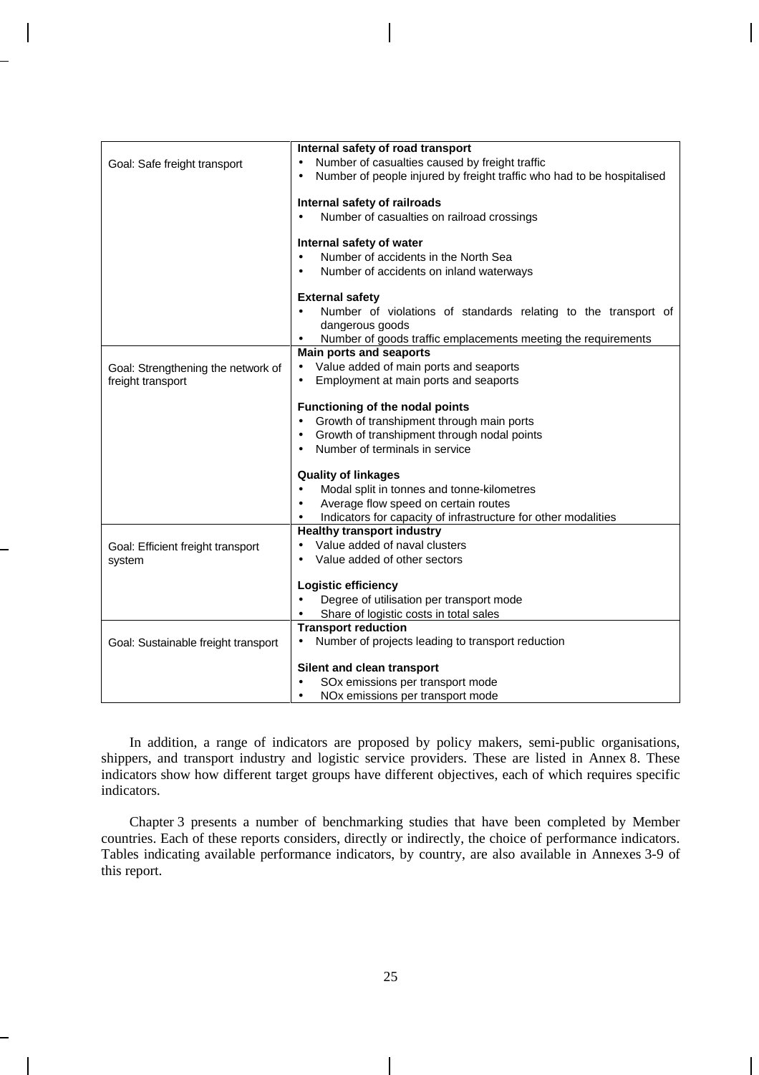|                                     | Internal safety of road transport                                                   |
|-------------------------------------|-------------------------------------------------------------------------------------|
| Goal: Safe freight transport        | Number of casualties caused by freight traffic                                      |
|                                     | Number of people injured by freight traffic who had to be hospitalised<br>$\bullet$ |
|                                     | Internal safety of railroads                                                        |
|                                     | Number of casualties on railroad crossings                                          |
|                                     |                                                                                     |
|                                     | Internal safety of water                                                            |
|                                     | Number of accidents in the North Sea<br>$\bullet$                                   |
|                                     | Number of accidents on inland waterways<br>$\bullet$                                |
|                                     | <b>External safety</b>                                                              |
|                                     | Number of violations of standards relating to the transport of<br>$\bullet$         |
|                                     | dangerous goods                                                                     |
|                                     | Number of goods traffic emplacements meeting the requirements                       |
|                                     | <b>Main ports and seaports</b>                                                      |
| Goal: Strengthening the network of  | Value added of main ports and seaports                                              |
| freight transport                   | Employment at main ports and seaports<br>$\bullet$                                  |
|                                     |                                                                                     |
|                                     | Functioning of the nodal points                                                     |
|                                     | Growth of transhipment through main ports                                           |
|                                     | Growth of transhipment through nodal points                                         |
|                                     | Number of terminals in service                                                      |
|                                     | <b>Quality of linkages</b>                                                          |
|                                     | Modal split in tonnes and tonne-kilometres<br>$\bullet$                             |
|                                     | Average flow speed on certain routes<br>$\bullet$                                   |
|                                     | Indicators for capacity of infrastructure for other modalities                      |
|                                     | <b>Healthy transport industry</b>                                                   |
| Goal: Efficient freight transport   | Value added of naval clusters                                                       |
| system                              | Value added of other sectors<br>$\bullet$                                           |
|                                     | Logistic efficiency                                                                 |
|                                     | Degree of utilisation per transport mode                                            |
|                                     | Share of logistic costs in total sales                                              |
|                                     | <b>Transport reduction</b>                                                          |
| Goal: Sustainable freight transport | Number of projects leading to transport reduction<br>$\bullet$                      |
|                                     |                                                                                     |
|                                     | Silent and clean transport                                                          |
|                                     | SOx emissions per transport mode                                                    |
|                                     | NOx emissions per transport mode<br>$\bullet$                                       |

In addition, a range of indicators are proposed by policy makers, semi-public organisations, shippers, and transport industry and logistic service providers. These are listed in Annex 8. These indicators show how different target groups have different objectives, each of which requires specific indicators.

Chapter 3 presents a number of benchmarking studies that have been completed by Member countries. Each of these reports considers, directly or indirectly, the choice of performance indicators. Tables indicating available performance indicators, by country, are also available in Annexes 3-9 of this report.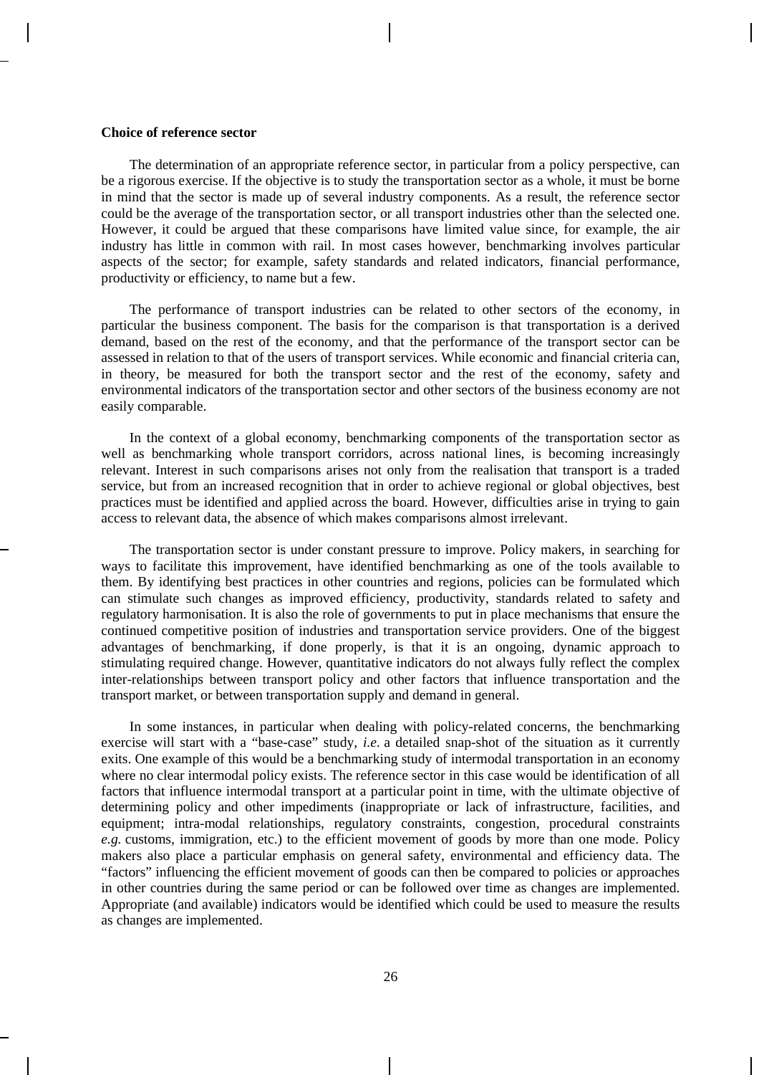#### **Choice of reference sector**

The determination of an appropriate reference sector, in particular from a policy perspective, can be a rigorous exercise. If the objective is to study the transportation sector as a whole, it must be borne in mind that the sector is made up of several industry components. As a result, the reference sector could be the average of the transportation sector, or all transport industries other than the selected one. However, it could be argued that these comparisons have limited value since, for example, the air industry has little in common with rail. In most cases however, benchmarking involves particular aspects of the sector; for example, safety standards and related indicators, financial performance, productivity or efficiency, to name but a few.

The performance of transport industries can be related to other sectors of the economy, in particular the business component. The basis for the comparison is that transportation is a derived demand, based on the rest of the economy, and that the performance of the transport sector can be assessed in relation to that of the users of transport services. While economic and financial criteria can, in theory, be measured for both the transport sector and the rest of the economy, safety and environmental indicators of the transportation sector and other sectors of the business economy are not easily comparable.

In the context of a global economy, benchmarking components of the transportation sector as well as benchmarking whole transport corridors, across national lines, is becoming increasingly relevant. Interest in such comparisons arises not only from the realisation that transport is a traded service, but from an increased recognition that in order to achieve regional or global objectives, best practices must be identified and applied across the board. However, difficulties arise in trying to gain access to relevant data, the absence of which makes comparisons almost irrelevant.

The transportation sector is under constant pressure to improve. Policy makers, in searching for ways to facilitate this improvement, have identified benchmarking as one of the tools available to them. By identifying best practices in other countries and regions, policies can be formulated which can stimulate such changes as improved efficiency, productivity, standards related to safety and regulatory harmonisation. It is also the role of governments to put in place mechanisms that ensure the continued competitive position of industries and transportation service providers. One of the biggest advantages of benchmarking, if done properly, is that it is an ongoing, dynamic approach to stimulating required change. However, quantitative indicators do not always fully reflect the complex inter-relationships between transport policy and other factors that influence transportation and the transport market, or between transportation supply and demand in general.

In some instances, in particular when dealing with policy-related concerns, the benchmarking exercise will start with a "base-case" study, *i.e.* a detailed snap-shot of the situation as it currently exits. One example of this would be a benchmarking study of intermodal transportation in an economy where no clear intermodal policy exists. The reference sector in this case would be identification of all factors that influence intermodal transport at a particular point in time, with the ultimate objective of determining policy and other impediments (inappropriate or lack of infrastructure, facilities, and equipment; intra-modal relationships, regulatory constraints, congestion, procedural constraints *e.g.* customs, immigration, etc.) to the efficient movement of goods by more than one mode. Policy makers also place a particular emphasis on general safety, environmental and efficiency data. The "factors" influencing the efficient movement of goods can then be compared to policies or approaches in other countries during the same period or can be followed over time as changes are implemented. Appropriate (and available) indicators would be identified which could be used to measure the results as changes are implemented.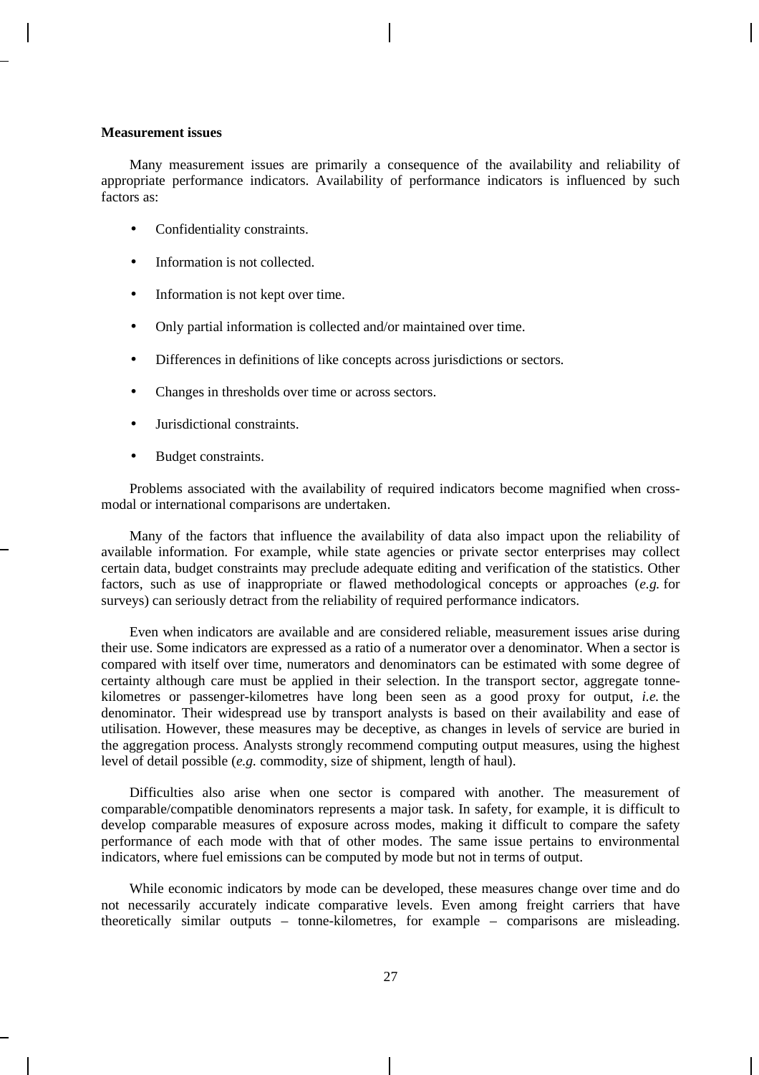#### **Measurement issues**

Many measurement issues are primarily a consequence of the availability and reliability of appropriate performance indicators. Availability of performance indicators is influenced by such factors as:

- Confidentiality constraints.
- Information is not collected.
- Information is not kept over time.
- Only partial information is collected and/or maintained over time.
- Differences in definitions of like concepts across jurisdictions or sectors.
- Changes in thresholds over time or across sectors.
- Jurisdictional constraints.
- Budget constraints.

Problems associated with the availability of required indicators become magnified when crossmodal or international comparisons are undertaken.

Many of the factors that influence the availability of data also impact upon the reliability of available information. For example, while state agencies or private sector enterprises may collect certain data, budget constraints may preclude adequate editing and verification of the statistics. Other factors, such as use of inappropriate or flawed methodological concepts or approaches (*e.g.* for surveys) can seriously detract from the reliability of required performance indicators.

Even when indicators are available and are considered reliable, measurement issues arise during their use. Some indicators are expressed as a ratio of a numerator over a denominator. When a sector is compared with itself over time, numerators and denominators can be estimated with some degree of certainty although care must be applied in their selection. In the transport sector, aggregate tonnekilometres or passenger-kilometres have long been seen as a good proxy for output, *i.e.* the denominator. Their widespread use by transport analysts is based on their availability and ease of utilisation. However, these measures may be deceptive, as changes in levels of service are buried in the aggregation process. Analysts strongly recommend computing output measures, using the highest level of detail possible (*e.g.* commodity, size of shipment, length of haul).

Difficulties also arise when one sector is compared with another. The measurement of comparable/compatible denominators represents a major task. In safety, for example, it is difficult to develop comparable measures of exposure across modes, making it difficult to compare the safety performance of each mode with that of other modes. The same issue pertains to environmental indicators, where fuel emissions can be computed by mode but not in terms of output.

While economic indicators by mode can be developed, these measures change over time and do not necessarily accurately indicate comparative levels. Even among freight carriers that have theoretically similar outputs – tonne-kilometres, for example – comparisons are misleading.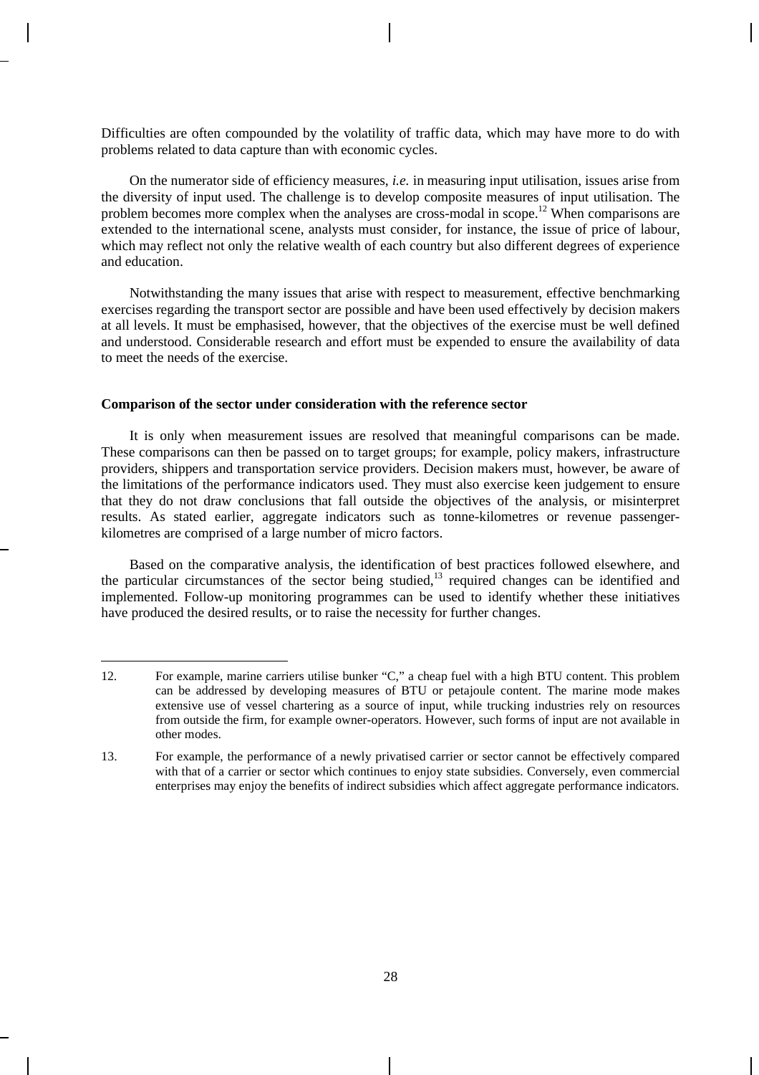Difficulties are often compounded by the volatility of traffic data, which may have more to do with problems related to data capture than with economic cycles.

On the numerator side of efficiency measures, *i.e.* in measuring input utilisation, issues arise from the diversity of input used. The challenge is to develop composite measures of input utilisation. The problem becomes more complex when the analyses are cross-modal in scope.<sup>12</sup> When comparisons are extended to the international scene, analysts must consider, for instance, the issue of price of labour, which may reflect not only the relative wealth of each country but also different degrees of experience and education.

Notwithstanding the many issues that arise with respect to measurement, effective benchmarking exercises regarding the transport sector are possible and have been used effectively by decision makers at all levels. It must be emphasised, however, that the objectives of the exercise must be well defined and understood. Considerable research and effort must be expended to ensure the availability of data to meet the needs of the exercise.

#### **Comparison of the sector under consideration with the reference sector**

It is only when measurement issues are resolved that meaningful comparisons can be made. These comparisons can then be passed on to target groups; for example, policy makers, infrastructure providers, shippers and transportation service providers. Decision makers must, however, be aware of the limitations of the performance indicators used. They must also exercise keen judgement to ensure that they do not draw conclusions that fall outside the objectives of the analysis, or misinterpret results. As stated earlier, aggregate indicators such as tonne-kilometres or revenue passengerkilometres are comprised of a large number of micro factors.

Based on the comparative analysis, the identification of best practices followed elsewhere, and the particular circumstances of the sector being studied,<sup>13</sup> required changes can be identified and implemented. Follow-up monitoring programmes can be used to identify whether these initiatives have produced the desired results, or to raise the necessity for further changes.

j 12. For example, marine carriers utilise bunker "C," a cheap fuel with a high BTU content. This problem can be addressed by developing measures of BTU or petajoule content. The marine mode makes extensive use of vessel chartering as a source of input, while trucking industries rely on resources from outside the firm, for example owner-operators. However, such forms of input are not available in other modes.

<sup>13.</sup> For example, the performance of a newly privatised carrier or sector cannot be effectively compared with that of a carrier or sector which continues to enjoy state subsidies. Conversely, even commercial enterprises may enjoy the benefits of indirect subsidies which affect aggregate performance indicators.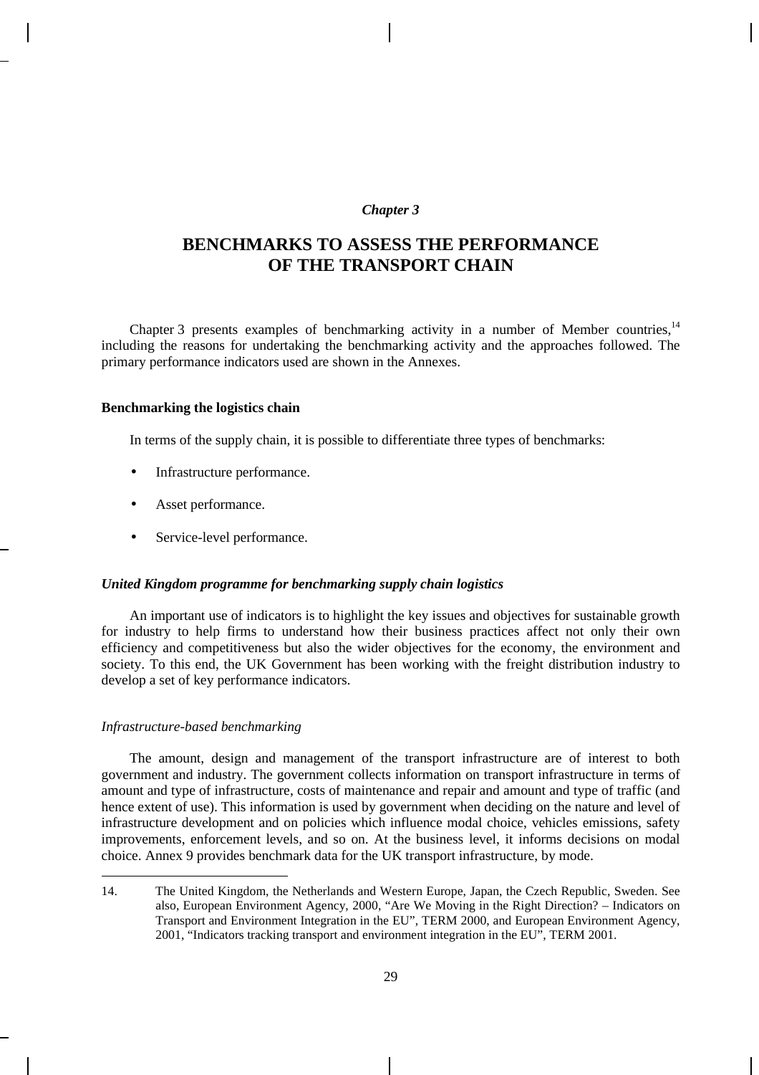#### *Chapter 3*

# **BENCHMARKS TO ASSESS THE PERFORMANCE OF THE TRANSPORT CHAIN**

Chapter 3 presents examples of benchmarking activity in a number of Member countries, $14$ including the reasons for undertaking the benchmarking activity and the approaches followed. The primary performance indicators used are shown in the Annexes.

#### **Benchmarking the logistics chain**

In terms of the supply chain, it is possible to differentiate three types of benchmarks:

- Infrastructure performance.
- Asset performance.
- Service-level performance.

#### *United Kingdom programme for benchmarking supply chain logistics*

An important use of indicators is to highlight the key issues and objectives for sustainable growth for industry to help firms to understand how their business practices affect not only their own efficiency and competitiveness but also the wider objectives for the economy, the environment and society. To this end, the UK Government has been working with the freight distribution industry to develop a set of key performance indicators.

#### *Infrastructure-based benchmarking*

1

The amount, design and management of the transport infrastructure are of interest to both government and industry. The government collects information on transport infrastructure in terms of amount and type of infrastructure, costs of maintenance and repair and amount and type of traffic (and hence extent of use). This information is used by government when deciding on the nature and level of infrastructure development and on policies which influence modal choice, vehicles emissions, safety improvements, enforcement levels, and so on. At the business level, it informs decisions on modal choice. Annex 9 provides benchmark data for the UK transport infrastructure, by mode.

<sup>14.</sup> The United Kingdom, the Netherlands and Western Europe, Japan, the Czech Republic, Sweden. See also, European Environment Agency, 2000, "Are We Moving in the Right Direction? – Indicators on Transport and Environment Integration in the EU", TERM 2000, and European Environment Agency, 2001, "Indicators tracking transport and environment integration in the EU", TERM 2001.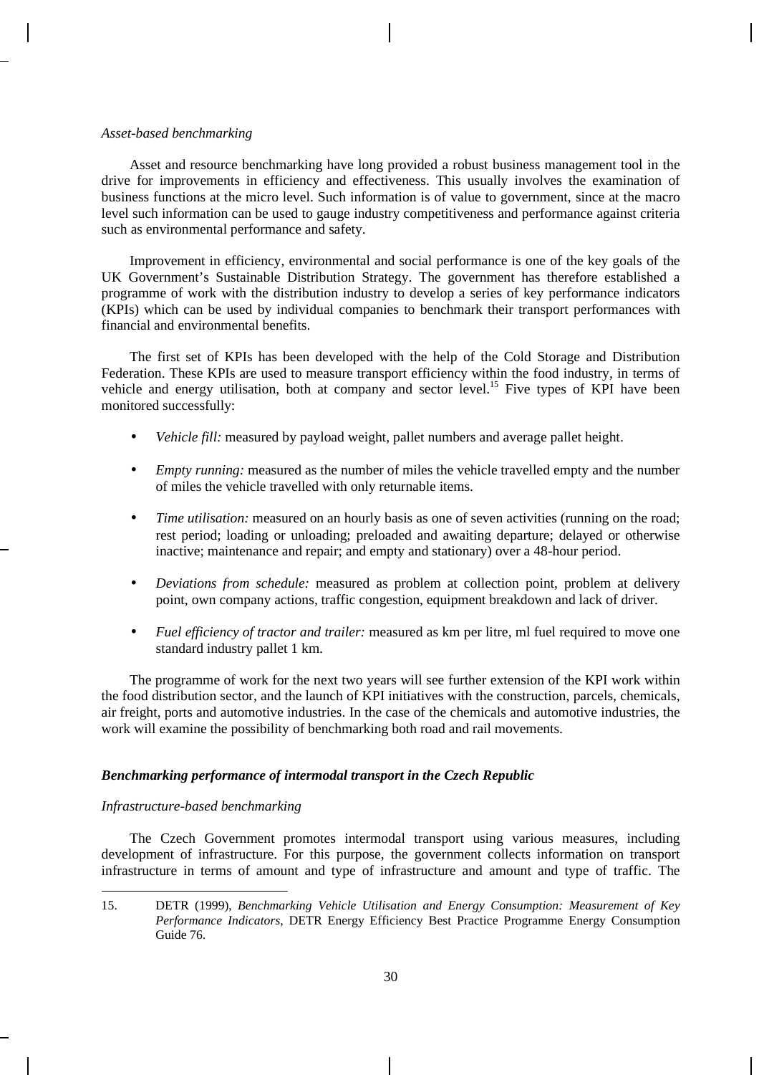#### *Asset-based benchmarking*

Asset and resource benchmarking have long provided a robust business management tool in the drive for improvements in efficiency and effectiveness. This usually involves the examination of business functions at the micro level. Such information is of value to government, since at the macro level such information can be used to gauge industry competitiveness and performance against criteria such as environmental performance and safety.

Improvement in efficiency, environmental and social performance is one of the key goals of the UK Government's Sustainable Distribution Strategy. The government has therefore established a programme of work with the distribution industry to develop a series of key performance indicators (KPIs) which can be used by individual companies to benchmark their transport performances with financial and environmental benefits.

The first set of KPIs has been developed with the help of the Cold Storage and Distribution Federation. These KPIs are used to measure transport efficiency within the food industry, in terms of vehicle and energy utilisation, both at company and sector level.<sup>15</sup> Five types of KPI have been monitored successfully:

- *Vehicle fill:* measured by payload weight, pallet numbers and average pallet height.
- *Empty running:* measured as the number of miles the vehicle travelled empty and the number of miles the vehicle travelled with only returnable items.
- *Time utilisation:* measured on an hourly basis as one of seven activities (running on the road; rest period; loading or unloading; preloaded and awaiting departure; delayed or otherwise inactive; maintenance and repair; and empty and stationary) over a 48-hour period.
- *Deviations from schedule:* measured as problem at collection point, problem at delivery point, own company actions, traffic congestion, equipment breakdown and lack of driver.
- *Fuel efficiency of tractor and trailer:* measured as km per litre, ml fuel required to move one standard industry pallet 1 km.

The programme of work for the next two years will see further extension of the KPI work within the food distribution sector, and the launch of KPI initiatives with the construction, parcels, chemicals, air freight, ports and automotive industries. In the case of the chemicals and automotive industries, the work will examine the possibility of benchmarking both road and rail movements.

# *Benchmarking performance of intermodal transport in the Czech Republic*

#### *Infrastructure-based benchmarking*

The Czech Government promotes intermodal transport using various measures, including development of infrastructure. For this purpose, the government collects information on transport infrastructure in terms of amount and type of infrastructure and amount and type of traffic. The

<sup>1</sup> 15. DETR (1999), *Benchmarking Vehicle Utilisation and Energy Consumption: Measurement of Key Performance Indicators*, DETR Energy Efficiency Best Practice Programme Energy Consumption Guide 76.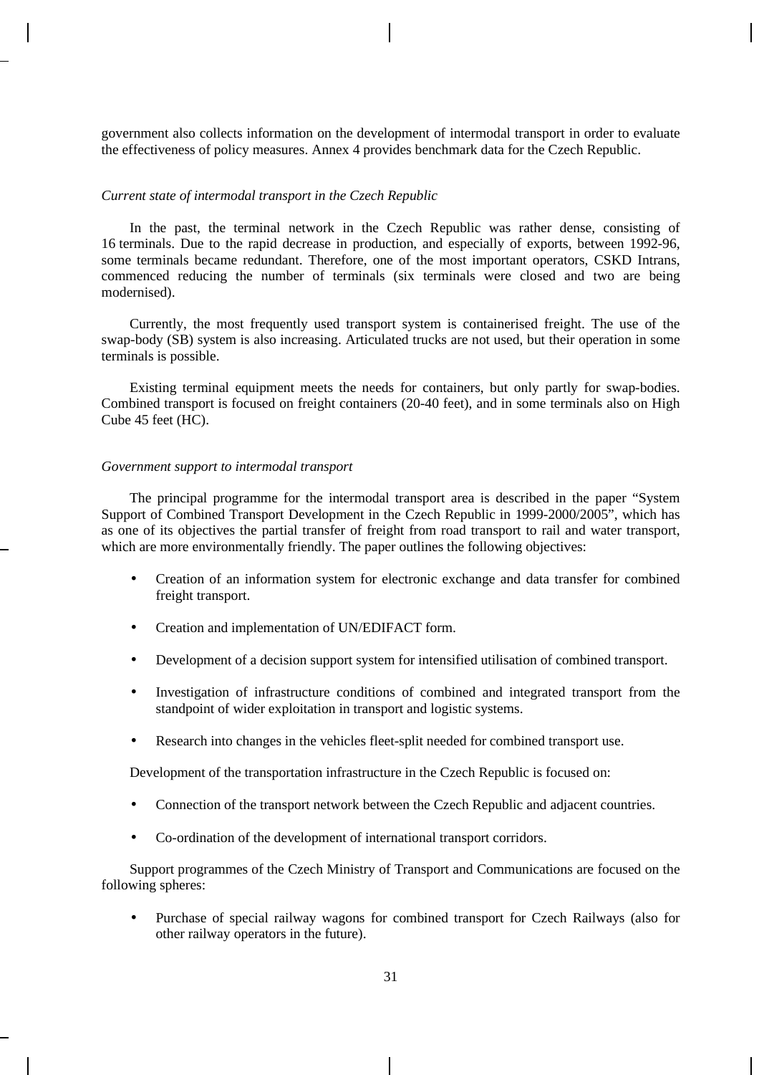government also collects information on the development of intermodal transport in order to evaluate the effectiveness of policy measures. Annex 4 provides benchmark data for the Czech Republic.

## *Current state of intermodal transport in the Czech Republic*

In the past, the terminal network in the Czech Republic was rather dense, consisting of 16 terminals. Due to the rapid decrease in production, and especially of exports, between 1992-96, some terminals became redundant. Therefore, one of the most important operators, CSKD Intrans, commenced reducing the number of terminals (six terminals were closed and two are being modernised).

Currently, the most frequently used transport system is containerised freight. The use of the swap-body (SB) system is also increasing. Articulated trucks are not used, but their operation in some terminals is possible.

Existing terminal equipment meets the needs for containers, but only partly for swap-bodies. Combined transport is focused on freight containers (20-40 feet), and in some terminals also on High Cube 45 feet (HC).

#### *Government support to intermodal transport*

The principal programme for the intermodal transport area is described in the paper "System Support of Combined Transport Development in the Czech Republic in 1999-2000/2005", which has as one of its objectives the partial transfer of freight from road transport to rail and water transport, which are more environmentally friendly. The paper outlines the following objectives:

- Creation of an information system for electronic exchange and data transfer for combined freight transport.
- Creation and implementation of UN/EDIFACT form.
- Development of a decision support system for intensified utilisation of combined transport.
- Investigation of infrastructure conditions of combined and integrated transport from the standpoint of wider exploitation in transport and logistic systems.
- Research into changes in the vehicles fleet-split needed for combined transport use.

Development of the transportation infrastructure in the Czech Republic is focused on:

- Connection of the transport network between the Czech Republic and adjacent countries.
- Co-ordination of the development of international transport corridors.

Support programmes of the Czech Ministry of Transport and Communications are focused on the following spheres:

• Purchase of special railway wagons for combined transport for Czech Railways (also for other railway operators in the future).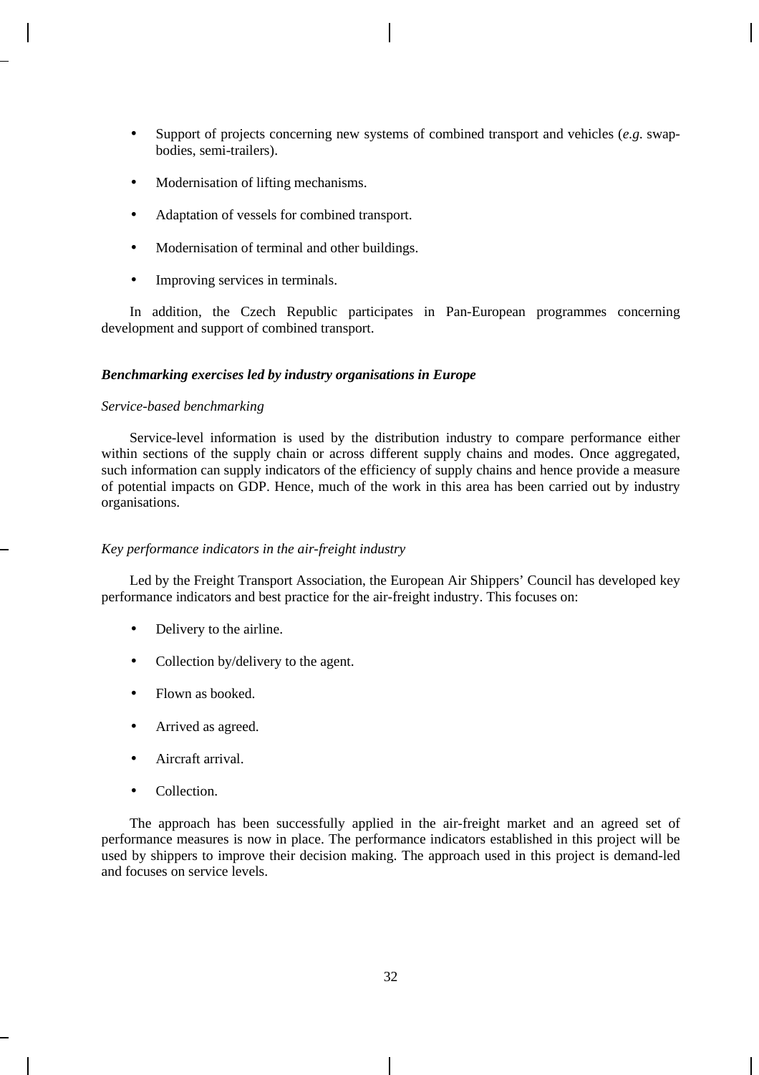- Support of projects concerning new systems of combined transport and vehicles (*e.g.* swapbodies, semi-trailers).
- Modernisation of lifting mechanisms.
- Adaptation of vessels for combined transport.
- Modernisation of terminal and other buildings.
- Improving services in terminals.

In addition, the Czech Republic participates in Pan-European programmes concerning development and support of combined transport.

# *Benchmarking exercises led by industry organisations in Europe*

## *Service-based benchmarking*

Service-level information is used by the distribution industry to compare performance either within sections of the supply chain or across different supply chains and modes. Once aggregated, such information can supply indicators of the efficiency of supply chains and hence provide a measure of potential impacts on GDP. Hence, much of the work in this area has been carried out by industry organisations.

# *Key performance indicators in the air-freight industry*

Led by the Freight Transport Association, the European Air Shippers' Council has developed key performance indicators and best practice for the air-freight industry. This focuses on:

- Delivery to the airline.
- Collection by/delivery to the agent.
- Flown as booked.
- Arrived as agreed.
- Aircraft arrival.
- Collection.

The approach has been successfully applied in the air-freight market and an agreed set of performance measures is now in place. The performance indicators established in this project will be used by shippers to improve their decision making. The approach used in this project is demand-led and focuses on service levels.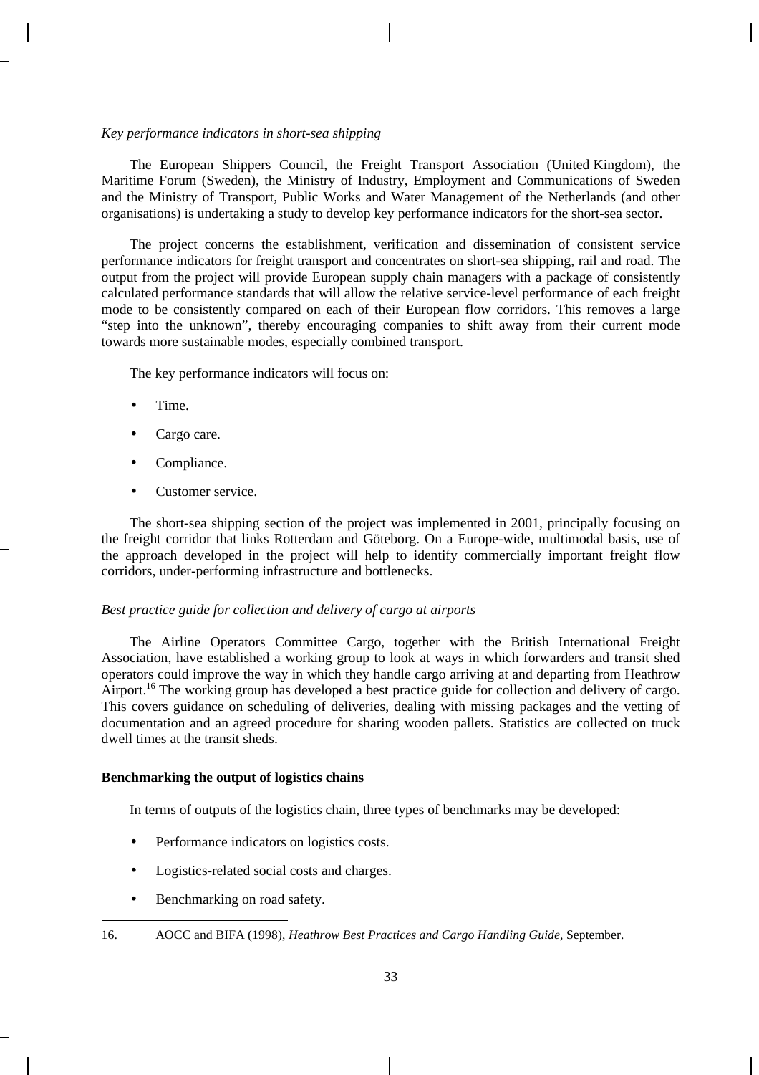# *Key performance indicators in short-sea shipping*

The European Shippers Council, the Freight Transport Association (United Kingdom), the Maritime Forum (Sweden), the Ministry of Industry, Employment and Communications of Sweden and the Ministry of Transport, Public Works and Water Management of the Netherlands (and other organisations) is undertaking a study to develop key performance indicators for the short-sea sector.

The project concerns the establishment, verification and dissemination of consistent service performance indicators for freight transport and concentrates on short-sea shipping, rail and road. The output from the project will provide European supply chain managers with a package of consistently calculated performance standards that will allow the relative service-level performance of each freight mode to be consistently compared on each of their European flow corridors. This removes a large "step into the unknown", thereby encouraging companies to shift away from their current mode towards more sustainable modes, especially combined transport.

The key performance indicators will focus on:

- Time.
- Cargo care.
- Compliance.
- Customer service.

The short-sea shipping section of the project was implemented in 2001, principally focusing on the freight corridor that links Rotterdam and Göteborg. On a Europe-wide, multimodal basis, use of the approach developed in the project will help to identify commercially important freight flow corridors, under-performing infrastructure and bottlenecks.

# *Best practice guide for collection and delivery of cargo at airports*

The Airline Operators Committee Cargo, together with the British International Freight Association, have established a working group to look at ways in which forwarders and transit shed operators could improve the way in which they handle cargo arriving at and departing from Heathrow Airport.<sup>16</sup> The working group has developed a best practice guide for collection and delivery of cargo. This covers guidance on scheduling of deliveries, dealing with missing packages and the vetting of documentation and an agreed procedure for sharing wooden pallets. Statistics are collected on truck dwell times at the transit sheds.

# **Benchmarking the output of logistics chains**

In terms of outputs of the logistics chain, three types of benchmarks may be developed:

- Performance indicators on logistics costs.
- Logistics-related social costs and charges.
- Benchmarking on road safety.

<sup>1</sup> 16. AOCC and BIFA (1998), *Heathrow Best Practices and Cargo Handling Guide*, September.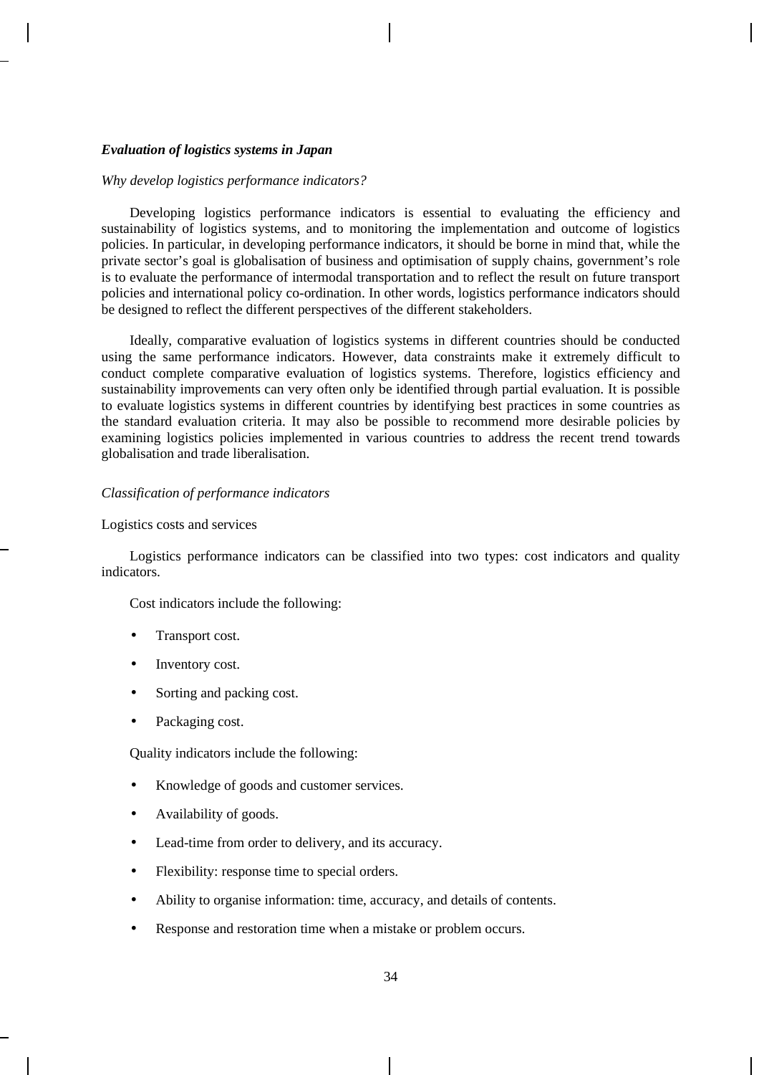#### *Evaluation of logistics systems in Japan*

#### *Why develop logistics performance indicators?*

Developing logistics performance indicators is essential to evaluating the efficiency and sustainability of logistics systems, and to monitoring the implementation and outcome of logistics policies. In particular, in developing performance indicators, it should be borne in mind that, while the private sector's goal is globalisation of business and optimisation of supply chains, government's role is to evaluate the performance of intermodal transportation and to reflect the result on future transport policies and international policy co-ordination. In other words, logistics performance indicators should be designed to reflect the different perspectives of the different stakeholders.

Ideally, comparative evaluation of logistics systems in different countries should be conducted using the same performance indicators. However, data constraints make it extremely difficult to conduct complete comparative evaluation of logistics systems. Therefore, logistics efficiency and sustainability improvements can very often only be identified through partial evaluation. It is possible to evaluate logistics systems in different countries by identifying best practices in some countries as the standard evaluation criteria. It may also be possible to recommend more desirable policies by examining logistics policies implemented in various countries to address the recent trend towards globalisation and trade liberalisation.

#### *Classification of performance indicators*

#### Logistics costs and services

Logistics performance indicators can be classified into two types: cost indicators and quality indicators.

Cost indicators include the following:

- Transport cost.
- Inventory cost.
- Sorting and packing cost.
- Packaging cost.

Quality indicators include the following:

- Knowledge of goods and customer services.
- Availability of goods.
- Lead-time from order to delivery, and its accuracy.
- Flexibility: response time to special orders.
- Ability to organise information: time, accuracy, and details of contents.
- Response and restoration time when a mistake or problem occurs.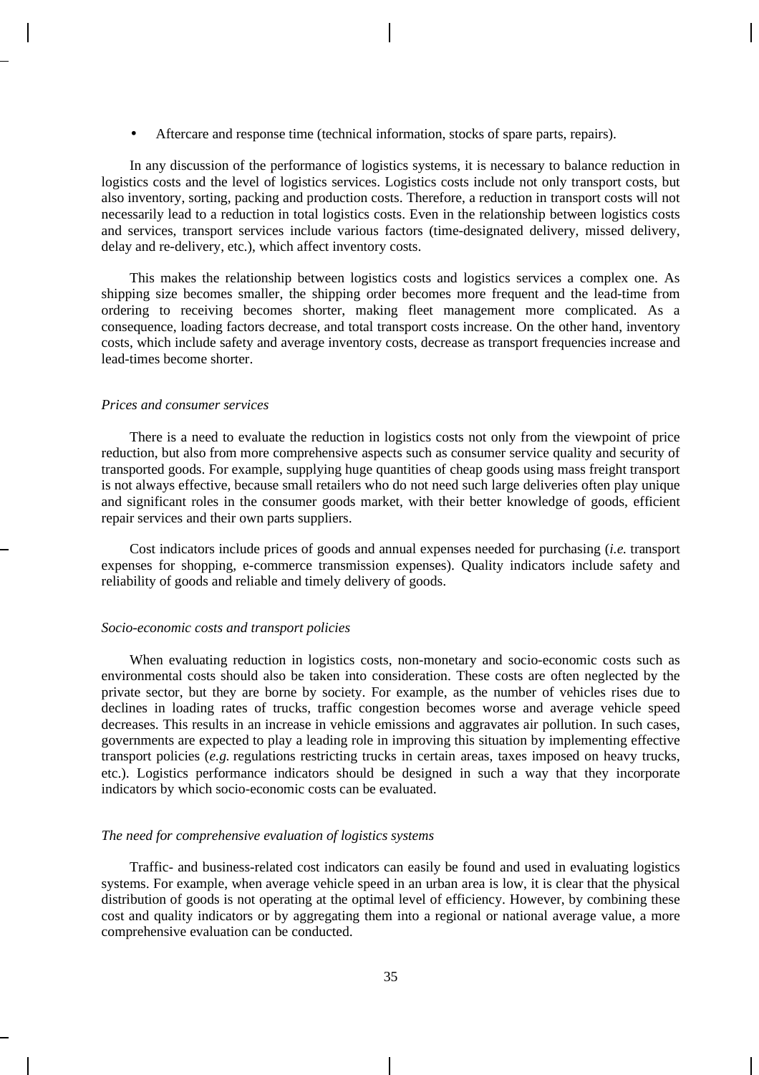• Aftercare and response time (technical information, stocks of spare parts, repairs).

In any discussion of the performance of logistics systems, it is necessary to balance reduction in logistics costs and the level of logistics services. Logistics costs include not only transport costs, but also inventory, sorting, packing and production costs. Therefore, a reduction in transport costs will not necessarily lead to a reduction in total logistics costs. Even in the relationship between logistics costs and services, transport services include various factors (time-designated delivery, missed delivery, delay and re-delivery, etc.), which affect inventory costs.

This makes the relationship between logistics costs and logistics services a complex one. As shipping size becomes smaller, the shipping order becomes more frequent and the lead-time from ordering to receiving becomes shorter, making fleet management more complicated. As a consequence, loading factors decrease, and total transport costs increase. On the other hand, inventory costs, which include safety and average inventory costs, decrease as transport frequencies increase and lead-times become shorter.

#### *Prices and consumer services*

There is a need to evaluate the reduction in logistics costs not only from the viewpoint of price reduction, but also from more comprehensive aspects such as consumer service quality and security of transported goods. For example, supplying huge quantities of cheap goods using mass freight transport is not always effective, because small retailers who do not need such large deliveries often play unique and significant roles in the consumer goods market, with their better knowledge of goods, efficient repair services and their own parts suppliers.

Cost indicators include prices of goods and annual expenses needed for purchasing (*i.e.* transport expenses for shopping, e-commerce transmission expenses). Quality indicators include safety and reliability of goods and reliable and timely delivery of goods.

#### *Socio-economic costs and transport policies*

When evaluating reduction in logistics costs, non-monetary and socio-economic costs such as environmental costs should also be taken into consideration. These costs are often neglected by the private sector, but they are borne by society. For example, as the number of vehicles rises due to declines in loading rates of trucks, traffic congestion becomes worse and average vehicle speed decreases. This results in an increase in vehicle emissions and aggravates air pollution. In such cases, governments are expected to play a leading role in improving this situation by implementing effective transport policies (*e.g.* regulations restricting trucks in certain areas, taxes imposed on heavy trucks, etc.). Logistics performance indicators should be designed in such a way that they incorporate indicators by which socio-economic costs can be evaluated.

#### *The need for comprehensive evaluation of logistics systems*

Traffic- and business-related cost indicators can easily be found and used in evaluating logistics systems. For example, when average vehicle speed in an urban area is low, it is clear that the physical distribution of goods is not operating at the optimal level of efficiency. However, by combining these cost and quality indicators or by aggregating them into a regional or national average value, a more comprehensive evaluation can be conducted.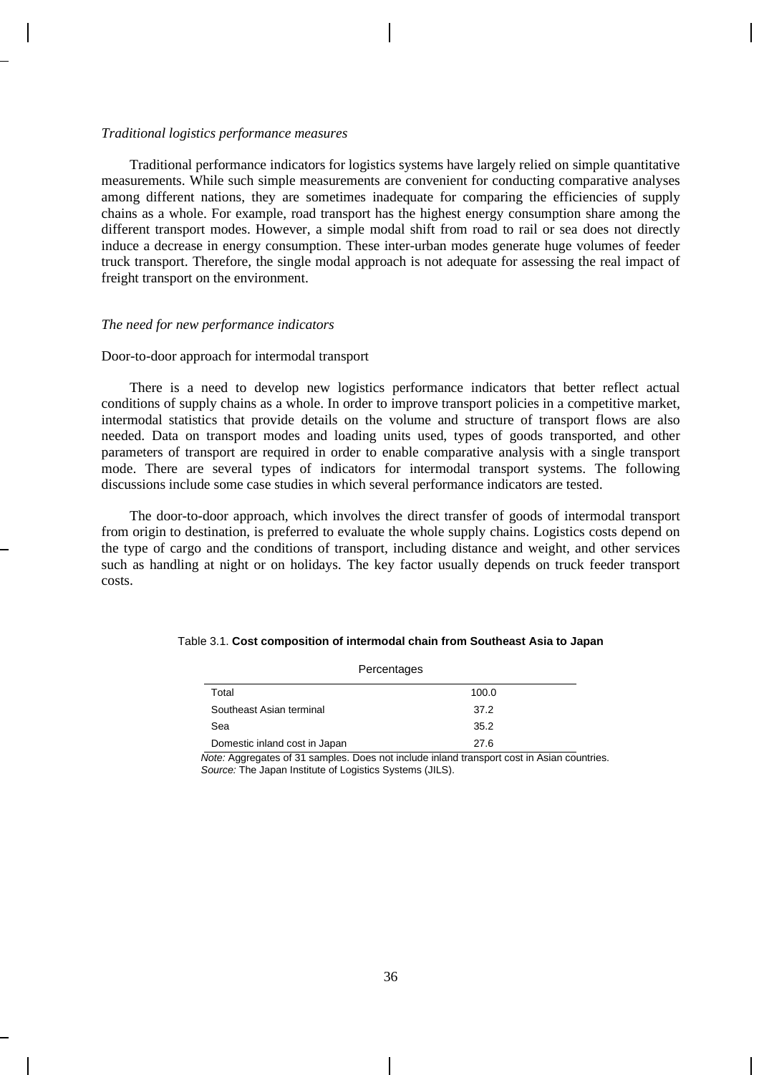#### *Traditional logistics performance measures*

Traditional performance indicators for logistics systems have largely relied on simple quantitative measurements. While such simple measurements are convenient for conducting comparative analyses among different nations, they are sometimes inadequate for comparing the efficiencies of supply chains as a whole. For example, road transport has the highest energy consumption share among the different transport modes. However, a simple modal shift from road to rail or sea does not directly induce a decrease in energy consumption. These inter-urban modes generate huge volumes of feeder truck transport. Therefore, the single modal approach is not adequate for assessing the real impact of freight transport on the environment.

### *The need for new performance indicators*

### Door-to-door approach for intermodal transport

There is a need to develop new logistics performance indicators that better reflect actual conditions of supply chains as a whole. In order to improve transport policies in a competitive market, intermodal statistics that provide details on the volume and structure of transport flows are also needed. Data on transport modes and loading units used, types of goods transported, and other parameters of transport are required in order to enable comparative analysis with a single transport mode. There are several types of indicators for intermodal transport systems. The following discussions include some case studies in which several performance indicators are tested.

The door-to-door approach, which involves the direct transfer of goods of intermodal transport from origin to destination, is preferred to evaluate the whole supply chains. Logistics costs depend on the type of cargo and the conditions of transport, including distance and weight, and other services such as handling at night or on holidays. The key factor usually depends on truck feeder transport costs.

| , oroomagoo                   |       |  |
|-------------------------------|-------|--|
| Total                         | 100.0 |  |
| Southeast Asian terminal      | 37.2  |  |
| Sea                           | 35.2  |  |
| Domestic inland cost in Japan | 27.6  |  |

|  |  | Table 3.1. Cost composition of intermodal chain from Southeast Asia to Japan |  |  |
|--|--|------------------------------------------------------------------------------|--|--|
|--|--|------------------------------------------------------------------------------|--|--|

**Percentages** 

Note: Aggregates of 31 samples. Does not include inland transport cost in Asian countries. Source: The Japan Institute of Logistics Systems (JILS).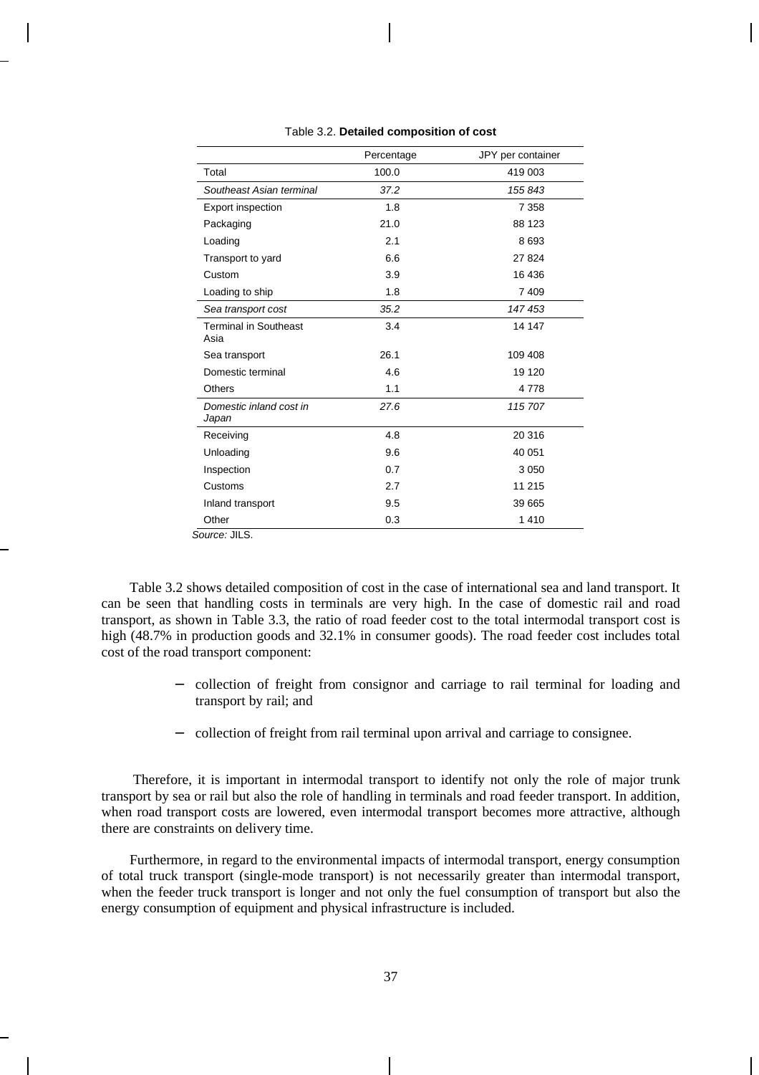|                                      | Percentage | JPY per container |
|--------------------------------------|------------|-------------------|
| Total                                | 100.0      | 419 003           |
| Southeast Asian terminal             | 37.2       | 155 843           |
| Export inspection                    | 1.8        | 7 3 5 8           |
| Packaging                            | 21.0       | 88 123            |
| Loading                              | 2.1        | 8693              |
| Transport to yard                    | 6.6        | 27824             |
| Custom                               | 3.9        | 16 436            |
| Loading to ship                      | 1.8        | 7409              |
| Sea transport cost                   | 35.2       | 147453            |
| <b>Terminal in Southeast</b><br>Asia | 3.4        | 14 147            |
| Sea transport                        | 26.1       | 109 408           |
| Domestic terminal                    | 4.6        | 19 120            |
| <b>Others</b>                        | 1.1        | 4 7 7 8           |
| Domestic inland cost in<br>Japan     | 27.6       | 115707            |
| Receiving                            | 4.8        | 20 316            |
| Unloading                            | 9.6        | 40 051            |
| Inspection                           | 0.7        | 3 0 5 0           |
| Customs                              | 2.7        | 11 215            |
| Inland transport                     | 9.5        | 39 665            |
| Other                                | 0.3        | 1410              |

#### Table 3.2. **Detailed composition of cost**

Table 3.2 shows detailed composition of cost in the case of international sea and land transport. It can be seen that handling costs in terminals are very high. In the case of domestic rail and road transport, as shown in Table 3.3, the ratio of road feeder cost to the total intermodal transport cost is high (48.7% in production goods and 32.1% in consumer goods). The road feeder cost includes total cost of the road transport component:

- − collection of freight from consignor and carriage to rail terminal for loading and transport by rail; and
- − collection of freight from rail terminal upon arrival and carriage to consignee.

 Therefore, it is important in intermodal transport to identify not only the role of major trunk transport by sea or rail but also the role of handling in terminals and road feeder transport. In addition, when road transport costs are lowered, even intermodal transport becomes more attractive, although there are constraints on delivery time.

Furthermore, in regard to the environmental impacts of intermodal transport, energy consumption of total truck transport (single-mode transport) is not necessarily greater than intermodal transport, when the feeder truck transport is longer and not only the fuel consumption of transport but also the energy consumption of equipment and physical infrastructure is included.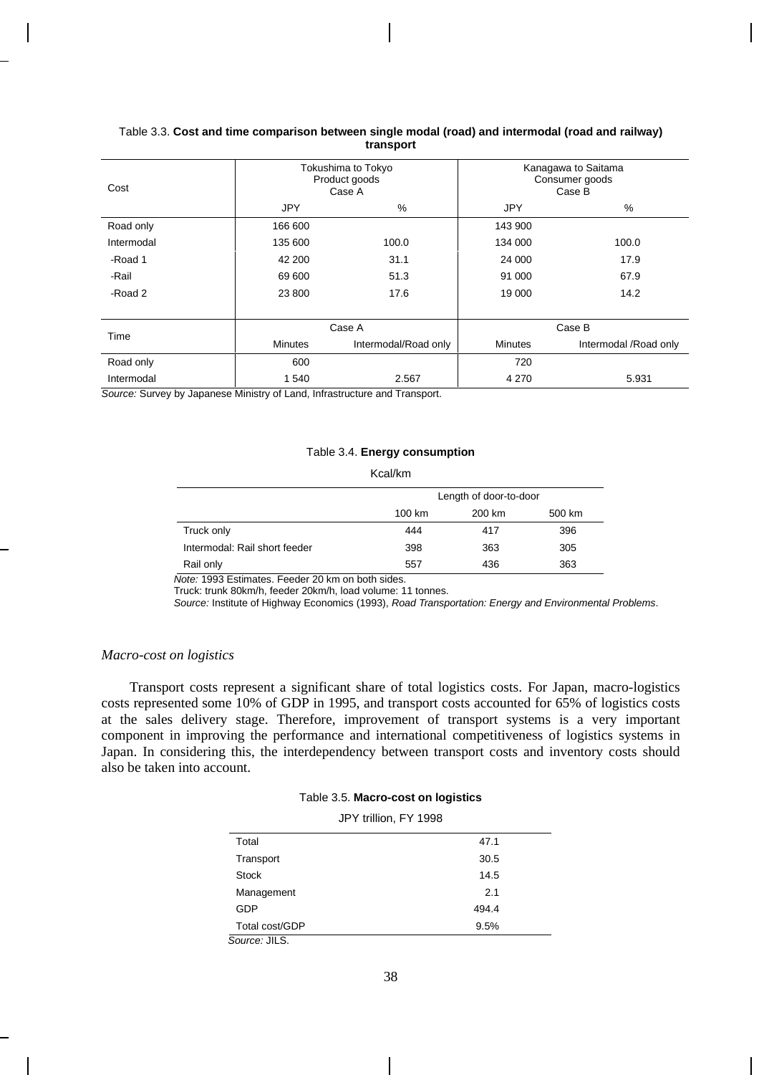#### Table 3.3. **Cost and time comparison between single modal (road) and intermodal (road and railway) transport**

| Cost       |                | Tokushima to Tokyo<br>Product goods<br>Case A |                | Kanagawa to Saitama<br>Consumer goods<br>Case B |
|------------|----------------|-----------------------------------------------|----------------|-------------------------------------------------|
|            | <b>JPY</b>     | %                                             | <b>JPY</b>     | $\%$                                            |
| Road only  | 166 600        |                                               | 143 900        |                                                 |
| Intermodal | 135 600        | 100.0                                         | 134 000        | 100.0                                           |
| -Road 1    | 42 200         | 31.1                                          | 24 000         | 17.9                                            |
| -Rail      | 69 600         | 51.3                                          | 91 000         | 67.9                                            |
| -Road 2    | 23 800         | 17.6                                          | 19 000         | 14.2                                            |
|            |                |                                               |                |                                                 |
| Time       |                | Case A                                        |                | Case B                                          |
|            | <b>Minutes</b> | Intermodal/Road only                          | <b>Minutes</b> | Intermodal /Road only                           |
| Road only  | 600            |                                               | 720            |                                                 |
| Intermodal | 1 540          | 2.567                                         | 4 2 7 0        | 5.931                                           |

Source: Survey by Japanese Ministry of Land, Infrastructure and Transport.

#### Table 3.4. **Energy consumption**

#### Kcal/km

|                               |        | Length of door-to-door |        |
|-------------------------------|--------|------------------------|--------|
|                               | 100 km | 200 km                 | 500 km |
| Truck only                    | 444    | 417                    | 396    |
| Intermodal: Rail short feeder | 398    | 363                    | 305    |
| Rail only                     | 557    | 436                    | 363    |

Note: 1993 Estimates. Feeder 20 km on both sides.

Truck: trunk 80km/h, feeder 20km/h, load volume: 11 tonnes.

Source: Institute of Highway Economics (1993), Road Transportation: Energy and Environmental Problems.

# *Macro-cost on logistics*

Transport costs represent a significant share of total logistics costs. For Japan, macro-logistics costs represented some 10% of GDP in 1995, and transport costs accounted for 65% of logistics costs at the sales delivery stage. Therefore, improvement of transport systems is a very important component in improving the performance and international competitiveness of logistics systems in Japan. In considering this, the interdependency between transport costs and inventory costs should also be taken into account.

### Table 3.5. **Macro-cost on logistics**

|                | JPY trillion, FY 1998 |
|----------------|-----------------------|
| Total          | 47.1                  |
| Transport      | 30.5                  |
| <b>Stock</b>   | 14.5                  |
| Management     | 2.1                   |
| GDP            | 494.4                 |
| Total cost/GDP | 9.5%                  |
| Source: JILS.  |                       |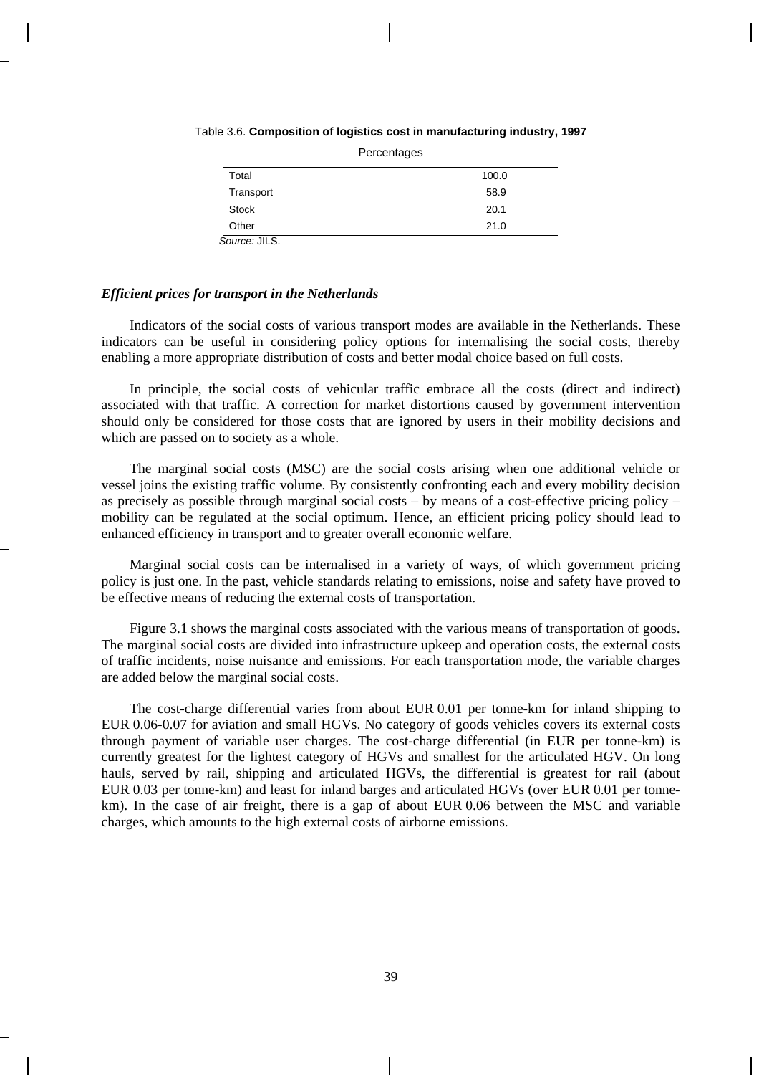|               | 1.9199119990 |
|---------------|--------------|
| Total         | 100.0        |
| Transport     | 58.9         |
| <b>Stock</b>  | 20.1         |
| Other         | 21.0         |
| Source: JILS. |              |

### Table 3.6. **Composition of logistics cost in manufacturing industry, 1997 Percentages**

### *Efficient prices for transport in the Netherlands*

Indicators of the social costs of various transport modes are available in the Netherlands. These indicators can be useful in considering policy options for internalising the social costs, thereby enabling a more appropriate distribution of costs and better modal choice based on full costs.

In principle, the social costs of vehicular traffic embrace all the costs (direct and indirect) associated with that traffic. A correction for market distortions caused by government intervention should only be considered for those costs that are ignored by users in their mobility decisions and which are passed on to society as a whole.

The marginal social costs (MSC) are the social costs arising when one additional vehicle or vessel joins the existing traffic volume. By consistently confronting each and every mobility decision as precisely as possible through marginal social costs – by means of a cost-effective pricing policy – mobility can be regulated at the social optimum. Hence, an efficient pricing policy should lead to enhanced efficiency in transport and to greater overall economic welfare.

Marginal social costs can be internalised in a variety of ways, of which government pricing policy is just one. In the past, vehicle standards relating to emissions, noise and safety have proved to be effective means of reducing the external costs of transportation.

Figure 3.1 shows the marginal costs associated with the various means of transportation of goods. The marginal social costs are divided into infrastructure upkeep and operation costs, the external costs of traffic incidents, noise nuisance and emissions. For each transportation mode, the variable charges are added below the marginal social costs.

The cost-charge differential varies from about EUR 0.01 per tonne-km for inland shipping to EUR 0.06-0.07 for aviation and small HGVs. No category of goods vehicles covers its external costs through payment of variable user charges. The cost-charge differential (in EUR per tonne-km) is currently greatest for the lightest category of HGVs and smallest for the articulated HGV. On long hauls, served by rail, shipping and articulated HGVs, the differential is greatest for rail (about EUR 0.03 per tonne-km) and least for inland barges and articulated HGVs (over EUR 0.01 per tonnekm). In the case of air freight, there is a gap of about EUR 0.06 between the MSC and variable charges, which amounts to the high external costs of airborne emissions.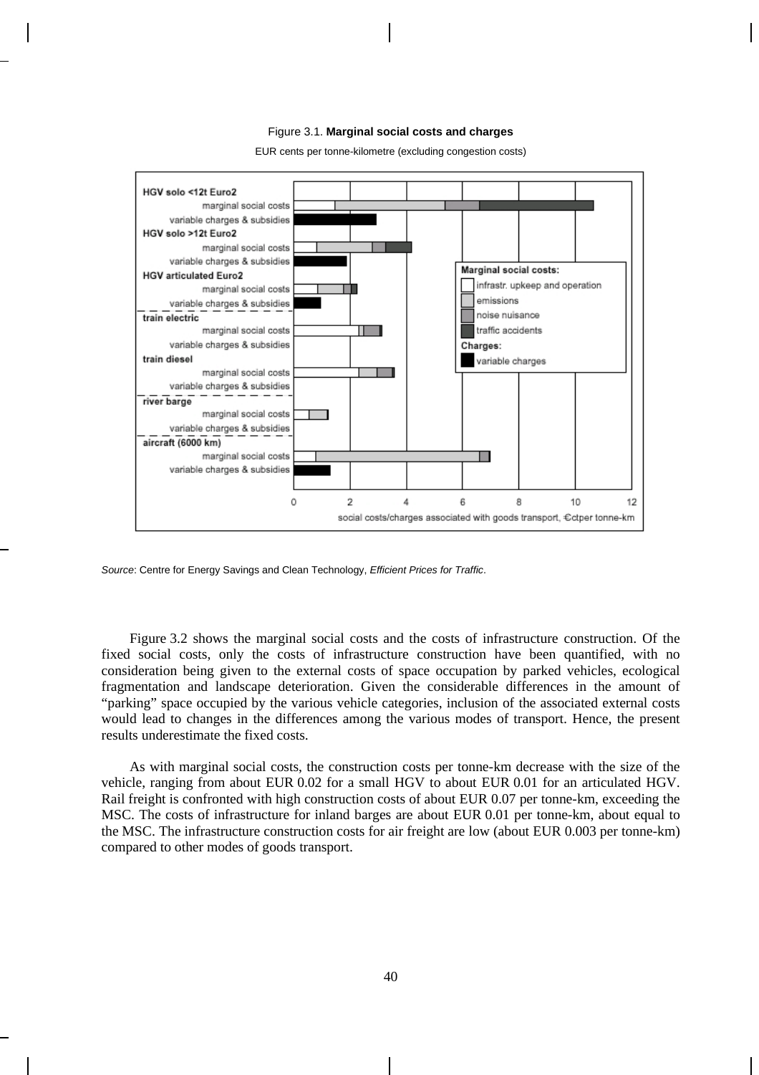#### Figure 3.1. **Marginal social costs and charges**



EUR cents per tonne-kilometre (excluding congestion costs)

Source: Centre for Energy Savings and Clean Technology, Efficient Prices for Traffic.

Figure 3.2 shows the marginal social costs and the costs of infrastructure construction. Of the fixed social costs, only the costs of infrastructure construction have been quantified, with no consideration being given to the external costs of space occupation by parked vehicles, ecological fragmentation and landscape deterioration. Given the considerable differences in the amount of "parking" space occupied by the various vehicle categories, inclusion of the associated external costs would lead to changes in the differences among the various modes of transport. Hence, the present results underestimate the fixed costs.

As with marginal social costs, the construction costs per tonne-km decrease with the size of the vehicle, ranging from about EUR 0.02 for a small HGV to about EUR 0.01 for an articulated HGV. Rail freight is confronted with high construction costs of about EUR 0.07 per tonne-km, exceeding the MSC. The costs of infrastructure for inland barges are about EUR 0.01 per tonne-km, about equal to the MSC. The infrastructure construction costs for air freight are low (about EUR 0.003 per tonne-km) compared to other modes of goods transport.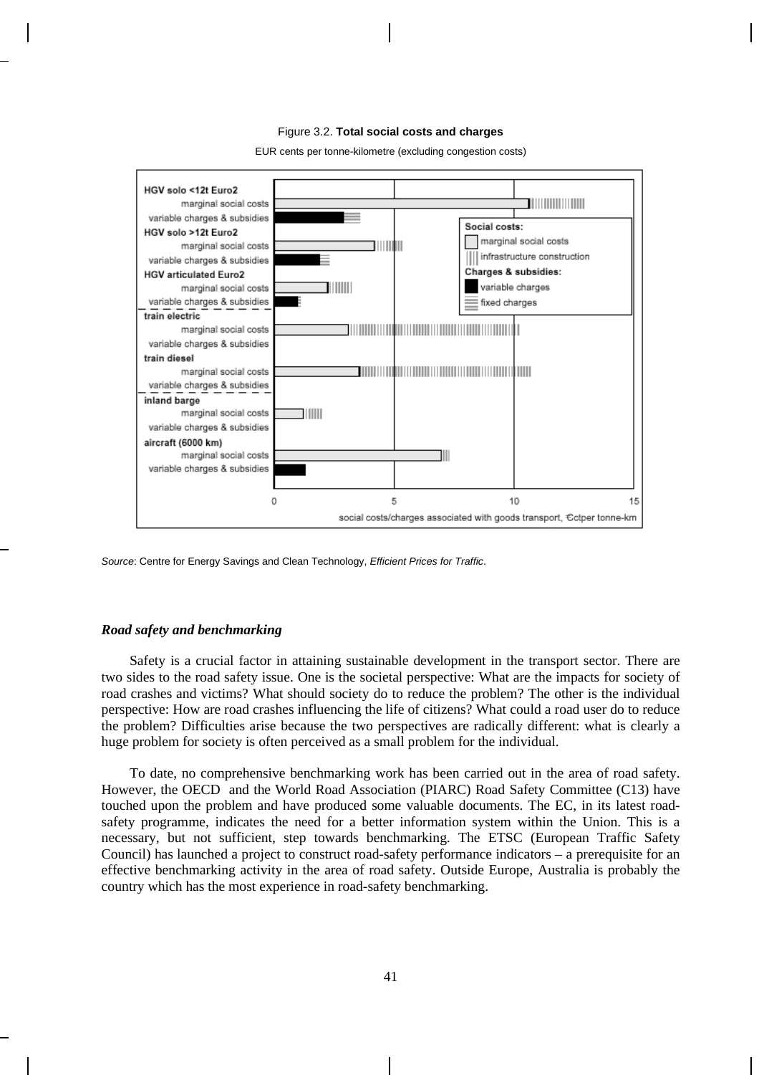#### Figure 3.2. **Total social costs and charges**



EUR cents per tonne-kilometre (excluding congestion costs)

Source: Centre for Energy Savings and Clean Technology, Efficient Prices for Traffic.

#### *Road safety and benchmarking*

Safety is a crucial factor in attaining sustainable development in the transport sector. There are two sides to the road safety issue. One is the societal perspective: What are the impacts for society of road crashes and victims? What should society do to reduce the problem? The other is the individual perspective: How are road crashes influencing the life of citizens? What could a road user do to reduce the problem? Difficulties arise because the two perspectives are radically different: what is clearly a huge problem for society is often perceived as a small problem for the individual.

To date, no comprehensive benchmarking work has been carried out in the area of road safety. However, the OECD and the World Road Association (PIARC) Road Safety Committee (C13) have touched upon the problem and have produced some valuable documents. The EC, in its latest roadsafety programme, indicates the need for a better information system within the Union. This is a necessary, but not sufficient, step towards benchmarking. The ETSC (European Traffic Safety Council) has launched a project to construct road-safety performance indicators – a prerequisite for an effective benchmarking activity in the area of road safety. Outside Europe, Australia is probably the country which has the most experience in road-safety benchmarking.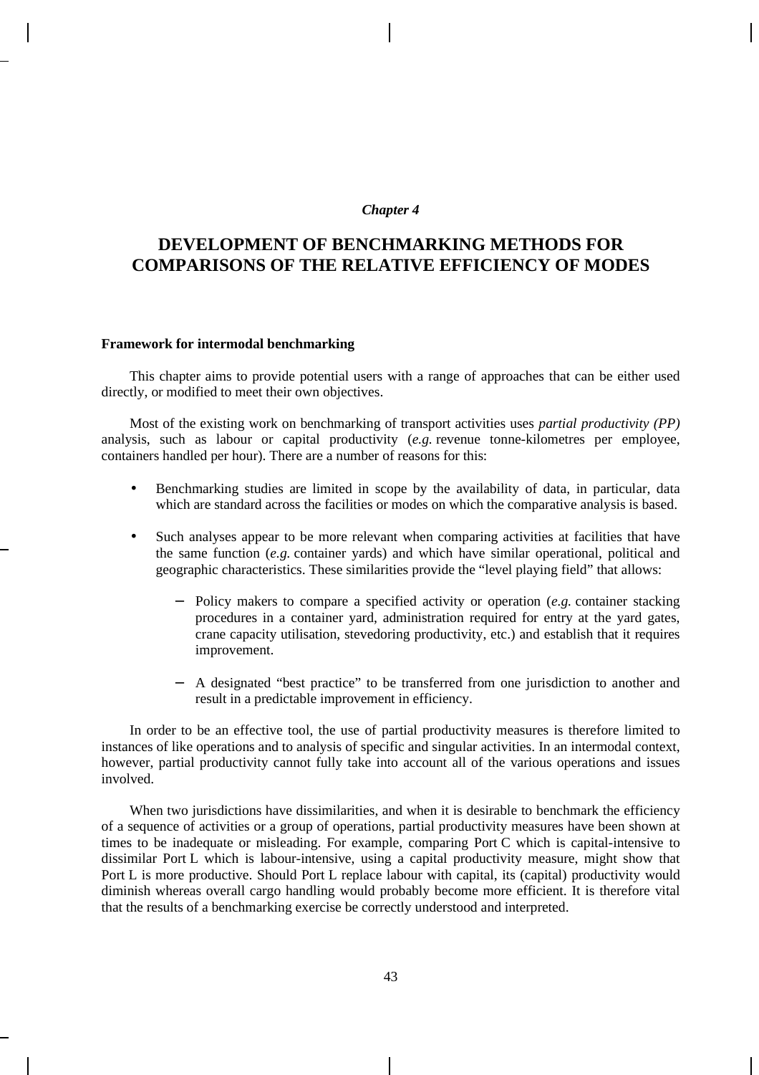# *Chapter 4*

# **DEVELOPMENT OF BENCHMARKING METHODS FOR COMPARISONS OF THE RELATIVE EFFICIENCY OF MODES**

### **Framework for intermodal benchmarking**

This chapter aims to provide potential users with a range of approaches that can be either used directly, or modified to meet their own objectives.

Most of the existing work on benchmarking of transport activities uses *partial productivity (PP)* analysis, such as labour or capital productivity (*e.g.* revenue tonne-kilometres per employee, containers handled per hour). There are a number of reasons for this:

- Benchmarking studies are limited in scope by the availability of data, in particular, data which are standard across the facilities or modes on which the comparative analysis is based.
- Such analyses appear to be more relevant when comparing activities at facilities that have the same function (*e.g.* container yards) and which have similar operational, political and geographic characteristics. These similarities provide the "level playing field" that allows:
	- − Policy makers to compare a specified activity or operation (*e.g.* container stacking procedures in a container yard, administration required for entry at the yard gates, crane capacity utilisation, stevedoring productivity, etc.) and establish that it requires improvement.
	- − A designated "best practice" to be transferred from one jurisdiction to another and result in a predictable improvement in efficiency.

In order to be an effective tool, the use of partial productivity measures is therefore limited to instances of like operations and to analysis of specific and singular activities. In an intermodal context, however, partial productivity cannot fully take into account all of the various operations and issues involved.

When two jurisdictions have dissimilarities, and when it is desirable to benchmark the efficiency of a sequence of activities or a group of operations, partial productivity measures have been shown at times to be inadequate or misleading. For example, comparing Port C which is capital-intensive to dissimilar Port L which is labour-intensive, using a capital productivity measure, might show that Port L is more productive. Should Port L replace labour with capital, its (capital) productivity would diminish whereas overall cargo handling would probably become more efficient. It is therefore vital that the results of a benchmarking exercise be correctly understood and interpreted.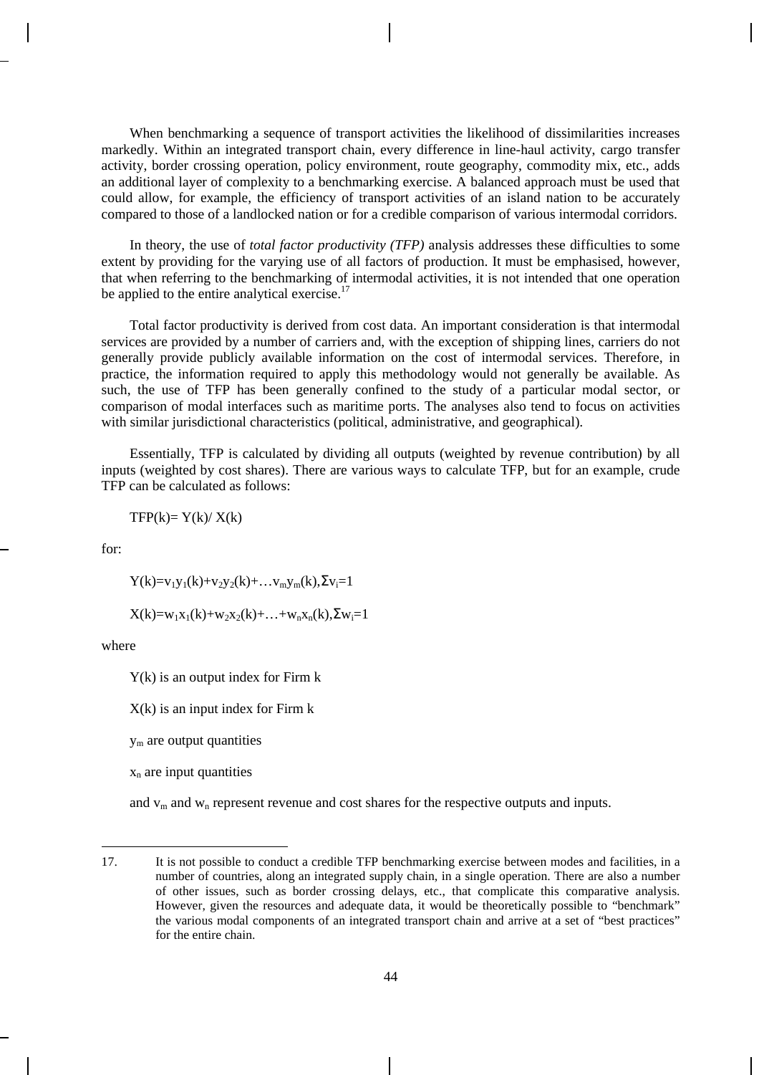When benchmarking a sequence of transport activities the likelihood of dissimilarities increases markedly. Within an integrated transport chain, every difference in line-haul activity, cargo transfer activity, border crossing operation, policy environment, route geography, commodity mix, etc., adds an additional layer of complexity to a benchmarking exercise. A balanced approach must be used that could allow, for example, the efficiency of transport activities of an island nation to be accurately compared to those of a landlocked nation or for a credible comparison of various intermodal corridors.

In theory, the use of *total factor productivity (TFP)* analysis addresses these difficulties to some extent by providing for the varying use of all factors of production. It must be emphasised, however, that when referring to the benchmarking of intermodal activities, it is not intended that one operation be applied to the entire analytical exercise.<sup>17</sup>

Total factor productivity is derived from cost data. An important consideration is that intermodal services are provided by a number of carriers and, with the exception of shipping lines, carriers do not generally provide publicly available information on the cost of intermodal services. Therefore, in practice, the information required to apply this methodology would not generally be available. As such, the use of TFP has been generally confined to the study of a particular modal sector, or comparison of modal interfaces such as maritime ports. The analyses also tend to focus on activities with similar jurisdictional characteristics (political, administrative, and geographical).

Essentially, TFP is calculated by dividing all outputs (weighted by revenue contribution) by all inputs (weighted by cost shares). There are various ways to calculate TFP, but for an example, crude TFP can be calculated as follows:

$$
TFP(k)=Y(k)/X(k)
$$

for:

 $Y(k)=v_1v_1(k)+v_2v_2(k)+\ldots v_my_m(k),\Sigma v_i=1$ 

$$
X(k) = w_1x_1(k) + w_2x_2(k) + \ldots + w_nx_n(k), \Sigma w_i = 1
$$

where

1

Y(k) is an output index for Firm k

 $X(k)$  is an input index for Firm  $k$ 

 $y_m$  are output quantities

 $x_n$  are input quantities

and  $v_m$  and  $w_n$  represent revenue and cost shares for the respective outputs and inputs.

<sup>17.</sup> It is not possible to conduct a credible TFP benchmarking exercise between modes and facilities, in a number of countries, along an integrated supply chain, in a single operation. There are also a number of other issues, such as border crossing delays, etc., that complicate this comparative analysis. However, given the resources and adequate data, it would be theoretically possible to "benchmark" the various modal components of an integrated transport chain and arrive at a set of "best practices" for the entire chain.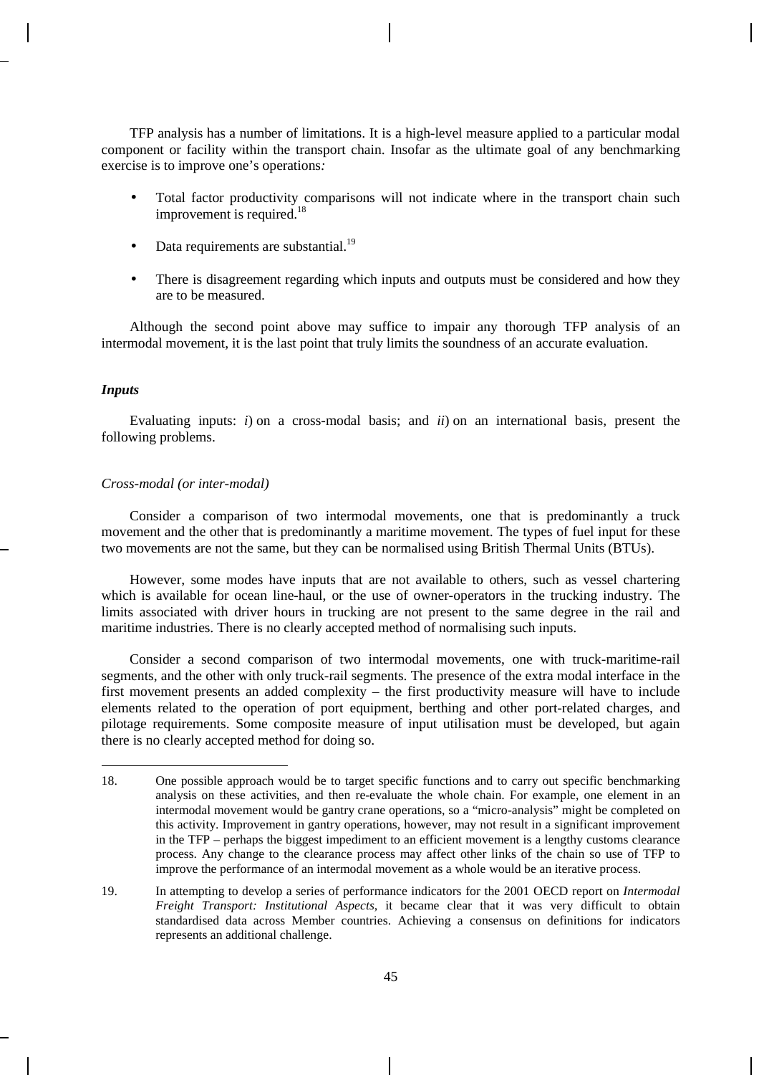TFP analysis has a number of limitations. It is a high-level measure applied to a particular modal component or facility within the transport chain. Insofar as the ultimate goal of any benchmarking exercise is to improve one's operations*:*

- Total factor productivity comparisons will not indicate where in the transport chain such improvement is required.<sup>18</sup>
- Data requirements are substantial. $^{19}$
- There is disagreement regarding which inputs and outputs must be considered and how they are to be measured.

Although the second point above may suffice to impair any thorough TFP analysis of an intermodal movement, it is the last point that truly limits the soundness of an accurate evaluation.

# *Inputs*

Evaluating inputs: *i*) on a cross-modal basis; and *ii*) on an international basis, present the following problems.

# *Cross-modal (or inter-modal)*

Consider a comparison of two intermodal movements, one that is predominantly a truck movement and the other that is predominantly a maritime movement. The types of fuel input for these two movements are not the same, but they can be normalised using British Thermal Units (BTUs).

However, some modes have inputs that are not available to others, such as vessel chartering which is available for ocean line-haul, or the use of owner-operators in the trucking industry. The limits associated with driver hours in trucking are not present to the same degree in the rail and maritime industries. There is no clearly accepted method of normalising such inputs.

Consider a second comparison of two intermodal movements, one with truck-maritime-rail segments, and the other with only truck-rail segments. The presence of the extra modal interface in the first movement presents an added complexity – the first productivity measure will have to include elements related to the operation of port equipment, berthing and other port-related charges, and pilotage requirements. Some composite measure of input utilisation must be developed, but again there is no clearly accepted method for doing so.

j 18. One possible approach would be to target specific functions and to carry out specific benchmarking analysis on these activities, and then re-evaluate the whole chain. For example, one element in an intermodal movement would be gantry crane operations, so a "micro-analysis" might be completed on this activity. Improvement in gantry operations, however, may not result in a significant improvement in the TFP – perhaps the biggest impediment to an efficient movement is a lengthy customs clearance process. Any change to the clearance process may affect other links of the chain so use of TFP to improve the performance of an intermodal movement as a whole would be an iterative process.

<sup>19.</sup> In attempting to develop a series of performance indicators for the 2001 OECD report on *Intermodal Freight Transport: Institutional Aspects*, it became clear that it was very difficult to obtain standardised data across Member countries. Achieving a consensus on definitions for indicators represents an additional challenge.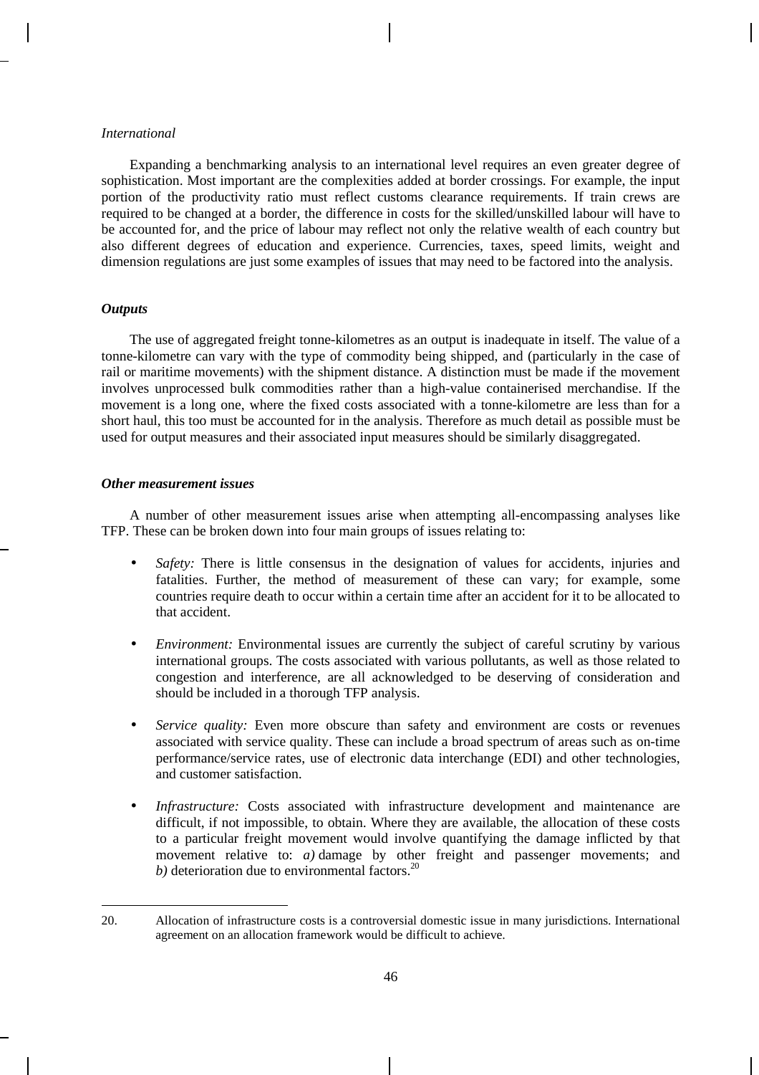# *International*

Expanding a benchmarking analysis to an international level requires an even greater degree of sophistication. Most important are the complexities added at border crossings. For example, the input portion of the productivity ratio must reflect customs clearance requirements. If train crews are required to be changed at a border, the difference in costs for the skilled/unskilled labour will have to be accounted for, and the price of labour may reflect not only the relative wealth of each country but also different degrees of education and experience. Currencies, taxes, speed limits, weight and dimension regulations are just some examples of issues that may need to be factored into the analysis.

# *Outputs*

The use of aggregated freight tonne-kilometres as an output is inadequate in itself. The value of a tonne-kilometre can vary with the type of commodity being shipped, and (particularly in the case of rail or maritime movements) with the shipment distance. A distinction must be made if the movement involves unprocessed bulk commodities rather than a high-value containerised merchandise. If the movement is a long one, where the fixed costs associated with a tonne-kilometre are less than for a short haul, this too must be accounted for in the analysis. Therefore as much detail as possible must be used for output measures and their associated input measures should be similarly disaggregated.

# *Other measurement issues*

A number of other measurement issues arise when attempting all-encompassing analyses like TFP. These can be broken down into four main groups of issues relating to:

- *Safety:* There is little consensus in the designation of values for accidents, injuries and fatalities. Further, the method of measurement of these can vary; for example, some countries require death to occur within a certain time after an accident for it to be allocated to that accident.
- *Environment:* Environmental issues are currently the subject of careful scrutiny by various international groups. The costs associated with various pollutants, as well as those related to congestion and interference, are all acknowledged to be deserving of consideration and should be included in a thorough TFP analysis.
- *Service quality:* Even more obscure than safety and environment are costs or revenues associated with service quality. These can include a broad spectrum of areas such as on-time performance/service rates, use of electronic data interchange (EDI) and other technologies, and customer satisfaction.
- *Infrastructure:* Costs associated with infrastructure development and maintenance are difficult, if not impossible, to obtain. Where they are available, the allocation of these costs to a particular freight movement would involve quantifying the damage inflicted by that movement relative to: *a*) damage by other freight and passenger movements; and *) deterioration due to environmental factors.<sup>20</sup>*

 $\overline{a}$ 20. Allocation of infrastructure costs is a controversial domestic issue in many jurisdictions. International agreement on an allocation framework would be difficult to achieve.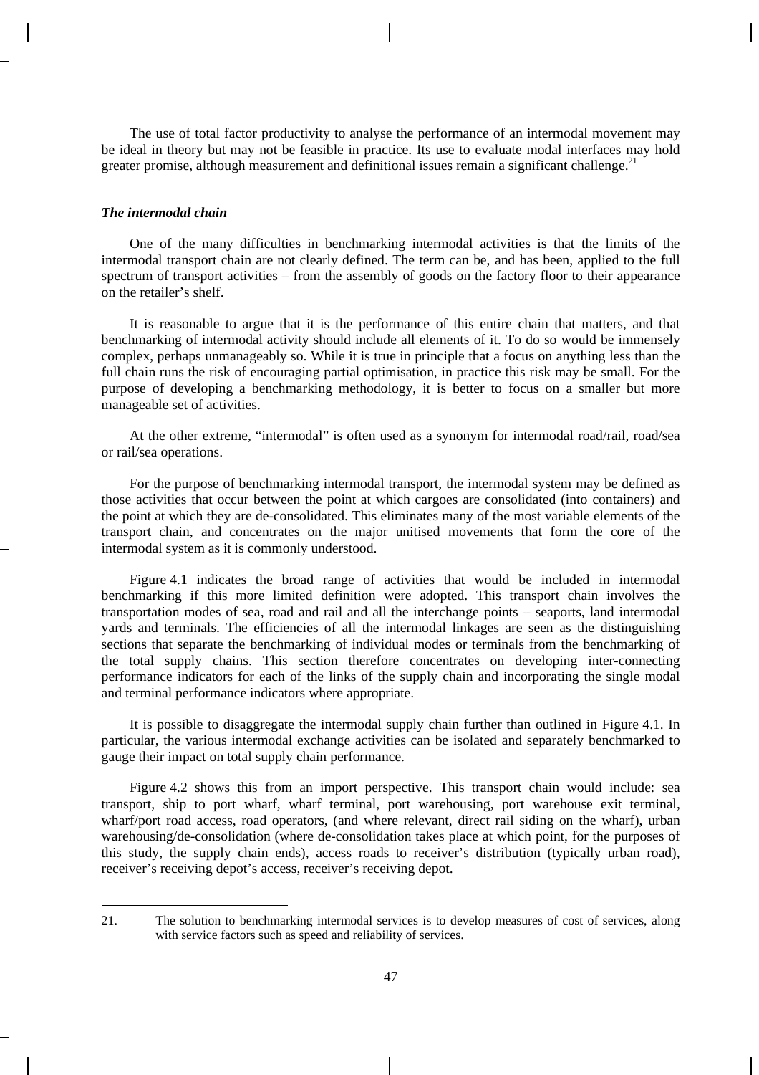The use of total factor productivity to analyse the performance of an intermodal movement may be ideal in theory but may not be feasible in practice. Its use to evaluate modal interfaces may hold greater promise, although measurement and definitional issues remain a significant challenge.<sup>21</sup>

# *The intermodal chain*

One of the many difficulties in benchmarking intermodal activities is that the limits of the intermodal transport chain are not clearly defined. The term can be, and has been, applied to the full spectrum of transport activities – from the assembly of goods on the factory floor to their appearance on the retailer's shelf.

It is reasonable to argue that it is the performance of this entire chain that matters, and that benchmarking of intermodal activity should include all elements of it. To do so would be immensely complex, perhaps unmanageably so. While it is true in principle that a focus on anything less than the full chain runs the risk of encouraging partial optimisation, in practice this risk may be small. For the purpose of developing a benchmarking methodology, it is better to focus on a smaller but more manageable set of activities.

At the other extreme, "intermodal" is often used as a synonym for intermodal road/rail, road/sea or rail/sea operations.

For the purpose of benchmarking intermodal transport, the intermodal system may be defined as those activities that occur between the point at which cargoes are consolidated (into containers) and the point at which they are de-consolidated. This eliminates many of the most variable elements of the transport chain, and concentrates on the major unitised movements that form the core of the intermodal system as it is commonly understood.

Figure 4.1 indicates the broad range of activities that would be included in intermodal benchmarking if this more limited definition were adopted. This transport chain involves the transportation modes of sea, road and rail and all the interchange points – seaports, land intermodal yards and terminals. The efficiencies of all the intermodal linkages are seen as the distinguishing sections that separate the benchmarking of individual modes or terminals from the benchmarking of the total supply chains. This section therefore concentrates on developing inter-connecting performance indicators for each of the links of the supply chain and incorporating the single modal and terminal performance indicators where appropriate.

It is possible to disaggregate the intermodal supply chain further than outlined in Figure 4.1. In particular, the various intermodal exchange activities can be isolated and separately benchmarked to gauge their impact on total supply chain performance.

Figure 4.2 shows this from an import perspective. This transport chain would include: sea transport, ship to port wharf, wharf terminal, port warehousing, port warehouse exit terminal, wharf/port road access, road operators, (and where relevant, direct rail siding on the wharf), urban warehousing/de-consolidation (where de-consolidation takes place at which point, for the purposes of this study, the supply chain ends), access roads to receiver's distribution (typically urban road), receiver's receiving depot's access, receiver's receiving depot.

 $\overline{a}$ 21. The solution to benchmarking intermodal services is to develop measures of cost of services, along with service factors such as speed and reliability of services.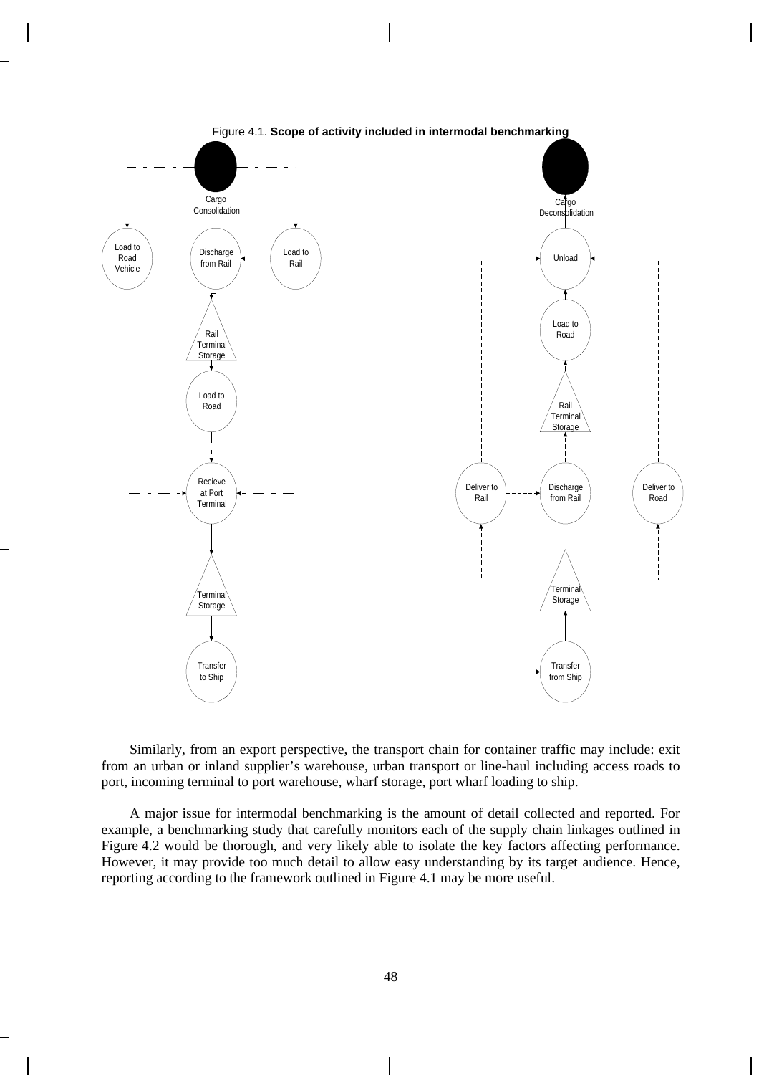

Similarly, from an export perspective, the transport chain for container traffic may include: exit from an urban or inland supplier's warehouse, urban transport or line-haul including access roads to port, incoming terminal to port warehouse, wharf storage, port wharf loading to ship.

A major issue for intermodal benchmarking is the amount of detail collected and reported. For example, a benchmarking study that carefully monitors each of the supply chain linkages outlined in Figure 4.2 would be thorough, and very likely able to isolate the key factors affecting performance. However, it may provide too much detail to allow easy understanding by its target audience. Hence, reporting according to the framework outlined in Figure 4.1 may be more useful.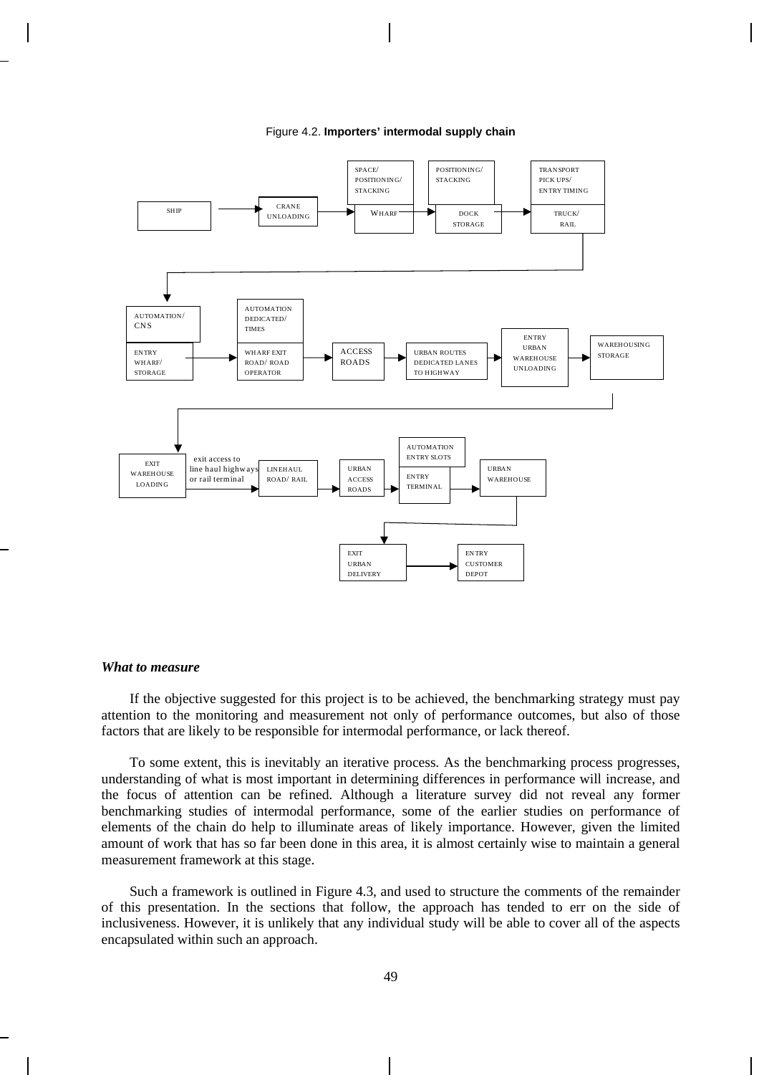



#### *What to measure*

If the objective suggested for this project is to be achieved, the benchmarking strategy must pay attention to the monitoring and measurement not only of performance outcomes, but also of those factors that are likely to be responsible for intermodal performance, or lack thereof.

To some extent, this is inevitably an iterative process. As the benchmarking process progresses, understanding of what is most important in determining differences in performance will increase, and the focus of attention can be refined. Although a literature survey did not reveal any former benchmarking studies of intermodal performance, some of the earlier studies on performance of elements of the chain do help to illuminate areas of likely importance. However, given the limited amount of work that has so far been done in this area, it is almost certainly wise to maintain a general measurement framework at this stage.

Such a framework is outlined in Figure 4.3, and used to structure the comments of the remainder of this presentation. In the sections that follow, the approach has tended to err on the side of inclusiveness. However, it is unlikely that any individual study will be able to cover all of the aspects encapsulated within such an approach.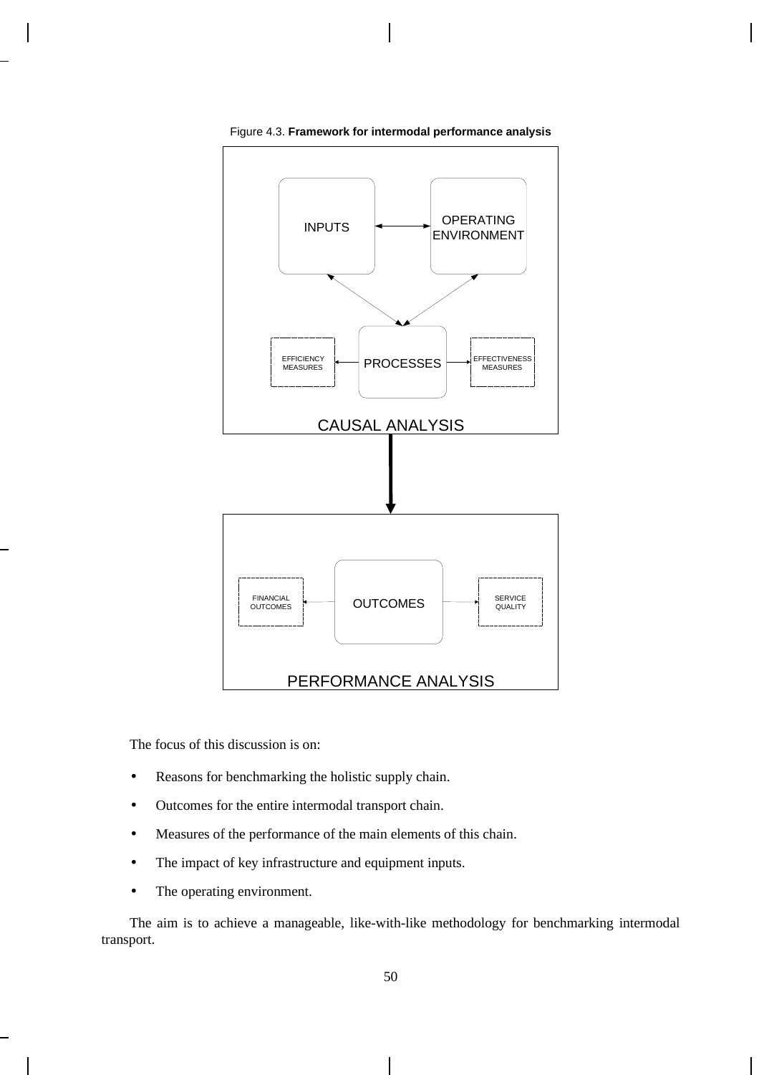

Figure 4.3. **Framework for intermodal performance analysis**

The focus of this discussion is on:

- Reasons for benchmarking the holistic supply chain.
- Outcomes for the entire intermodal transport chain.
- Measures of the performance of the main elements of this chain.
- The impact of key infrastructure and equipment inputs.
- The operating environment.

The aim is to achieve a manageable, like-with-like methodology for benchmarking intermodal transport.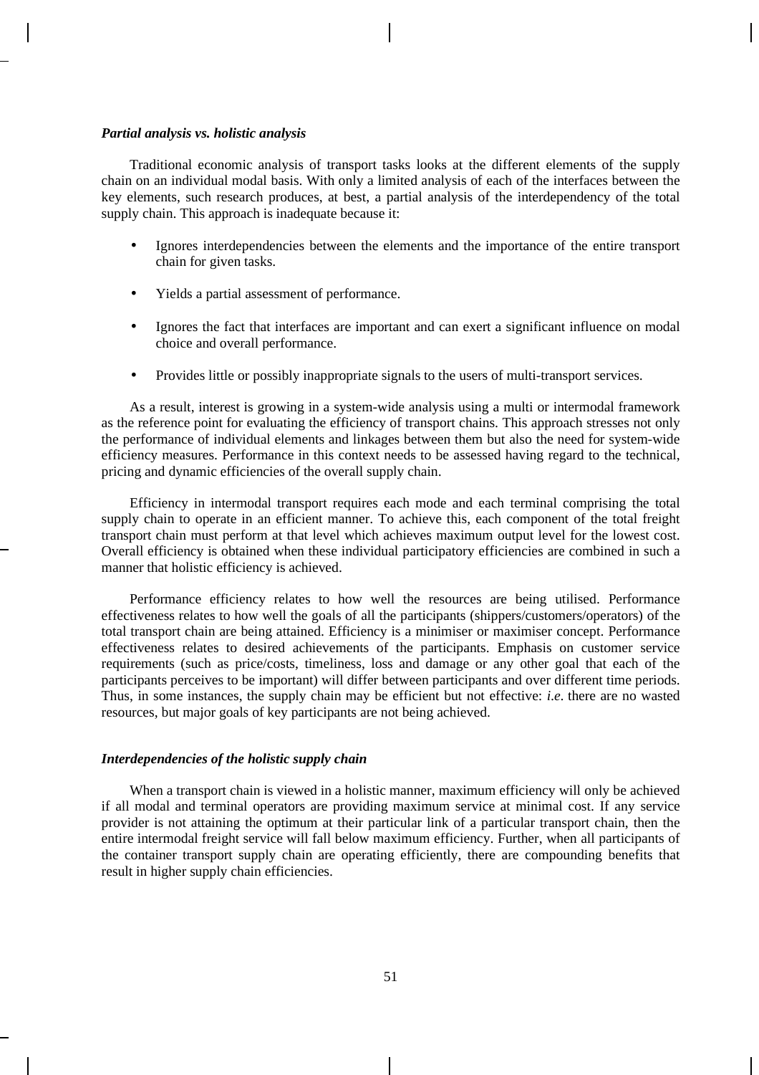### *Partial analysis vs. holistic analysis*

Traditional economic analysis of transport tasks looks at the different elements of the supply chain on an individual modal basis. With only a limited analysis of each of the interfaces between the key elements, such research produces, at best, a partial analysis of the interdependency of the total supply chain. This approach is inadequate because it:

- Ignores interdependencies between the elements and the importance of the entire transport chain for given tasks.
- Yields a partial assessment of performance.
- Ignores the fact that interfaces are important and can exert a significant influence on modal choice and overall performance.
- Provides little or possibly inappropriate signals to the users of multi-transport services.

As a result, interest is growing in a system-wide analysis using a multi or intermodal framework as the reference point for evaluating the efficiency of transport chains. This approach stresses not only the performance of individual elements and linkages between them but also the need for system-wide efficiency measures. Performance in this context needs to be assessed having regard to the technical, pricing and dynamic efficiencies of the overall supply chain.

Efficiency in intermodal transport requires each mode and each terminal comprising the total supply chain to operate in an efficient manner. To achieve this, each component of the total freight transport chain must perform at that level which achieves maximum output level for the lowest cost. Overall efficiency is obtained when these individual participatory efficiencies are combined in such a manner that holistic efficiency is achieved.

Performance efficiency relates to how well the resources are being utilised. Performance effectiveness relates to how well the goals of all the participants (shippers/customers/operators) of the total transport chain are being attained. Efficiency is a minimiser or maximiser concept. Performance effectiveness relates to desired achievements of the participants. Emphasis on customer service requirements (such as price/costs, timeliness, loss and damage or any other goal that each of the participants perceives to be important) will differ between participants and over different time periods. Thus, in some instances, the supply chain may be efficient but not effective: *i.e.* there are no wasted resources, but major goals of key participants are not being achieved.

### *Interdependencies of the holistic supply chain*

When a transport chain is viewed in a holistic manner, maximum efficiency will only be achieved if all modal and terminal operators are providing maximum service at minimal cost. If any service provider is not attaining the optimum at their particular link of a particular transport chain, then the entire intermodal freight service will fall below maximum efficiency. Further, when all participants of the container transport supply chain are operating efficiently, there are compounding benefits that result in higher supply chain efficiencies.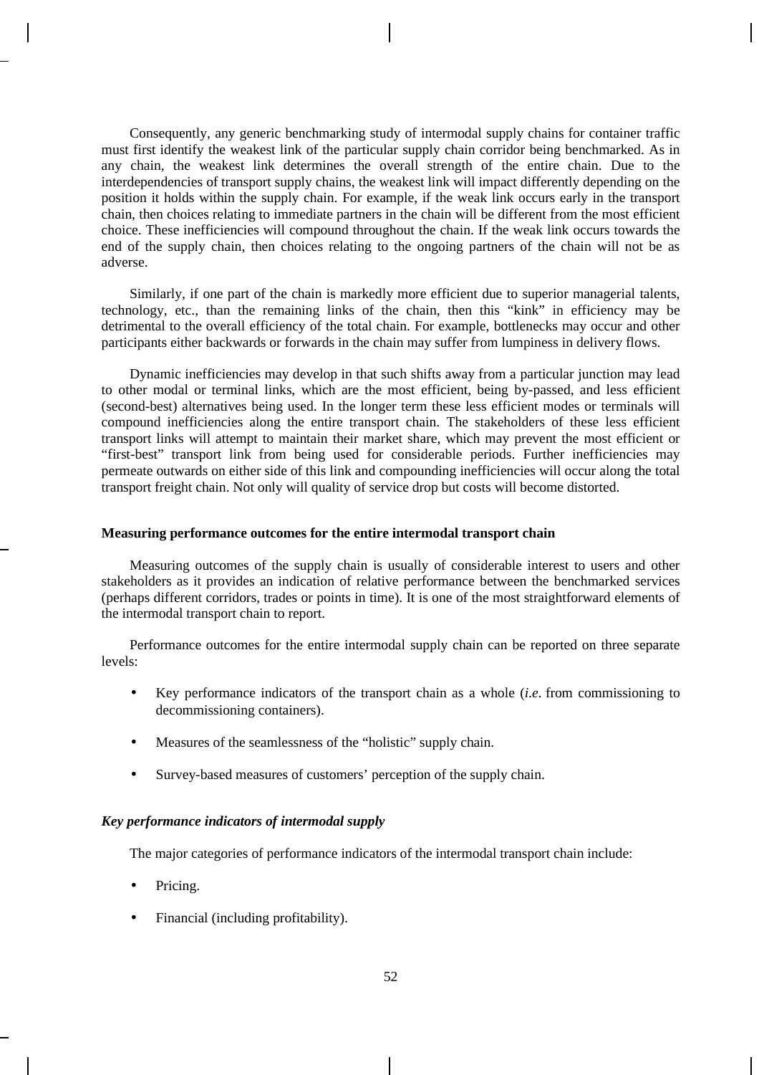Consequently, any generic benchmarking study of intermodal supply chains for container traffic must first identify the weakest link of the particular supply chain corridor being benchmarked. As in any chain, the weakest link determines the overall strength of the entire chain. Due to the interdependencies of transport supply chains, the weakest link will impact differently depending on the position it holds within the supply chain. For example, if the weak link occurs early in the transport chain, then choices relating to immediate partners in the chain will be different from the most efficient choice. These inefficiencies will compound throughout the chain. If the weak link occurs towards the end of the supply chain, then choices relating to the ongoing partners of the chain will not be as adverse.

Similarly, if one part of the chain is markedly more efficient due to superior managerial talents, technology, etc., than the remaining links of the chain, then this "kink" in efficiency may be detrimental to the overall efficiency of the total chain. For example, bottlenecks may occur and other participants either backwards or forwards in the chain may suffer from lumpiness in delivery flows.

Dynamic inefficiencies may develop in that such shifts away from a particular junction may lead to other modal or terminal links, which are the most efficient, being by-passed, and less efficient (second-best) alternatives being used. In the longer term these less efficient modes or terminals will compound inefficiencies along the entire transport chain. The stakeholders of these less efficient transport links will attempt to maintain their market share, which may prevent the most efficient or "first-best" transport link from being used for considerable periods. Further inefficiencies may permeate outwards on either side of this link and compounding inefficiencies will occur along the total transport freight chain. Not only will quality of service drop but costs will become distorted.

# **Measuring performance outcomes for the entire intermodal transport chain**

Measuring outcomes of the supply chain is usually of considerable interest to users and other stakeholders as it provides an indication of relative performance between the benchmarked services (perhaps different corridors, trades or points in time). It is one of the most straightforward elements of the intermodal transport chain to report.

Performance outcomes for the entire intermodal supply chain can be reported on three separate levels:

- Key performance indicators of the transport chain as a whole (*i.e.* from commissioning to decommissioning containers).
- Measures of the seamlessness of the "holistic" supply chain.
- Survey-based measures of customers' perception of the supply chain.

# *Key performance indicators of intermodal supply*

The major categories of performance indicators of the intermodal transport chain include:

- Pricing.
- Financial (including profitability).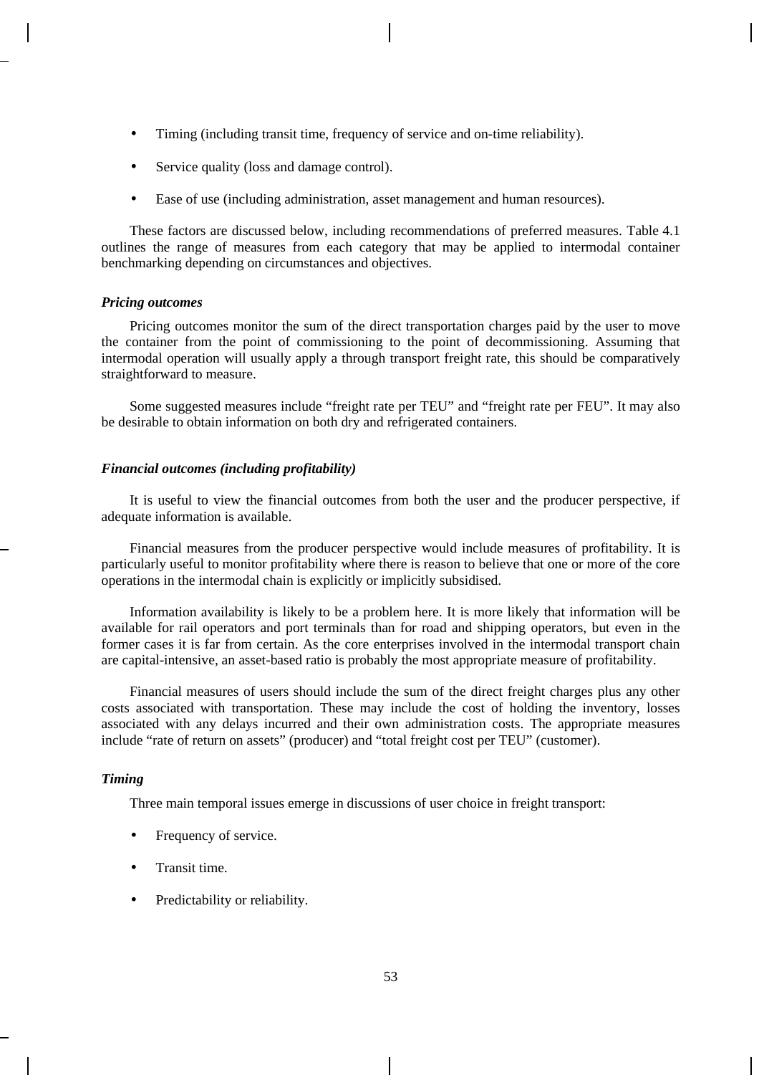- Timing (including transit time, frequency of service and on-time reliability).
- Service quality (loss and damage control).
- Ease of use (including administration, asset management and human resources).

These factors are discussed below, including recommendations of preferred measures. Table 4.1 outlines the range of measures from each category that may be applied to intermodal container benchmarking depending on circumstances and objectives.

# *Pricing outcomes*

Pricing outcomes monitor the sum of the direct transportation charges paid by the user to move the container from the point of commissioning to the point of decommissioning. Assuming that intermodal operation will usually apply a through transport freight rate, this should be comparatively straightforward to measure.

Some suggested measures include "freight rate per TEU" and "freight rate per FEU". It may also be desirable to obtain information on both dry and refrigerated containers.

# *Financial outcomes (including profitability)*

It is useful to view the financial outcomes from both the user and the producer perspective, if adequate information is available.

Financial measures from the producer perspective would include measures of profitability. It is particularly useful to monitor profitability where there is reason to believe that one or more of the core operations in the intermodal chain is explicitly or implicitly subsidised.

Information availability is likely to be a problem here. It is more likely that information will be available for rail operators and port terminals than for road and shipping operators, but even in the former cases it is far from certain. As the core enterprises involved in the intermodal transport chain are capital-intensive, an asset-based ratio is probably the most appropriate measure of profitability.

Financial measures of users should include the sum of the direct freight charges plus any other costs associated with transportation. These may include the cost of holding the inventory, losses associated with any delays incurred and their own administration costs. The appropriate measures include "rate of return on assets" (producer) and "total freight cost per TEU" (customer).

# *Timing*

Three main temporal issues emerge in discussions of user choice in freight transport:

- Frequency of service.
- Transit time.
- Predictability or reliability.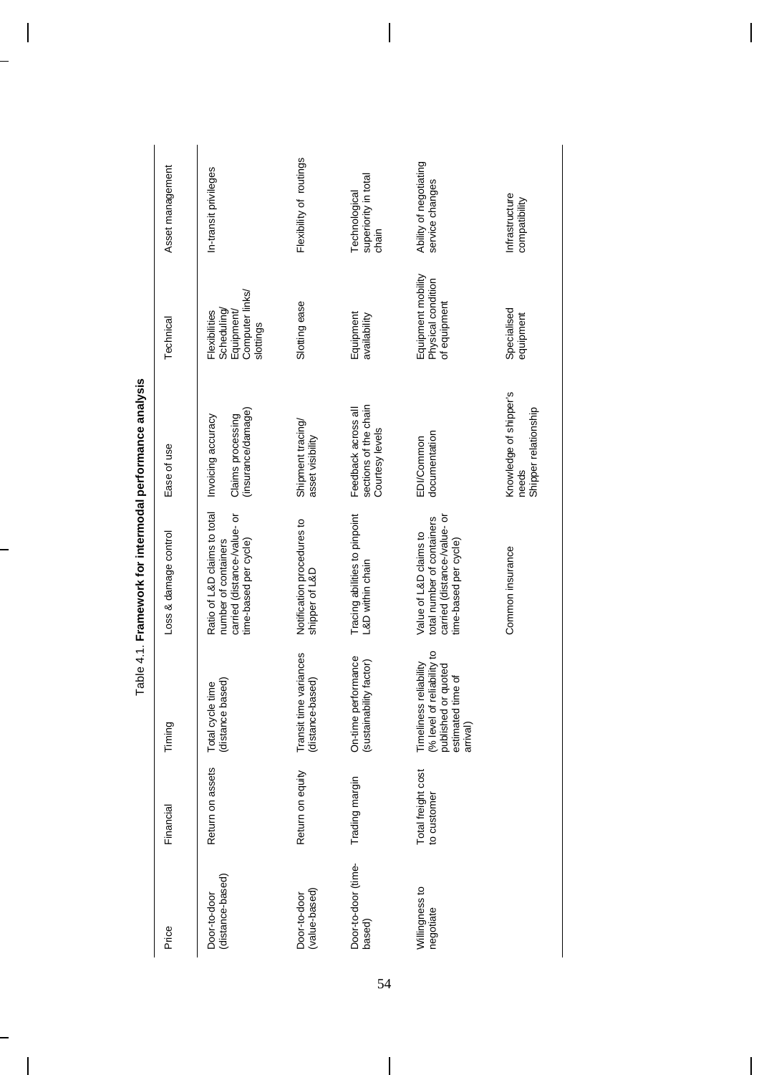| Price                            | Financial                         | Timing                                                                                                       | Loss & damage control                                                                                         | Ease of use                                                     | Technical                                                                | Asset management                               |
|----------------------------------|-----------------------------------|--------------------------------------------------------------------------------------------------------------|---------------------------------------------------------------------------------------------------------------|-----------------------------------------------------------------|--------------------------------------------------------------------------|------------------------------------------------|
| (distance-based)<br>Door-to-door | Return on assets                  | based)<br>e time<br>Total cycl<br>distance                                                                   | Ratio of L&D claims to total<br>carried (distance-/value- or<br>number of containers<br>time-based per cycle) | (insurance/damage)<br>Invoicing accuracy<br>Claims processing   | Computer links/<br>Scheduling<br>Equipment<br>Flexibilities<br>slottings | In-transit privileges                          |
| (value-based)<br>Door-to-door    | Return on equity                  | Transit time variances<br>(distance-based)                                                                   | Notification procedures to<br>shipper of L&D                                                                  | Shipment tracing<br>asset visibility                            | Slotting ease                                                            | Flexibility of routings                        |
| Door-to-door (time-<br>based)    | Trading margin                    | On-time performance<br>(sustainability factor)                                                               | Tracing abilities to pinpoint<br>L&D within chain                                                             | sections of the chain<br>Feedback across all<br>Courtesy levels | Equipment<br>availability                                                | superiority in total<br>Technological<br>chain |
| Willingness to<br>negotiate      | Total freight cost<br>to customer | (% level of reliability to<br>Timeliness reliability<br>published or quoted<br>estimated time of<br>arrival) | carried (distance-/value-or<br>total number of containers<br>Value of L&D claims to<br>time-based per cycle)  | documentation<br>EDI/Common                                     | Equipment mobility<br>Physical condition<br>of equipment                 | Ability of negotiating<br>service changes      |
|                                  |                                   |                                                                                                              | Common insurance                                                                                              | Knowledge of shipper's<br>Shipper relationship<br>needs         | Specialised<br>equipment                                                 | Infrastructure<br>compatibility                |

Table 4.1. Framework for intermodal performance analysis Table 4.1. **Framework for intermodal performance analysis**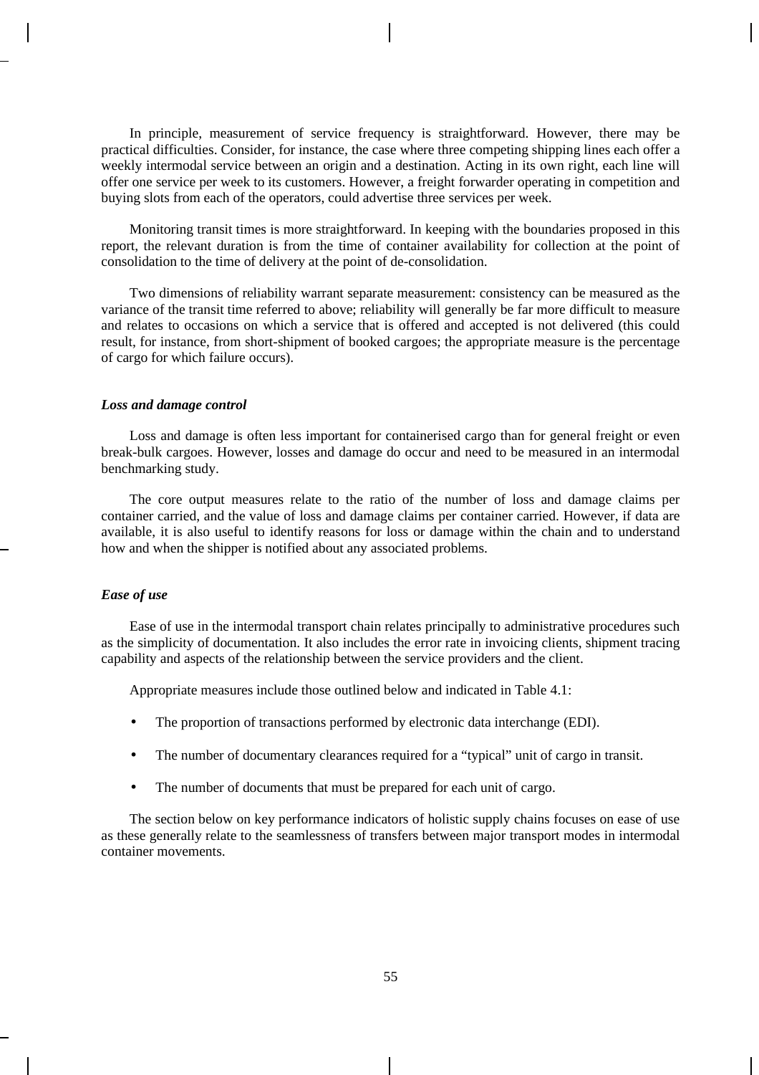In principle, measurement of service frequency is straightforward. However, there may be practical difficulties. Consider, for instance, the case where three competing shipping lines each offer a weekly intermodal service between an origin and a destination. Acting in its own right, each line will offer one service per week to its customers. However, a freight forwarder operating in competition and buying slots from each of the operators, could advertise three services per week.

Monitoring transit times is more straightforward. In keeping with the boundaries proposed in this report, the relevant duration is from the time of container availability for collection at the point of consolidation to the time of delivery at the point of de-consolidation.

Two dimensions of reliability warrant separate measurement: consistency can be measured as the variance of the transit time referred to above; reliability will generally be far more difficult to measure and relates to occasions on which a service that is offered and accepted is not delivered (this could result, for instance, from short-shipment of booked cargoes; the appropriate measure is the percentage of cargo for which failure occurs).

# *Loss and damage control*

Loss and damage is often less important for containerised cargo than for general freight or even break-bulk cargoes. However, losses and damage do occur and need to be measured in an intermodal benchmarking study.

The core output measures relate to the ratio of the number of loss and damage claims per container carried, and the value of loss and damage claims per container carried. However, if data are available, it is also useful to identify reasons for loss or damage within the chain and to understand how and when the shipper is notified about any associated problems.

# *Ease of use*

Ease of use in the intermodal transport chain relates principally to administrative procedures such as the simplicity of documentation. It also includes the error rate in invoicing clients, shipment tracing capability and aspects of the relationship between the service providers and the client.

Appropriate measures include those outlined below and indicated in Table 4.1:

- The proportion of transactions performed by electronic data interchange (EDI).
- The number of documentary clearances required for a "typical" unit of cargo in transit.
- The number of documents that must be prepared for each unit of cargo.

The section below on key performance indicators of holistic supply chains focuses on ease of use as these generally relate to the seamlessness of transfers between major transport modes in intermodal container movements.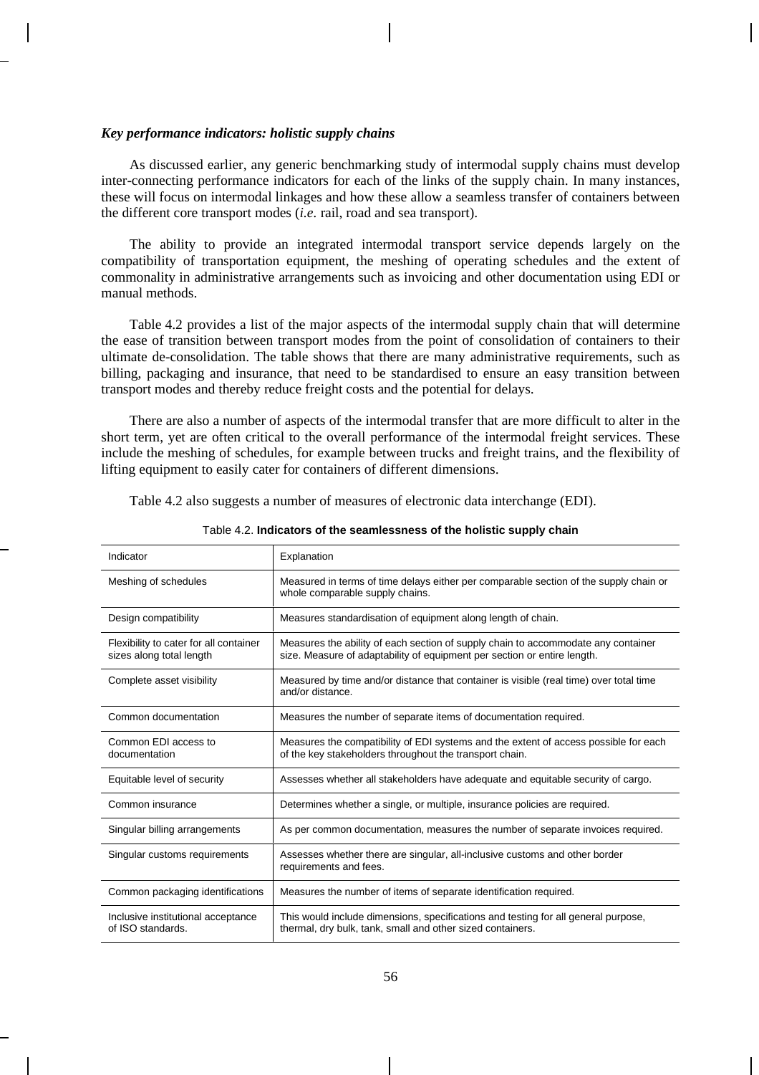### *Key performance indicators: holistic supply chains*

As discussed earlier, any generic benchmarking study of intermodal supply chains must develop inter-connecting performance indicators for each of the links of the supply chain. In many instances, these will focus on intermodal linkages and how these allow a seamless transfer of containers between the different core transport modes (*i.e.* rail, road and sea transport).

The ability to provide an integrated intermodal transport service depends largely on the compatibility of transportation equipment, the meshing of operating schedules and the extent of commonality in administrative arrangements such as invoicing and other documentation using EDI or manual methods.

Table 4.2 provides a list of the major aspects of the intermodal supply chain that will determine the ease of transition between transport modes from the point of consolidation of containers to their ultimate de-consolidation. The table shows that there are many administrative requirements, such as billing, packaging and insurance, that need to be standardised to ensure an easy transition between transport modes and thereby reduce freight costs and the potential for delays.

There are also a number of aspects of the intermodal transfer that are more difficult to alter in the short term, yet are often critical to the overall performance of the intermodal freight services. These include the meshing of schedules, for example between trucks and freight trains, and the flexibility of lifting equipment to easily cater for containers of different dimensions.

Table 4.2 also suggests a number of measures of electronic data interchange (EDI).

| Indicator                                                          | Explanation                                                                                                                                                   |
|--------------------------------------------------------------------|---------------------------------------------------------------------------------------------------------------------------------------------------------------|
| Meshing of schedules                                               | Measured in terms of time delays either per comparable section of the supply chain or<br>whole comparable supply chains.                                      |
| Design compatibility                                               | Measures standardisation of equipment along length of chain.                                                                                                  |
| Flexibility to cater for all container<br>sizes along total length | Measures the ability of each section of supply chain to accommodate any container<br>size. Measure of adaptability of equipment per section or entire length. |
| Complete asset visibility                                          | Measured by time and/or distance that container is visible (real time) over total time<br>and/or distance.                                                    |
| Common documentation                                               | Measures the number of separate items of documentation required.                                                                                              |
| Common EDI access to<br>documentation                              | Measures the compatibility of EDI systems and the extent of access possible for each<br>of the key stakeholders throughout the transport chain.               |
| Equitable level of security                                        | Assesses whether all stakeholders have adequate and equitable security of cargo.                                                                              |
| Common insurance                                                   | Determines whether a single, or multiple, insurance policies are required.                                                                                    |
| Singular billing arrangements                                      | As per common documentation, measures the number of separate invoices required.                                                                               |
| Singular customs requirements                                      | Assesses whether there are singular, all-inclusive customs and other border<br>requirements and fees.                                                         |
| Common packaging identifications                                   | Measures the number of items of separate identification required.                                                                                             |
| Inclusive institutional acceptance<br>of ISO standards.            | This would include dimensions, specifications and testing for all general purpose,<br>thermal, dry bulk, tank, small and other sized containers.              |

Table 4.2. **Indicators of the seamlessness of the holistic supply chain**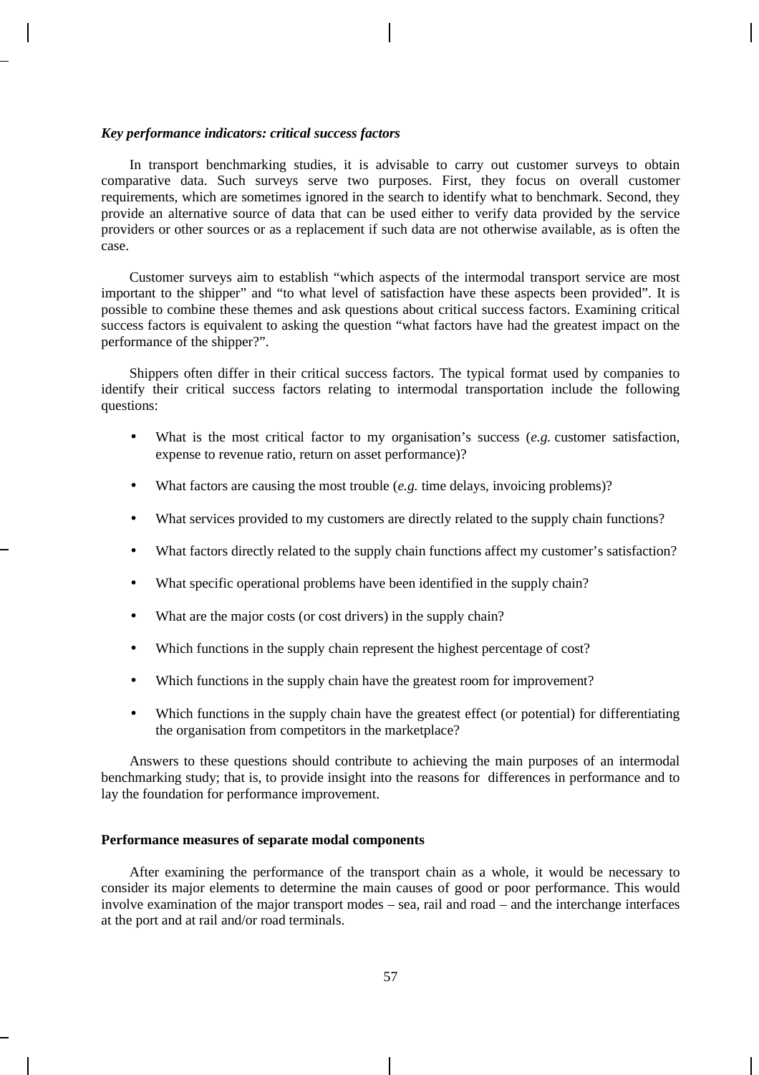# *Key performance indicators: critical success factors*

In transport benchmarking studies, it is advisable to carry out customer surveys to obtain comparative data. Such surveys serve two purposes. First, they focus on overall customer requirements, which are sometimes ignored in the search to identify what to benchmark. Second, they provide an alternative source of data that can be used either to verify data provided by the service providers or other sources or as a replacement if such data are not otherwise available, as is often the case.

Customer surveys aim to establish "which aspects of the intermodal transport service are most important to the shipper" and "to what level of satisfaction have these aspects been provided". It is possible to combine these themes and ask questions about critical success factors. Examining critical success factors is equivalent to asking the question "what factors have had the greatest impact on the performance of the shipper?".

Shippers often differ in their critical success factors. The typical format used by companies to identify their critical success factors relating to intermodal transportation include the following questions:

- What is the most critical factor to my organisation's success (*e.g.* customer satisfaction, expense to revenue ratio, return on asset performance)?
- What factors are causing the most trouble (*e.g.* time delays, invoicing problems)?
- What services provided to my customers are directly related to the supply chain functions?
- What factors directly related to the supply chain functions affect my customer's satisfaction?
- What specific operational problems have been identified in the supply chain?
- What are the major costs (or cost drivers) in the supply chain?
- Which functions in the supply chain represent the highest percentage of cost?
- Which functions in the supply chain have the greatest room for improvement?
- Which functions in the supply chain have the greatest effect (or potential) for differentiating the organisation from competitors in the marketplace?

Answers to these questions should contribute to achieving the main purposes of an intermodal benchmarking study; that is, to provide insight into the reasons for differences in performance and to lay the foundation for performance improvement.

### **Performance measures of separate modal components**

After examining the performance of the transport chain as a whole, it would be necessary to consider its major elements to determine the main causes of good or poor performance. This would involve examination of the major transport modes – sea, rail and road – and the interchange interfaces at the port and at rail and/or road terminals.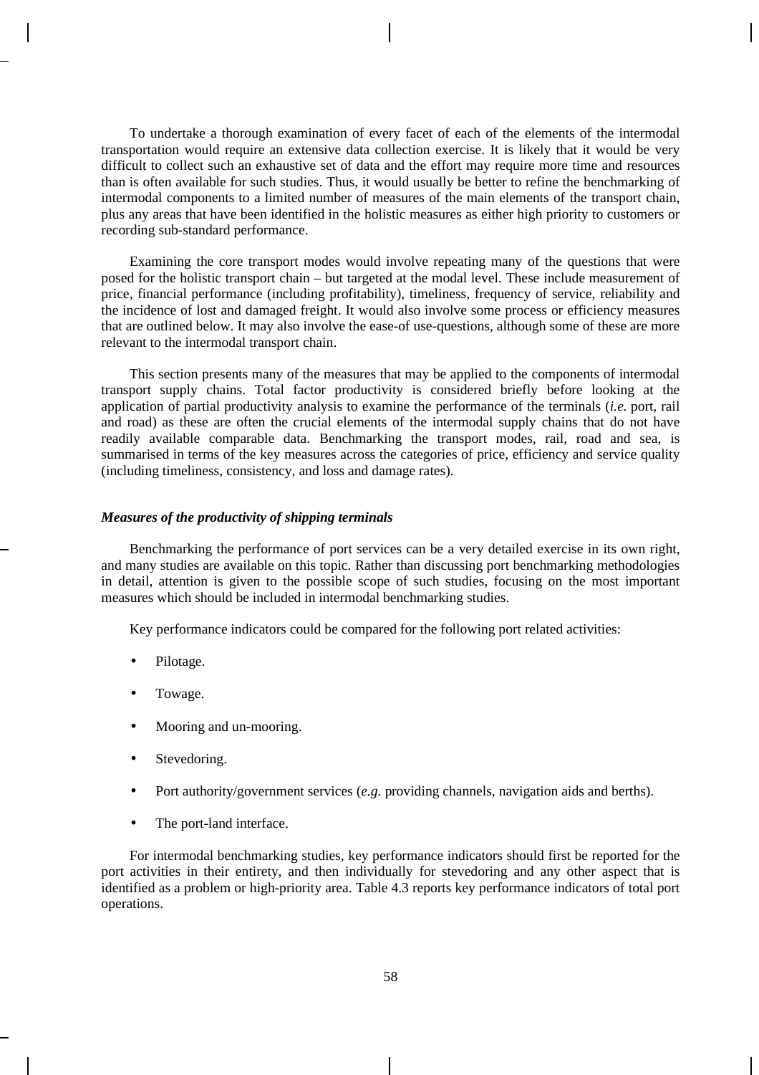To undertake a thorough examination of every facet of each of the elements of the intermodal transportation would require an extensive data collection exercise. It is likely that it would be very difficult to collect such an exhaustive set of data and the effort may require more time and resources than is often available for such studies. Thus, it would usually be better to refine the benchmarking of intermodal components to a limited number of measures of the main elements of the transport chain, plus any areas that have been identified in the holistic measures as either high priority to customers or recording sub-standard performance.

Examining the core transport modes would involve repeating many of the questions that were posed for the holistic transport chain – but targeted at the modal level. These include measurement of price, financial performance (including profitability), timeliness, frequency of service, reliability and the incidence of lost and damaged freight. It would also involve some process or efficiency measures that are outlined below. It may also involve the ease-of use-questions, although some of these are more relevant to the intermodal transport chain.

This section presents many of the measures that may be applied to the components of intermodal transport supply chains. Total factor productivity is considered briefly before looking at the application of partial productivity analysis to examine the performance of the terminals (*i.e.* port, rail and road) as these are often the crucial elements of the intermodal supply chains that do not have readily available comparable data. Benchmarking the transport modes, rail, road and sea, is summarised in terms of the key measures across the categories of price, efficiency and service quality (including timeliness, consistency, and loss and damage rates).

# *Measures of the productivity of shipping terminals*

Benchmarking the performance of port services can be a very detailed exercise in its own right, and many studies are available on this topic. Rather than discussing port benchmarking methodologies in detail, attention is given to the possible scope of such studies, focusing on the most important measures which should be included in intermodal benchmarking studies.

Key performance indicators could be compared for the following port related activities:

- Pilotage.
- Towage.
- Mooring and un-mooring.
- Stevedoring.
- Port authority/government services (*e.g.* providing channels, navigation aids and berths).
- The port-land interface.

For intermodal benchmarking studies, key performance indicators should first be reported for the port activities in their entirety, and then individually for stevedoring and any other aspect that is identified as a problem or high-priority area. Table 4.3 reports key performance indicators of total port operations.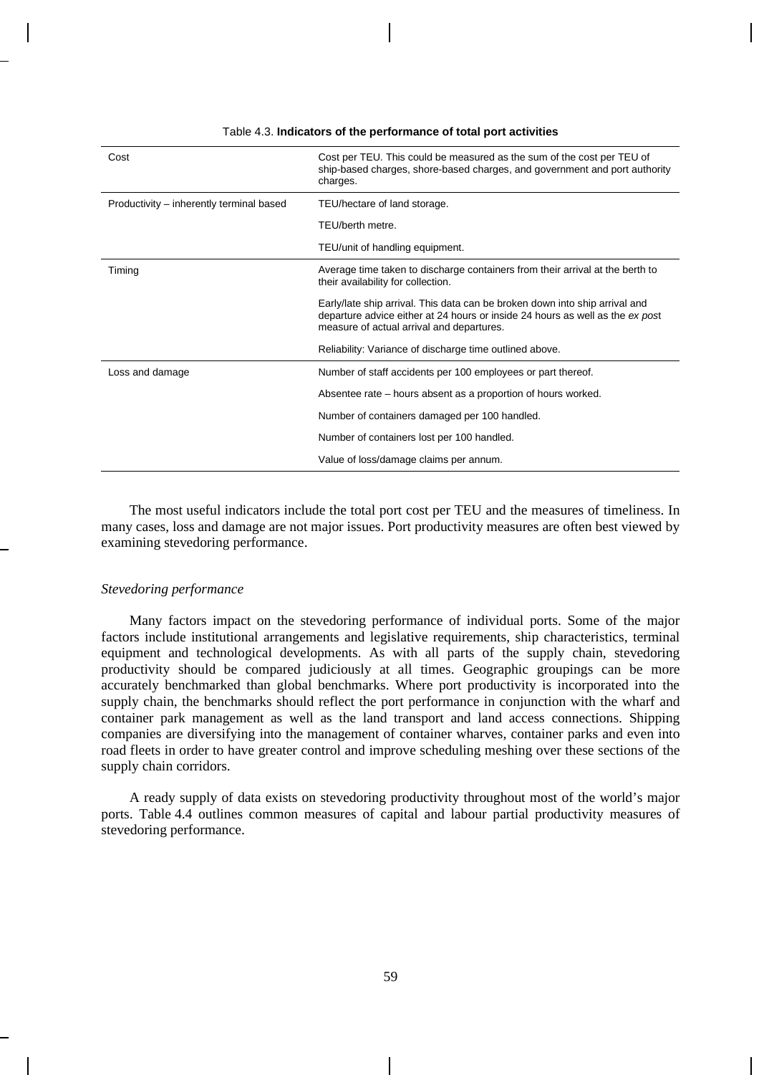| Cost                                     | Cost per TEU. This could be measured as the sum of the cost per TEU of<br>ship-based charges, shore-based charges, and government and port authority<br>charges.                                          |
|------------------------------------------|-----------------------------------------------------------------------------------------------------------------------------------------------------------------------------------------------------------|
| Productivity – inherently terminal based | TEU/hectare of land storage.                                                                                                                                                                              |
|                                          | TFU/berth metre.                                                                                                                                                                                          |
|                                          | TEU/unit of handling equipment.                                                                                                                                                                           |
| Timing                                   | Average time taken to discharge containers from their arrival at the berth to<br>their availability for collection.                                                                                       |
|                                          | Early/late ship arrival. This data can be broken down into ship arrival and<br>departure advice either at 24 hours or inside 24 hours as well as the ex post<br>measure of actual arrival and departures. |
|                                          | Reliability: Variance of discharge time outlined above.                                                                                                                                                   |
| Loss and damage                          | Number of staff accidents per 100 employees or part thereof.                                                                                                                                              |
|                                          | Absentee rate – hours absent as a proportion of hours worked.                                                                                                                                             |
|                                          | Number of containers damaged per 100 handled.                                                                                                                                                             |
|                                          | Number of containers lost per 100 handled.                                                                                                                                                                |
|                                          | Value of loss/damage claims per annum.                                                                                                                                                                    |

#### Table 4.3. **Indicators of the performance of total port activities**

The most useful indicators include the total port cost per TEU and the measures of timeliness. In many cases, loss and damage are not major issues. Port productivity measures are often best viewed by examining stevedoring performance.

# *Stevedoring performance*

Many factors impact on the stevedoring performance of individual ports. Some of the major factors include institutional arrangements and legislative requirements, ship characteristics, terminal equipment and technological developments. As with all parts of the supply chain, stevedoring productivity should be compared judiciously at all times. Geographic groupings can be more accurately benchmarked than global benchmarks. Where port productivity is incorporated into the supply chain, the benchmarks should reflect the port performance in conjunction with the wharf and container park management as well as the land transport and land access connections. Shipping companies are diversifying into the management of container wharves, container parks and even into road fleets in order to have greater control and improve scheduling meshing over these sections of the supply chain corridors.

A ready supply of data exists on stevedoring productivity throughout most of the world's major ports. Table 4.4 outlines common measures of capital and labour partial productivity measures of stevedoring performance.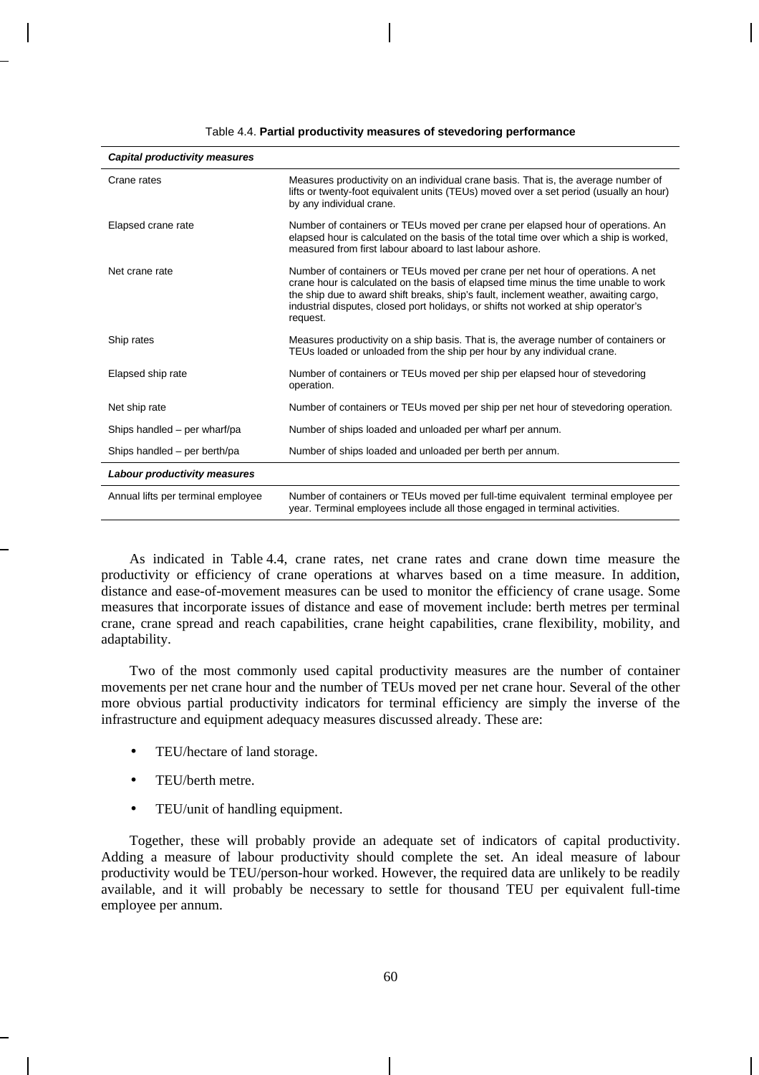| Measures productivity on an individual crane basis. That is, the average number of<br>lifts or twenty-foot equivalent units (TEUs) moved over a set period (usually an hour)<br>by any individual crane.                                                                                                                                                        |
|-----------------------------------------------------------------------------------------------------------------------------------------------------------------------------------------------------------------------------------------------------------------------------------------------------------------------------------------------------------------|
| Number of containers or TEUs moved per crane per elapsed hour of operations. An<br>elapsed hour is calculated on the basis of the total time over which a ship is worked,<br>measured from first labour aboard to last labour ashore.                                                                                                                           |
| Number of containers or TEUs moved per crane per net hour of operations. A net<br>crane hour is calculated on the basis of elapsed time minus the time unable to work<br>the ship due to award shift breaks, ship's fault, inclement weather, awaiting cargo,<br>industrial disputes, closed port holidays, or shifts not worked at ship operator's<br>request. |
| Measures productivity on a ship basis. That is, the average number of containers or<br>TEUs loaded or unloaded from the ship per hour by any individual crane.                                                                                                                                                                                                  |
| Number of containers or TEUs moved per ship per elapsed hour of stevedoring<br>operation.                                                                                                                                                                                                                                                                       |
| Number of containers or TEUs moved per ship per net hour of stevedoring operation.                                                                                                                                                                                                                                                                              |
| Number of ships loaded and unloaded per wharf per annum.                                                                                                                                                                                                                                                                                                        |
| Number of ships loaded and unloaded per berth per annum.                                                                                                                                                                                                                                                                                                        |
|                                                                                                                                                                                                                                                                                                                                                                 |
| Number of containers or TEUs moved per full-time equivalent terminal employee per<br>year. Terminal employees include all those engaged in terminal activities.                                                                                                                                                                                                 |
|                                                                                                                                                                                                                                                                                                                                                                 |

As indicated in Table 4.4, crane rates, net crane rates and crane down time measure the productivity or efficiency of crane operations at wharves based on a time measure. In addition, distance and ease-of-movement measures can be used to monitor the efficiency of crane usage. Some measures that incorporate issues of distance and ease of movement include: berth metres per terminal crane, crane spread and reach capabilities, crane height capabilities, crane flexibility, mobility, and adaptability.

Two of the most commonly used capital productivity measures are the number of container movements per net crane hour and the number of TEUs moved per net crane hour. Several of the other more obvious partial productivity indicators for terminal efficiency are simply the inverse of the infrastructure and equipment adequacy measures discussed already. These are:

- TEU/hectare of land storage.
- TEU/berth metre.
- TEU/unit of handling equipment.

Together, these will probably provide an adequate set of indicators of capital productivity. Adding a measure of labour productivity should complete the set. An ideal measure of labour productivity would be TEU/person-hour worked. However, the required data are unlikely to be readily available, and it will probably be necessary to settle for thousand TEU per equivalent full-time employee per annum.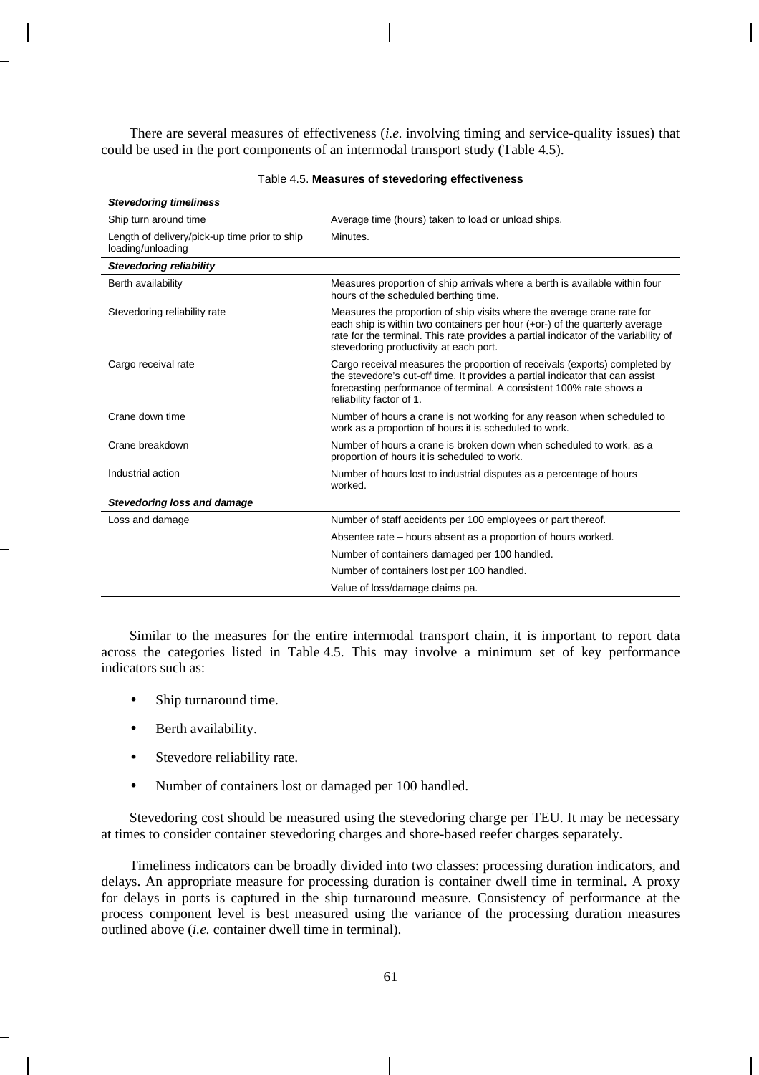There are several measures of effectiveness (*i.e.* involving timing and service-quality issues) that could be used in the port components of an intermodal transport study (Table 4.5).

| <b>Stevedoring timeliness</b>                                      |                                                                                                                                                                                                                                                                                         |
|--------------------------------------------------------------------|-----------------------------------------------------------------------------------------------------------------------------------------------------------------------------------------------------------------------------------------------------------------------------------------|
| Ship turn around time                                              | Average time (hours) taken to load or unload ships.                                                                                                                                                                                                                                     |
| Length of delivery/pick-up time prior to ship<br>loading/unloading | Minutes.                                                                                                                                                                                                                                                                                |
| <b>Stevedoring reliability</b>                                     |                                                                                                                                                                                                                                                                                         |
| Berth availability                                                 | Measures proportion of ship arrivals where a berth is available within four<br>hours of the scheduled berthing time.                                                                                                                                                                    |
| Stevedoring reliability rate                                       | Measures the proportion of ship visits where the average crane rate for<br>each ship is within two containers per hour (+or-) of the quarterly average<br>rate for the terminal. This rate provides a partial indicator of the variability of<br>stevedoring productivity at each port. |
| Cargo receival rate                                                | Cargo receival measures the proportion of receivals (exports) completed by<br>the stevedore's cut-off time. It provides a partial indicator that can assist<br>forecasting performance of terminal. A consistent 100% rate shows a<br>reliability factor of 1.                          |
| Crane down time                                                    | Number of hours a crane is not working for any reason when scheduled to<br>work as a proportion of hours it is scheduled to work.                                                                                                                                                       |
| Crane breakdown                                                    | Number of hours a crane is broken down when scheduled to work, as a<br>proportion of hours it is scheduled to work.                                                                                                                                                                     |
| Industrial action                                                  | Number of hours lost to industrial disputes as a percentage of hours<br>worked.                                                                                                                                                                                                         |
| <b>Stevedoring loss and damage</b>                                 |                                                                                                                                                                                                                                                                                         |
| Loss and damage                                                    | Number of staff accidents per 100 employees or part thereof.                                                                                                                                                                                                                            |
|                                                                    | Absentee rate – hours absent as a proportion of hours worked.                                                                                                                                                                                                                           |
|                                                                    | Number of containers damaged per 100 handled.                                                                                                                                                                                                                                           |
|                                                                    | Number of containers lost per 100 handled.                                                                                                                                                                                                                                              |
|                                                                    | Value of loss/damage claims pa.                                                                                                                                                                                                                                                         |

Table 4.5. **Measures of stevedoring effectiveness**

Similar to the measures for the entire intermodal transport chain, it is important to report data across the categories listed in Table 4.5. This may involve a minimum set of key performance indicators such as:

- Ship turnaround time.
- Berth availability.
- Stevedore reliability rate.
- Number of containers lost or damaged per 100 handled.

Stevedoring cost should be measured using the stevedoring charge per TEU. It may be necessary at times to consider container stevedoring charges and shore-based reefer charges separately.

Timeliness indicators can be broadly divided into two classes: processing duration indicators, and delays. An appropriate measure for processing duration is container dwell time in terminal. A proxy for delays in ports is captured in the ship turnaround measure. Consistency of performance at the process component level is best measured using the variance of the processing duration measures outlined above (*i.e.* container dwell time in terminal).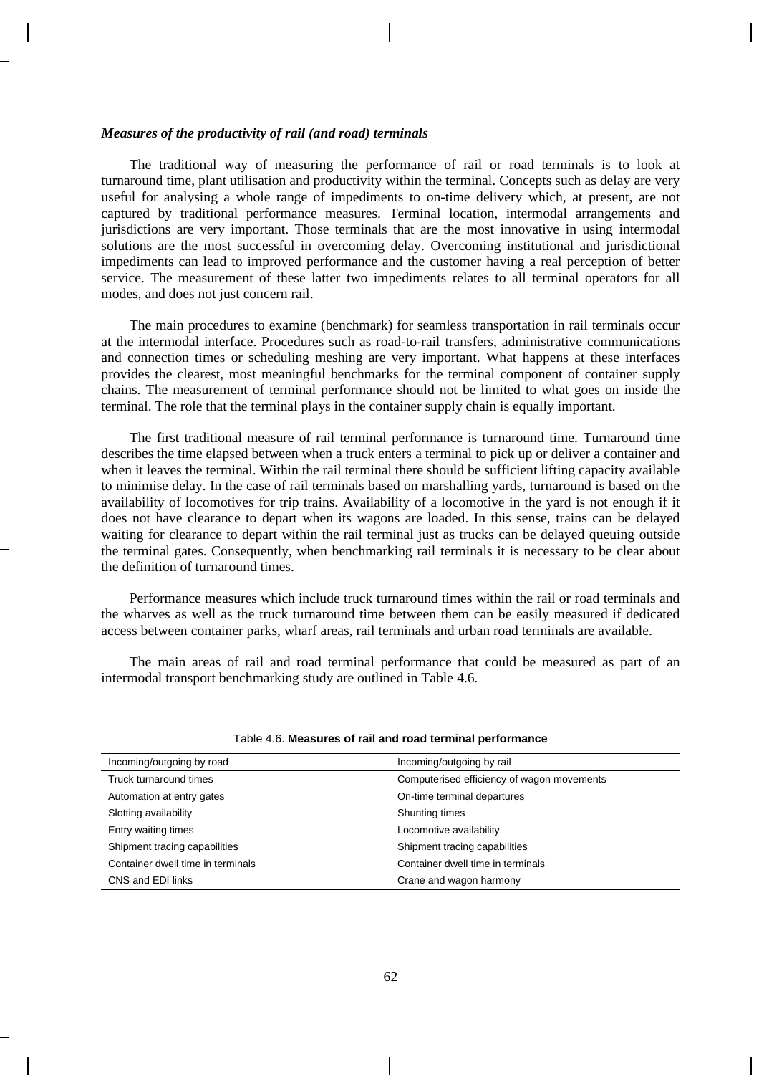### *Measures of the productivity of rail (and road) terminals*

The traditional way of measuring the performance of rail or road terminals is to look at turnaround time, plant utilisation and productivity within the terminal. Concepts such as delay are very useful for analysing a whole range of impediments to on-time delivery which, at present, are not captured by traditional performance measures. Terminal location, intermodal arrangements and jurisdictions are very important. Those terminals that are the most innovative in using intermodal solutions are the most successful in overcoming delay. Overcoming institutional and jurisdictional impediments can lead to improved performance and the customer having a real perception of better service. The measurement of these latter two impediments relates to all terminal operators for all modes, and does not just concern rail.

The main procedures to examine (benchmark) for seamless transportation in rail terminals occur at the intermodal interface. Procedures such as road-to-rail transfers, administrative communications and connection times or scheduling meshing are very important. What happens at these interfaces provides the clearest, most meaningful benchmarks for the terminal component of container supply chains. The measurement of terminal performance should not be limited to what goes on inside the terminal. The role that the terminal plays in the container supply chain is equally important.

The first traditional measure of rail terminal performance is turnaround time. Turnaround time describes the time elapsed between when a truck enters a terminal to pick up or deliver a container and when it leaves the terminal. Within the rail terminal there should be sufficient lifting capacity available to minimise delay. In the case of rail terminals based on marshalling yards, turnaround is based on the availability of locomotives for trip trains. Availability of a locomotive in the yard is not enough if it does not have clearance to depart when its wagons are loaded. In this sense, trains can be delayed waiting for clearance to depart within the rail terminal just as trucks can be delayed queuing outside the terminal gates. Consequently, when benchmarking rail terminals it is necessary to be clear about the definition of turnaround times.

Performance measures which include truck turnaround times within the rail or road terminals and the wharves as well as the truck turnaround time between them can be easily measured if dedicated access between container parks, wharf areas, rail terminals and urban road terminals are available.

The main areas of rail and road terminal performance that could be measured as part of an intermodal transport benchmarking study are outlined in Table 4.6.

| Incoming/outgoing by road         | Incoming/outgoing by rail                  |
|-----------------------------------|--------------------------------------------|
| Truck turnaround times            | Computerised efficiency of wagon movements |
| Automation at entry gates         | On-time terminal departures                |
| Slotting availability             | Shunting times                             |
| Entry waiting times               | Locomotive availability                    |
| Shipment tracing capabilities     | Shipment tracing capabilities              |
| Container dwell time in terminals | Container dwell time in terminals          |
| CNS and EDI links                 | Crane and wagon harmony                    |

Table 4.6. **Measures of rail and road terminal performance**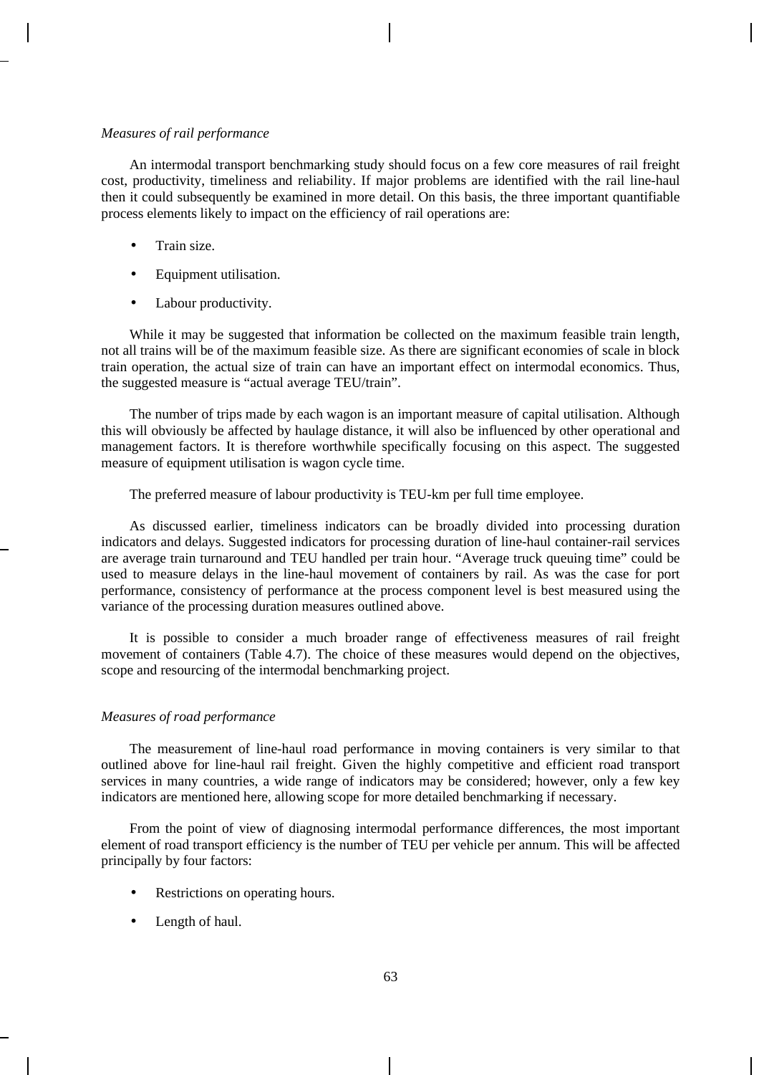# *Measures of rail performance*

An intermodal transport benchmarking study should focus on a few core measures of rail freight cost, productivity, timeliness and reliability. If major problems are identified with the rail line-haul then it could subsequently be examined in more detail. On this basis, the three important quantifiable process elements likely to impact on the efficiency of rail operations are:

- Train size.
- Equipment utilisation.
- Labour productivity.

While it may be suggested that information be collected on the maximum feasible train length, not all trains will be of the maximum feasible size. As there are significant economies of scale in block train operation, the actual size of train can have an important effect on intermodal economics. Thus, the suggested measure is "actual average TEU/train".

The number of trips made by each wagon is an important measure of capital utilisation. Although this will obviously be affected by haulage distance, it will also be influenced by other operational and management factors. It is therefore worthwhile specifically focusing on this aspect. The suggested measure of equipment utilisation is wagon cycle time.

The preferred measure of labour productivity is TEU-km per full time employee.

As discussed earlier, timeliness indicators can be broadly divided into processing duration indicators and delays. Suggested indicators for processing duration of line-haul container-rail services are average train turnaround and TEU handled per train hour. "Average truck queuing time" could be used to measure delays in the line-haul movement of containers by rail. As was the case for port performance, consistency of performance at the process component level is best measured using the variance of the processing duration measures outlined above.

It is possible to consider a much broader range of effectiveness measures of rail freight movement of containers (Table 4.7). The choice of these measures would depend on the objectives, scope and resourcing of the intermodal benchmarking project.

# *Measures of road performance*

The measurement of line-haul road performance in moving containers is very similar to that outlined above for line-haul rail freight. Given the highly competitive and efficient road transport services in many countries, a wide range of indicators may be considered; however, only a few key indicators are mentioned here, allowing scope for more detailed benchmarking if necessary.

From the point of view of diagnosing intermodal performance differences, the most important element of road transport efficiency is the number of TEU per vehicle per annum. This will be affected principally by four factors:

- Restrictions on operating hours.
- Length of haul.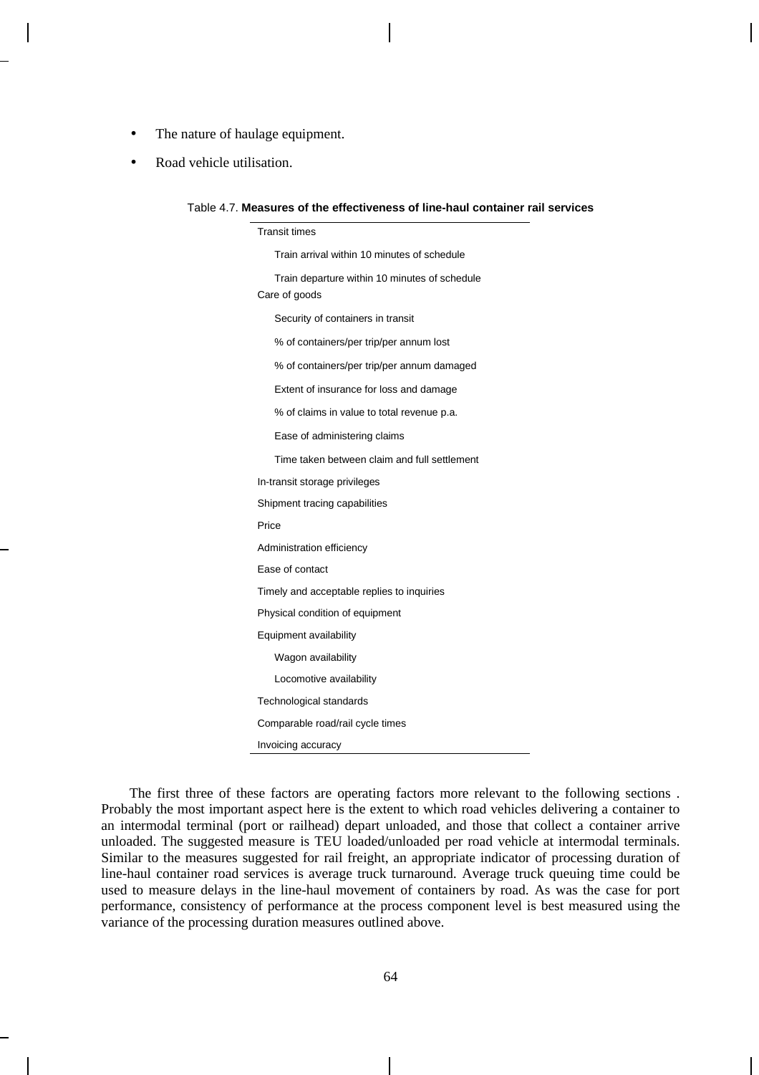- The nature of haulage equipment.
- Road vehicle utilisation.

| Table 4.7. Measures of the effectiveness of line-haul container rail services |  |
|-------------------------------------------------------------------------------|--|
|-------------------------------------------------------------------------------|--|

| <b>Transit times</b>                                           |  |
|----------------------------------------------------------------|--|
| Train arrival within 10 minutes of schedule                    |  |
| Train departure within 10 minutes of schedule<br>Care of goods |  |
| Security of containers in transit                              |  |
| % of containers/per trip/per annum lost                        |  |
| % of containers/per trip/per annum damaged                     |  |
| Extent of insurance for loss and damage                        |  |
| % of claims in value to total revenue p.a.                     |  |
| Ease of administering claims                                   |  |
| Time taken between claim and full settlement                   |  |
| In-transit storage privileges                                  |  |
| Shipment tracing capabilities                                  |  |
| Price                                                          |  |
| Administration efficiency                                      |  |
| Ease of contact                                                |  |
| Timely and acceptable replies to inquiries                     |  |
| Physical condition of equipment                                |  |
| Equipment availability                                         |  |
| Wagon availability                                             |  |
| Locomotive availability                                        |  |
| Technological standards                                        |  |
| Comparable road/rail cycle times                               |  |
| Invoicing accuracy                                             |  |

The first three of these factors are operating factors more relevant to the following sections . Probably the most important aspect here is the extent to which road vehicles delivering a container to an intermodal terminal (port or railhead) depart unloaded, and those that collect a container arrive unloaded. The suggested measure is TEU loaded/unloaded per road vehicle at intermodal terminals. Similar to the measures suggested for rail freight, an appropriate indicator of processing duration of line-haul container road services is average truck turnaround. Average truck queuing time could be used to measure delays in the line-haul movement of containers by road. As was the case for port performance, consistency of performance at the process component level is best measured using the variance of the processing duration measures outlined above.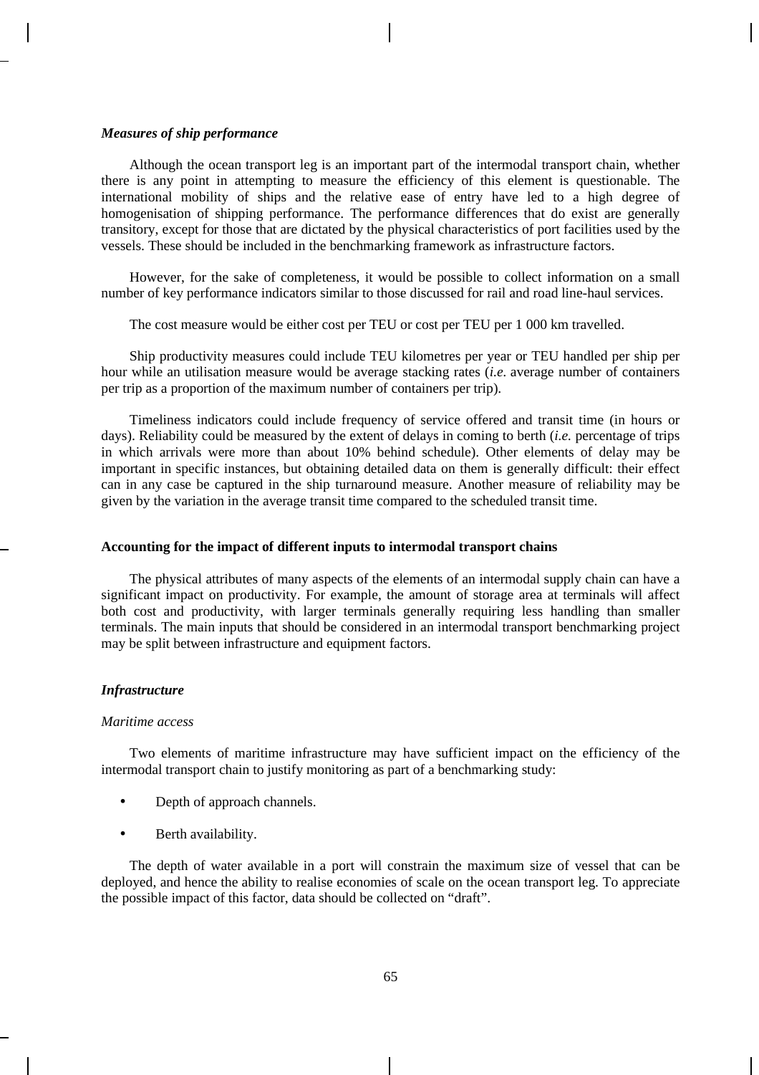## *Measures of ship performance*

Although the ocean transport leg is an important part of the intermodal transport chain, whether there is any point in attempting to measure the efficiency of this element is questionable. The international mobility of ships and the relative ease of entry have led to a high degree of homogenisation of shipping performance. The performance differences that do exist are generally transitory, except for those that are dictated by the physical characteristics of port facilities used by the vessels. These should be included in the benchmarking framework as infrastructure factors.

However, for the sake of completeness, it would be possible to collect information on a small number of key performance indicators similar to those discussed for rail and road line-haul services.

The cost measure would be either cost per TEU or cost per TEU per 1 000 km travelled.

Ship productivity measures could include TEU kilometres per year or TEU handled per ship per hour while an utilisation measure would be average stacking rates (*i.e.* average number of containers per trip as a proportion of the maximum number of containers per trip).

Timeliness indicators could include frequency of service offered and transit time (in hours or days). Reliability could be measured by the extent of delays in coming to berth (*i.e.* percentage of trips in which arrivals were more than about 10% behind schedule). Other elements of delay may be important in specific instances, but obtaining detailed data on them is generally difficult: their effect can in any case be captured in the ship turnaround measure. Another measure of reliability may be given by the variation in the average transit time compared to the scheduled transit time.

#### **Accounting for the impact of different inputs to intermodal transport chains**

The physical attributes of many aspects of the elements of an intermodal supply chain can have a significant impact on productivity. For example, the amount of storage area at terminals will affect both cost and productivity, with larger terminals generally requiring less handling than smaller terminals. The main inputs that should be considered in an intermodal transport benchmarking project may be split between infrastructure and equipment factors.

# *Infrastructure*

### *Maritime access*

Two elements of maritime infrastructure may have sufficient impact on the efficiency of the intermodal transport chain to justify monitoring as part of a benchmarking study:

- Depth of approach channels.
- Berth availability.

The depth of water available in a port will constrain the maximum size of vessel that can be deployed, and hence the ability to realise economies of scale on the ocean transport leg. To appreciate the possible impact of this factor, data should be collected on "draft".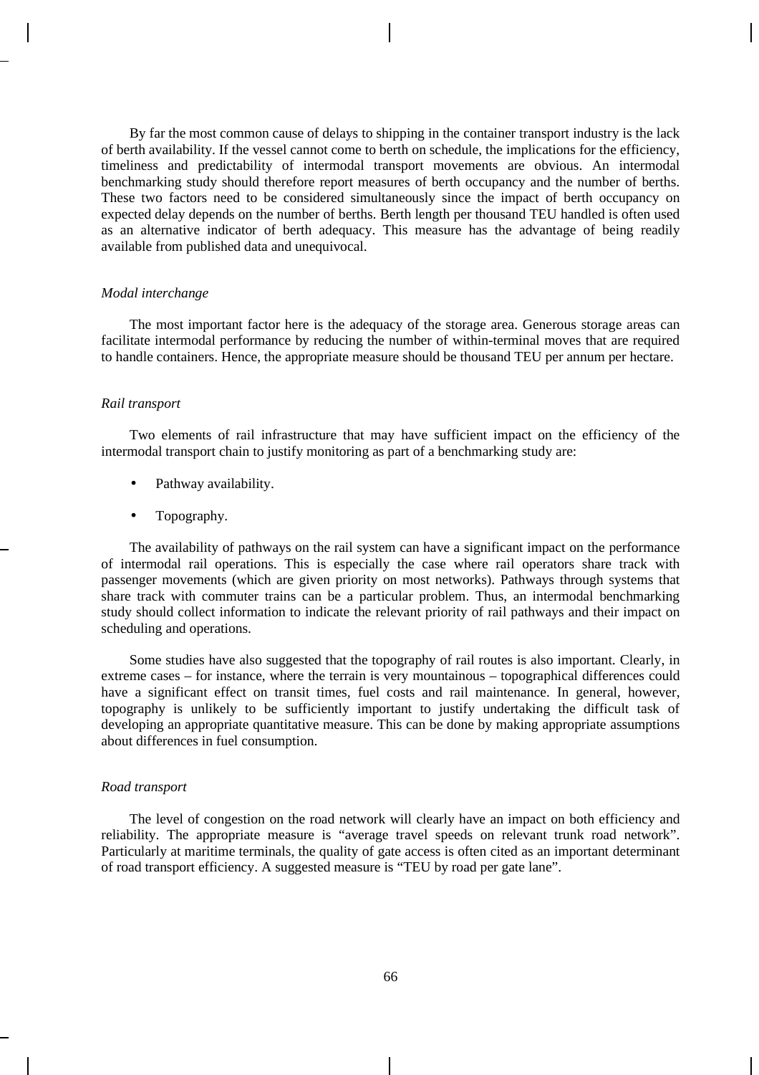By far the most common cause of delays to shipping in the container transport industry is the lack of berth availability. If the vessel cannot come to berth on schedule, the implications for the efficiency, timeliness and predictability of intermodal transport movements are obvious. An intermodal benchmarking study should therefore report measures of berth occupancy and the number of berths. These two factors need to be considered simultaneously since the impact of berth occupancy on expected delay depends on the number of berths. Berth length per thousand TEU handled is often used as an alternative indicator of berth adequacy. This measure has the advantage of being readily available from published data and unequivocal.

#### *Modal interchange*

The most important factor here is the adequacy of the storage area. Generous storage areas can facilitate intermodal performance by reducing the number of within-terminal moves that are required to handle containers. Hence, the appropriate measure should be thousand TEU per annum per hectare.

# *Rail transport*

Two elements of rail infrastructure that may have sufficient impact on the efficiency of the intermodal transport chain to justify monitoring as part of a benchmarking study are:

- Pathway availability.
- Topography.

The availability of pathways on the rail system can have a significant impact on the performance of intermodal rail operations. This is especially the case where rail operators share track with passenger movements (which are given priority on most networks). Pathways through systems that share track with commuter trains can be a particular problem. Thus, an intermodal benchmarking study should collect information to indicate the relevant priority of rail pathways and their impact on scheduling and operations.

Some studies have also suggested that the topography of rail routes is also important. Clearly, in extreme cases – for instance, where the terrain is very mountainous – topographical differences could have a significant effect on transit times, fuel costs and rail maintenance. In general, however, topography is unlikely to be sufficiently important to justify undertaking the difficult task of developing an appropriate quantitative measure. This can be done by making appropriate assumptions about differences in fuel consumption.

#### *Road transport*

The level of congestion on the road network will clearly have an impact on both efficiency and reliability. The appropriate measure is "average travel speeds on relevant trunk road network". Particularly at maritime terminals, the quality of gate access is often cited as an important determinant of road transport efficiency. A suggested measure is "TEU by road per gate lane".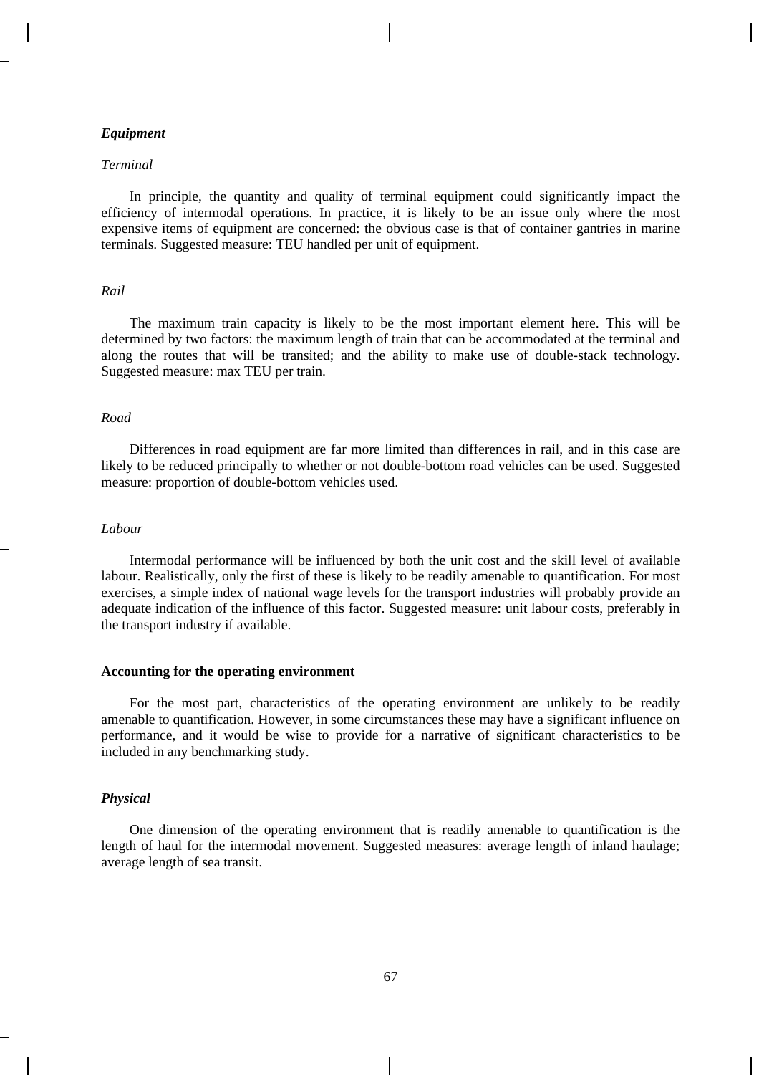# *Equipment*

#### *Terminal*

In principle, the quantity and quality of terminal equipment could significantly impact the efficiency of intermodal operations. In practice, it is likely to be an issue only where the most expensive items of equipment are concerned: the obvious case is that of container gantries in marine terminals. Suggested measure: TEU handled per unit of equipment.

# *Rail*

The maximum train capacity is likely to be the most important element here. This will be determined by two factors: the maximum length of train that can be accommodated at the terminal and along the routes that will be transited; and the ability to make use of double-stack technology. Suggested measure: max TEU per train.

#### *Road*

Differences in road equipment are far more limited than differences in rail, and in this case are likely to be reduced principally to whether or not double-bottom road vehicles can be used. Suggested measure: proportion of double-bottom vehicles used.

# *Labour*

Intermodal performance will be influenced by both the unit cost and the skill level of available labour. Realistically, only the first of these is likely to be readily amenable to quantification. For most exercises, a simple index of national wage levels for the transport industries will probably provide an adequate indication of the influence of this factor. Suggested measure: unit labour costs, preferably in the transport industry if available.

### **Accounting for the operating environment**

For the most part, characteristics of the operating environment are unlikely to be readily amenable to quantification. However, in some circumstances these may have a significant influence on performance, and it would be wise to provide for a narrative of significant characteristics to be included in any benchmarking study.

#### *Physical*

One dimension of the operating environment that is readily amenable to quantification is the length of haul for the intermodal movement. Suggested measures: average length of inland haulage; average length of sea transit.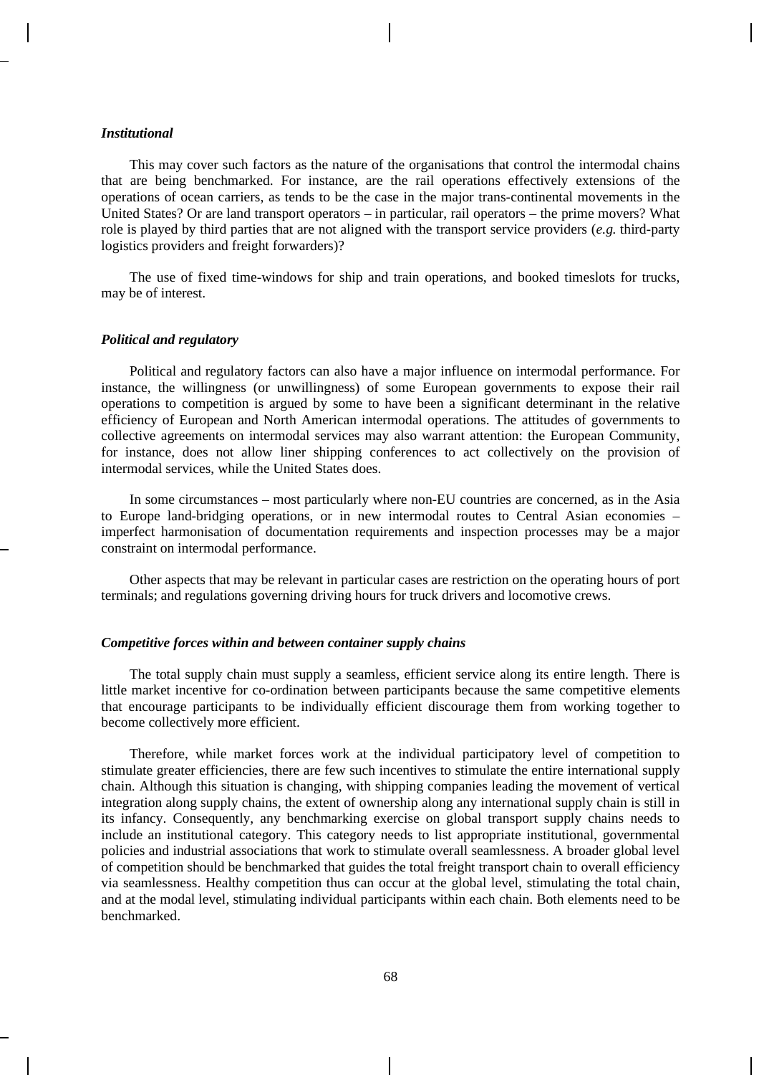#### *Institutional*

This may cover such factors as the nature of the organisations that control the intermodal chains that are being benchmarked. For instance, are the rail operations effectively extensions of the operations of ocean carriers, as tends to be the case in the major trans-continental movements in the United States? Or are land transport operators – in particular, rail operators – the prime movers? What role is played by third parties that are not aligned with the transport service providers (*e.g.* third-party logistics providers and freight forwarders)?

The use of fixed time-windows for ship and train operations, and booked timeslots for trucks, may be of interest.

#### *Political and regulatory*

Political and regulatory factors can also have a major influence on intermodal performance. For instance, the willingness (or unwillingness) of some European governments to expose their rail operations to competition is argued by some to have been a significant determinant in the relative efficiency of European and North American intermodal operations. The attitudes of governments to collective agreements on intermodal services may also warrant attention: the European Community, for instance, does not allow liner shipping conferences to act collectively on the provision of intermodal services, while the United States does.

In some circumstances – most particularly where non-EU countries are concerned, as in the Asia to Europe land-bridging operations, or in new intermodal routes to Central Asian economies – imperfect harmonisation of documentation requirements and inspection processes may be a major constraint on intermodal performance.

Other aspects that may be relevant in particular cases are restriction on the operating hours of port terminals; and regulations governing driving hours for truck drivers and locomotive crews.

#### *Competitive forces within and between container supply chains*

The total supply chain must supply a seamless, efficient service along its entire length. There is little market incentive for co-ordination between participants because the same competitive elements that encourage participants to be individually efficient discourage them from working together to become collectively more efficient.

Therefore, while market forces work at the individual participatory level of competition to stimulate greater efficiencies, there are few such incentives to stimulate the entire international supply chain. Although this situation is changing, with shipping companies leading the movement of vertical integration along supply chains, the extent of ownership along any international supply chain is still in its infancy. Consequently, any benchmarking exercise on global transport supply chains needs to include an institutional category. This category needs to list appropriate institutional, governmental policies and industrial associations that work to stimulate overall seamlessness. A broader global level of competition should be benchmarked that guides the total freight transport chain to overall efficiency via seamlessness. Healthy competition thus can occur at the global level, stimulating the total chain, and at the modal level, stimulating individual participants within each chain. Both elements need to be benchmarked.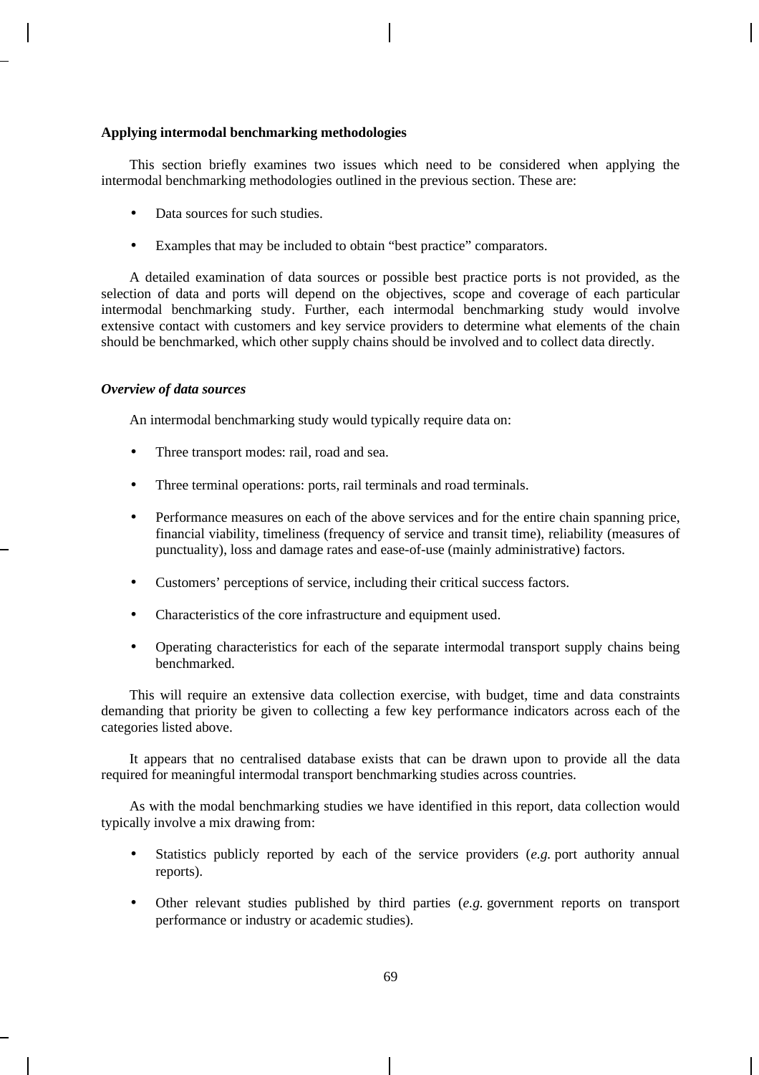# **Applying intermodal benchmarking methodologies**

This section briefly examines two issues which need to be considered when applying the intermodal benchmarking methodologies outlined in the previous section. These are:

- Data sources for such studies.
- Examples that may be included to obtain "best practice" comparators.

A detailed examination of data sources or possible best practice ports is not provided, as the selection of data and ports will depend on the objectives, scope and coverage of each particular intermodal benchmarking study. Further, each intermodal benchmarking study would involve extensive contact with customers and key service providers to determine what elements of the chain should be benchmarked, which other supply chains should be involved and to collect data directly.

# *Overview of data sources*

An intermodal benchmarking study would typically require data on:

- Three transport modes: rail, road and sea.
- Three terminal operations: ports, rail terminals and road terminals.
- Performance measures on each of the above services and for the entire chain spanning price, financial viability, timeliness (frequency of service and transit time), reliability (measures of punctuality), loss and damage rates and ease-of-use (mainly administrative) factors.
- Customers' perceptions of service, including their critical success factors.
- Characteristics of the core infrastructure and equipment used.
- Operating characteristics for each of the separate intermodal transport supply chains being benchmarked.

This will require an extensive data collection exercise, with budget, time and data constraints demanding that priority be given to collecting a few key performance indicators across each of the categories listed above.

It appears that no centralised database exists that can be drawn upon to provide all the data required for meaningful intermodal transport benchmarking studies across countries.

As with the modal benchmarking studies we have identified in this report, data collection would typically involve a mix drawing from:

- Statistics publicly reported by each of the service providers (*e.g.* port authority annual reports).
- Other relevant studies published by third parties (*e.g.* government reports on transport performance or industry or academic studies).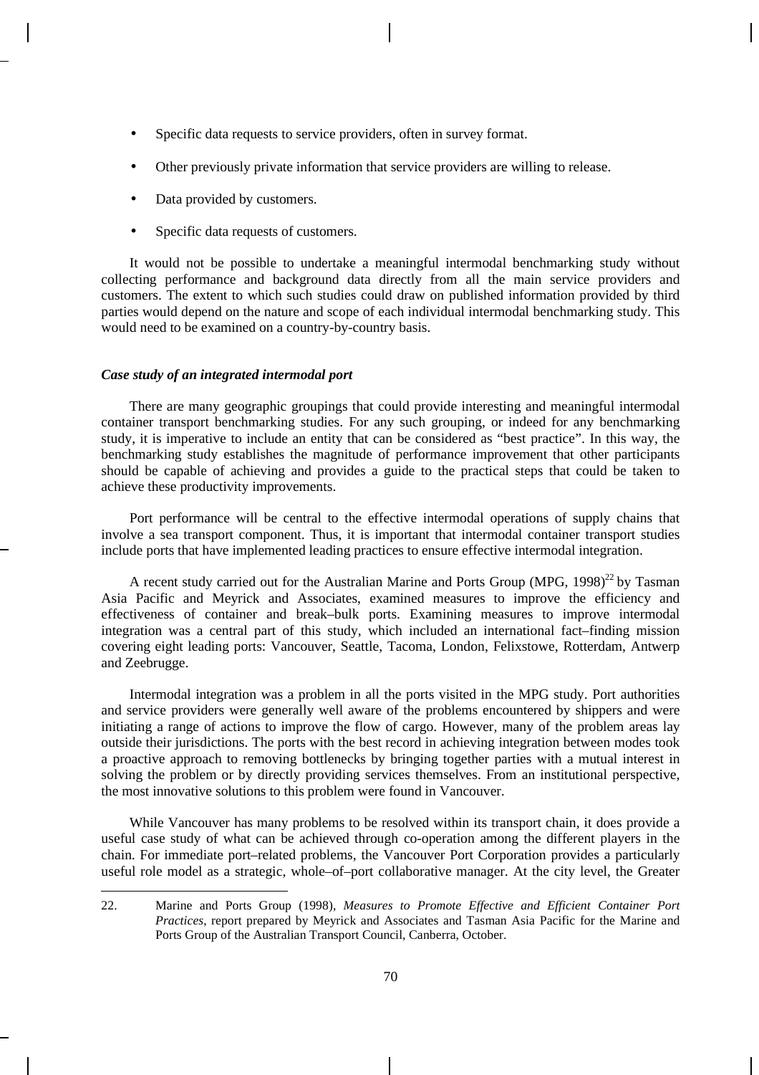- Specific data requests to service providers, often in survey format.
- Other previously private information that service providers are willing to release.
- Data provided by customers.
- Specific data requests of customers.

It would not be possible to undertake a meaningful intermodal benchmarking study without collecting performance and background data directly from all the main service providers and customers. The extent to which such studies could draw on published information provided by third parties would depend on the nature and scope of each individual intermodal benchmarking study. This would need to be examined on a country-by-country basis.

# *Case study of an integrated intermodal port*

There are many geographic groupings that could provide interesting and meaningful intermodal container transport benchmarking studies. For any such grouping, or indeed for any benchmarking study, it is imperative to include an entity that can be considered as "best practice". In this way, the benchmarking study establishes the magnitude of performance improvement that other participants should be capable of achieving and provides a guide to the practical steps that could be taken to achieve these productivity improvements.

Port performance will be central to the effective intermodal operations of supply chains that involve a sea transport component. Thus, it is important that intermodal container transport studies include ports that have implemented leading practices to ensure effective intermodal integration.

A recent study carried out for the Australian Marine and Ports Group (MPG,  $1998$ )<sup>22</sup> by Tasman Asia Pacific and Meyrick and Associates, examined measures to improve the efficiency and effectiveness of container and break–bulk ports. Examining measures to improve intermodal integration was a central part of this study, which included an international fact–finding mission covering eight leading ports: Vancouver, Seattle, Tacoma, London, Felixstowe, Rotterdam, Antwerp and Zeebrugge.

Intermodal integration was a problem in all the ports visited in the MPG study. Port authorities and service providers were generally well aware of the problems encountered by shippers and were initiating a range of actions to improve the flow of cargo. However, many of the problem areas lay outside their jurisdictions. The ports with the best record in achieving integration between modes took a proactive approach to removing bottlenecks by bringing together parties with a mutual interest in solving the problem or by directly providing services themselves. From an institutional perspective, the most innovative solutions to this problem were found in Vancouver.

While Vancouver has many problems to be resolved within its transport chain, it does provide a useful case study of what can be achieved through co-operation among the different players in the chain. For immediate port–related problems, the Vancouver Port Corporation provides a particularly useful role model as a strategic, whole–of–port collaborative manager. At the city level, the Greater

 $\overline{a}$ 22. Marine and Ports Group (1998), *Measures to Promote Effective and Efficient Container Port Practices*, report prepared by Meyrick and Associates and Tasman Asia Pacific for the Marine and Ports Group of the Australian Transport Council, Canberra, October.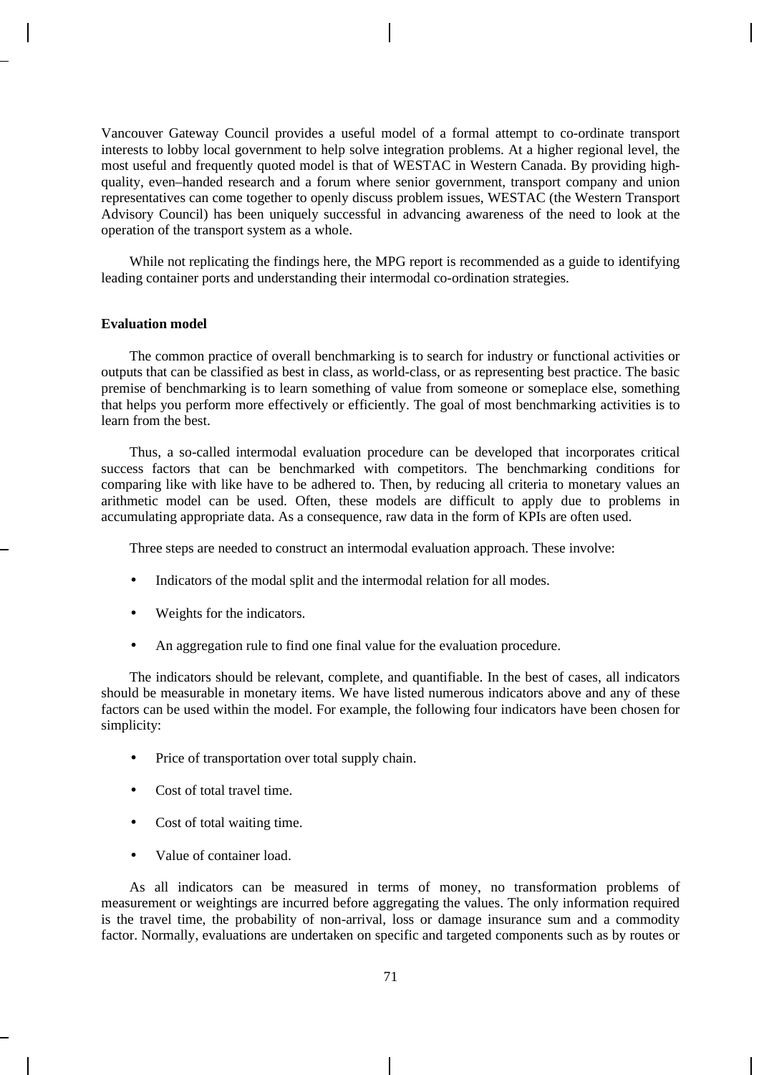Vancouver Gateway Council provides a useful model of a formal attempt to co-ordinate transport interests to lobby local government to help solve integration problems. At a higher regional level, the most useful and frequently quoted model is that of WESTAC in Western Canada. By providing highquality, even–handed research and a forum where senior government, transport company and union representatives can come together to openly discuss problem issues, WESTAC (the Western Transport Advisory Council) has been uniquely successful in advancing awareness of the need to look at the operation of the transport system as a whole.

While not replicating the findings here, the MPG report is recommended as a guide to identifying leading container ports and understanding their intermodal co-ordination strategies.

# **Evaluation model**

The common practice of overall benchmarking is to search for industry or functional activities or outputs that can be classified as best in class, as world-class, or as representing best practice. The basic premise of benchmarking is to learn something of value from someone or someplace else, something that helps you perform more effectively or efficiently. The goal of most benchmarking activities is to learn from the best.

Thus, a so-called intermodal evaluation procedure can be developed that incorporates critical success factors that can be benchmarked with competitors. The benchmarking conditions for comparing like with like have to be adhered to. Then, by reducing all criteria to monetary values an arithmetic model can be used. Often, these models are difficult to apply due to problems in accumulating appropriate data. As a consequence, raw data in the form of KPIs are often used.

Three steps are needed to construct an intermodal evaluation approach. These involve:

- Indicators of the modal split and the intermodal relation for all modes.
- Weights for the indicators.
- An aggregation rule to find one final value for the evaluation procedure.

The indicators should be relevant, complete, and quantifiable. In the best of cases, all indicators should be measurable in monetary items. We have listed numerous indicators above and any of these factors can be used within the model. For example, the following four indicators have been chosen for simplicity:

- Price of transportation over total supply chain.
- Cost of total travel time.
- Cost of total waiting time.
- Value of container load.

As all indicators can be measured in terms of money, no transformation problems of measurement or weightings are incurred before aggregating the values. The only information required is the travel time, the probability of non-arrival, loss or damage insurance sum and a commodity factor. Normally, evaluations are undertaken on specific and targeted components such as by routes or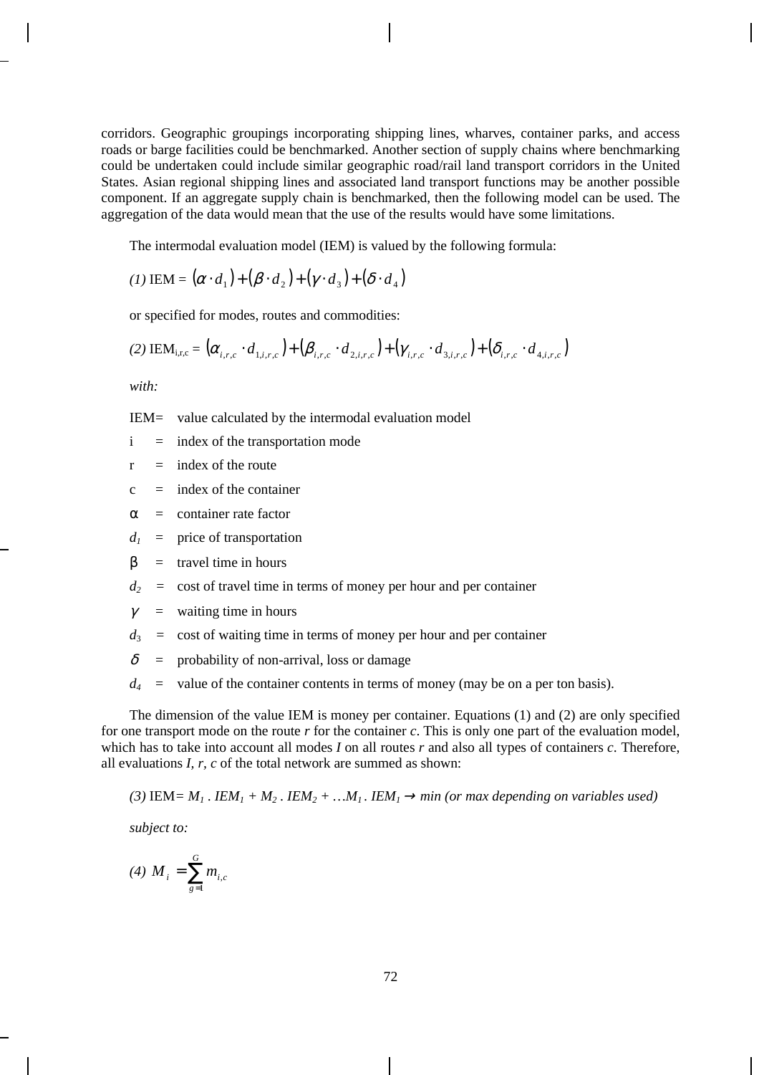corridors. Geographic groupings incorporating shipping lines, wharves, container parks, and access roads or barge facilities could be benchmarked. Another section of supply chains where benchmarking could be undertaken could include similar geographic road/rail land transport corridors in the United States. Asian regional shipping lines and associated land transport functions may be another possible component. If an aggregate supply chain is benchmarked, then the following model can be used. The aggregation of the data would mean that the use of the results would have some limitations.

The intermodal evaluation model (IEM) is valued by the following formula:

$$
(1) \text{ IEM} = (\alpha \cdot d_1) + (\beta \cdot d_2) + (\gamma \cdot d_3) + (\delta \cdot d_4)
$$

or specified for modes, routes and commodities:

(2) 
$$
\text{IEM}_{i,r,c} = (\alpha_{i,r,c} \cdot d_{1,i,r,c}) + (\beta_{i,r,c} \cdot d_{2,i,r,c}) + (\gamma_{i,r,c} \cdot d_{3,i,r,c}) + (\delta_{i,r,c} \cdot d_{4,i,r,c})
$$

*with:*

IEM= value calculated by the intermodal evaluation model

 $i =$  index of the transportation mode

 $r =$  index of the route

 $c =$  index of the container

 $\alpha$  = container rate factor

 $d_1$  = price of transportation

 $\beta$  = travel time in hours

 $d_2$  = cost of travel time in terms of money per hour and per container

 $\gamma$  = waiting time in hours

 $d_3$  = cost of waiting time in terms of money per hour and per container

 $\delta$  = probability of non-arrival, loss or damage

 $d_4$  = value of the container contents in terms of money (may be on a per ton basis).

The dimension of the value IEM is money per container. Equations (1) and (2) are only specified for one transport mode on the route *r* for the container *c*. This is only one part of the evaluation model, which has to take into account all modes *I* on all routes *r* and also all types of containers *c*. Therefore, all evaluations *I, r, c* of the total network are summed as shown:

(3) IEM= 
$$
M_1
$$
.  $IEM_1 + M_2$ .  $IEM_2 + ...M_1$ .  $IEM_1 \rightarrow min$  (or max depending on variables used)

*subject to:*

$$
(4) \; M_{i} = \sum_{g=1}^{G} m_{i,c}
$$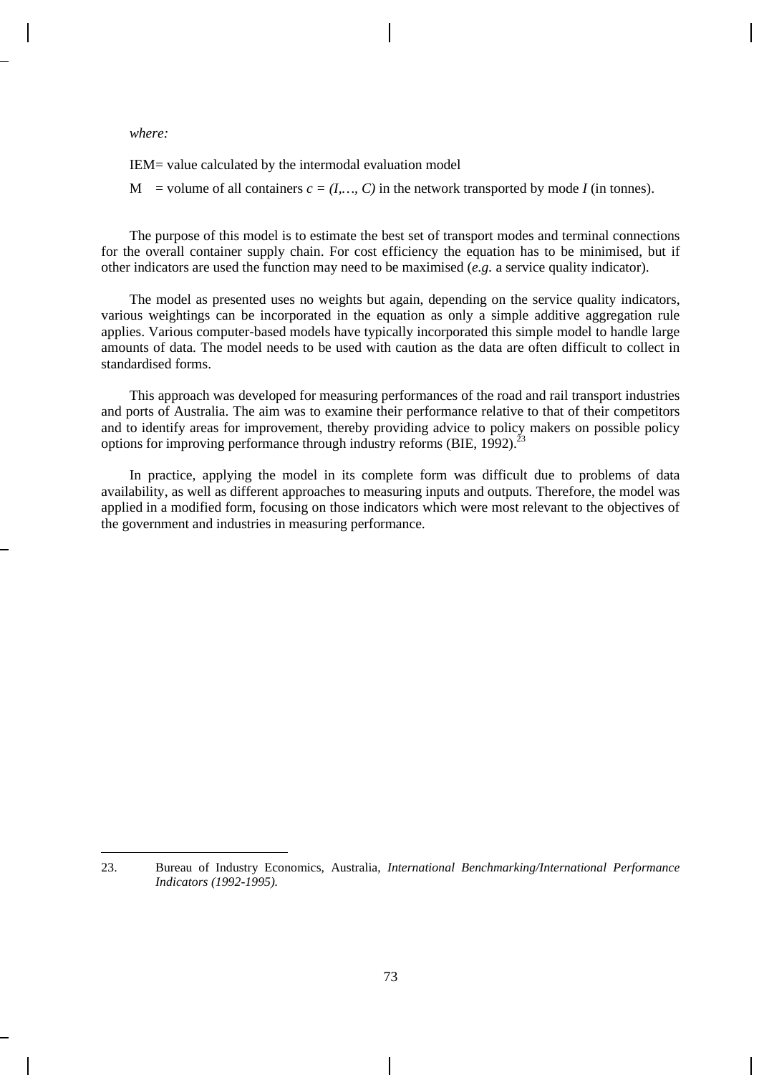*where:*

j

IEM= value calculated by the intermodal evaluation model

 $M =$  volume of all containers  $c = (I, \ldots, C)$  in the network transported by mode *I* (in tonnes).

The purpose of this model is to estimate the best set of transport modes and terminal connections for the overall container supply chain. For cost efficiency the equation has to be minimised, but if other indicators are used the function may need to be maximised (*e.g.* a service quality indicator).

The model as presented uses no weights but again, depending on the service quality indicators, various weightings can be incorporated in the equation as only a simple additive aggregation rule applies. Various computer-based models have typically incorporated this simple model to handle large amounts of data. The model needs to be used with caution as the data are often difficult to collect in standardised forms.

This approach was developed for measuring performances of the road and rail transport industries and ports of Australia. The aim was to examine their performance relative to that of their competitors and to identify areas for improvement, thereby providing advice to policy makers on possible policy options for improving performance through industry reforms (BIE, 1992).<sup>23</sup>

In practice, applying the model in its complete form was difficult due to problems of data availability, as well as different approaches to measuring inputs and outputs. Therefore, the model was applied in a modified form, focusing on those indicators which were most relevant to the objectives of the government and industries in measuring performance.

<sup>23.</sup> Bureau of Industry Economics, Australia, *International Benchmarking/International Performance Indicators (1992-1995).*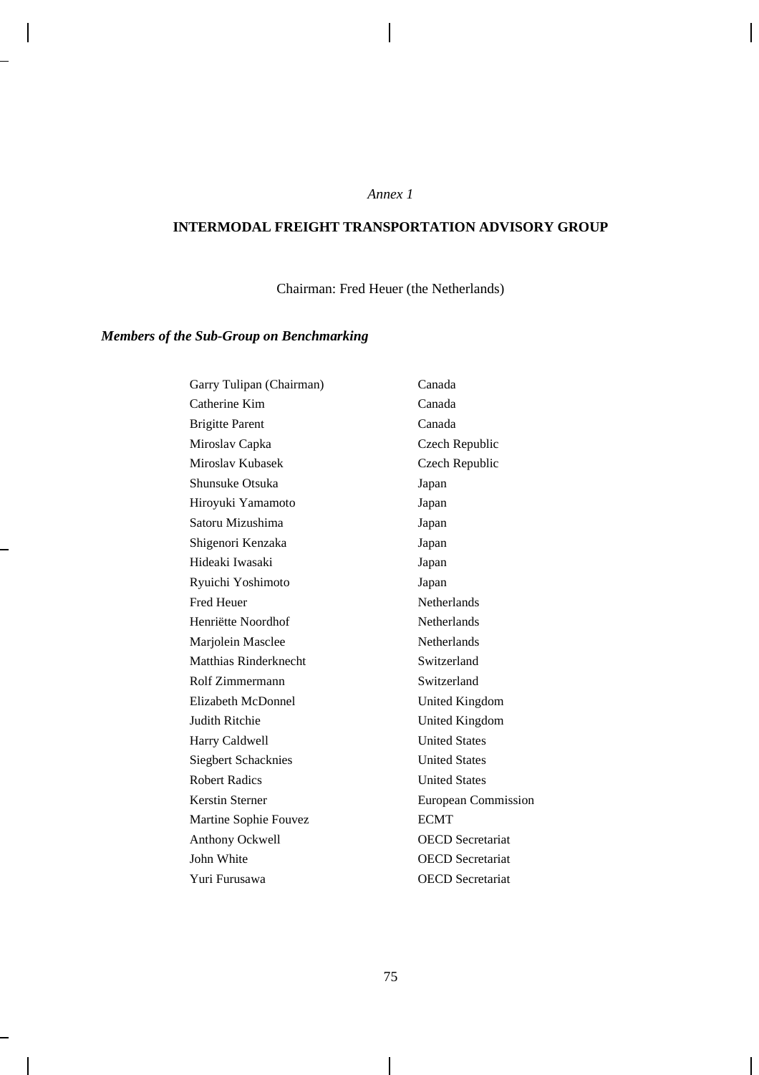## *Annex 1*

## **INTERMODAL FREIGHT TRANSPORTATION ADVISORY GROUP**

Chairman: Fred Heuer (the Netherlands)

# *Members of the Sub-Group on Benchmarking*

| Garry Tulipan (Chairman)   | Canada                     |
|----------------------------|----------------------------|
| Catherine Kim              | Canada                     |
| <b>Brigitte Parent</b>     | Canada                     |
| Miroslav Capka             | Czech Republic             |
| Miroslav Kubasek           | Czech Republic             |
| Shunsuke Otsuka            | Japan                      |
| Hiroyuki Yamamoto          | Japan                      |
| Satoru Mizushima           | Japan                      |
| Shigenori Kenzaka          | Japan                      |
| Hideaki Iwasaki            | Japan                      |
| Ryuichi Yoshimoto          | Japan                      |
| <b>Fred Heuer</b>          | Netherlands                |
| Henriëtte Noordhof         | <b>Netherlands</b>         |
| Marjolein Masclee          | Netherlands                |
| Matthias Rinderknecht      | Switzerland                |
| Rolf Zimmermann            | Switzerland                |
| Elizabeth McDonnel         | <b>United Kingdom</b>      |
| Judith Ritchie             | <b>United Kingdom</b>      |
| Harry Caldwell             | <b>United States</b>       |
| <b>Siegbert Schacknies</b> | <b>United States</b>       |
| <b>Robert Radics</b>       | <b>United States</b>       |
| <b>Kerstin Sterner</b>     | <b>European Commission</b> |
| Martine Sophie Fouvez      | <b>ECMT</b>                |
| Anthony Ockwell            | <b>OECD</b> Secretariat    |
| John White                 | <b>OECD</b> Secretariat    |
| Yuri Furusawa              | <b>OECD</b> Secretariat    |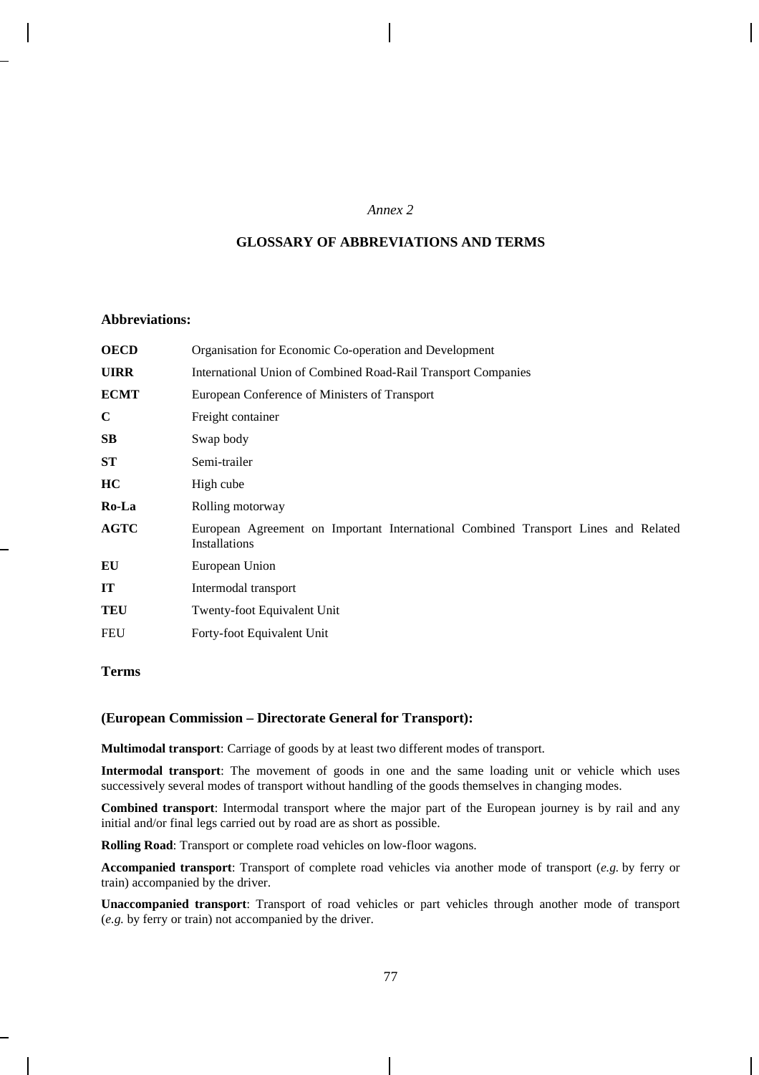## *Annex 2*

### **GLOSSARY OF ABBREVIATIONS AND TERMS**

### **Abbreviations:**

| <b>OECD</b> | Organisation for Economic Co-operation and Development                                              |  |  |  |  |
|-------------|-----------------------------------------------------------------------------------------------------|--|--|--|--|
| <b>UIRR</b> | International Union of Combined Road-Rail Transport Companies                                       |  |  |  |  |
| <b>ECMT</b> | European Conference of Ministers of Transport                                                       |  |  |  |  |
| $\mathbf C$ | Freight container                                                                                   |  |  |  |  |
| SВ          | Swap body                                                                                           |  |  |  |  |
| ST          | Semi-trailer                                                                                        |  |  |  |  |
| HC          | High cube                                                                                           |  |  |  |  |
| Ro-La       | Rolling motorway                                                                                    |  |  |  |  |
| <b>AGTC</b> | European Agreement on Important International Combined Transport Lines and Related<br>Installations |  |  |  |  |
| EU          | European Union                                                                                      |  |  |  |  |
| IT          | Intermodal transport                                                                                |  |  |  |  |
| <b>TEU</b>  | Twenty-foot Equivalent Unit                                                                         |  |  |  |  |
| <b>FEU</b>  | Forty-foot Equivalent Unit                                                                          |  |  |  |  |
|             |                                                                                                     |  |  |  |  |

## **Terms**

### **(European Commission – Directorate General for Transport):**

**Multimodal transport**: Carriage of goods by at least two different modes of transport.

**Intermodal transport**: The movement of goods in one and the same loading unit or vehicle which uses successively several modes of transport without handling of the goods themselves in changing modes.

**Combined transport**: Intermodal transport where the major part of the European journey is by rail and any initial and/or final legs carried out by road are as short as possible.

**Rolling Road**: Transport or complete road vehicles on low-floor wagons.

**Accompanied transport**: Transport of complete road vehicles via another mode of transport (*e.g.* by ferry or train) accompanied by the driver.

**Unaccompanied transport**: Transport of road vehicles or part vehicles through another mode of transport (*e.g.* by ferry or train) not accompanied by the driver.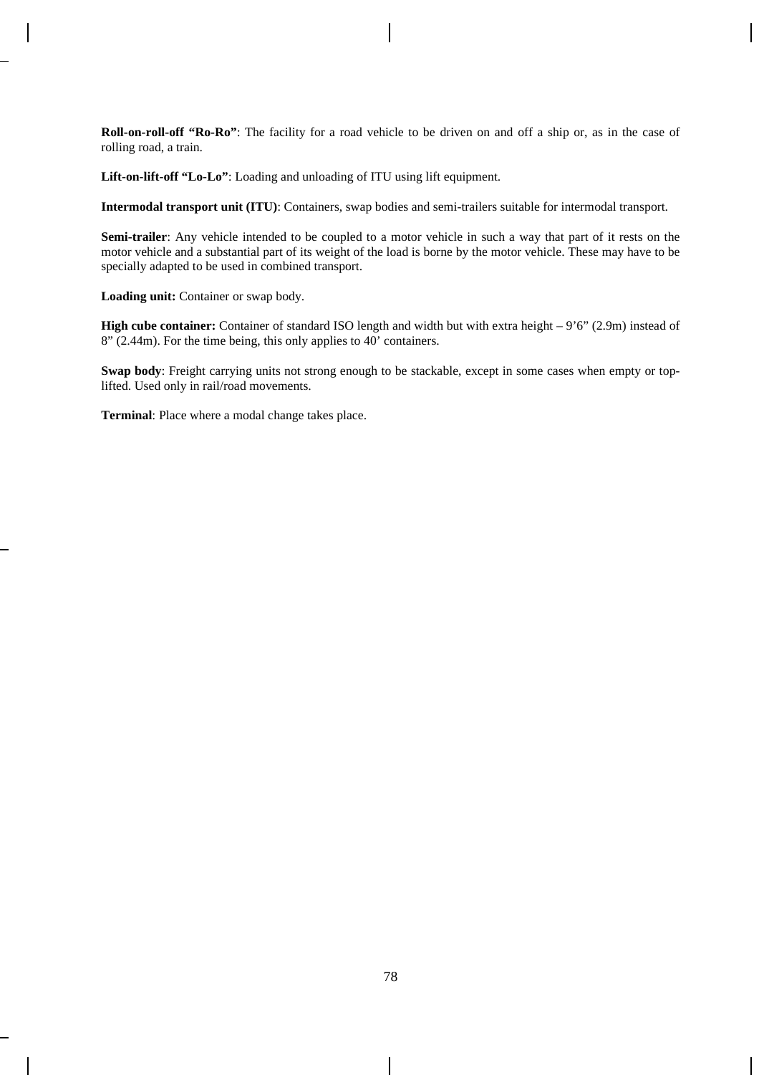**Roll-on-roll-off "Ro-Ro"**: The facility for a road vehicle to be driven on and off a ship or, as in the case of rolling road, a train.

**Lift-on-lift-off "Lo-Lo"**: Loading and unloading of ITU using lift equipment.

**Intermodal transport unit (ITU)**: Containers, swap bodies and semi-trailers suitable for intermodal transport.

**Semi-trailer**: Any vehicle intended to be coupled to a motor vehicle in such a way that part of it rests on the motor vehicle and a substantial part of its weight of the load is borne by the motor vehicle. These may have to be specially adapted to be used in combined transport.

Loading unit: Container or swap body.

**High cube container:** Container of standard ISO length and width but with extra height – 9'6" (2.9m) instead of 8" (2.44m). For the time being, this only applies to 40' containers.

**Swap body**: Freight carrying units not strong enough to be stackable, except in some cases when empty or toplifted. Used only in rail/road movements.

**Terminal**: Place where a modal change takes place.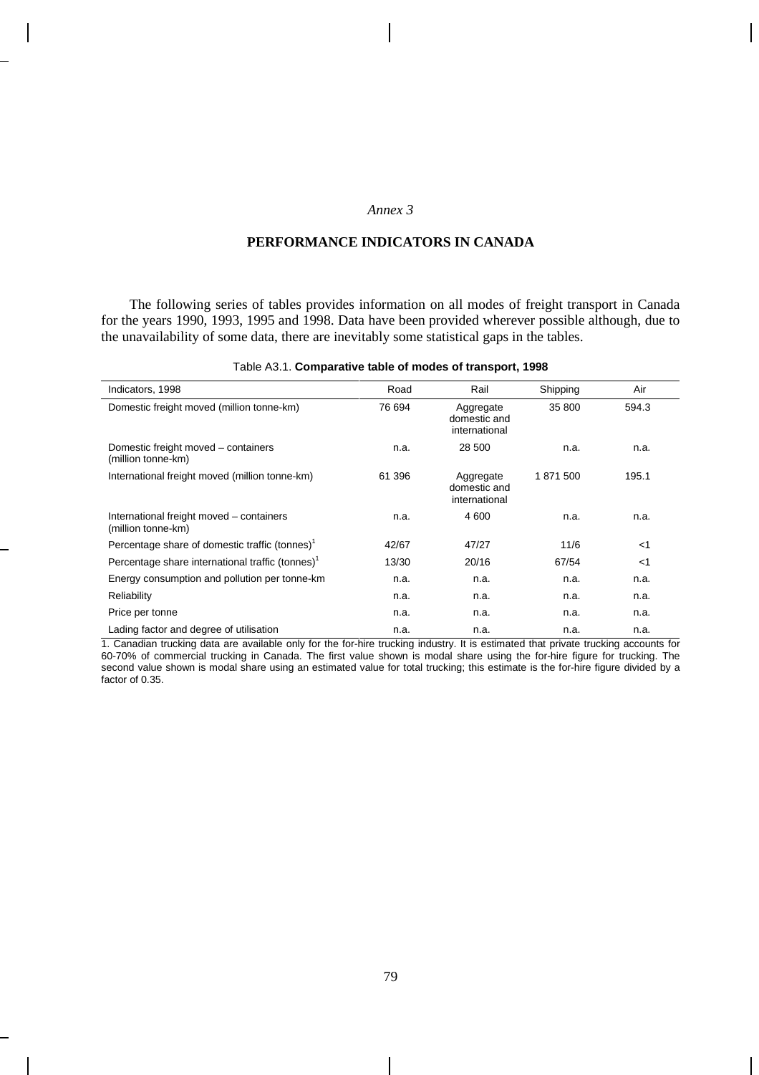## *Annex 3*

## **PERFORMANCE INDICATORS IN CANADA**

The following series of tables provides information on all modes of freight transport in Canada for the years 1990, 1993, 1995 and 1998. Data have been provided wherever possible although, due to the unavailability of some data, there are inevitably some statistical gaps in the tables.

| Table A3.1. Comparative table of modes of transport, 1998 |  |  |  |
|-----------------------------------------------------------|--|--|--|
|                                                           |  |  |  |

| Indicators, 1998                                               | Road   | Rail                                       | Shipping | Air   |
|----------------------------------------------------------------|--------|--------------------------------------------|----------|-------|
| Domestic freight moved (million tonne-km)                      | 76 694 | Aggregate<br>domestic and<br>international | 35 800   | 594.3 |
| Domestic freight moved - containers<br>(million tonne-km)      | n.a.   | 28 500                                     | n.a.     | n.a.  |
| International freight moved (million tonne-km)                 | 61 396 | Aggregate<br>domestic and<br>international | 1871500  | 195.1 |
| International freight moved - containers<br>(million tonne-km) | n.a.   | 4 600                                      | n.a.     | n.a.  |
| Percentage share of domestic traffic (tonnes) <sup>1</sup>     | 42/67  | 47/27                                      | 11/6     | $<$ 1 |
| Percentage share international traffic (tonnes) <sup>1</sup>   | 13/30  | 20/16                                      | 67/54    | $<$ 1 |
| Energy consumption and pollution per tonne-km                  | n.a.   | n.a.                                       | n.a.     | n.a.  |
| Reliability                                                    | n.a.   | n.a.                                       | n.a.     | n.a.  |
| Price per tonne                                                | n.a.   | n.a.                                       | n.a.     | n.a.  |
| Lading factor and degree of utilisation                        | n.a.   | n.a.                                       | n.a.     | n.a.  |

1. Canadian trucking data are available only for the for-hire trucking industry. It is estimated that private trucking accounts for 60-70% of commercial trucking in Canada. The first value shown is modal share using the for-hire figure for trucking. The second value shown is modal share using an estimated value for total trucking; this estimate is the for-hire figure divided by a factor of 0.35.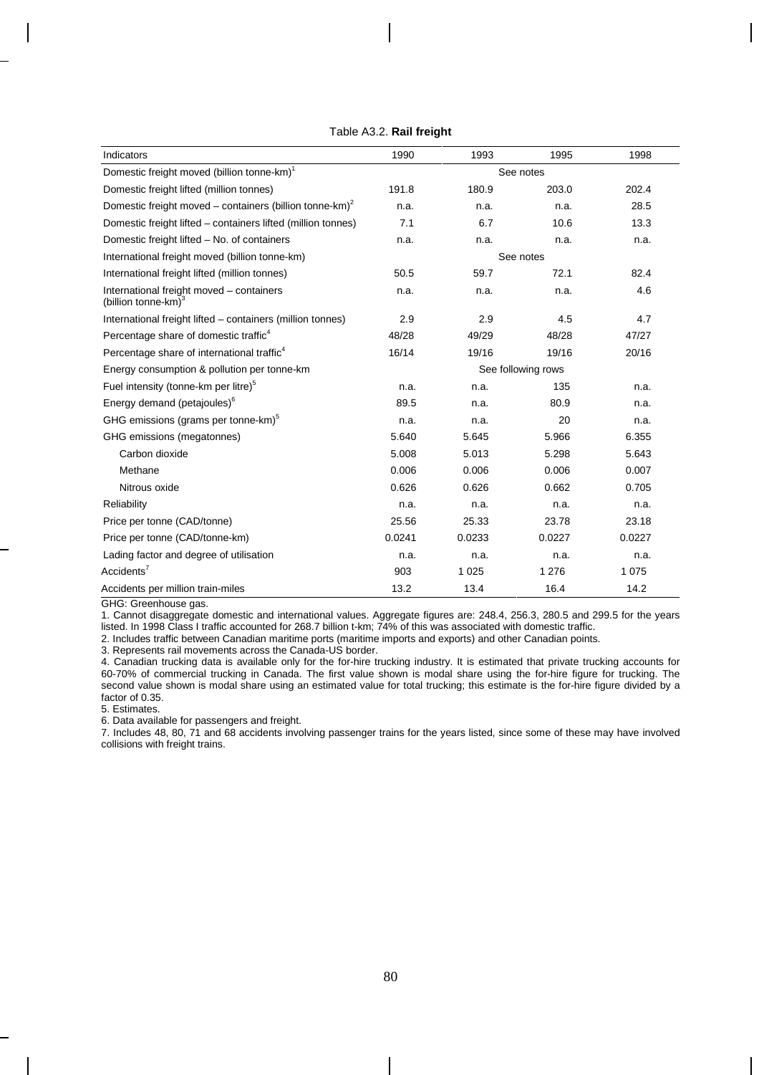| Indicators                                                                  | 1990   | 1993      | 1995               | 1998    |
|-----------------------------------------------------------------------------|--------|-----------|--------------------|---------|
| Domestic freight moved (billion tonne-km) <sup>1</sup>                      |        | See notes |                    |         |
| Domestic freight lifted (million tonnes)                                    | 191.8  | 180.9     | 203.0              | 202.4   |
| Domestic freight moved – containers (billion tonne- $km^2$                  | n.a.   | n.a.      | n.a.               | 28.5    |
| Domestic freight lifted - containers lifted (million tonnes)                | 7.1    | 6.7       | 10.6               | 13.3    |
| Domestic freight lifted - No. of containers                                 | n.a.   | n.a.      | n.a.               | n.a.    |
| International freight moved (billion tonne-km)                              |        |           | See notes          |         |
| International freight lifted (million tonnes)                               | 50.5   | 59.7      | 72.1               | 82.4    |
| International freight moved - containers<br>(billion tonne-km) <sup>3</sup> | n.a.   | n.a.      | n.a.               | 4.6     |
| International freight lifted – containers (million tonnes)                  | 2.9    | 2.9       | 4.5                | 4.7     |
| Percentage share of domestic traffic <sup>4</sup>                           | 48/28  | 49/29     | 48/28              | 47/27   |
| Percentage share of international traffic <sup>4</sup>                      | 16/14  | 19/16     | 19/16              | 20/16   |
| Energy consumption & pollution per tonne-km                                 |        |           | See following rows |         |
| Fuel intensity (tonne-km per litre) <sup>5</sup>                            | n.a.   | n.a.      | 135                | n.a.    |
| Energy demand (petajoules) <sup>6</sup>                                     | 89.5   | n.a.      | 80.9               | n.a.    |
| GHG emissions (grams per tonne-km) <sup>o</sup>                             | n.a.   | n.a.      | 20                 | n.a.    |
| GHG emissions (megatonnes)                                                  | 5.640  | 5.645     | 5.966              | 6.355   |
| Carbon dioxide                                                              | 5.008  | 5.013     | 5.298              | 5.643   |
| Methane                                                                     | 0.006  | 0.006     | 0.006              | 0.007   |
| Nitrous oxide                                                               | 0.626  | 0.626     | 0.662              | 0.705   |
| Reliability                                                                 | n.a.   | n.a.      | n.a.               | n.a.    |
| Price per tonne (CAD/tonne)                                                 | 25.56  | 25.33     | 23.78              | 23.18   |
| Price per tonne (CAD/tonne-km)                                              | 0.0241 | 0.0233    | 0.0227             | 0.0227  |
| Lading factor and degree of utilisation                                     | n.a.   | n.a.      | n.a.               | n.a.    |
| Accidents <sup>7</sup>                                                      | 903    | 1 0 2 5   | 1 2 7 6            | 1 0 7 5 |
| Accidents per million train-miles                                           | 13.2   | 13.4      | 16.4               | 14.2    |

Table A3.2. **Rail freight**

GHG: Greenhouse gas.

1. Cannot disaggregate domestic and international values. Aggregate figures are: 248.4, 256.3, 280.5 and 299.5 for the years listed. In 1998 Class I traffic accounted for 268.7 billion t-km; 74% of this was associated with domestic traffic.

2. Includes traffic between Canadian maritime ports (maritime imports and exports) and other Canadian points.

3. Represents rail movements across the Canada-US border.

4. Canadian trucking data is available only for the for-hire trucking industry. It is estimated that private trucking accounts for 60-70% of commercial trucking in Canada. The first value shown is modal share using the for-hire figure for trucking. The second value shown is modal share using an estimated value for total trucking; this estimate is the for-hire figure divided by a factor of 0.35.

5. Estimates.

6. Data available for passengers and freight.

7. Includes 48, 80, 71 and 68 accidents involving passenger trains for the years listed, since some of these may have involved collisions with freight trains.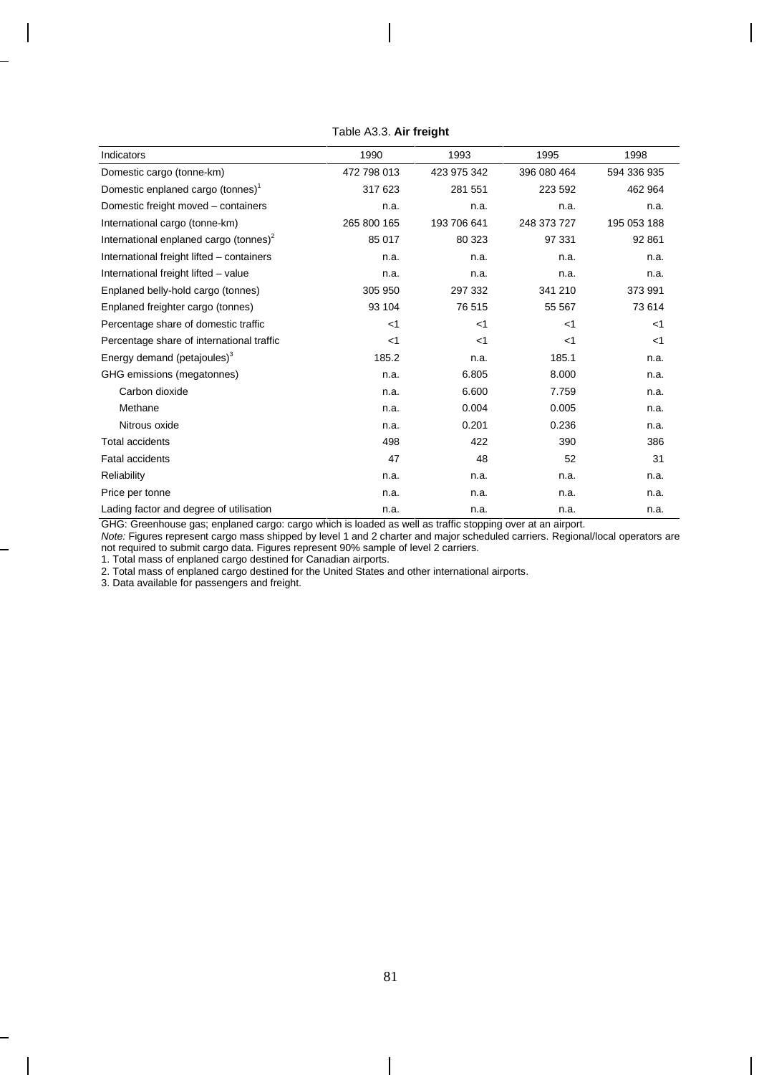| Table A3.3. Air freight |  |  |  |  |
|-------------------------|--|--|--|--|
|-------------------------|--|--|--|--|

| Indicators                                         | 1990        | 1993        | 1995        | 1998        |
|----------------------------------------------------|-------------|-------------|-------------|-------------|
| Domestic cargo (tonne-km)                          | 472 798 013 | 423 975 342 | 396 080 464 | 594 336 935 |
| Domestic enplaned cargo (tonnes) <sup>1</sup>      | 317 623     | 281 551     | 223 592     | 462 964     |
| Domestic freight moved - containers                | n.a.        | n.a.        | n.a.        | n.a.        |
| International cargo (tonne-km)                     | 265 800 165 | 193 706 641 | 248 373 727 | 195 053 188 |
| International enplaned cargo (tonnes) <sup>2</sup> | 85 017      | 80 323      | 97 331      | 92 861      |
| International freight lifted - containers          | n.a.        | n.a.        | n.a.        | n.a.        |
| International freight lifted - value               | n.a.        | n.a.        | n.a.        | n.a.        |
| Enplaned belly-hold cargo (tonnes)                 | 305 950     | 297 332     | 341 210     | 373 991     |
| Enplaned freighter cargo (tonnes)                  | 93 104      | 76 515      | 55 567      | 73 614      |
| Percentage share of domestic traffic               | $<$ 1       | $<$ 1       | $<$ 1       | $<$ 1       |
| Percentage share of international traffic          | $<$ 1       | $<$ 1       | $<$ 1       | $<$ 1       |
| Energy demand (petajoules) <sup>3</sup>            | 185.2       | n.a.        | 185.1       | n.a.        |
| GHG emissions (megatonnes)                         | n.a.        | 6.805       | 8.000       | n.a.        |
| Carbon dioxide                                     | n.a.        | 6.600       | 7.759       | n.a.        |
| Methane                                            | n.a.        | 0.004       | 0.005       | n.a.        |
| Nitrous oxide                                      | n.a.        | 0.201       | 0.236       | n.a.        |
| <b>Total accidents</b>                             | 498         | 422         | 390         | 386         |
| <b>Fatal accidents</b>                             | 47          | 48          | 52          | 31          |
| Reliability                                        | n.a.        | n.a.        | n.a.        | n.a.        |
| Price per tonne                                    | n.a.        | n.a.        | n.a.        | n.a.        |
| Lading factor and degree of utilisation            | n.a.        | n.a.        | n.a.        | n.a.        |

GHG: Greenhouse gas; enplaned cargo: cargo which is loaded as well as traffic stopping over at an airport.

Note: Figures represent cargo mass shipped by level 1 and 2 charter and major scheduled carriers. Regional/local operators are not required to submit cargo data. Figures represent 90% sample of level 2 carriers.

1. Total mass of enplaned cargo destined for Canadian airports.

2. Total mass of enplaned cargo destined for the United States and other international airports.

3. Data available for passengers and freight.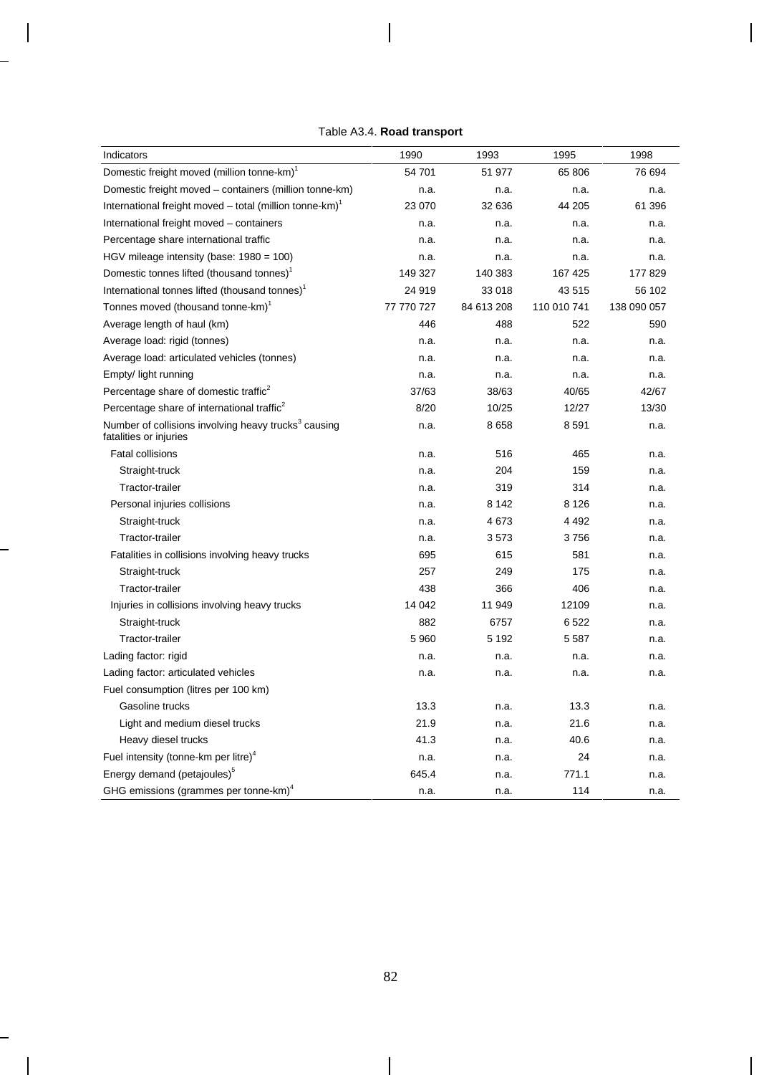## Table A3.4. **Road transport**

| Indicators                                                                                 | 1990       | 1993       | 1995        | 1998        |
|--------------------------------------------------------------------------------------------|------------|------------|-------------|-------------|
| Domestic freight moved (million tonne-km) <sup>1</sup>                                     | 54 701     | 51 977     | 65 806      | 76 694      |
| Domestic freight moved – containers (million tonne-km)                                     | n.a.       | n.a.       | n.a.        | n.a.        |
| International freight moved $-$ total (million tonne-km) <sup><math>1</math></sup>         | 23 070     | 32 636     | 44 205      | 61 396      |
| International freight moved - containers                                                   | n.a.       | n.a.       | n.a.        | n.a.        |
| Percentage share international traffic                                                     | n.a.       | n.a.       | n.a.        | n.a.        |
| HGV mileage intensity (base: $1980 = 100$ )                                                | n.a.       | n.a.       | n.a.        | n.a.        |
| Domestic tonnes lifted (thousand tonnes) <sup>1</sup>                                      | 149 327    | 140 383    | 167 425     | 177829      |
| International tonnes lifted (thousand tonnes) <sup>1</sup>                                 | 24 919     | 33 018     | 43515       | 56 102      |
| Tonnes moved (thousand tonne-km) <sup>1</sup>                                              | 77 770 727 | 84 613 208 | 110 010 741 | 138 090 057 |
| Average length of haul (km)                                                                | 446        | 488        | 522         | 590         |
| Average load: rigid (tonnes)                                                               | n.a.       | n.a.       | n.a.        | n.a.        |
| Average load: articulated vehicles (tonnes)                                                | n.a.       | n.a.       | n.a.        | n.a.        |
| Empty/ light running                                                                       | n.a.       | n.a.       | n.a.        | n.a.        |
| Percentage share of domestic traffic <sup>2</sup>                                          | 37/63      | 38/63      | 40/65       | 42/67       |
| Percentage share of international traffic <sup>2</sup>                                     | 8/20       | 10/25      | 12/27       | 13/30       |
| Number of collisions involving heavy trucks <sup>3</sup> causing<br>fatalities or injuries | n.a.       | 8658       | 8 5 9 1     | n.a.        |
| <b>Fatal collisions</b>                                                                    | n.a.       | 516        | 465         | n.a.        |
| Straight-truck                                                                             | n.a.       | 204        | 159         | n.a.        |
| Tractor-trailer                                                                            | n.a.       | 319        | 314         | n.a.        |
| Personal injuries collisions                                                               | n.a.       | 8 1 4 2    | 8 1 2 6     | n.a.        |
| Straight-truck                                                                             | n.a.       | 4673       | 4 4 9 2     | n.a.        |
| Tractor-trailer                                                                            | n.a.       | 3573       | 3756        | n.a.        |
| Fatalities in collisions involving heavy trucks                                            | 695        | 615        | 581         | n.a.        |
| Straight-truck                                                                             | 257        | 249        | 175         | n.a.        |
| Tractor-trailer                                                                            | 438        | 366        | 406         | n.a.        |
| Injuries in collisions involving heavy trucks                                              | 14 042     | 11 949     | 12109       | n.a.        |
| Straight-truck                                                                             | 882        | 6757       | 6522        | n.a.        |
| Tractor-trailer                                                                            | 5 9 6 0    | 5 1 9 2    | 5 5 8 7     | n.a.        |
| Lading factor: rigid                                                                       | n.a.       | n.a.       | n.a.        | n.a.        |
| Lading factor: articulated vehicles                                                        | n.a.       | n.a.       | n.a.        | n.a.        |
| Fuel consumption (litres per 100 km)                                                       |            |            |             |             |
| Gasoline trucks                                                                            | 13.3       | n.a.       | 13.3        | n.a.        |
| Light and medium diesel trucks                                                             | 21.9       | n.a.       | 21.6        | n.a.        |
| Heavy diesel trucks                                                                        | 41.3       | n.a.       | 40.6        | n.a.        |
| Fuel intensity (tonne-km per litre) <sup>4</sup>                                           | n.a.       | n.a.       | 24          | n.a.        |
| Energy demand (petajoules) <sup>5</sup>                                                    | 645.4      | n.a.       | 771.1       | n.a.        |
| GHG emissions (grammes per tonne-km) <sup>4</sup>                                          | n.a.       | n.a.       | 114         | n.a.        |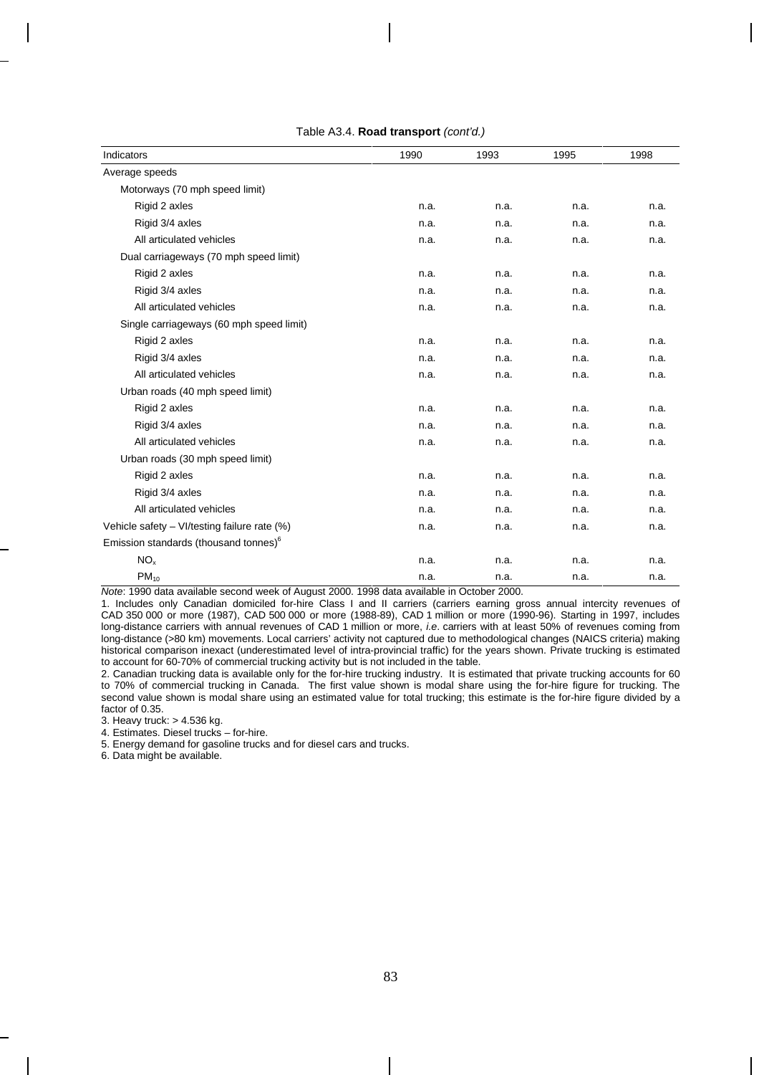| Indicators                                        | 1990 | 1993 | 1995 | 1998 |
|---------------------------------------------------|------|------|------|------|
| Average speeds                                    |      |      |      |      |
| Motorways (70 mph speed limit)                    |      |      |      |      |
| Rigid 2 axles                                     | n.a. | n.a. | n.a. | n.a. |
| Rigid 3/4 axles                                   | n.a. | n.a. | n.a. | n.a. |
| All articulated vehicles                          | n.a. | n.a. | n.a. | n.a. |
| Dual carriageways (70 mph speed limit)            |      |      |      |      |
| Rigid 2 axles                                     | n.a. | n.a. | n.a. | n.a. |
| Rigid 3/4 axles                                   | n.a. | n.a. | n.a. | n.a. |
| All articulated vehicles                          | n.a. | n.a. | n.a. | n.a. |
| Single carriageways (60 mph speed limit)          |      |      |      |      |
| Rigid 2 axles                                     | n.a. | n.a. | n.a. | n.a. |
| Rigid 3/4 axles                                   | n.a. | n.a. | n.a. | n.a. |
| All articulated vehicles                          | n.a. | n.a. | n.a. | n.a. |
| Urban roads (40 mph speed limit)                  |      |      |      |      |
| Rigid 2 axles                                     | n.a. | n.a. | n.a. | n.a. |
| Rigid 3/4 axles                                   | n.a. | n.a. | n.a. | n.a. |
| All articulated vehicles                          | n.a. | n.a. | n.a. | n.a. |
| Urban roads (30 mph speed limit)                  |      |      |      |      |
| Rigid 2 axles                                     | n.a. | n.a. | n.a. | n.a. |
| Rigid 3/4 axles                                   | n.a. | n.a. | n.a. | n.a. |
| All articulated vehicles                          | n.a. | n.a. | n.a. | n.a. |
| Vehicle safety - VI/testing failure rate (%)      | n.a. | n.a. | n.a. | n.a. |
| Emission standards (thousand tonnes) <sup>6</sup> |      |      |      |      |
| NO <sub>x</sub>                                   | n.a. | n.a. | n.a. | n.a. |
| $PM_{10}$                                         | n.a. | n.a. | n.a. | n.a. |

#### Table A3.4. **Road transport** (cont'd.)

Note: 1990 data available second week of August 2000. 1998 data available in October 2000.

1. Includes only Canadian domiciled for-hire Class I and II carriers (carriers earning gross annual intercity revenues of CAD 350 000 or more (1987), CAD 500 000 or more (1988-89), CAD 1 million or more (1990-96). Starting in 1997, includes long-distance carriers with annual revenues of CAD 1 million or more, i.e. carriers with at least 50% of revenues coming from long-distance (>80 km) movements. Local carriers' activity not captured due to methodological changes (NAICS criteria) making historical comparison inexact (underestimated level of intra-provincial traffic) for the years shown. Private trucking is estimated to account for 60-70% of commercial trucking activity but is not included in the table.

2. Canadian trucking data is available only for the for-hire trucking industry. It is estimated that private trucking accounts for 60 to 70% of commercial trucking in Canada. The first value shown is modal share using the for-hire figure for trucking. The second value shown is modal share using an estimated value for total trucking; this estimate is the for-hire figure divided by a factor of 0.35.

3. Heavy truck: > 4.536 kg.

4. Estimates. Diesel trucks – for-hire.

5. Energy demand for gasoline trucks and for diesel cars and trucks.

6. Data might be available.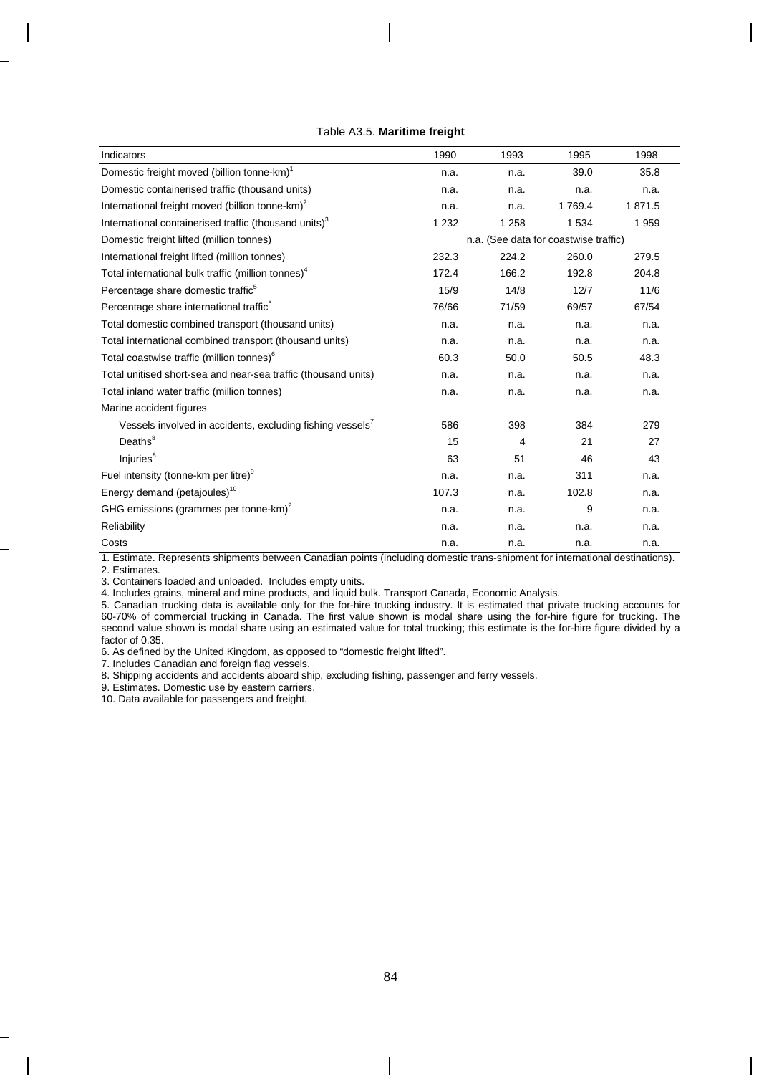#### Table A3.5. **Maritime freight**

| Indicators                                                        | 1990    | 1993    | 1995                                  | 1998   |
|-------------------------------------------------------------------|---------|---------|---------------------------------------|--------|
| Domestic freight moved (billion tonne-km) <sup>1</sup>            | n.a.    | n.a.    | 39.0                                  | 35.8   |
| Domestic containerised traffic (thousand units)                   | n.a.    | n.a.    | n.a.                                  | n.a.   |
| International freight moved (billion tonne- $km$ ) <sup>2</sup>   | n.a.    | n.a.    | 1769.4                                | 1871.5 |
| International containerised traffic (thousand units) <sup>3</sup> | 1 2 3 2 | 1 2 5 8 | 1 5 3 4                               | 1959   |
| Domestic freight lifted (million tonnes)                          |         |         | n.a. (See data for coastwise traffic) |        |
| International freight lifted (million tonnes)                     | 232.3   | 224.2   | 260.0                                 | 279.5  |
| Total international bulk traffic (million tonnes) <sup>4</sup>    | 172.4   | 166.2   | 192.8                                 | 204.8  |
| Percentage share domestic traffic <sup>5</sup>                    | 15/9    | 14/8    | 12/7                                  | 11/6   |
| Percentage share international traffic <sup>5</sup>               | 76/66   | 71/59   | 69/57                                 | 67/54  |
| Total domestic combined transport (thousand units)                | n.a.    | n.a.    | n.a.                                  | n.a.   |
| Total international combined transport (thousand units)           | n.a.    | n.a.    | n.a.                                  | n.a.   |
| Total coastwise traffic (million tonnes) <sup>6</sup>             | 60.3    | 50.0    | 50.5                                  | 48.3   |
| Total unitised short-sea and near-sea traffic (thousand units)    | n.a.    | n.a.    | n.a.                                  | n.a.   |
| Total inland water traffic (million tonnes)                       | n.a.    | n.a.    | n.a.                                  | n.a.   |
| Marine accident figures                                           |         |         |                                       |        |
| Vessels involved in accidents, excluding fishing vessels'         | 586     | 398     | 384                                   | 279    |
| Deaths <sup>8</sup>                                               | 15      | 4       | 21                                    | 27     |
| Injuries <sup>8</sup>                                             | 63      | 51      | 46                                    | 43     |
| Fuel intensity (tonne-km per litre) <sup>9</sup>                  | n.a.    | n.a.    | 311                                   | n.a.   |
| Energy demand (petajoules) <sup>10</sup>                          | 107.3   | n.a.    | 102.8                                 | n.a.   |
| GHG emissions (grammes per tonne- $km$ ) <sup>2</sup>             | n.a.    | n.a.    | 9                                     | n.a.   |
| Reliability                                                       | n.a.    | n.a.    | n.a.                                  | n.a.   |
| Costs                                                             | n.a.    | n.a.    | n.a.                                  | n.a.   |

1. Estimate. Represents shipments between Canadian points (including domestic trans-shipment for international destinations). 2. Estimates.

3. Containers loaded and unloaded. Includes empty units.

4. Includes grains, mineral and mine products, and liquid bulk. Transport Canada, Economic Analysis.

5. Canadian trucking data is available only for the for-hire trucking industry. It is estimated that private trucking accounts for 60-70% of commercial trucking in Canada. The first value shown is modal share using the for-hire figure for trucking. The second value shown is modal share using an estimated value for total trucking; this estimate is the for-hire figure divided by a factor of 0.35.

6. As defined by the United Kingdom, as opposed to "domestic freight lifted".

7. Includes Canadian and foreign flag vessels.

8. Shipping accidents and accidents aboard ship, excluding fishing, passenger and ferry vessels.

9. Estimates. Domestic use by eastern carriers.

10. Data available for passengers and freight.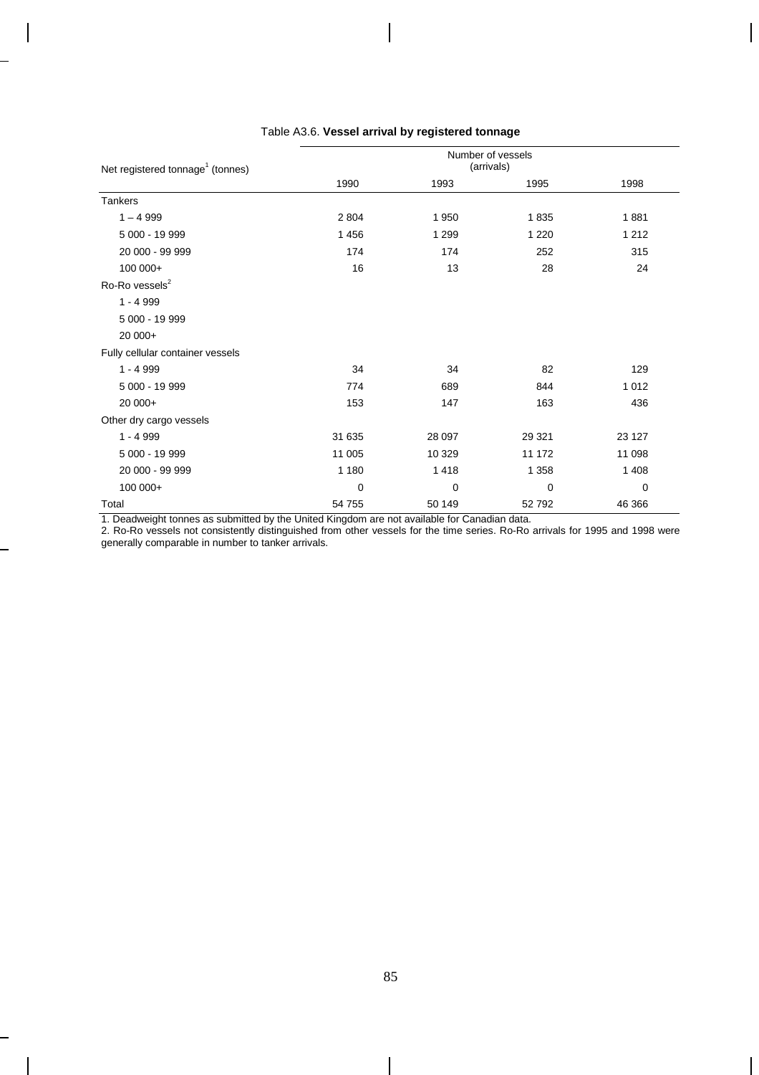| Net registered tonnage <sup>1</sup> (tonnes) | Number of vessels<br>(arrivals) |         |         |         |  |
|----------------------------------------------|---------------------------------|---------|---------|---------|--|
|                                              | 1990                            | 1993    | 1995    | 1998    |  |
| <b>Tankers</b>                               |                                 |         |         |         |  |
| $1 - 4999$                                   | 2 8 0 4                         | 1 9 5 0 | 1835    | 1881    |  |
| 5 000 - 19 999                               | 1 4 5 6                         | 1 2 9 9 | 1 2 2 0 | 1 2 1 2 |  |
| 20 000 - 99 999                              | 174                             | 174     | 252     | 315     |  |
| 100 000+                                     | 16                              | 13      | 28      | 24      |  |
| Ro-Ro vessels <sup>2</sup>                   |                                 |         |         |         |  |
| $1 - 4999$                                   |                                 |         |         |         |  |
| 5 000 - 19 999                               |                                 |         |         |         |  |
| 20 000+                                      |                                 |         |         |         |  |
| Fully cellular container vessels             |                                 |         |         |         |  |
| $1 - 4999$                                   | 34                              | 34      | 82      | 129     |  |
| 5 000 - 19 999                               | 774                             | 689     | 844     | 1012    |  |
| $20000+$                                     | 153                             | 147     | 163     | 436     |  |
| Other dry cargo vessels                      |                                 |         |         |         |  |
| $1 - 4999$                                   | 31 635                          | 28 097  | 29 3 21 | 23 1 27 |  |
| 5 000 - 19 999                               | 11 005                          | 10 329  | 11 172  | 11 098  |  |
| 20 000 - 99 999                              | 1 1 8 0                         | 1418    | 1 3 5 8 | 1 4 0 8 |  |
| 100 000+                                     | 0                               | 0       | 0       | 0       |  |
| Total                                        | 54 755                          | 50 149  | 52 792  | 46 366  |  |

### Table A3.6. **Vessel arrival by registered tonnage**

1. Deadweight tonnes as submitted by the United Kingdom are not available for Canadian data.

2. Ro-Ro vessels not consistently distinguished from other vessels for the time series. Ro-Ro arrivals for 1995 and 1998 were generally comparable in number to tanker arrivals.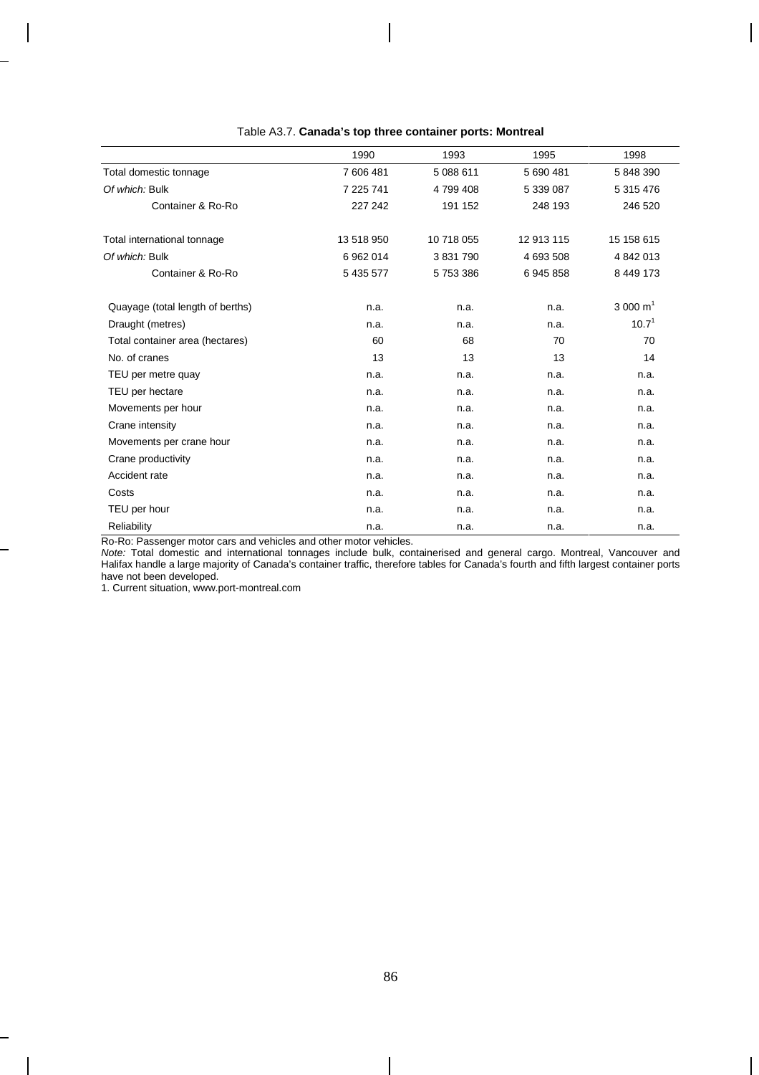|                                  | 1990       | 1993       | 1995       | 1998              |
|----------------------------------|------------|------------|------------|-------------------|
| Total domestic tonnage           | 7 606 481  | 5 088 611  | 5 690 481  | 5 848 390         |
| Of which: Bulk                   | 7 225 741  | 4799408    | 5 339 087  | 5 315 476         |
| Container & Ro-Ro                | 227 242    | 191 152    | 248 193    | 246 520           |
| Total international tonnage      | 13 518 950 | 10 718 055 | 12 913 115 | 15 158 615        |
| Of which: Bulk                   | 6962014    | 3 831 790  | 4 693 508  | 4 842 013         |
| Container & Ro-Ro                | 5 435 577  | 5753386    | 6 945 858  | 8 449 173         |
| Quayage (total length of berths) | n.a.       | n.a.       | n.a.       | 3 000 $m1$        |
| Draught (metres)                 | n.a.       | n.a.       | n.a.       | 10.7 <sup>1</sup> |
| Total container area (hectares)  | 60         | 68         | 70         | 70                |
| No. of cranes                    | 13         | 13         | 13         | 14                |
| TEU per metre quay               | n.a.       | n.a.       | n.a.       | n.a.              |
| TEU per hectare                  | n.a.       | n.a.       | n.a.       | n.a.              |
| Movements per hour               | n.a.       | n.a.       | n.a.       | n.a.              |
| Crane intensity                  | n.a.       | n.a.       | n.a.       | n.a.              |
| Movements per crane hour         | n.a.       | n.a.       | n.a.       | n.a.              |
| Crane productivity               | n.a.       | n.a.       | n.a.       | n.a.              |
| Accident rate                    | n.a.       | n.a.       | n.a.       | n.a.              |
| Costs                            | n.a.       | n.a.       | n.a.       | n.a.              |
| TEU per hour                     | n.a.       | n.a.       | n.a.       | n.a.              |
| Reliability                      | n.a.       | n.a.       | n.a.       | n.a.              |

### Table A3.7. **Canada's top three container ports: Montreal**

Ro-Ro: Passenger motor cars and vehicles and other motor vehicles.

Note: Total domestic and international tonnages include bulk, containerised and general cargo. Montreal, Vancouver and Halifax handle a large majority of Canada's container traffic, therefore tables for Canada's fourth and fifth largest container ports have not been developed.

1. Current situation, www.port-montreal.com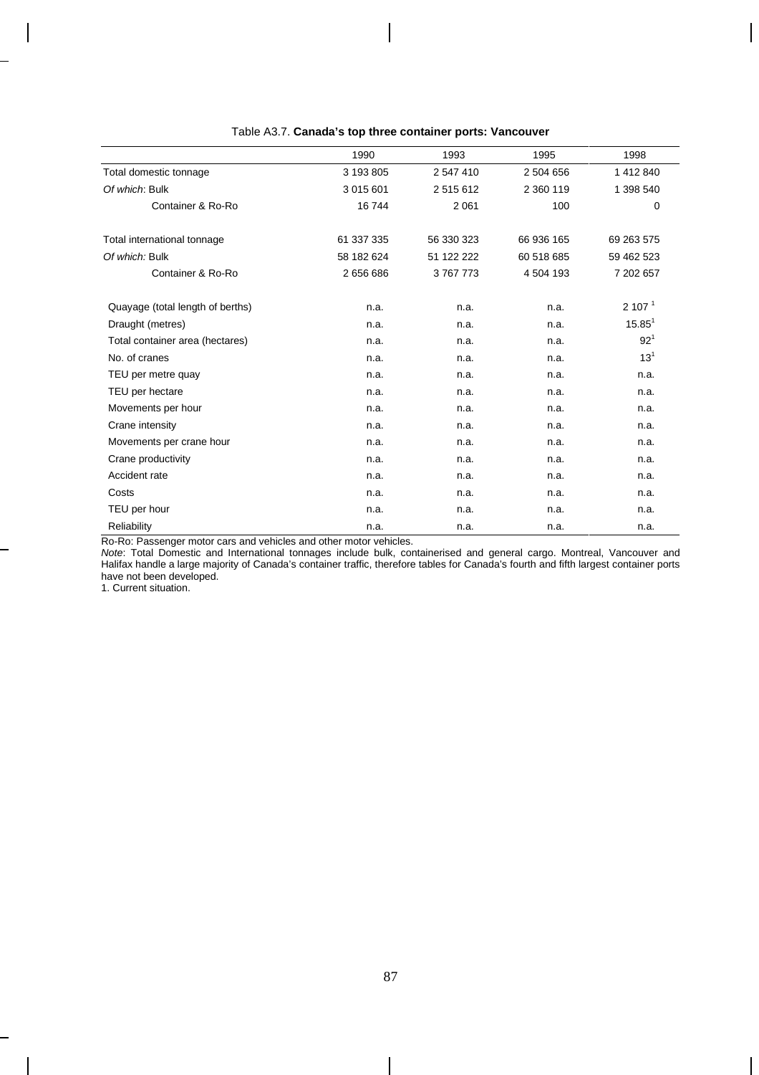|                                  | 1990       | 1993       | 1995       | 1998                 |
|----------------------------------|------------|------------|------------|----------------------|
| Total domestic tonnage           | 3 193 805  | 2 547 410  | 2 504 656  | 1 412 840            |
| Of which: Bulk                   | 3 015 601  | 2515612    | 2 360 119  | 1 398 540            |
| Container & Ro-Ro                | 16744      | 2 0 6 1    | 100        | 0                    |
| Total international tonnage      | 61 337 335 | 56 330 323 | 66 936 165 | 69 263 575           |
| Of which: Bulk                   | 58 182 624 | 51 122 222 | 60 518 685 | 59 462 523           |
| Container & Ro-Ro                | 2 656 686  | 3767773    | 4 504 193  | 7 202 657            |
| Quayage (total length of berths) | n.a.       | n.a.       | n.a.       | $2,107$ <sup>1</sup> |
| Draught (metres)                 | n.a.       | n.a.       | n.a.       | $15.85^1$            |
| Total container area (hectares)  | n.a.       | n.a.       | n.a.       | $92^{1}$             |
| No. of cranes                    | n.a.       | n.a.       | n.a.       | $13^{1}$             |
| TEU per metre quay               | n.a.       | n.a.       | n.a.       | n.a.                 |
| TEU per hectare                  | n.a.       | n.a.       | n.a.       | n.a.                 |
| Movements per hour               | n.a.       | n.a.       | n.a.       | n.a.                 |
| Crane intensity                  | n.a.       | n.a.       | n.a.       | n.a.                 |
| Movements per crane hour         | n.a.       | n.a.       | n.a.       | n.a.                 |
| Crane productivity               | n.a.       | n.a.       | n.a.       | n.a.                 |
| Accident rate                    | n.a.       | n.a.       | n.a.       | n.a.                 |
| Costs                            | n.a.       | n.a.       | n.a.       | n.a.                 |
| TEU per hour                     | n.a.       | n.a.       | n.a.       | n.a.                 |
| Reliability                      | n.a.       | n.a.       | n.a.       | n.a.                 |

#### Table A3.7. **Canada's top three container ports: Vancouver**

Ro-Ro: Passenger motor cars and vehicles and other motor vehicles.

Note: Total Domestic and International tonnages include bulk, containerised and general cargo. Montreal, Vancouver and Halifax handle a large majority of Canada's container traffic, therefore tables for Canada's fourth and fifth largest container ports have not been developed.

1. Current situation.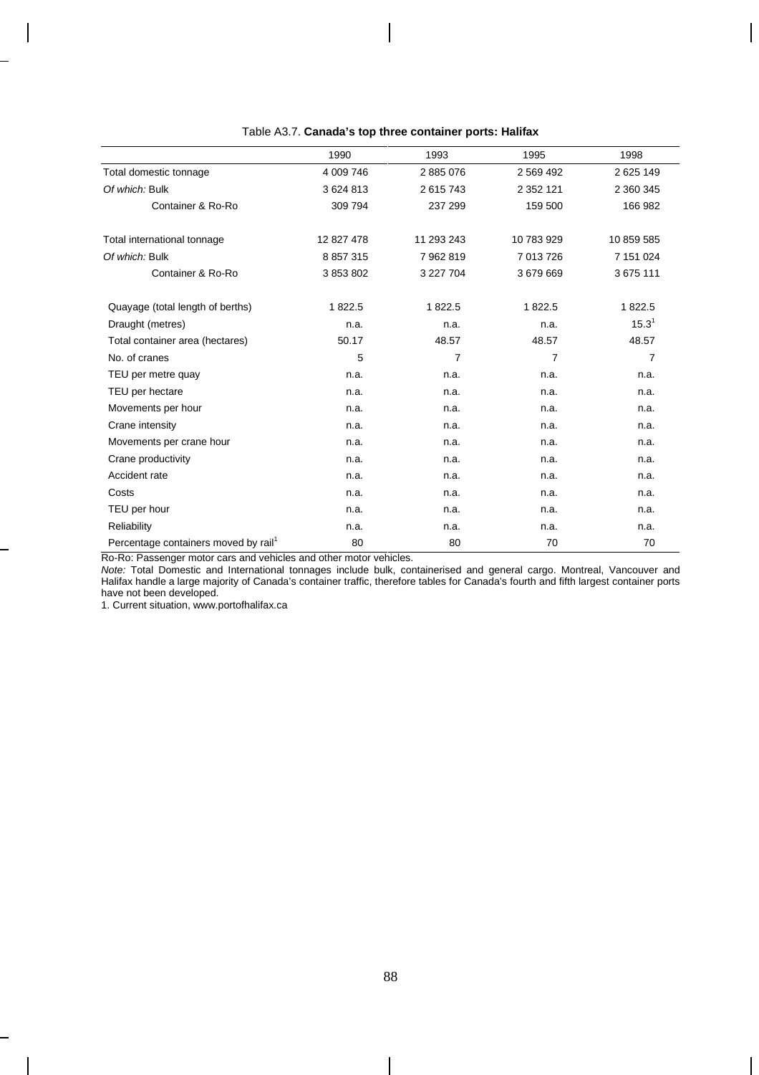|                                     | 1990          | 1993       | 1995          | 1998       |
|-------------------------------------|---------------|------------|---------------|------------|
| Total domestic tonnage              | 4 009 746     | 2 885 076  | 2 5 6 9 4 9 2 | 2625149    |
| Of which: Bulk                      | 3 624 813     | 2 615 743  | 2 3 5 2 1 2 1 | 2 360 345  |
| Container & Ro-Ro                   | 309 794       | 237 299    | 159 500       | 166 982    |
| Total international tonnage         | 12 827 478    | 11 293 243 | 10 783 929    | 10 859 585 |
| Of which: Bulk                      | 8 8 5 7 3 1 5 | 7962819    | 7 013 726     | 7 151 024  |
| Container & Ro-Ro                   | 3 853 802     | 3 227 704  | 3679669       | 3675111    |
| Quayage (total length of berths)    | 1822.5        | 1822.5     | 1822.5        | 1822.5     |
| Draught (metres)                    | n.a.          | n.a.       | n.a.          | $15.3^1$   |
| Total container area (hectares)     | 50.17         | 48.57      | 48.57         | 48.57      |
| No. of cranes                       | 5             | 7          | 7             | 7          |
| TEU per metre quay                  | n.a.          | n.a.       | n.a.          | n.a.       |
| TEU per hectare                     | n.a.          | n.a.       | n.a.          | n.a.       |
| Movements per hour                  | n.a.          | n.a.       | n.a.          | n.a.       |
| Crane intensity                     | n.a.          | n.a.       | n.a.          | n.a.       |
| Movements per crane hour            | n.a.          | n.a.       | n.a.          | n.a.       |
| Crane productivity                  | n.a.          | n.a.       | n.a.          | n.a.       |
| Accident rate                       | n.a.          | n.a.       | n.a.          | n.a.       |
| Costs                               | n.a.          | n.a.       | n.a.          | n.a.       |
| TEU per hour                        | n.a.          | n.a.       | n.a.          | n.a.       |
| Reliability                         | n.a.          | n.a.       | n.a.          | n.a.       |
| Percentage containers moved by rail | 80            | 80         | 70            | 70         |

#### Table A3.7. **Canada's top three container ports: Halifax**

Ro-Ro: Passenger motor cars and vehicles and other motor vehicles.

Note: Total Domestic and International tonnages include bulk, containerised and general cargo. Montreal, Vancouver and Halifax handle a large majority of Canada's container traffic, therefore tables for Canada's fourth and fifth largest container ports have not been developed.

1. Current situation, www.portofhalifax.ca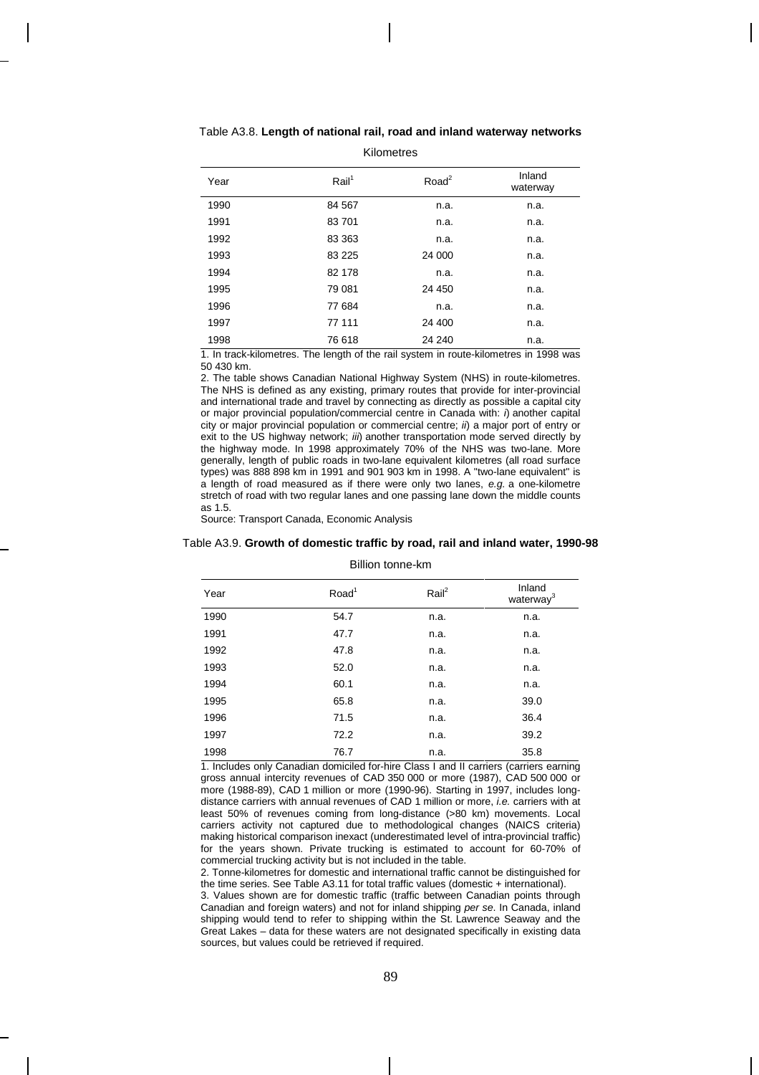Table A3.8. **Length of national rail, road and inland waterway networks**

Kilometres

| Year | Rail <sup>1</sup> | Road <sup>2</sup> | Inland<br>waterway |
|------|-------------------|-------------------|--------------------|
| 1990 | 84 567            | n.a.              | n.a.               |
| 1991 | 83 701            | n.a.              | n.a.               |
| 1992 | 83 363            | n.a.              | n.a.               |
| 1993 | 83 2 25           | 24 000            | n.a.               |
| 1994 | 82 178            | n.a.              | n.a.               |
| 1995 | 79 081            | 24 450            | n.a.               |
| 1996 | 77 684            | n.a.              | n.a.               |
| 1997 | 77 111            | 24 400            | n.a.               |
| 1998 | 76 618            | 24 240            | n.a.               |

1. In track-kilometres. The length of the rail system in route-kilometres in 1998 was 50 430 km.

2. The table shows Canadian National Highway System (NHS) in route-kilometres. The NHS is defined as any existing, primary routes that provide for inter-provincial and international trade and travel by connecting as directly as possible a capital city or major provincial population/commercial centre in Canada with: i) another capital city or major provincial population or commercial centre; *ii*) a major port of entry or exit to the US highway network; *iii*) another transportation mode served directly by the highway mode. In 1998 approximately 70% of the NHS was two-lane. More generally, length of public roads in two-lane equivalent kilometres (all road surface types) was 888 898 km in 1991 and 901 903 km in 1998. A "two-lane equivalent" is a length of road measured as if there were only two lanes, e.g. a one-kilometre stretch of road with two regular lanes and one passing lane down the middle counts as 1.5.

Source: Transport Canada, Economic Analysis

#### Table A3.9. **Growth of domestic traffic by road, rail and inland water, 1990-98**

| Year | Road <sup>1</sup> | Rail <sup>2</sup> | Inland<br>waterway <sup>3</sup> |
|------|-------------------|-------------------|---------------------------------|
| 1990 | 54.7              | n.a.              | n.a.                            |
| 1991 | 47.7              | n.a.              | n.a.                            |
| 1992 | 47.8              | n.a.              | n.a.                            |
| 1993 | 52.0              | n.a.              | n.a.                            |
| 1994 | 60.1              | n.a.              | n.a.                            |
| 1995 | 65.8              | n.a.              | 39.0                            |
| 1996 | 71.5              | n.a.              | 36.4                            |
| 1997 | 72.2              | n.a.              | 39.2                            |
| 1998 | 76.7              | n.a.              | 35.8                            |

Billion tonne-km

1. Includes only Canadian domiciled for-hire Class I and II carriers (carriers earning gross annual intercity revenues of CAD 350 000 or more (1987), CAD 500 000 or more (1988-89), CAD 1 million or more (1990-96). Starting in 1997, includes longdistance carriers with annual revenues of CAD 1 million or more, i.e. carriers with at least 50% of revenues coming from long-distance (>80 km) movements. Local carriers activity not captured due to methodological changes (NAICS criteria) making historical comparison inexact (underestimated level of intra-provincial traffic) for the years shown. Private trucking is estimated to account for 60-70% of commercial trucking activity but is not included in the table.

2. Tonne-kilometres for domestic and international traffic cannot be distinguished for the time series. See Table A3.11 for total traffic values (domestic + international).

3. Values shown are for domestic traffic (traffic between Canadian points through Canadian and foreign waters) and not for inland shipping per se. In Canada, inland shipping would tend to refer to shipping within the St. Lawrence Seaway and the Great Lakes – data for these waters are not designated specifically in existing data sources, but values could be retrieved if required.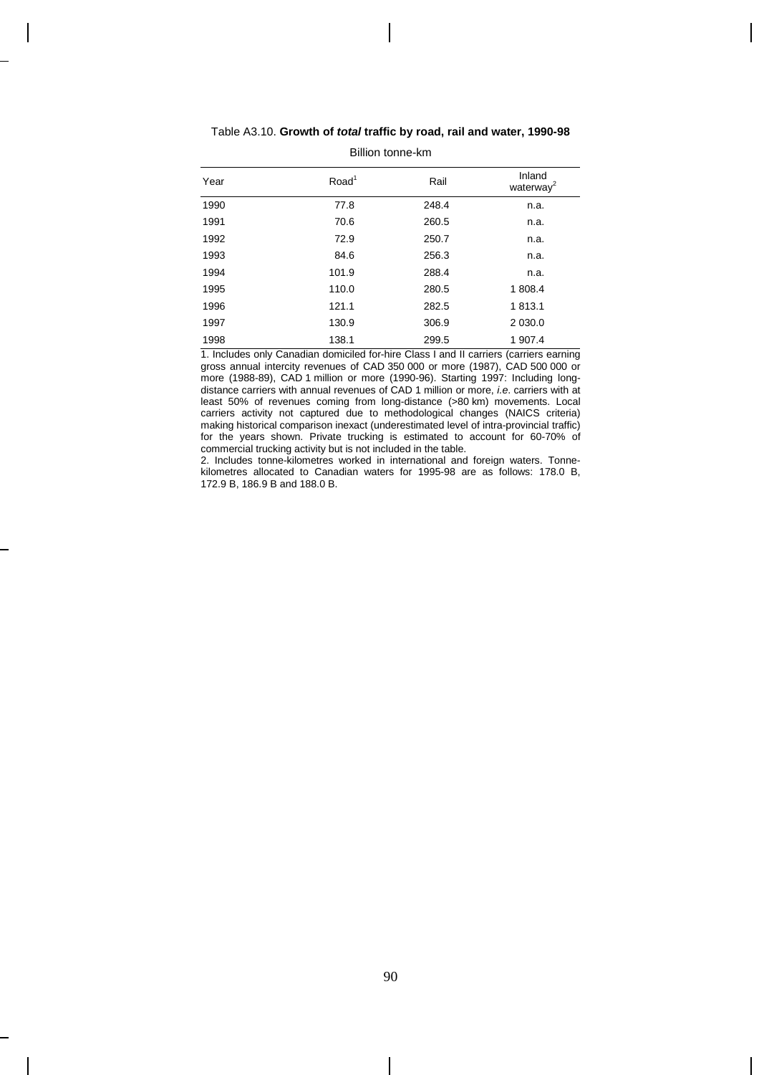#### Table A3.10. **Growth of total traffic by road, rail and water, 1990-98**

Billion tonne-km

| Year | Road <sup>1</sup> | Rail  | Inland<br>waterway <sup>2</sup> |
|------|-------------------|-------|---------------------------------|
| 1990 | 77.8              | 248.4 | n.a.                            |
| 1991 | 70.6              | 260.5 | n.a.                            |
| 1992 | 72.9              | 250.7 | n.a.                            |
| 1993 | 84.6              | 256.3 | n.a.                            |
| 1994 | 101.9             | 288.4 | n.a.                            |
| 1995 | 110.0             | 280.5 | 1 808.4                         |
| 1996 | 121.1             | 282.5 | 1813.1                          |
| 1997 | 130.9             | 306.9 | 2 0 3 0.0                       |
| 1998 | 138.1             | 299.5 | 1 907.4                         |

1. Includes only Canadian domiciled for-hire Class I and II carriers (carriers earning gross annual intercity revenues of CAD 350 000 or more (1987), CAD 500 000 or more (1988-89), CAD 1 million or more (1990-96). Starting 1997: Including longdistance carriers with annual revenues of CAD 1 million or more, i.e. carriers with at least 50% of revenues coming from long-distance (>80 km) movements. Local carriers activity not captured due to methodological changes (NAICS criteria) making historical comparison inexact (underestimated level of intra-provincial traffic) for the years shown. Private trucking is estimated to account for 60-70% of commercial trucking activity but is not included in the table.

2. Includes tonne-kilometres worked in international and foreign waters. Tonnekilometres allocated to Canadian waters for 1995-98 are as follows: 178.0 B, 172.9 B, 186.9 B and 188.0 B.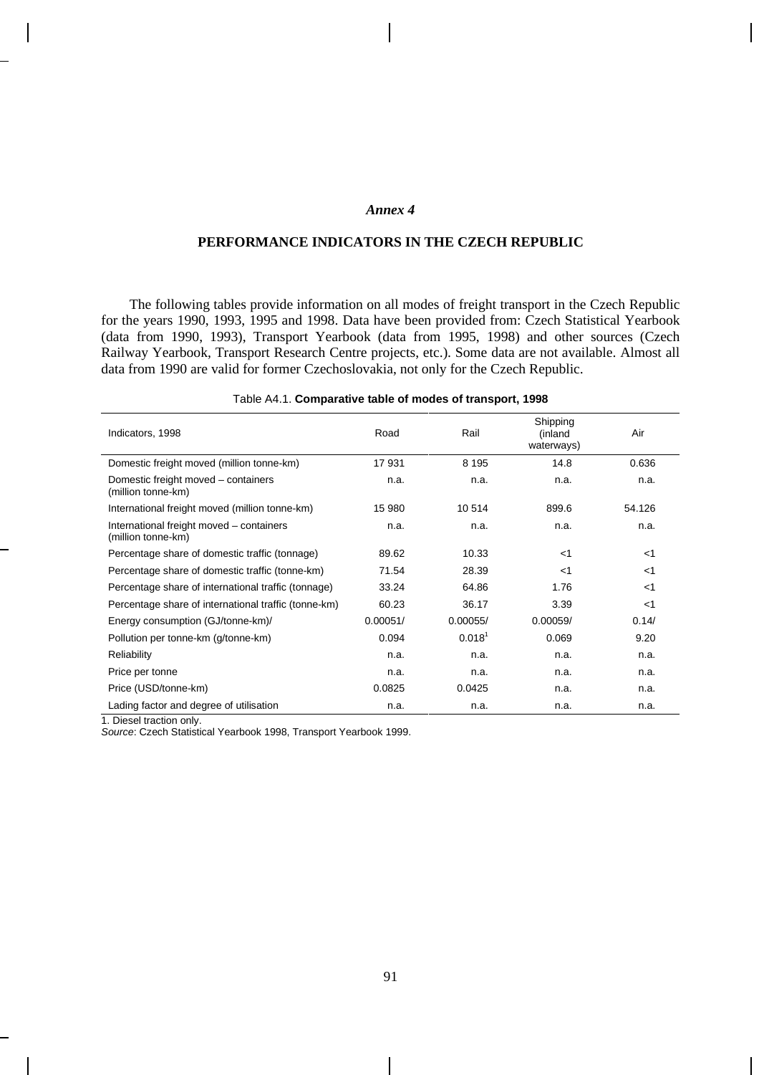## *Annex 4*

### **PERFORMANCE INDICATORS IN THE CZECH REPUBLIC**

The following tables provide information on all modes of freight transport in the Czech Republic for the years 1990, 1993, 1995 and 1998. Data have been provided from: Czech Statistical Yearbook (data from 1990, 1993), Transport Yearbook (data from 1995, 1998) and other sources (Czech Railway Yearbook, Transport Research Centre projects, etc.). Some data are not available. Almost all data from 1990 are valid for former Czechoslovakia, not only for the Czech Republic.

| Indicators, 1998                                               | Road     | Rail               | Shipping<br>(inland<br>waterways) | Air    |
|----------------------------------------------------------------|----------|--------------------|-----------------------------------|--------|
| Domestic freight moved (million tonne-km)                      | 17931    | 8 1 9 5            | 14.8                              | 0.636  |
| Domestic freight moved - containers<br>(million tonne-km)      | n.a.     | n.a.               | n.a.                              | n.a.   |
| International freight moved (million tonne-km)                 | 15 980   | 10 514             | 899.6                             | 54.126 |
| International freight moved - containers<br>(million tonne-km) | n.a.     | n.a.               | n.a.                              | n.a.   |
| Percentage share of domestic traffic (tonnage)                 | 89.62    | 10.33              | $<$ 1                             | $<$ 1  |
| Percentage share of domestic traffic (tonne-km)                | 71.54    | 28.39              | $<$ 1                             | $<$ 1  |
| Percentage share of international traffic (tonnage)            | 33.24    | 64.86              | 1.76                              | $<$ 1  |
| Percentage share of international traffic (tonne-km)           | 60.23    | 36.17              | 3.39                              | $<$ 1  |
| Energy consumption (GJ/tonne-km)/                              | 0.00051/ | 0.00055/           | 0.00059/                          | 0.14/  |
| Pollution per tonne-km (g/tonne-km)                            | 0.094    | 0.018 <sup>1</sup> | 0.069                             | 9.20   |
| Reliability                                                    | n.a.     | n.a.               | n.a.                              | n.a.   |
| Price per tonne                                                | n.a.     | n.a.               | n.a.                              | n.a.   |
| Price (USD/tonne-km)                                           | 0.0825   | 0.0425             | n.a.                              | n.a.   |
| Lading factor and degree of utilisation                        | n.a.     | n.a.               | n.a.                              | n.a.   |

#### Table A4.1. **Comparative table of modes of transport, 1998**

1. Diesel traction only.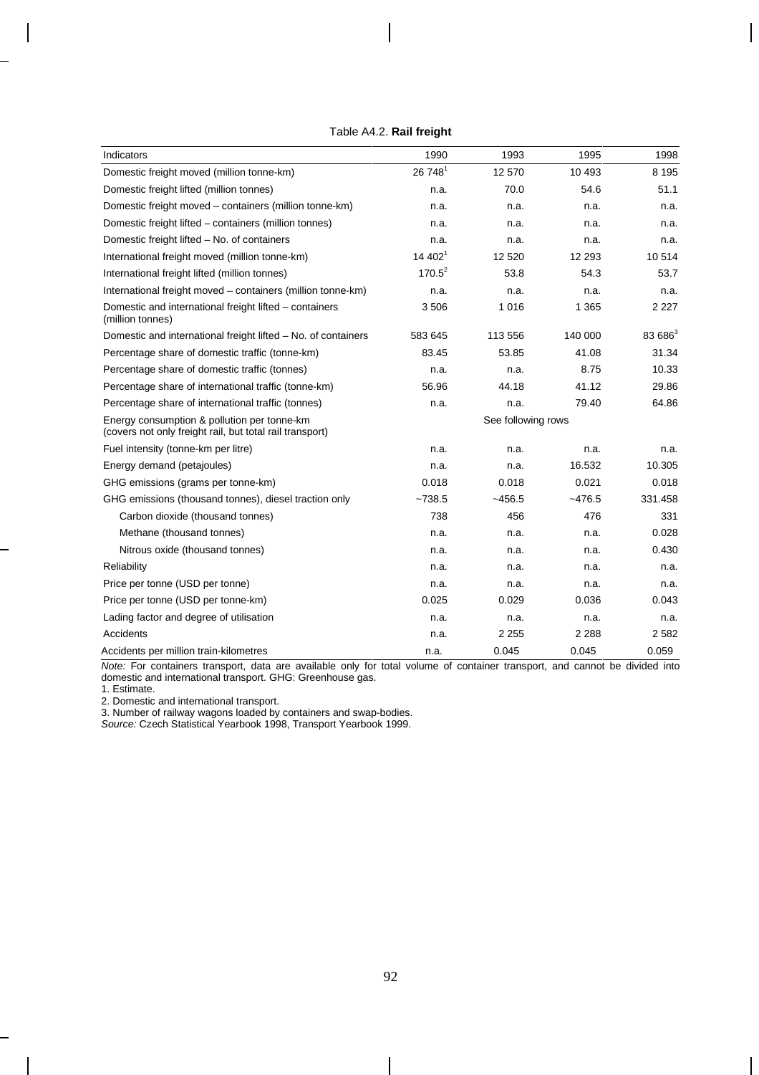|  |  |  | Table A4.2. Rail freight |
|--|--|--|--------------------------|
|--|--|--|--------------------------|

| Indicators                                                                                              | 1990                | 1993               | 1995     | 1998                |
|---------------------------------------------------------------------------------------------------------|---------------------|--------------------|----------|---------------------|
| Domestic freight moved (million tonne-km)                                                               | 26 748              | 12 570             | 10 493   | 8 1 9 5             |
| Domestic freight lifted (million tonnes)                                                                | n.a.                | 70.0               | 54.6     | 51.1                |
| Domestic freight moved – containers (million tonne-km)                                                  | n.a.                | n.a.               | n.a.     | n.a.                |
| Domestic freight lifted – containers (million tonnes)                                                   | n.a.                | n.a.               | n.a.     | n.a.                |
| Domestic freight lifted - No. of containers                                                             | n.a.                | n.a.               | n.a.     | n.a.                |
| International freight moved (million tonne-km)                                                          | 14.402 <sup>1</sup> | 12 5 20            | 12 293   | 10514               |
| International freight lifted (million tonnes)                                                           | $170.5^2$           | 53.8               | 54.3     | 53.7                |
| International freight moved – containers (million tonne-km)                                             | n.a.                | n.a.               | n.a.     | n.a.                |
| Domestic and international freight lifted – containers<br>(million tonnes)                              | 3506                | 1016               | 1 3 6 5  | 2 2 2 7             |
| Domestic and international freight lifted - No. of containers                                           | 583 645             | 113 556            | 140 000  | 83 686 <sup>3</sup> |
| Percentage share of domestic traffic (tonne-km)                                                         | 83.45               | 53.85              | 41.08    | 31.34               |
| Percentage share of domestic traffic (tonnes)                                                           | n.a.                | n.a.               | 8.75     | 10.33               |
| Percentage share of international traffic (tonne-km)                                                    | 56.96               | 44.18              | 41.12    | 29.86               |
| Percentage share of international traffic (tonnes)                                                      | n.a.                | n.a.               | 79.40    | 64.86               |
| Energy consumption & pollution per tonne-km<br>(covers not only freight rail, but total rail transport) |                     | See following rows |          |                     |
| Fuel intensity (tonne-km per litre)                                                                     | n.a.                | n.a.               | n.a.     | n.a.                |
| Energy demand (petajoules)                                                                              | n.a.                | n.a.               | 16.532   | 10.305              |
| GHG emissions (grams per tonne-km)                                                                      | 0.018               | 0.018              | 0.021    | 0.018               |
| GHG emissions (thousand tonnes), diesel traction only                                                   | $-738.5$            | $-456.5$           | $-476.5$ | 331.458             |
| Carbon dioxide (thousand tonnes)                                                                        | 738                 | 456                | 476      | 331                 |
| Methane (thousand tonnes)                                                                               | n.a.                | n.a.               | n.a.     | 0.028               |
| Nitrous oxide (thousand tonnes)                                                                         | n.a.                | n.a.               | n.a.     | 0.430               |
| Reliability                                                                                             | n.a.                | n.a.               | n.a.     | n.a.                |
| Price per tonne (USD per tonne)                                                                         | n.a.                | n.a.               | n.a.     | n.a.                |
| Price per tonne (USD per tonne-km)                                                                      | 0.025               | 0.029              | 0.036    | 0.043               |
| Lading factor and degree of utilisation                                                                 | n.a.                | n.a.               | n.a.     | n.a.                |
| Accidents                                                                                               | n.a.                | 2 2 5 5            | 2 2 8 8  | 2582                |
| Accidents per million train-kilometres                                                                  | n.a.                | 0.045              | 0.045    | 0.059               |

Note: For containers transport, data are available only for total volume of container transport, and cannot be divided into domestic and international transport. GHG: Greenhouse gas.

1. Estimate.

2. Domestic and international transport.

3. Number of railway wagons loaded by containers and swap-bodies.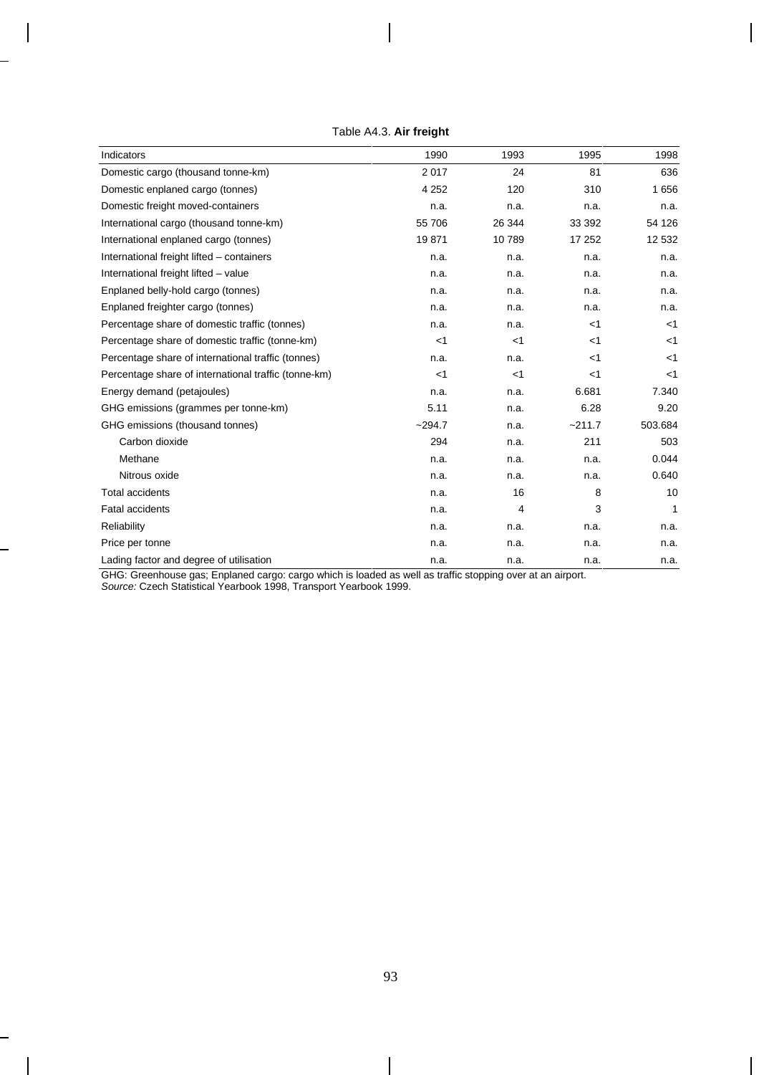## Table A4.3. **Air freight**

| Indicators                                           | 1990     | 1993   | 1995     | 1998    |
|------------------------------------------------------|----------|--------|----------|---------|
| Domestic cargo (thousand tonne-km)                   | 2017     | 24     | 81       | 636     |
| Domestic enplaned cargo (tonnes)                     | 4 2 5 2  | 120    | 310      | 1656    |
| Domestic freight moved-containers                    | n.a.     | n.a.   | n.a.     | n.a.    |
| International cargo (thousand tonne-km)              | 55 706   | 26 344 | 33 392   | 54 126  |
| International enplaned cargo (tonnes)                | 19871    | 10789  | 17 252   | 12 532  |
| International freight lifted - containers            | n.a.     | n.a.   | n.a.     | n.a.    |
| International freight lifted - value                 | n.a.     | n.a.   | n.a.     | n.a.    |
| Enplaned belly-hold cargo (tonnes)                   | n.a.     | n.a.   | n.a.     | n.a.    |
| Enplaned freighter cargo (tonnes)                    | n.a.     | n.a.   | n.a.     | n.a.    |
| Percentage share of domestic traffic (tonnes)        | n.a.     | n.a.   | $<$ 1    | $<$ 1   |
| Percentage share of domestic traffic (tonne-km)      | $<$ 1    | $<$ 1  | $<$ 1    | $<$ 1   |
| Percentage share of international traffic (tonnes)   | n.a.     | n.a.   | $<$ 1    | $<$ 1   |
| Percentage share of international traffic (tonne-km) | $<$ 1    | $<$ 1  | $<$ 1    | $<$ 1   |
| Energy demand (petajoules)                           | n.a.     | n.a.   | 6.681    | 7.340   |
| GHG emissions (grammes per tonne-km)                 | 5.11     | n.a.   | 6.28     | 9.20    |
| GHG emissions (thousand tonnes)                      | $-294.7$ | n.a.   | $-211.7$ | 503.684 |
| Carbon dioxide                                       | 294      | n.a.   | 211      | 503     |
| Methane                                              | n.a.     | n.a.   | n.a.     | 0.044   |
| Nitrous oxide                                        | n.a.     | n.a.   | n.a.     | 0.640   |
| <b>Total accidents</b>                               | n.a.     | 16     | 8        | 10      |
| <b>Fatal accidents</b>                               | n.a.     | 4      | 3        | 1       |
| Reliability                                          | n.a.     | n.a.   | n.a.     | n.a.    |
| Price per tonne                                      | n.a.     | n.a.   | n.a.     | n.a.    |
| Lading factor and degree of utilisation              | n.a.     | n.a.   | n.a.     | n.a.    |

GHG: Greenhouse gas; Enplaned cargo: cargo which is loaded as well as traffic stopping over at an airport.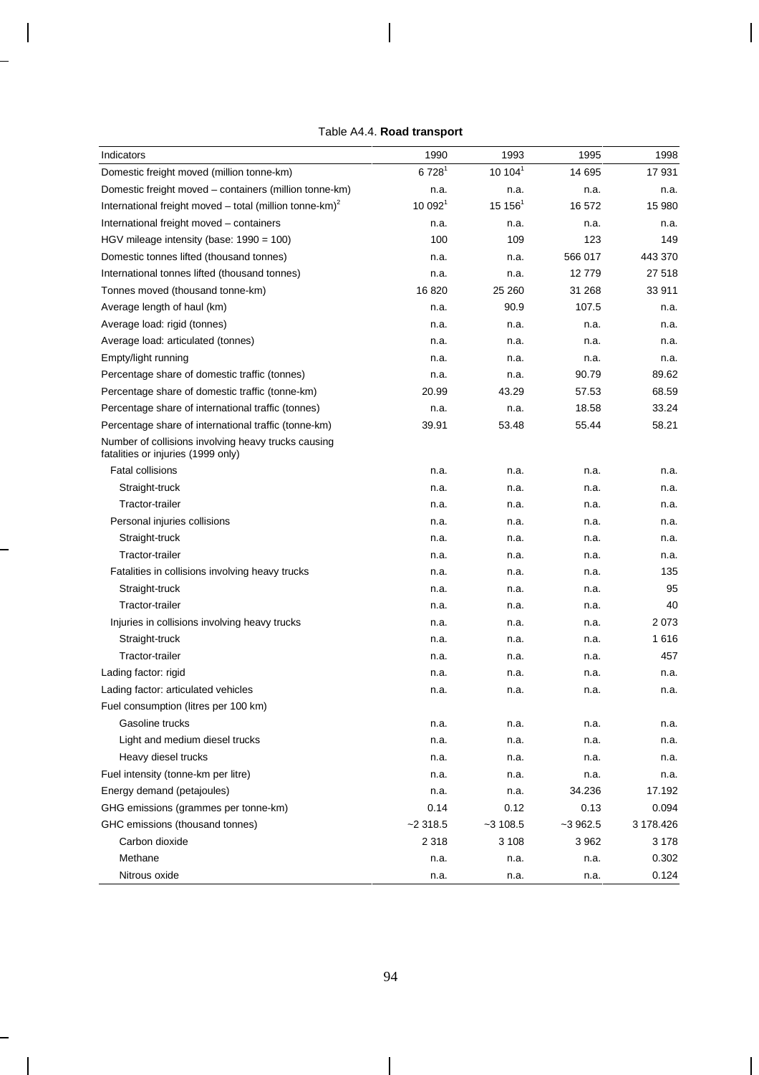## Table A4.4. **Road transport**

| Indicators                                                                                | 1990      | 1993                | 1995      | 1998      |
|-------------------------------------------------------------------------------------------|-----------|---------------------|-----------|-----------|
| Domestic freight moved (million tonne-km)                                                 | $6728^1$  | 10 104 <sup>1</sup> | 14 695    | 17931     |
| Domestic freight moved - containers (million tonne-km)                                    | n.a.      | n.a.                | n.a.      | n.a.      |
| International freight moved – total (million tonne- $km$ ) <sup>2</sup>                   | 10 0921   | 15 156 <sup>1</sup> | 16 572    | 15 980    |
| International freight moved - containers                                                  | n.a.      | n.a.                | n.a.      | n.a.      |
| HGV mileage intensity (base: 1990 = 100)                                                  | 100       | 109                 | 123       | 149       |
| Domestic tonnes lifted (thousand tonnes)                                                  | n.a.      | n.a.                | 566 017   | 443 370   |
| International tonnes lifted (thousand tonnes)                                             | n.a.      | n.a.                | 12779     | 27 518    |
| Tonnes moved (thousand tonne-km)                                                          | 16820     | 25 260              | 31 268    | 33 911    |
| Average length of haul (km)                                                               | n.a.      | 90.9                | 107.5     | n.a.      |
| Average load: rigid (tonnes)                                                              | n.a.      | n.a.                | n.a.      | n.a.      |
| Average load: articulated (tonnes)                                                        | n.a.      | n.a.                | n.a.      | n.a.      |
| Empty/light running                                                                       | n.a.      | n.a.                | n.a.      | n.a.      |
| Percentage share of domestic traffic (tonnes)                                             | n.a.      | n.a.                | 90.79     | 89.62     |
| Percentage share of domestic traffic (tonne-km)                                           | 20.99     | 43.29               | 57.53     | 68.59     |
| Percentage share of international traffic (tonnes)                                        | n.a.      | n.a.                | 18.58     | 33.24     |
| Percentage share of international traffic (tonne-km)                                      | 39.91     | 53.48               | 55.44     | 58.21     |
| Number of collisions involving heavy trucks causing<br>fatalities or injuries (1999 only) |           |                     |           |           |
| <b>Fatal collisions</b>                                                                   | n.a.      | n.a.                | n.a.      | n.a.      |
| Straight-truck                                                                            | n.a.      | n.a.                | n.a.      | n.a.      |
| <b>Tractor-trailer</b>                                                                    | n.a.      | n.a.                | n.a.      | n.a.      |
| Personal injuries collisions                                                              | n.a.      | n.a.                | n.a.      | n.a.      |
| Straight-truck                                                                            | n.a.      | n.a.                | n.a.      | n.a.      |
| Tractor-trailer                                                                           | n.a.      | n.a.                | n.a.      | n.a.      |
| Fatalities in collisions involving heavy trucks                                           | n.a.      | n.a.                | n.a.      | 135       |
| Straight-truck                                                                            | n.a.      | n.a.                | n.a.      | 95        |
| Tractor-trailer                                                                           | n.a.      | n.a.                | n.a.      | 40        |
| Injuries in collisions involving heavy trucks                                             | n.a.      | n.a.                | n.a.      | 2073      |
| Straight-truck                                                                            | n.a.      | n.a.                | n.a.      | 1 616     |
| Tractor-trailer                                                                           | n.a.      | n.a.                | n.a.      | 457       |
| Lading factor: rigid                                                                      | n.a.      | n.a.                | n.a.      | n.a.      |
| Lading factor: articulated vehicles                                                       | n.a.      | n.a.                | n.a.      | n.a.      |
| Fuel consumption (litres per 100 km)                                                      |           |                     |           |           |
| Gasoline trucks                                                                           | n.a.      | n.a.                | n.a.      | n.a.      |
| Light and medium diesel trucks                                                            | n.a.      | n.a.                | n.a.      | n.a.      |
| Heavy diesel trucks                                                                       | n.a.      | n.a.                | n.a.      | n.a.      |
| Fuel intensity (tonne-km per litre)                                                       | n.a.      | n.a.                | n.a.      | n.a.      |
| Energy demand (petajoules)                                                                | n.a.      | n.a.                | 34.236    | 17.192    |
| GHG emissions (grammes per tonne-km)                                                      | 0.14      | 0.12                | 0.13      | 0.094     |
| GHC emissions (thousand tonnes)                                                           | $-2318.5$ | $-3108.5$           | $-3962.5$ | 3 178.426 |
| Carbon dioxide                                                                            | 2 318     | 3 1 0 8             | 3 9 6 2   | 3 178     |
| Methane                                                                                   | n.a.      | n.a.                | n.a.      | 0.302     |
| Nitrous oxide                                                                             | n.a.      | n.a.                | n.a.      | 0.124     |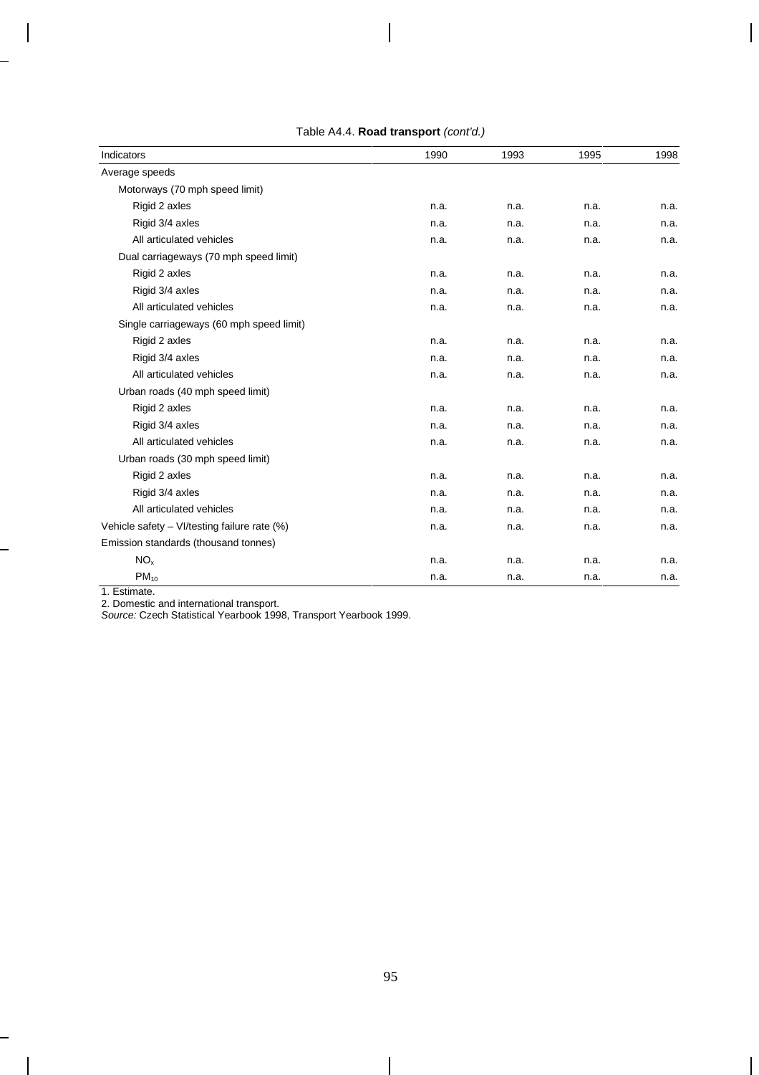| Indicators                                   | 1990 | 1993 | 1995 | 1998 |
|----------------------------------------------|------|------|------|------|
| Average speeds                               |      |      |      |      |
| Motorways (70 mph speed limit)               |      |      |      |      |
| Rigid 2 axles                                | n.a. | n.a. | n.a. | n.a. |
| Rigid 3/4 axles                              | n.a. | n.a. | n.a. | n.a. |
| All articulated vehicles                     | n.a. | n.a. | n.a. | n.a. |
| Dual carriageways (70 mph speed limit)       |      |      |      |      |
| Rigid 2 axles                                | n.a. | n.a. | n.a. | n.a. |
| Rigid 3/4 axles                              | n.a. | n.a. | n.a. | n.a. |
| All articulated vehicles                     | n.a. | n.a. | n.a. | n.a. |
| Single carriageways (60 mph speed limit)     |      |      |      |      |
| Rigid 2 axles                                | n.a. | n.a. | n.a. | n.a. |
| Rigid 3/4 axles                              | n.a. | n.a. | n.a. | n.a. |
| All articulated vehicles                     | n.a. | n.a. | n.a. | n.a. |
| Urban roads (40 mph speed limit)             |      |      |      |      |
| Rigid 2 axles                                | n.a. | n.a. | n.a. | n.a. |
| Rigid 3/4 axles                              | n.a. | n.a. | n.a. | n.a. |
| All articulated vehicles                     | n.a. | n.a. | n.a. | n.a. |
| Urban roads (30 mph speed limit)             |      |      |      |      |
| Rigid 2 axles                                | n.a. | n.a. | n.a. | n.a. |
| Rigid 3/4 axles                              | n.a. | n.a. | n.a. | n.a. |
| All articulated vehicles                     | n.a. | n.a. | n.a. | n.a. |
| Vehicle safety - VI/testing failure rate (%) | n.a. | n.a. | n.a. | n.a. |
| Emission standards (thousand tonnes)         |      |      |      |      |
| NO <sub>x</sub>                              | n.a. | n.a. | n.a. | n.a. |
| $PM_{10}$                                    | n.a. | n.a. | n.a. | n.a. |

## Table A4.4. **Road transport** (cont'd.)

1. Estimate.

2. Domestic and international transport.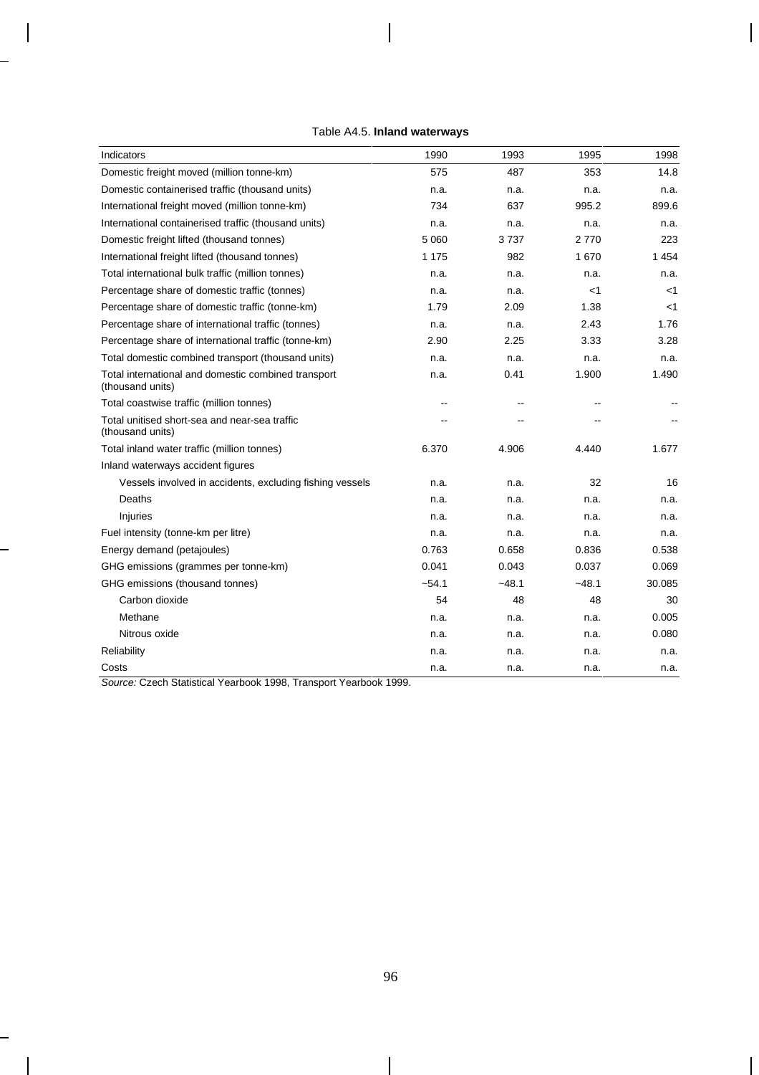## Table A4.5. **Inland waterways**

| Indicators                                                              | 1990    | 1993    | 1995    | 1998   |
|-------------------------------------------------------------------------|---------|---------|---------|--------|
| Domestic freight moved (million tonne-km)                               | 575     | 487     | 353     | 14.8   |
| Domestic containerised traffic (thousand units)                         | n.a.    | n.a.    | n.a.    | n.a.   |
| International freight moved (million tonne-km)                          | 734     | 637     | 995.2   | 899.6  |
| International containerised traffic (thousand units)                    | n.a.    | n.a.    | n.a.    | n.a.   |
| Domestic freight lifted (thousand tonnes)                               | 5 0 6 0 | 3737    | 2770    | 223    |
| International freight lifted (thousand tonnes)                          | 1 175   | 982     | 1670    | 1454   |
| Total international bulk traffic (million tonnes)                       | n.a.    | n.a.    | n.a.    | n.a.   |
| Percentage share of domestic traffic (tonnes)                           | n.a.    | n.a.    | $<$ 1   | $<$ 1  |
| Percentage share of domestic traffic (tonne-km)                         | 1.79    | 2.09    | 1.38    | $<$ 1  |
| Percentage share of international traffic (tonnes)                      | n.a.    | n.a.    | 2.43    | 1.76   |
| Percentage share of international traffic (tonne-km)                    | 2.90    | 2.25    | 3.33    | 3.28   |
| Total domestic combined transport (thousand units)                      | n.a.    | n.a.    | n.a.    | n.a.   |
| Total international and domestic combined transport<br>(thousand units) | n.a.    | 0.41    | 1.900   | 1.490  |
| Total coastwise traffic (million tonnes)                                |         |         |         |        |
| Total unitised short-sea and near-sea traffic<br>(thousand units)       |         |         |         |        |
| Total inland water traffic (million tonnes)                             | 6.370   | 4.906   | 4.440   | 1.677  |
| Inland waterways accident figures                                       |         |         |         |        |
| Vessels involved in accidents, excluding fishing vessels                | n.a.    | n.a.    | 32      | 16     |
| Deaths                                                                  | n.a.    | n.a.    | n.a.    | n.a.   |
| Injuries                                                                | n.a.    | n.a.    | n.a.    | n.a.   |
| Fuel intensity (tonne-km per litre)                                     | n.a.    | n.a.    | n.a.    | n.a.   |
| Energy demand (petajoules)                                              | 0.763   | 0.658   | 0.836   | 0.538  |
| GHG emissions (grammes per tonne-km)                                    | 0.041   | 0.043   | 0.037   | 0.069  |
| GHG emissions (thousand tonnes)                                         | $-54.1$ | $-48.1$ | $-48.1$ | 30.085 |
| Carbon dioxide                                                          | 54      | 48      | 48      | 30     |
| Methane                                                                 | n.a.    | n.a.    | n.a.    | 0.005  |
| Nitrous oxide                                                           | n.a.    | n.a.    | n.a.    | 0.080  |
| Reliability                                                             | n.a.    | n.a.    | n.a.    | n.a.   |
| Costs                                                                   | n.a.    | n.a.    | n.a.    | n.a.   |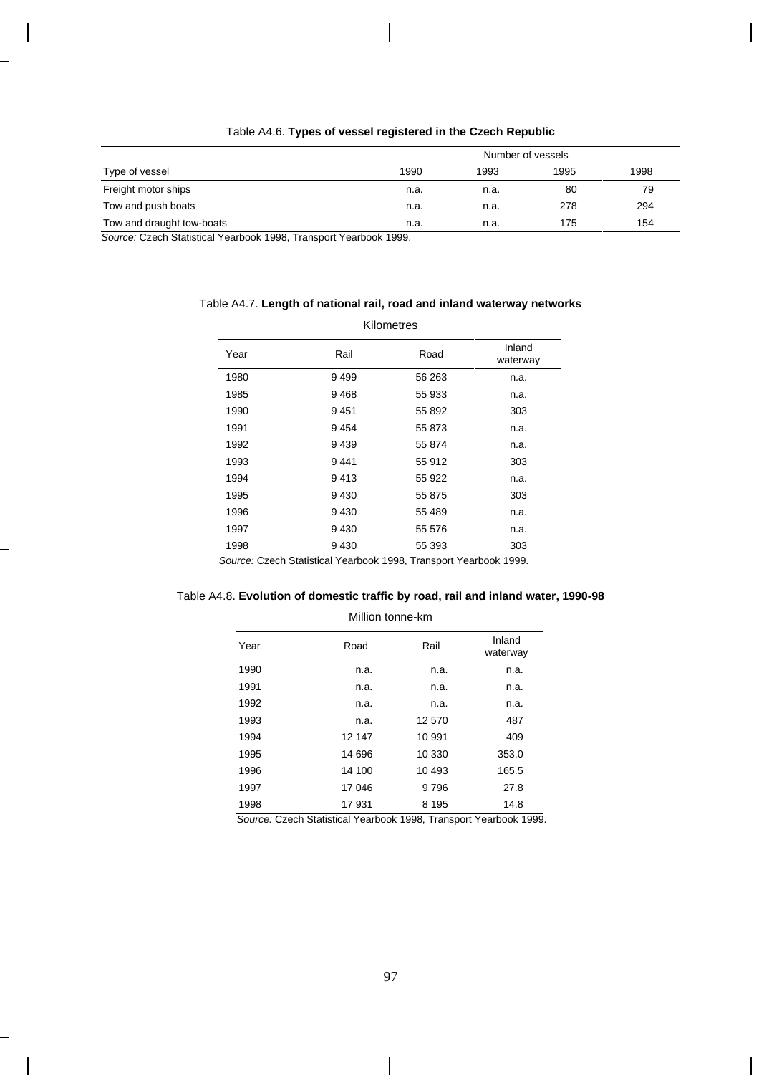|                           |      | Number of vessels |      |      |  |  |  |
|---------------------------|------|-------------------|------|------|--|--|--|
| Type of vessel            | 1990 | 1993              | 1995 | 1998 |  |  |  |
| Freight motor ships       | n.a. | n.a.              | 80   | 79   |  |  |  |
| Tow and push boats        | n.a. | n.a.              | 278  | 294  |  |  |  |
| Tow and draught tow-boats | n.a. | 154               |      |      |  |  |  |

#### Table A4.6. **Types of vessel registered in the Czech Republic**

Source: Czech Statistical Yearbook 1998, Transport Yearbook 1999.

### Table A4.7. **Length of national rail, road and inland waterway networks**

| Kilometres |      |        |                    |  |  |  |  |  |  |
|------------|------|--------|--------------------|--|--|--|--|--|--|
| Year       | Rail | Road   | Inland<br>waterway |  |  |  |  |  |  |
| 1980       | 9499 | 56 263 | n.a.               |  |  |  |  |  |  |
| 1985       | 9468 | 55 933 | n.a.               |  |  |  |  |  |  |
| 1990       | 9451 | 55 892 | 303                |  |  |  |  |  |  |
| 1991       | 9454 | 55 873 | n.a.               |  |  |  |  |  |  |
| 1992       | 9439 | 55 874 | n.a.               |  |  |  |  |  |  |
| 1993       | 9441 | 55 912 | 303                |  |  |  |  |  |  |
| 1994       | 9413 | 55 922 | n.a.               |  |  |  |  |  |  |
| 1995       | 9430 | 55 875 | 303                |  |  |  |  |  |  |
| 1996       | 9430 | 55 489 | n.a.               |  |  |  |  |  |  |
| 1997       | 9430 | 55 576 | n.a.               |  |  |  |  |  |  |
| 1998       | 9430 | 55 393 | 303                |  |  |  |  |  |  |

Source: Czech Statistical Yearbook 1998, Transport Yearbook 1999.

### Table A4.8. **Evolution of domestic traffic by road, rail and inland water, 1990-98**

| Million tonne-km |        |         |                    |  |  |  |  |  |
|------------------|--------|---------|--------------------|--|--|--|--|--|
| Year             | Road   | Rail    | Inland<br>waterway |  |  |  |  |  |
| 1990             | n.a.   | n.a.    | n.a.               |  |  |  |  |  |
| 1991             | n.a.   | n.a.    | n.a.               |  |  |  |  |  |
| 1992             | n.a.   | n.a.    | n.a.               |  |  |  |  |  |
| 1993             | n.a.   | 12 570  | 487                |  |  |  |  |  |
| 1994             | 12 147 | 10 991  | 409                |  |  |  |  |  |
| 1995             | 14 696 | 10 330  | 353.0              |  |  |  |  |  |
| 1996             | 14 100 | 10 493  | 165.5              |  |  |  |  |  |
| 1997             | 17 046 | 9796    | 27.8               |  |  |  |  |  |
| 1998             | 17 931 | 8 1 9 5 | 14.8               |  |  |  |  |  |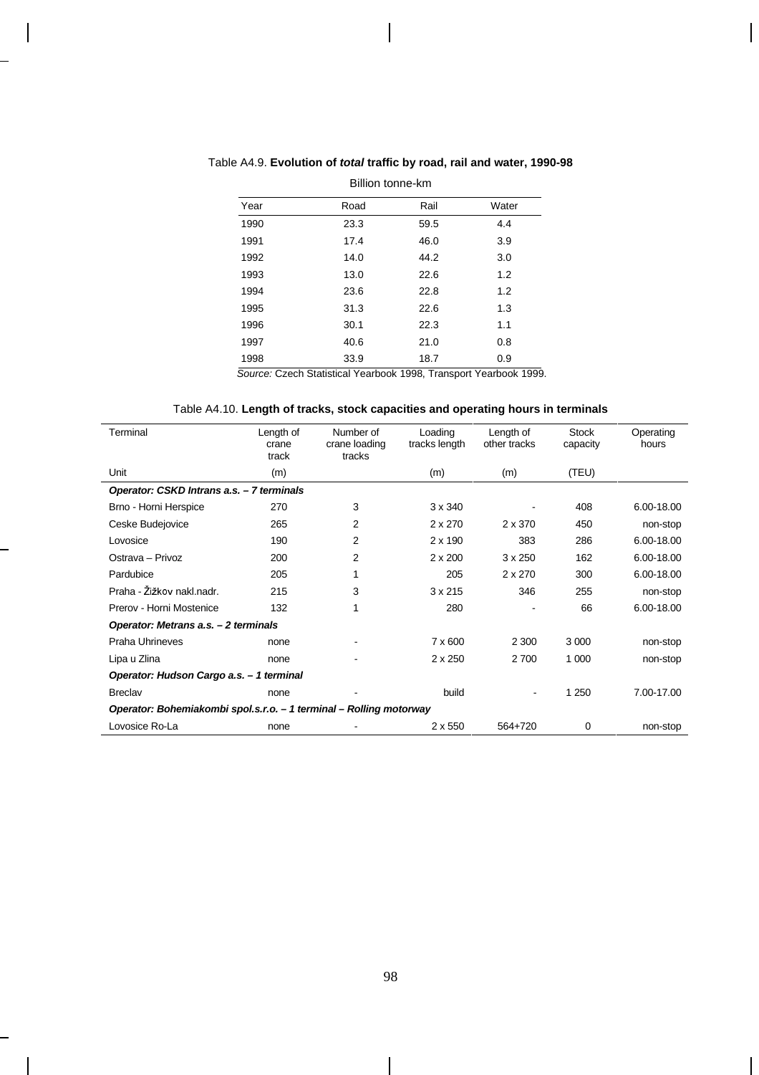| Billion tonne-km |      |      |       |  |  |  |  |  |
|------------------|------|------|-------|--|--|--|--|--|
| Year             | Road | Rail | Water |  |  |  |  |  |
| 1990             | 23.3 | 59.5 | 4.4   |  |  |  |  |  |
| 1991             | 17.4 | 46.0 | 3.9   |  |  |  |  |  |
| 1992             | 14.0 | 44.2 | 3.0   |  |  |  |  |  |
| 1993             | 13.0 | 22.6 | 1.2   |  |  |  |  |  |
| 1994             | 23.6 | 22.8 | 1.2   |  |  |  |  |  |
| 1995             | 31.3 | 22.6 | 1.3   |  |  |  |  |  |
| 1996             | 30.1 | 22.3 | 1.1   |  |  |  |  |  |
| 1997             | 40.6 | 21.0 | 0.8   |  |  |  |  |  |
| 1998             | 33.9 | 18.7 | 0.9   |  |  |  |  |  |

### Table A4.9. **Evolution of total traffic by road, rail and water, 1990-98**

Source: Czech Statistical Yearbook 1998, Transport Yearbook 1999.

### Table A4.10. **Length of tracks, stock capacities and operating hours in terminals**

| Terminal                                                           | Length of<br>Number of<br>crane loading<br>crane<br>tracks<br>track |   | Loading<br>tracks length | Length of<br>other tracks | <b>Stock</b><br>capacity | Operating<br>hours |
|--------------------------------------------------------------------|---------------------------------------------------------------------|---|--------------------------|---------------------------|--------------------------|--------------------|
| Unit                                                               | (m)                                                                 |   | (m)                      | (m)                       | (TEU)                    |                    |
| Operator: CSKD Intrans a.s. - 7 terminals                          |                                                                     |   |                          |                           |                          |                    |
| Brno - Horni Herspice                                              | 270                                                                 | 3 | $3 \times 340$           |                           | 408                      | 6.00-18.00         |
| Ceske Budejovice                                                   | 265                                                                 | 2 | $2 \times 270$           | $2 \times 370$            | 450                      | non-stop           |
| Lovosice                                                           | 190                                                                 | 2 | $2 \times 190$           | 383                       | 286                      | 6.00-18.00         |
| Ostrava - Privoz                                                   | 200                                                                 | 2 | $2 \times 200$           | $3 \times 250$            | 162                      | 6.00-18.00         |
| Pardubice                                                          | 205                                                                 | 1 | 205                      | $2 \times 270$            | 300                      | 6.00-18.00         |
| Praha - Žižkov nakl.nadr.                                          | 215                                                                 | 3 | $3 \times 215$           | 346                       | 255                      | non-stop           |
| Prerov - Horni Mostenice                                           | 132                                                                 | 1 | 280                      |                           | 66                       | 6.00-18.00         |
| Operator: Metrans a.s. - 2 terminals                               |                                                                     |   |                          |                           |                          |                    |
| <b>Praha Uhrineves</b>                                             | none                                                                |   | $7 \times 600$           | 2 300                     | 3 0 0 0                  | non-stop           |
| Lipa u Zlina                                                       | none                                                                |   | $2 \times 250$           | 2700                      | 1 0 0 0                  | non-stop           |
| Operator: Hudson Cargo a.s. - 1 terminal                           |                                                                     |   |                          |                           |                          |                    |
| Breclav                                                            | none                                                                |   | build                    |                           | 1 250                    | 7.00-17.00         |
| Operator: Bohemiakombi spol.s.r.o. - 1 terminal - Rolling motorway |                                                                     |   |                          |                           |                          |                    |
| Lovosice Ro-La                                                     | none                                                                |   | $2 \times 550$           | 564+720                   | 0                        | non-stop           |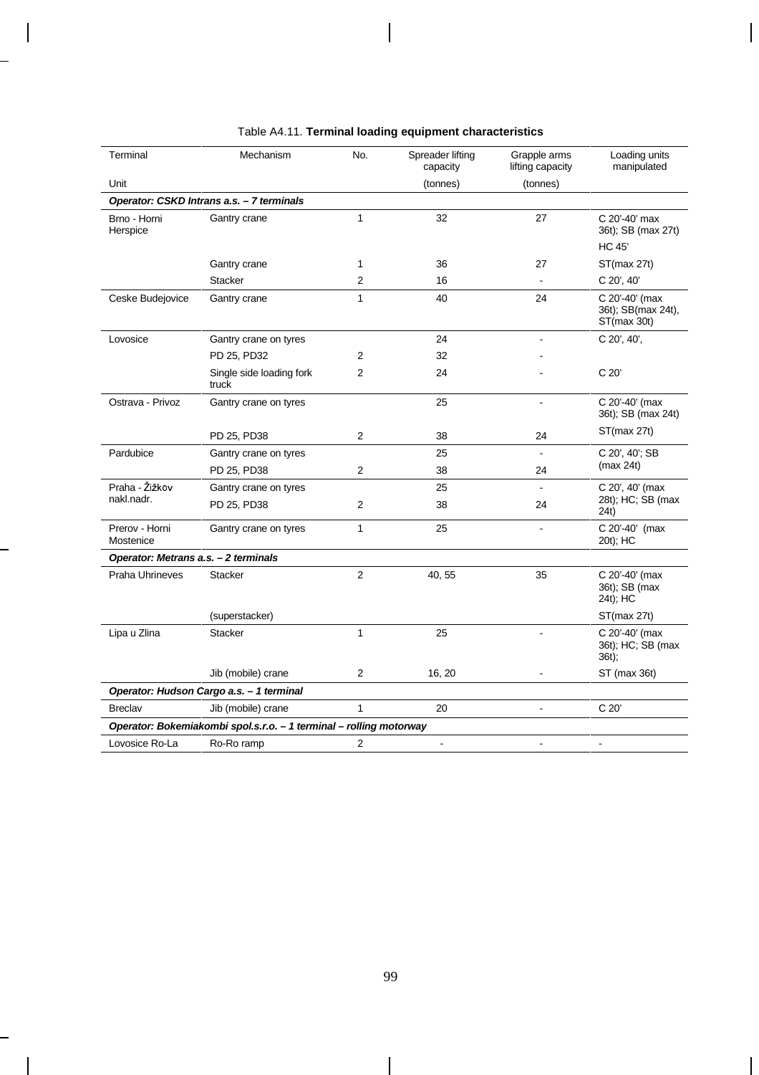| Terminal                             | Mechanism                                                          | No.            | Spreader lifting<br>capacity | Grapple arms<br>lifting capacity | Loading units<br>manipulated                        |
|--------------------------------------|--------------------------------------------------------------------|----------------|------------------------------|----------------------------------|-----------------------------------------------------|
| Unit                                 |                                                                    |                | (tonnes)                     | (tonnes)                         |                                                     |
|                                      | Operator: CSKD Intrans a.s. - 7 terminals                          |                |                              |                                  |                                                     |
| Brno - Horni<br>Herspice             | Gantry crane                                                       | 1              | 32                           | 27                               | C 20'-40' max<br>36t); SB (max 27t)                 |
|                                      |                                                                    |                |                              |                                  | <b>HC 45'</b>                                       |
|                                      | Gantry crane                                                       | 1              | 36                           | 27                               | ST(max 27t)                                         |
|                                      | <b>Stacker</b>                                                     | 2              | 16                           |                                  | C 20', 40'                                          |
| Ceske Budejovice                     | Gantry crane                                                       | 1              | 40                           | 24                               | C 20'-40' (max<br>36t); SB(max 24t),<br>ST(max 30t) |
| Lovosice                             | Gantry crane on tyres                                              |                | 24                           |                                  | C 20', 40',                                         |
|                                      | PD 25, PD32                                                        | 2              | 32                           |                                  |                                                     |
|                                      | Single side loading fork<br>truck                                  | 2              | 24                           |                                  | C <sub>20</sub>                                     |
| Ostrava - Privoz                     | Gantry crane on tyres                                              |                | 25                           | $\blacksquare$                   | C 20'-40' (max<br>36t); SB (max 24t)                |
|                                      | PD 25, PD38                                                        | 2              | 38                           | 24                               | ST(max 27t)                                         |
| Pardubice                            | Gantry crane on tyres                                              |                | 25                           |                                  | C 20', 40'; SB                                      |
|                                      | PD 25, PD38                                                        | $\overline{2}$ | 38                           | 24                               | (max 24t)                                           |
| Praha - Žižkov                       | Gantry crane on tyres                                              |                | 25                           |                                  | C 20', 40' (max)                                    |
| nakl.nadr.                           | PD 25, PD38                                                        | $\overline{c}$ | 38                           | 24                               | 28t); HC; SB (max<br>24t)                           |
| Prerov - Horni<br>Mostenice          | Gantry crane on tyres                                              | $\mathbf{1}$   | 25                           | $\mathbf{r}$                     | C 20'-40' (max<br>20t); HC                          |
| Operator: Metrans a.s. - 2 terminals |                                                                    |                |                              |                                  |                                                     |
| Praha Uhrineves                      | Stacker                                                            | 2              | 40, 55                       | 35                               | C 20'-40' (max<br>36t); SB (max<br>24t); HC         |
|                                      | (superstacker)                                                     |                |                              |                                  | ST(max 27t)                                         |
| Lipa u Zlina                         | <b>Stacker</b>                                                     | 1              | 25                           |                                  | C 20'-40' (max<br>36t); HC; SB (max<br>$36t$ ;      |
|                                      | Jib (mobile) crane                                                 | 2              | 16, 20                       |                                  | ST (max 36t)                                        |
|                                      | Operator: Hudson Cargo a.s. - 1 terminal                           |                |                              |                                  |                                                     |
| <b>Breclav</b>                       | Jib (mobile) crane                                                 | 1              | 20                           |                                  | C 20'                                               |
|                                      | Operator: Bokemiakombi spol.s.r.o. - 1 terminal - rolling motorway |                |                              |                                  |                                                     |
| Lovosice Ro-La                       | Ro-Ro ramp                                                         | $\overline{2}$ | $\overline{a}$               | $\overline{a}$                   | $\overline{a}$                                      |

## Table A4.11. **Terminal loading equipment characteristics**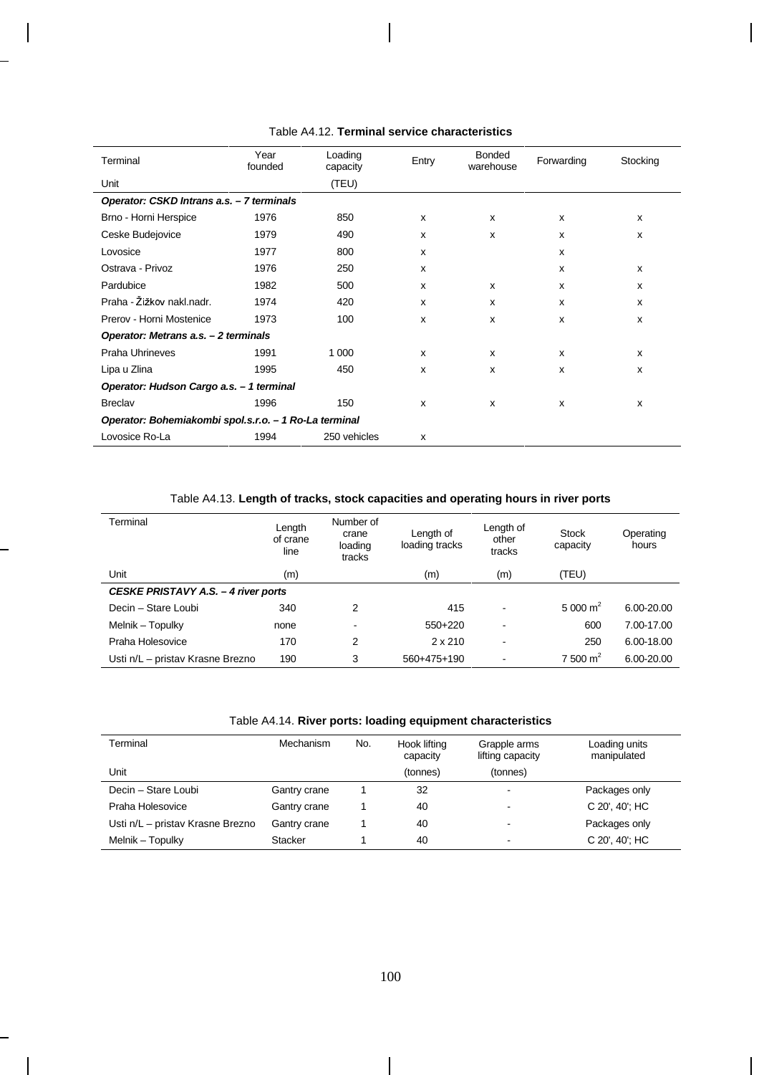| Terminal                                              | Year<br>founded | Loading<br>capacity | Entry | <b>Bonded</b><br>warehouse | Forwarding       | Stocking                  |
|-------------------------------------------------------|-----------------|---------------------|-------|----------------------------|------------------|---------------------------|
| Unit                                                  |                 | (TEU)               |       |                            |                  |                           |
| Operator: CSKD Intrans a.s. - 7 terminals             |                 |                     |       |                            |                  |                           |
| Brno - Horni Herspice                                 | 1976            | 850                 | x     | X                          | X                | X                         |
| Ceske Budejovice                                      | 1979            | 490                 | x     | X                          | x                | X                         |
| Lovosice                                              | 1977            | 800                 | x     |                            | X                |                           |
| Ostrava - Privoz                                      | 1976            | 250                 | x     |                            | x                | X                         |
| Pardubice                                             | 1982            | 500                 | X     | $\boldsymbol{\mathsf{x}}$  | X                | x                         |
| Praha - Žižkov nakl.nadr.                             | 1974            | 420                 | X     | $\boldsymbol{\mathsf{x}}$  | $\mathsf{x}$     | X                         |
| Prerov - Horni Mostenice                              | 1973            | 100                 | X     | $\boldsymbol{\mathsf{x}}$  | $\boldsymbol{x}$ | $\boldsymbol{\mathsf{x}}$ |
| Operator: Metrans a.s. - 2 terminals                  |                 |                     |       |                            |                  |                           |
| <b>Praha Uhrineves</b>                                | 1991            | 1 0 0 0             | x     | X                          | X                | X                         |
| Lipa u Zlina                                          | 1995            | 450                 | X     | X                          | X                | X                         |
| Operator: Hudson Cargo a.s. - 1 terminal              |                 |                     |       |                            |                  |                           |
| <b>Breclav</b>                                        | 1996            | 150                 | X     | $\boldsymbol{\mathsf{x}}$  | X                | $\boldsymbol{\mathsf{x}}$ |
| Operator: Bohemiakombi spol.s.r.o. - 1 Ro-La terminal |                 |                     |       |                            |                  |                           |
| Lovosice Ro-La                                        | 1994            | 250 vehicles        | x     |                            |                  |                           |

## Table A4.12. **Terminal service characteristics**

## Table A4.13. **Length of tracks, stock capacities and operating hours in river ports**

| Terminal                            | Length<br>of crane<br>line | Number of<br>crane<br>loading<br>tracks | Length of<br>loading tracks | Length of<br>other<br>tracks | <b>Stock</b><br>capacity | Operating<br>hours |
|-------------------------------------|----------------------------|-----------------------------------------|-----------------------------|------------------------------|--------------------------|--------------------|
| Unit                                | (m)                        |                                         | (m)                         | (m)                          | (TEU)                    |                    |
| CESKE PRISTAVY A.S. - 4 river ports |                            |                                         |                             |                              |                          |                    |
| Decin - Stare Loubi                 | 340                        | 2                                       | 415                         | $\overline{\phantom{0}}$     | 5 000 $m^2$              | 6.00-20.00         |
| Melnik - Topulky                    | none                       | -                                       | $550+220$                   | $\overline{\phantom{0}}$     | 600                      | 7.00-17.00         |
| Praha Holesovice                    | 170                        | 2                                       | $2 \times 210$              | $\overline{\phantom{0}}$     | 250                      | 6.00-18.00         |
| Usti n/L - pristav Krasne Brezno    | 190                        | 3                                       | 560+475+190                 | $\overline{\phantom{0}}$     | 7 500 $m2$               | 6.00-20.00         |

## Table A4.14. **River ports: loading equipment characteristics**

| Terminal                         | Mechanism      | No. | Hook lifting<br>capacity | Grapple arms<br>lifting capacity | Loading units<br>manipulated |
|----------------------------------|----------------|-----|--------------------------|----------------------------------|------------------------------|
| Unit                             |                |     | (tonnes)                 | (tonnes)                         |                              |
| Decin - Stare Loubi              | Gantry crane   |     | 32                       | ۰                                | Packages only                |
| Praha Holesovice                 | Gantry crane   |     | 40                       | $\overline{\phantom{a}}$         | C 20', 40'; HC               |
| Usti n/L - pristav Krasne Brezno | Gantry crane   |     | 40                       | $\overline{\phantom{0}}$         | Packages only                |
| Melnik - Topulky                 | <b>Stacker</b> |     | 40                       | ۰                                | C 20', 40'; HC               |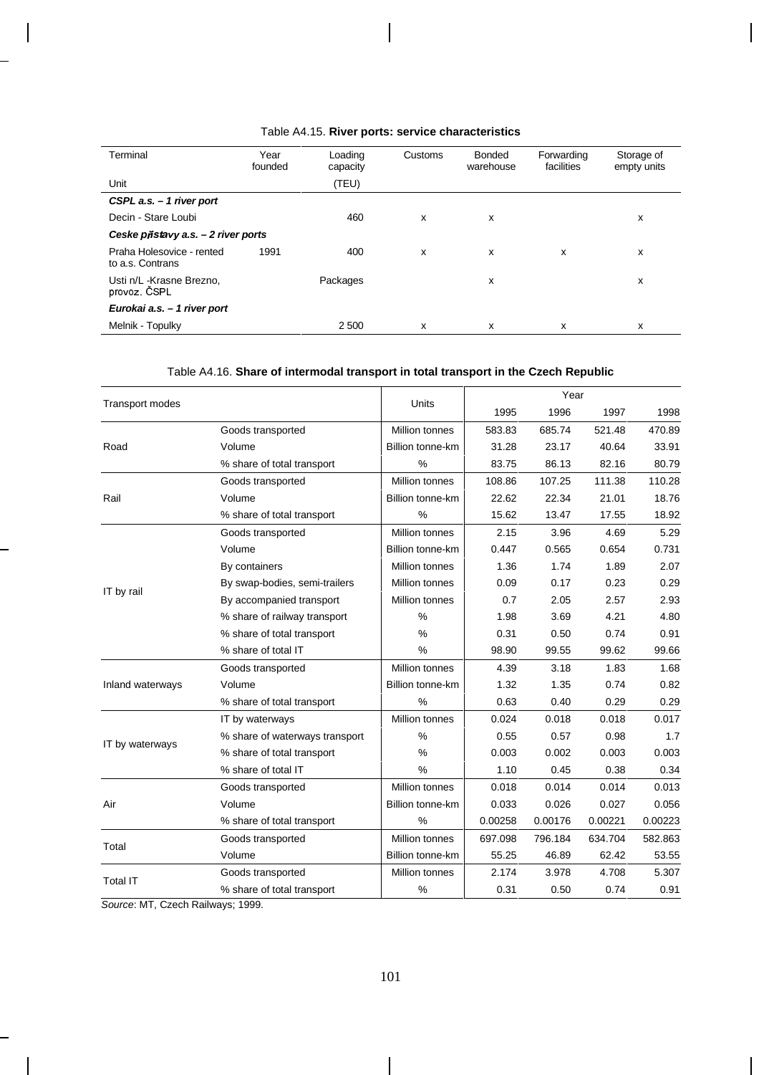| Terminal                                      | Year<br>founded | Loading<br>capacity | Customs | Bonded<br>warehouse | Forwarding<br>facilities | Storage of<br>empty units |
|-----------------------------------------------|-----------------|---------------------|---------|---------------------|--------------------------|---------------------------|
| Unit                                          |                 | (TEU)               |         |                     |                          |                           |
| CSPL a.s. - 1 river port                      |                 |                     |         |                     |                          |                           |
| Decin - Stare Loubi                           |                 | 460                 | x       | x                   |                          | X                         |
| Ceske přístavy a.s. – 2 river ports           |                 |                     |         |                     |                          |                           |
| Praha Holesovice - rented<br>to a.s. Contrans | 1991            | 400                 | x       | x                   | X                        | X                         |
| Usti n/L -Krasne Brezno,<br>provoz ČSPL       | Packages        |                     |         | x                   |                          | X                         |
| Eurokai a.s. - 1 river port                   |                 |                     |         |                     |                          |                           |
| Melnik - Topulky                              |                 | 2 500               | x       | x                   | X                        | x                         |

### Table A4.15. **River ports: service characteristics**

## Table A4.16. **Share of intermodal transport in total transport in the Czech Republic**

| <b>Transport modes</b> |                                | <b>Units</b>          |         | Year    |         |         |  |  |
|------------------------|--------------------------------|-----------------------|---------|---------|---------|---------|--|--|
|                        |                                |                       | 1995    | 1996    | 1997    | 1998    |  |  |
|                        | Goods transported              | <b>Million tonnes</b> | 583.83  | 685.74  | 521.48  | 470.89  |  |  |
| Road                   | Volume                         | Billion tonne-km      | 31.28   | 23.17   | 40.64   | 33.91   |  |  |
|                        | % share of total transport     | %                     | 83.75   | 86.13   | 82.16   | 80.79   |  |  |
|                        | Goods transported              | <b>Million tonnes</b> | 108.86  | 107.25  | 111.38  | 110.28  |  |  |
| Rail                   | Volume                         | Billion tonne-km      | 22.62   | 22.34   | 21.01   | 18.76   |  |  |
|                        | % share of total transport     | %                     | 15.62   | 13.47   | 17.55   | 18.92   |  |  |
|                        | Goods transported              | <b>Million tonnes</b> | 2.15    | 3.96    | 4.69    | 5.29    |  |  |
|                        | Volume                         | Billion tonne-km      | 0.447   | 0.565   | 0.654   | 0.731   |  |  |
|                        | By containers                  | <b>Million tonnes</b> | 1.36    | 1.74    | 1.89    | 2.07    |  |  |
|                        | By swap-bodies, semi-trailers  | <b>Million tonnes</b> | 0.09    | 0.17    | 0.23    | 0.29    |  |  |
| IT by rail             | By accompanied transport       | <b>Million tonnes</b> | 0.7     | 2.05    | 2.57    | 2.93    |  |  |
|                        | % share of railway transport   | %                     | 1.98    | 3.69    | 4.21    | 4.80    |  |  |
|                        | % share of total transport     | %                     | 0.31    | 0.50    | 0.74    | 0.91    |  |  |
|                        | % share of total IT            | %                     | 98.90   | 99.55   | 99.62   | 99.66   |  |  |
|                        | Goods transported              | <b>Million tonnes</b> | 4.39    | 3.18    | 1.83    | 1.68    |  |  |
| Inland waterways       | Volume                         | Billion tonne-km      | 1.32    | 1.35    | 0.74    | 0.82    |  |  |
|                        | % share of total transport     | %                     | 0.63    | 0.40    | 0.29    | 0.29    |  |  |
|                        | IT by waterways                | <b>Million tonnes</b> | 0.024   | 0.018   | 0.018   | 0.017   |  |  |
|                        | % share of waterways transport | %                     | 0.55    | 0.57    | 0.98    | 1.7     |  |  |
| IT by waterways        | % share of total transport     | %                     | 0.003   | 0.002   | 0.003   | 0.003   |  |  |
|                        | % share of total IT            | %                     | 1.10    | 0.45    | 0.38    | 0.34    |  |  |
|                        | Goods transported              | <b>Million tonnes</b> | 0.018   | 0.014   | 0.014   | 0.013   |  |  |
| Air                    | Volume                         | Billion tonne-km      | 0.033   | 0.026   | 0.027   | 0.056   |  |  |
|                        | % share of total transport     | %                     | 0.00258 | 0.00176 | 0.00221 | 0.00223 |  |  |
| Total                  | Goods transported              | Million tonnes        | 697.098 | 796.184 | 634.704 | 582.863 |  |  |
|                        | Volume                         | Billion tonne-km      | 55.25   | 46.89   | 62.42   | 53.55   |  |  |
|                        | Goods transported              | Million tonnes        | 2.174   | 3.978   | 4.708   | 5.307   |  |  |
| Total IT               | % share of total transport     | %                     | 0.31    | 0.50    | 0.74    | 0.91    |  |  |

Source: MT, Czech Railways; 1999.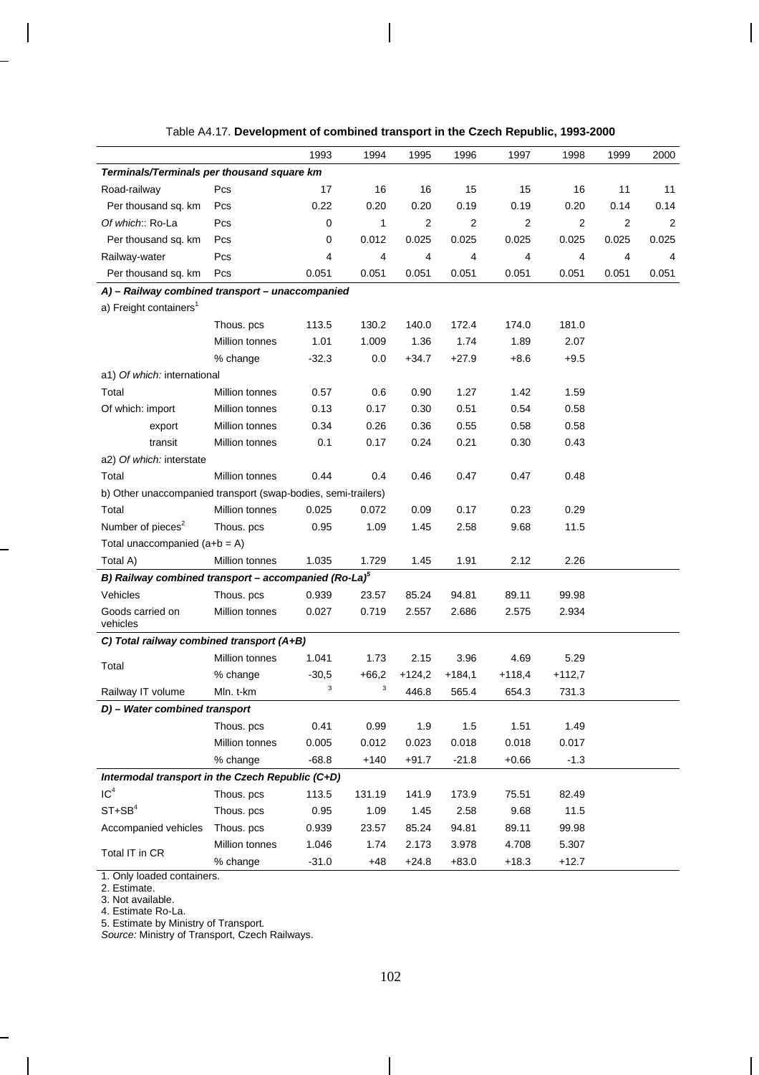|                                                                  |                                            | 1993        | 1994                      | 1995     | 1996     | 1997     | 1998     | 1999  | 2000  |  |
|------------------------------------------------------------------|--------------------------------------------|-------------|---------------------------|----------|----------|----------|----------|-------|-------|--|
|                                                                  | Terminals/Terminals per thousand square km |             |                           |          |          |          |          |       |       |  |
| Road-railway                                                     | Pcs                                        | 17          | 16                        | 16       | 15       | 15       | 16       | 11    | 11    |  |
| Per thousand sq. km                                              | Pcs                                        | 0.22        | 0.20                      | 0.20     | 0.19     | 0.19     | 0.20     | 0.14  | 0.14  |  |
| Of which:: Ro-La                                                 | Pcs                                        | 0           | 1                         | 2        | 2        | 2        | 2        | 2     | 2     |  |
| Per thousand sq. km                                              | Pcs                                        | 0           | 0.012                     | 0.025    | 0.025    | 0.025    | 0.025    | 0.025 | 0.025 |  |
| Railway-water                                                    | Pcs                                        | 4           | 4                         | 4        | 4        | 4        | 4        | 4     | 4     |  |
| Per thousand sq. km                                              | Pcs                                        | 0.051       | 0.051                     | 0.051    | 0.051    | 0.051    | 0.051    | 0.051 | 0.051 |  |
| A) - Railway combined transport - unaccompanied                  |                                            |             |                           |          |          |          |          |       |       |  |
| a) Freight containers <sup>1</sup>                               |                                            |             |                           |          |          |          |          |       |       |  |
|                                                                  | Thous. pcs                                 | 113.5       | 130.2                     | 140.0    | 172.4    | 174.0    | 181.0    |       |       |  |
|                                                                  | Million tonnes                             | 1.01        | 1.009                     | 1.36     | 1.74     | 1.89     | 2.07     |       |       |  |
|                                                                  | % change                                   | $-32.3$     | 0.0                       | $+34.7$  | $+27.9$  | $+8.6$   | $+9.5$   |       |       |  |
| a1) Of which: international                                      |                                            |             |                           |          |          |          |          |       |       |  |
| Total                                                            | Million tonnes                             | 0.57        | 0.6                       | 0.90     | 1.27     | 1.42     | 1.59     |       |       |  |
| Of which: import                                                 | Million tonnes                             | 0.13        | 0.17                      | 0.30     | 0.51     | 0.54     | 0.58     |       |       |  |
| export                                                           | Million tonnes                             | 0.34        | 0.26                      | 0.36     | 0.55     | 0.58     | 0.58     |       |       |  |
| transit                                                          | Million tonnes                             | 0.1         | 0.17                      | 0.24     | 0.21     | 0.30     | 0.43     |       |       |  |
| a2) Of which: interstate                                         |                                            |             |                           |          |          |          |          |       |       |  |
| Total                                                            | Million tonnes                             | 0.44        | 0.4                       | 0.46     | 0.47     | 0.47     | 0.48     |       |       |  |
| b) Other unaccompanied transport (swap-bodies, semi-trailers)    |                                            |             |                           |          |          |          |          |       |       |  |
| Total                                                            | Million tonnes                             | 0.025       | 0.072                     | 0.09     | 0.17     | 0.23     | 0.29     |       |       |  |
| Number of pieces <sup>2</sup>                                    | Thous. pcs                                 | 0.95        | 1.09                      | 1.45     | 2.58     | 9.68     | 11.5     |       |       |  |
| Total unaccompanied $(a+b = A)$                                  |                                            |             |                           |          |          |          |          |       |       |  |
| Total A)                                                         | Million tonnes                             | 1.035       | 1.729                     | 1.45     | 1.91     | 2.12     | 2.26     |       |       |  |
| B) Railway combined transport - accompanied (Ro-La) <sup>5</sup> |                                            |             |                           |          |          |          |          |       |       |  |
| Vehicles                                                         | Thous. pcs                                 | 0.939       | 23.57                     | 85.24    | 94.81    | 89.11    | 99.98    |       |       |  |
| Goods carried on<br>vehicles                                     | Million tonnes                             | 0.027       | 0.719                     | 2.557    | 2.686    | 2.575    | 2.934    |       |       |  |
| C) Total railway combined transport (A+B)                        |                                            |             |                           |          |          |          |          |       |       |  |
|                                                                  | Million tonnes                             | 1.041       | 1.73                      | 2.15     | 3.96     | 4.69     | 5.29     |       |       |  |
| Total                                                            | % change                                   | $-30,5$     | $+66,2$                   | $+124,2$ | $+184,1$ | $+118,4$ | $+112,7$ |       |       |  |
| Railway IT volume                                                | Mln. t-km                                  | $\mathsf 3$ | $\ensuremath{\mathsf{3}}$ | 446.8    | 565.4    | 654.3    | 731.3    |       |       |  |
| D) - Water combined transport                                    |                                            |             |                           |          |          |          |          |       |       |  |
|                                                                  | Thous. pcs                                 | 0.41        | 0.99                      | 1.9      | 1.5      | 1.51     | 1.49     |       |       |  |
|                                                                  | Million tonnes                             | 0.005       | 0.012                     | 0.023    | 0.018    | 0.018    | 0.017    |       |       |  |
|                                                                  | % change                                   | $-68.8$     | $+140$                    | $+91.7$  | $-21.8$  | $+0.66$  | $-1.3$   |       |       |  |
| Intermodal transport in the Czech Republic (C+D)                 |                                            |             |                           |          |          |          |          |       |       |  |
| IC <sup>4</sup>                                                  | Thous. pcs                                 | 113.5       | 131.19                    | 141.9    | 173.9    | 75.51    | 82.49    |       |       |  |
| $ST + SB4$                                                       | Thous. pcs                                 | 0.95        | 1.09                      | 1.45     | 2.58     | 9.68     | 11.5     |       |       |  |
| Accompanied vehicles                                             | Thous. pcs                                 | 0.939       | 23.57                     | 85.24    | 94.81    | 89.11    | 99.98    |       |       |  |
|                                                                  | Million tonnes                             | 1.046       | 1.74                      | 2.173    | 3.978    | 4.708    | 5.307    |       |       |  |
| Total IT in CR                                                   | % change                                   | $-31.0$     | $+48$                     | $+24.8$  | $+83.0$  | $+18.3$  | $+12.7$  |       |       |  |

## Table A4.17. **Development of combined transport in the Czech Republic, 1993-2000**

1. Only loaded containers.

2. Estimate.

3. Not available.

4. Estimate Ro-La.

5. Estimate by Ministry of Transport.

Source: Ministry of Transport, Czech Railways.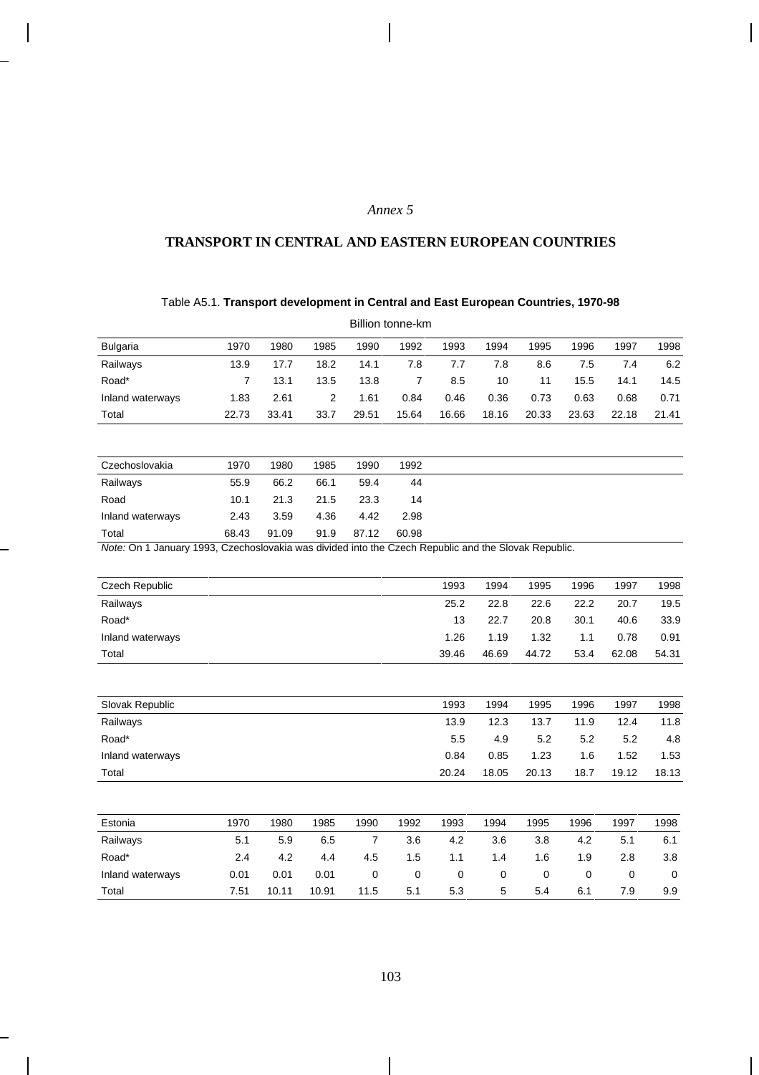## *Annex 5*

## **TRANSPORT IN CENTRAL AND EASTERN EUROPEAN COUNTRIES**

## Table A5.1. **Transport development in Central and East European Countries, 1970-98**

|                                                                                                      |                |             |             |       | Billion tonne-km |             |             |       |             |       |       |
|------------------------------------------------------------------------------------------------------|----------------|-------------|-------------|-------|------------------|-------------|-------------|-------|-------------|-------|-------|
| <b>Bulgaria</b>                                                                                      | 1970           | 1980        | 1985        | 1990  | 1992             | 1993        | 1994        | 1995  | 1996        | 1997  | 1998  |
| Railways                                                                                             | 13.9           | 17.7        | 18.2        | 14.1  | 7.8              | 7.7         | 7.8         | 8.6   | 7.5         | 7.4   | 6.2   |
| Road*                                                                                                | $\overline{7}$ | 13.1        | 13.5        | 13.8  | 7                | 8.5         | 10          | 11    | 15.5        | 14.1  | 14.5  |
| Inland waterways                                                                                     | 1.83           | 2.61        | 2           | 1.61  | 0.84             | 0.46        | 0.36        | 0.73  | 0.63        | 0.68  | 0.71  |
| Total                                                                                                | 22.73          | 33.41       | 33.7        | 29.51 | 15.64            | 16.66       | 18.16       | 20.33 | 23.63       | 22.18 | 21.41 |
|                                                                                                      |                |             |             |       |                  |             |             |       |             |       |       |
|                                                                                                      |                |             |             |       |                  |             |             |       |             |       |       |
| Czechoslovakia                                                                                       | 1970           | 1980        | 1985        | 1990  | 1992             |             |             |       |             |       |       |
| Railways                                                                                             | 55.9           | 66.2        | 66.1        | 59.4  | 44               |             |             |       |             |       |       |
| Road                                                                                                 | 10.1           | 21.3        | 21.5        | 23.3  | 14               |             |             |       |             |       |       |
| Inland waterways                                                                                     | 2.43           | 3.59        | 4.36        | 4.42  | 2.98             |             |             |       |             |       |       |
| Total                                                                                                | 68.43          | 91.09       | 91.9        | 87.12 | 60.98            |             |             |       |             |       |       |
| Note: On 1 January 1993, Czechoslovakia was divided into the Czech Republic and the Slovak Republic. |                |             |             |       |                  |             |             |       |             |       |       |
|                                                                                                      |                |             |             |       |                  |             |             |       |             |       |       |
| Czech Republic                                                                                       |                |             |             |       |                  | 1993        | 1994        | 1995  | 1996        | 1997  | 1998  |
| Railways                                                                                             |                |             |             |       |                  | 25.2        | 22.8        | 22.6  | 22.2        | 20.7  | 19.5  |
| Road*                                                                                                |                |             |             |       |                  | 13          | 22.7        | 20.8  | 30.1        | 40.6  | 33.9  |
| Inland waterways                                                                                     |                |             |             |       |                  | 1.26        | 1.19        | 1.32  | 1.1         | 0.78  | 0.91  |
| Total                                                                                                |                |             |             |       |                  | 39.46       | 46.69       | 44.72 | 53.4        | 62.08 | 54.31 |
|                                                                                                      |                |             |             |       |                  |             |             |       |             |       |       |
|                                                                                                      |                |             |             |       |                  |             |             |       |             |       |       |
| Slovak Republic                                                                                      |                |             |             |       |                  | 1993        | 1994        | 1995  | 1996        | 1997  | 1998  |
| Railways                                                                                             |                |             |             |       |                  | 13.9        | 12.3        | 13.7  | 11.9        | 12.4  | 11.8  |
| Road*                                                                                                |                |             |             |       |                  | 5.5         | 4.9         | 5.2   | 5.2         | 5.2   | 4.8   |
| Inland waterways                                                                                     |                |             |             |       |                  | 0.84        | 0.85        | 1.23  | 1.6         | 1.52  | 1.53  |
| Total                                                                                                |                |             |             |       |                  | 20.24       | 18.05       | 20.13 | 18.7        | 19.12 | 18.13 |
|                                                                                                      |                |             |             |       |                  |             |             |       |             |       |       |
|                                                                                                      |                |             |             |       | 1992             |             |             |       |             |       |       |
| Estonia                                                                                              | 1970           | 1980<br>5.9 | 1985<br>6.5 | 1990  |                  | 1993        | 1994        | 1995  | 1996<br>4.2 | 1997  | 1998  |
| Railways                                                                                             | 5.1            |             |             | 7     | 3.6              | 4.2         | 3.6         | 3.8   |             | 5.1   | 6.1   |
| Road*                                                                                                | 2.4            | 4.2         | 4.4         | 4.5   | 1.5              | 1.1         | 1.4         | 1.6   | 1.9         | 2.8   | 3.8   |
| Inland waterways                                                                                     | 0.01           | 0.01        | 0.01        | 0     | 0                | $\mathbf 0$ | $\mathbf 0$ | 0     | 0           | 0     | 0     |
| Total                                                                                                | 7.51           | 10.11       | 10.91       | 11.5  | 5.1              | 5.3         | 5           | 5.4   | 6.1         | 7.9   | 9.9   |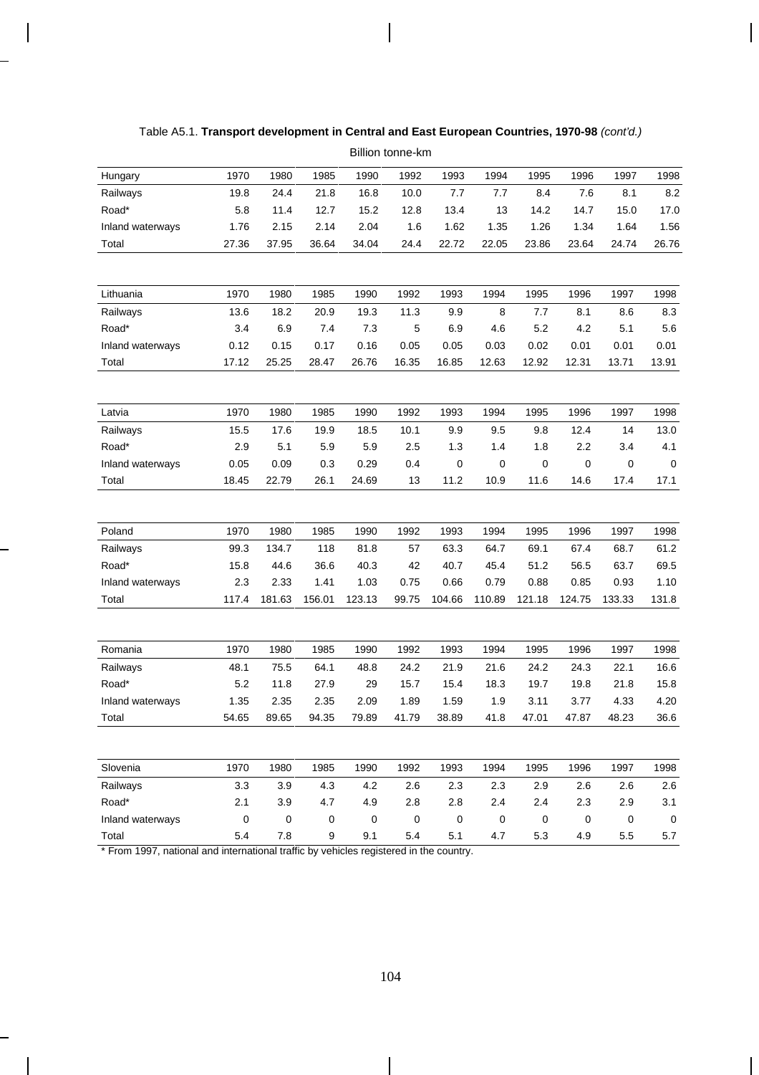| 8.4<br>Railways<br>19.8<br>24.4<br>21.8<br>16.8<br>10.0<br>7.7<br>7.7<br>7.6<br>8.1<br>8.2<br>Road*<br>5.8<br>11.4<br>12.7<br>15.2<br>12.8<br>13.4<br>13<br>14.2<br>14.7<br>15.0<br>17.0<br>2.14<br>1.76<br>2.15<br>2.04<br>1.6<br>1.62<br>1.35<br>1.26<br>1.34<br>1.64<br>1.56<br>Inland waterways<br>36.64<br>22.72<br>Total<br>27.36<br>37.95<br>34.04<br>24.4<br>22.05<br>23.86<br>23.64<br>24.74<br>26.76<br>1970<br>1980<br>1985<br>1992<br>1993<br>1994<br>1995<br>1996<br>1998<br>Lithuania<br>1990<br>1997<br>13.6<br>11.3<br>Railways<br>18.2<br>20.9<br>19.3<br>9.9<br>8<br>7.7<br>8.1<br>8.6<br>8.3<br>Road*<br>3.4<br>6.9<br>7.4<br>5<br>6.9<br>5.2<br>5.6<br>7.3<br>4.6<br>4.2<br>5.1<br>0.17<br>0.01<br>0.12<br>0.15<br>0.16<br>0.05<br>0.05<br>0.03<br>0.02<br>0.01<br>0.01<br>Inland waterways<br>17.12<br>Total<br>25.25<br>28.47<br>26.76<br>16.35<br>16.85<br>12.63<br>12.92<br>12.31<br>13.71<br>13.91<br>1970<br>1980<br>1985<br>1990<br>1992<br>1993<br>1994<br>1995<br>1996<br>1997<br>1998<br>Latvia<br>17.6<br>12.4<br>13.0<br>Railways<br>15.5<br>19.9<br>18.5<br>10.1<br>9.9<br>9.5<br>9.8<br>14<br>2.9<br>5.1<br>5.9<br>5.9<br>2.5<br>2.2<br>4.1<br>Road*<br>1.3<br>1.4<br>1.8<br>3.4<br>0.3<br>0.29<br>$\mathbf 0$<br>$\mathbf 0$<br>0<br>0.05<br>0.09<br>0<br>0<br>0<br>Inland waterways<br>0.4<br>13<br>10.9<br>14.6<br>Total<br>18.45<br>22.79<br>26.1<br>24.69<br>11.2<br>11.6<br>17.4<br>17.1<br>1980<br>1970<br>1985<br>1990<br>1992<br>1993<br>1994<br>1995<br>1996<br>1997<br>1998<br>Poland<br>61.2<br>99.3<br>134.7<br>118<br>81.8<br>57<br>63.3<br>64.7<br>69.1<br>67.4<br>Railways<br>68.7<br>40.3<br>42<br>69.5<br>Road*<br>15.8<br>44.6<br>36.6<br>40.7<br>45.4<br>51.2<br>56.5<br>63.7<br>0.66<br>2.3<br>2.33<br>1.41<br>1.03<br>0.75<br>0.79<br>0.88<br>0.85<br>0.93<br>1.10<br>Inland waterways<br>Total<br>117.4<br>181.63<br>156.01<br>99.75<br>104.66<br>110.89<br>121.18<br>124.75<br>133.33<br>131.8<br>123.13<br>1970<br>1980<br>1985<br>1990<br>1992<br>1993<br>1994<br>1995<br>1996<br>1997<br>1998<br>Romania<br>48.1<br>75.5<br>64.1<br>48.8<br>21.9<br>21.6<br>24.2<br>24.3<br>16.6<br>24.2<br>22.1<br>Railways<br>5.2<br>11.8<br>27.9<br>29<br>15.4<br>18.3<br>19.8<br>15.8<br>Road*<br>15.7<br>19.7<br>21.8<br>1.35<br>2.35<br>2.35<br>2.09<br>1.89<br>1.59<br>1.9<br>3.11<br>3.77<br>4.33<br>4.20<br>Inland waterways<br>Total<br>54.65<br>89.65<br>94.35<br>79.89<br>41.79<br>38.89<br>41.8<br>47.01<br>47.87<br>48.23<br>36.6<br>1970<br>1980<br>1985<br>1990<br>1992<br>1993<br>1994<br>1995<br>1996<br>1997<br>1998<br>Slovenia<br>Railways<br>3.3<br>3.9<br>4.3<br>4.2<br>2.6<br>2.3<br>2.3<br>2.9<br>2.6<br>2.6<br>2.6<br>Road*<br>2.1<br>3.9<br>4.7<br>4.9<br>2.8<br>2.8<br>2.4<br>2.4<br>2.3<br>2.9<br>3.1<br>$\pmb{0}$<br>$\mathbf 0$<br>$\mathbf 0$<br>$\mathbf 0$<br>Inland waterways<br>0<br>0<br>0<br>$\pmb{0}$<br>0<br>0<br>0<br>5.4<br>7.8<br>9<br>9.1<br>5.4<br>5.1<br>Total<br>4.7<br>5.3<br>4.9<br>5.5<br>5.7 |         | 1970 | 1980 | 1985 | 1990 | 1992 | 1993 | 1994 | 1995 | 1996 | 1997 | 1998 |
|----------------------------------------------------------------------------------------------------------------------------------------------------------------------------------------------------------------------------------------------------------------------------------------------------------------------------------------------------------------------------------------------------------------------------------------------------------------------------------------------------------------------------------------------------------------------------------------------------------------------------------------------------------------------------------------------------------------------------------------------------------------------------------------------------------------------------------------------------------------------------------------------------------------------------------------------------------------------------------------------------------------------------------------------------------------------------------------------------------------------------------------------------------------------------------------------------------------------------------------------------------------------------------------------------------------------------------------------------------------------------------------------------------------------------------------------------------------------------------------------------------------------------------------------------------------------------------------------------------------------------------------------------------------------------------------------------------------------------------------------------------------------------------------------------------------------------------------------------------------------------------------------------------------------------------------------------------------------------------------------------------------------------------------------------------------------------------------------------------------------------------------------------------------------------------------------------------------------------------------------------------------------------------------------------------------------------------------------------------------------------------------------------------------------------------------------------------------------------------------------------------------------------------------------------------------------------------------------------------------------------------------------------------------------------------------------------------------------------------------------------------------------------------------------------------------------------------------------------------------------------------------------------------------------------------------------------------------------------------------------|---------|------|------|------|------|------|------|------|------|------|------|------|
|                                                                                                                                                                                                                                                                                                                                                                                                                                                                                                                                                                                                                                                                                                                                                                                                                                                                                                                                                                                                                                                                                                                                                                                                                                                                                                                                                                                                                                                                                                                                                                                                                                                                                                                                                                                                                                                                                                                                                                                                                                                                                                                                                                                                                                                                                                                                                                                                                                                                                                                                                                                                                                                                                                                                                                                                                                                                                                                                                                                              | Hungary |      |      |      |      |      |      |      |      |      |      |      |
|                                                                                                                                                                                                                                                                                                                                                                                                                                                                                                                                                                                                                                                                                                                                                                                                                                                                                                                                                                                                                                                                                                                                                                                                                                                                                                                                                                                                                                                                                                                                                                                                                                                                                                                                                                                                                                                                                                                                                                                                                                                                                                                                                                                                                                                                                                                                                                                                                                                                                                                                                                                                                                                                                                                                                                                                                                                                                                                                                                                              |         |      |      |      |      |      |      |      |      |      |      |      |
|                                                                                                                                                                                                                                                                                                                                                                                                                                                                                                                                                                                                                                                                                                                                                                                                                                                                                                                                                                                                                                                                                                                                                                                                                                                                                                                                                                                                                                                                                                                                                                                                                                                                                                                                                                                                                                                                                                                                                                                                                                                                                                                                                                                                                                                                                                                                                                                                                                                                                                                                                                                                                                                                                                                                                                                                                                                                                                                                                                                              |         |      |      |      |      |      |      |      |      |      |      |      |
|                                                                                                                                                                                                                                                                                                                                                                                                                                                                                                                                                                                                                                                                                                                                                                                                                                                                                                                                                                                                                                                                                                                                                                                                                                                                                                                                                                                                                                                                                                                                                                                                                                                                                                                                                                                                                                                                                                                                                                                                                                                                                                                                                                                                                                                                                                                                                                                                                                                                                                                                                                                                                                                                                                                                                                                                                                                                                                                                                                                              |         |      |      |      |      |      |      |      |      |      |      |      |
|                                                                                                                                                                                                                                                                                                                                                                                                                                                                                                                                                                                                                                                                                                                                                                                                                                                                                                                                                                                                                                                                                                                                                                                                                                                                                                                                                                                                                                                                                                                                                                                                                                                                                                                                                                                                                                                                                                                                                                                                                                                                                                                                                                                                                                                                                                                                                                                                                                                                                                                                                                                                                                                                                                                                                                                                                                                                                                                                                                                              |         |      |      |      |      |      |      |      |      |      |      |      |
|                                                                                                                                                                                                                                                                                                                                                                                                                                                                                                                                                                                                                                                                                                                                                                                                                                                                                                                                                                                                                                                                                                                                                                                                                                                                                                                                                                                                                                                                                                                                                                                                                                                                                                                                                                                                                                                                                                                                                                                                                                                                                                                                                                                                                                                                                                                                                                                                                                                                                                                                                                                                                                                                                                                                                                                                                                                                                                                                                                                              |         |      |      |      |      |      |      |      |      |      |      |      |
|                                                                                                                                                                                                                                                                                                                                                                                                                                                                                                                                                                                                                                                                                                                                                                                                                                                                                                                                                                                                                                                                                                                                                                                                                                                                                                                                                                                                                                                                                                                                                                                                                                                                                                                                                                                                                                                                                                                                                                                                                                                                                                                                                                                                                                                                                                                                                                                                                                                                                                                                                                                                                                                                                                                                                                                                                                                                                                                                                                                              |         |      |      |      |      |      |      |      |      |      |      |      |
|                                                                                                                                                                                                                                                                                                                                                                                                                                                                                                                                                                                                                                                                                                                                                                                                                                                                                                                                                                                                                                                                                                                                                                                                                                                                                                                                                                                                                                                                                                                                                                                                                                                                                                                                                                                                                                                                                                                                                                                                                                                                                                                                                                                                                                                                                                                                                                                                                                                                                                                                                                                                                                                                                                                                                                                                                                                                                                                                                                                              |         |      |      |      |      |      |      |      |      |      |      |      |
|                                                                                                                                                                                                                                                                                                                                                                                                                                                                                                                                                                                                                                                                                                                                                                                                                                                                                                                                                                                                                                                                                                                                                                                                                                                                                                                                                                                                                                                                                                                                                                                                                                                                                                                                                                                                                                                                                                                                                                                                                                                                                                                                                                                                                                                                                                                                                                                                                                                                                                                                                                                                                                                                                                                                                                                                                                                                                                                                                                                              |         |      |      |      |      |      |      |      |      |      |      |      |
|                                                                                                                                                                                                                                                                                                                                                                                                                                                                                                                                                                                                                                                                                                                                                                                                                                                                                                                                                                                                                                                                                                                                                                                                                                                                                                                                                                                                                                                                                                                                                                                                                                                                                                                                                                                                                                                                                                                                                                                                                                                                                                                                                                                                                                                                                                                                                                                                                                                                                                                                                                                                                                                                                                                                                                                                                                                                                                                                                                                              |         |      |      |      |      |      |      |      |      |      |      |      |
|                                                                                                                                                                                                                                                                                                                                                                                                                                                                                                                                                                                                                                                                                                                                                                                                                                                                                                                                                                                                                                                                                                                                                                                                                                                                                                                                                                                                                                                                                                                                                                                                                                                                                                                                                                                                                                                                                                                                                                                                                                                                                                                                                                                                                                                                                                                                                                                                                                                                                                                                                                                                                                                                                                                                                                                                                                                                                                                                                                                              |         |      |      |      |      |      |      |      |      |      |      |      |
|                                                                                                                                                                                                                                                                                                                                                                                                                                                                                                                                                                                                                                                                                                                                                                                                                                                                                                                                                                                                                                                                                                                                                                                                                                                                                                                                                                                                                                                                                                                                                                                                                                                                                                                                                                                                                                                                                                                                                                                                                                                                                                                                                                                                                                                                                                                                                                                                                                                                                                                                                                                                                                                                                                                                                                                                                                                                                                                                                                                              |         |      |      |      |      |      |      |      |      |      |      |      |
|                                                                                                                                                                                                                                                                                                                                                                                                                                                                                                                                                                                                                                                                                                                                                                                                                                                                                                                                                                                                                                                                                                                                                                                                                                                                                                                                                                                                                                                                                                                                                                                                                                                                                                                                                                                                                                                                                                                                                                                                                                                                                                                                                                                                                                                                                                                                                                                                                                                                                                                                                                                                                                                                                                                                                                                                                                                                                                                                                                                              |         |      |      |      |      |      |      |      |      |      |      |      |
|                                                                                                                                                                                                                                                                                                                                                                                                                                                                                                                                                                                                                                                                                                                                                                                                                                                                                                                                                                                                                                                                                                                                                                                                                                                                                                                                                                                                                                                                                                                                                                                                                                                                                                                                                                                                                                                                                                                                                                                                                                                                                                                                                                                                                                                                                                                                                                                                                                                                                                                                                                                                                                                                                                                                                                                                                                                                                                                                                                                              |         |      |      |      |      |      |      |      |      |      |      |      |
|                                                                                                                                                                                                                                                                                                                                                                                                                                                                                                                                                                                                                                                                                                                                                                                                                                                                                                                                                                                                                                                                                                                                                                                                                                                                                                                                                                                                                                                                                                                                                                                                                                                                                                                                                                                                                                                                                                                                                                                                                                                                                                                                                                                                                                                                                                                                                                                                                                                                                                                                                                                                                                                                                                                                                                                                                                                                                                                                                                                              |         |      |      |      |      |      |      |      |      |      |      |      |
|                                                                                                                                                                                                                                                                                                                                                                                                                                                                                                                                                                                                                                                                                                                                                                                                                                                                                                                                                                                                                                                                                                                                                                                                                                                                                                                                                                                                                                                                                                                                                                                                                                                                                                                                                                                                                                                                                                                                                                                                                                                                                                                                                                                                                                                                                                                                                                                                                                                                                                                                                                                                                                                                                                                                                                                                                                                                                                                                                                                              |         |      |      |      |      |      |      |      |      |      |      |      |
|                                                                                                                                                                                                                                                                                                                                                                                                                                                                                                                                                                                                                                                                                                                                                                                                                                                                                                                                                                                                                                                                                                                                                                                                                                                                                                                                                                                                                                                                                                                                                                                                                                                                                                                                                                                                                                                                                                                                                                                                                                                                                                                                                                                                                                                                                                                                                                                                                                                                                                                                                                                                                                                                                                                                                                                                                                                                                                                                                                                              |         |      |      |      |      |      |      |      |      |      |      |      |
|                                                                                                                                                                                                                                                                                                                                                                                                                                                                                                                                                                                                                                                                                                                                                                                                                                                                                                                                                                                                                                                                                                                                                                                                                                                                                                                                                                                                                                                                                                                                                                                                                                                                                                                                                                                                                                                                                                                                                                                                                                                                                                                                                                                                                                                                                                                                                                                                                                                                                                                                                                                                                                                                                                                                                                                                                                                                                                                                                                                              |         |      |      |      |      |      |      |      |      |      |      |      |
|                                                                                                                                                                                                                                                                                                                                                                                                                                                                                                                                                                                                                                                                                                                                                                                                                                                                                                                                                                                                                                                                                                                                                                                                                                                                                                                                                                                                                                                                                                                                                                                                                                                                                                                                                                                                                                                                                                                                                                                                                                                                                                                                                                                                                                                                                                                                                                                                                                                                                                                                                                                                                                                                                                                                                                                                                                                                                                                                                                                              |         |      |      |      |      |      |      |      |      |      |      |      |
|                                                                                                                                                                                                                                                                                                                                                                                                                                                                                                                                                                                                                                                                                                                                                                                                                                                                                                                                                                                                                                                                                                                                                                                                                                                                                                                                                                                                                                                                                                                                                                                                                                                                                                                                                                                                                                                                                                                                                                                                                                                                                                                                                                                                                                                                                                                                                                                                                                                                                                                                                                                                                                                                                                                                                                                                                                                                                                                                                                                              |         |      |      |      |      |      |      |      |      |      |      |      |
|                                                                                                                                                                                                                                                                                                                                                                                                                                                                                                                                                                                                                                                                                                                                                                                                                                                                                                                                                                                                                                                                                                                                                                                                                                                                                                                                                                                                                                                                                                                                                                                                                                                                                                                                                                                                                                                                                                                                                                                                                                                                                                                                                                                                                                                                                                                                                                                                                                                                                                                                                                                                                                                                                                                                                                                                                                                                                                                                                                                              |         |      |      |      |      |      |      |      |      |      |      |      |
|                                                                                                                                                                                                                                                                                                                                                                                                                                                                                                                                                                                                                                                                                                                                                                                                                                                                                                                                                                                                                                                                                                                                                                                                                                                                                                                                                                                                                                                                                                                                                                                                                                                                                                                                                                                                                                                                                                                                                                                                                                                                                                                                                                                                                                                                                                                                                                                                                                                                                                                                                                                                                                                                                                                                                                                                                                                                                                                                                                                              |         |      |      |      |      |      |      |      |      |      |      |      |
|                                                                                                                                                                                                                                                                                                                                                                                                                                                                                                                                                                                                                                                                                                                                                                                                                                                                                                                                                                                                                                                                                                                                                                                                                                                                                                                                                                                                                                                                                                                                                                                                                                                                                                                                                                                                                                                                                                                                                                                                                                                                                                                                                                                                                                                                                                                                                                                                                                                                                                                                                                                                                                                                                                                                                                                                                                                                                                                                                                                              |         |      |      |      |      |      |      |      |      |      |      |      |
|                                                                                                                                                                                                                                                                                                                                                                                                                                                                                                                                                                                                                                                                                                                                                                                                                                                                                                                                                                                                                                                                                                                                                                                                                                                                                                                                                                                                                                                                                                                                                                                                                                                                                                                                                                                                                                                                                                                                                                                                                                                                                                                                                                                                                                                                                                                                                                                                                                                                                                                                                                                                                                                                                                                                                                                                                                                                                                                                                                                              |         |      |      |      |      |      |      |      |      |      |      |      |
|                                                                                                                                                                                                                                                                                                                                                                                                                                                                                                                                                                                                                                                                                                                                                                                                                                                                                                                                                                                                                                                                                                                                                                                                                                                                                                                                                                                                                                                                                                                                                                                                                                                                                                                                                                                                                                                                                                                                                                                                                                                                                                                                                                                                                                                                                                                                                                                                                                                                                                                                                                                                                                                                                                                                                                                                                                                                                                                                                                                              |         |      |      |      |      |      |      |      |      |      |      |      |
|                                                                                                                                                                                                                                                                                                                                                                                                                                                                                                                                                                                                                                                                                                                                                                                                                                                                                                                                                                                                                                                                                                                                                                                                                                                                                                                                                                                                                                                                                                                                                                                                                                                                                                                                                                                                                                                                                                                                                                                                                                                                                                                                                                                                                                                                                                                                                                                                                                                                                                                                                                                                                                                                                                                                                                                                                                                                                                                                                                                              |         |      |      |      |      |      |      |      |      |      |      |      |
|                                                                                                                                                                                                                                                                                                                                                                                                                                                                                                                                                                                                                                                                                                                                                                                                                                                                                                                                                                                                                                                                                                                                                                                                                                                                                                                                                                                                                                                                                                                                                                                                                                                                                                                                                                                                                                                                                                                                                                                                                                                                                                                                                                                                                                                                                                                                                                                                                                                                                                                                                                                                                                                                                                                                                                                                                                                                                                                                                                                              |         |      |      |      |      |      |      |      |      |      |      |      |
|                                                                                                                                                                                                                                                                                                                                                                                                                                                                                                                                                                                                                                                                                                                                                                                                                                                                                                                                                                                                                                                                                                                                                                                                                                                                                                                                                                                                                                                                                                                                                                                                                                                                                                                                                                                                                                                                                                                                                                                                                                                                                                                                                                                                                                                                                                                                                                                                                                                                                                                                                                                                                                                                                                                                                                                                                                                                                                                                                                                              |         |      |      |      |      |      |      |      |      |      |      |      |
|                                                                                                                                                                                                                                                                                                                                                                                                                                                                                                                                                                                                                                                                                                                                                                                                                                                                                                                                                                                                                                                                                                                                                                                                                                                                                                                                                                                                                                                                                                                                                                                                                                                                                                                                                                                                                                                                                                                                                                                                                                                                                                                                                                                                                                                                                                                                                                                                                                                                                                                                                                                                                                                                                                                                                                                                                                                                                                                                                                                              |         |      |      |      |      |      |      |      |      |      |      |      |
|                                                                                                                                                                                                                                                                                                                                                                                                                                                                                                                                                                                                                                                                                                                                                                                                                                                                                                                                                                                                                                                                                                                                                                                                                                                                                                                                                                                                                                                                                                                                                                                                                                                                                                                                                                                                                                                                                                                                                                                                                                                                                                                                                                                                                                                                                                                                                                                                                                                                                                                                                                                                                                                                                                                                                                                                                                                                                                                                                                                              |         |      |      |      |      |      |      |      |      |      |      |      |
|                                                                                                                                                                                                                                                                                                                                                                                                                                                                                                                                                                                                                                                                                                                                                                                                                                                                                                                                                                                                                                                                                                                                                                                                                                                                                                                                                                                                                                                                                                                                                                                                                                                                                                                                                                                                                                                                                                                                                                                                                                                                                                                                                                                                                                                                                                                                                                                                                                                                                                                                                                                                                                                                                                                                                                                                                                                                                                                                                                                              |         |      |      |      |      |      |      |      |      |      |      |      |
|                                                                                                                                                                                                                                                                                                                                                                                                                                                                                                                                                                                                                                                                                                                                                                                                                                                                                                                                                                                                                                                                                                                                                                                                                                                                                                                                                                                                                                                                                                                                                                                                                                                                                                                                                                                                                                                                                                                                                                                                                                                                                                                                                                                                                                                                                                                                                                                                                                                                                                                                                                                                                                                                                                                                                                                                                                                                                                                                                                                              |         |      |      |      |      |      |      |      |      |      |      |      |
|                                                                                                                                                                                                                                                                                                                                                                                                                                                                                                                                                                                                                                                                                                                                                                                                                                                                                                                                                                                                                                                                                                                                                                                                                                                                                                                                                                                                                                                                                                                                                                                                                                                                                                                                                                                                                                                                                                                                                                                                                                                                                                                                                                                                                                                                                                                                                                                                                                                                                                                                                                                                                                                                                                                                                                                                                                                                                                                                                                                              |         |      |      |      |      |      |      |      |      |      |      |      |
|                                                                                                                                                                                                                                                                                                                                                                                                                                                                                                                                                                                                                                                                                                                                                                                                                                                                                                                                                                                                                                                                                                                                                                                                                                                                                                                                                                                                                                                                                                                                                                                                                                                                                                                                                                                                                                                                                                                                                                                                                                                                                                                                                                                                                                                                                                                                                                                                                                                                                                                                                                                                                                                                                                                                                                                                                                                                                                                                                                                              |         |      |      |      |      |      |      |      |      |      |      |      |
| * Erom 1997, pational and international traffic by vehicles registered in the country                                                                                                                                                                                                                                                                                                                                                                                                                                                                                                                                                                                                                                                                                                                                                                                                                                                                                                                                                                                                                                                                                                                                                                                                                                                                                                                                                                                                                                                                                                                                                                                                                                                                                                                                                                                                                                                                                                                                                                                                                                                                                                                                                                                                                                                                                                                                                                                                                                                                                                                                                                                                                                                                                                                                                                                                                                                                                                        |         |      |      |      |      |      |      |      |      |      |      |      |

# Table A5.1. **Transport development in Central and East European Countries, 1970-98** (cont'd.)

Billion tonne-km

From 1997, national and international traffic by vehicles registered in the country.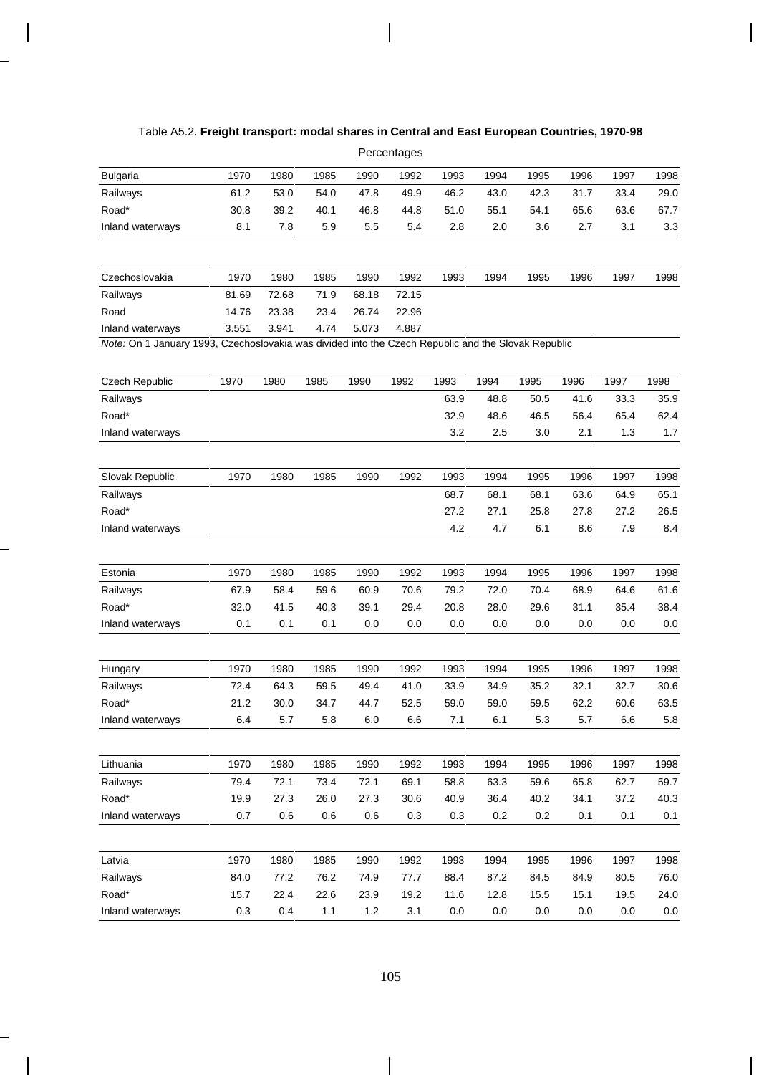|                                                                                                     |       |       |      |       | Percentages |         |         |         |         |      |      |
|-----------------------------------------------------------------------------------------------------|-------|-------|------|-------|-------------|---------|---------|---------|---------|------|------|
| Bulgaria                                                                                            | 1970  | 1980  | 1985 | 1990  | 1992        | 1993    | 1994    | 1995    | 1996    | 1997 | 1998 |
| Railways                                                                                            | 61.2  | 53.0  | 54.0 | 47.8  | 49.9        | 46.2    | 43.0    | 42.3    | 31.7    | 33.4 | 29.0 |
| Road*                                                                                               | 30.8  | 39.2  | 40.1 | 46.8  | 44.8        | 51.0    | 55.1    | 54.1    | 65.6    | 63.6 | 67.7 |
| Inland waterways                                                                                    | 8.1   | 7.8   | 5.9  | 5.5   | 5.4         | 2.8     | 2.0     | 3.6     | 2.7     | 3.1  | 3.3  |
|                                                                                                     |       |       |      |       |             |         |         |         |         |      |      |
| Czechoslovakia                                                                                      | 1970  | 1980  | 1985 | 1990  | 1992        | 1993    | 1994    | 1995    | 1996    | 1997 | 1998 |
| Railways                                                                                            | 81.69 | 72.68 | 71.9 | 68.18 | 72.15       |         |         |         |         |      |      |
| Road                                                                                                | 14.76 | 23.38 | 23.4 | 26.74 | 22.96       |         |         |         |         |      |      |
| Inland waterways                                                                                    | 3.551 | 3.941 | 4.74 | 5.073 | 4.887       |         |         |         |         |      |      |
| Note: On 1 January 1993, Czechoslovakia was divided into the Czech Republic and the Slovak Republic |       |       |      |       |             |         |         |         |         |      |      |
| <b>Czech Republic</b>                                                                               | 1970  | 1980  | 1985 | 1990  | 1992        | 1993    | 1994    | 1995    | 1996    | 1997 | 1998 |
| Railways                                                                                            |       |       |      |       |             | 63.9    | 48.8    | 50.5    | 41.6    | 33.3 | 35.9 |
| Road*                                                                                               |       |       |      |       |             | 32.9    | 48.6    | 46.5    | 56.4    | 65.4 | 62.4 |
| Inland waterways                                                                                    |       |       |      |       |             | 3.2     | 2.5     | 3.0     | 2.1     | 1.3  | 1.7  |
|                                                                                                     |       |       |      |       |             |         |         |         |         |      |      |
| Slovak Republic                                                                                     | 1970  | 1980  | 1985 | 1990  | 1992        | 1993    | 1994    | 1995    | 1996    | 1997 | 1998 |
| Railways                                                                                            |       |       |      |       |             | 68.7    | 68.1    | 68.1    | 63.6    | 64.9 | 65.1 |
| Road*                                                                                               |       |       |      |       |             | 27.2    | 27.1    | 25.8    | 27.8    | 27.2 | 26.5 |
| Inland waterways                                                                                    |       |       |      |       |             | 4.2     | 4.7     | 6.1     | 8.6     | 7.9  | 8.4  |
|                                                                                                     |       |       |      |       |             |         |         |         |         |      |      |
| Estonia                                                                                             | 1970  | 1980  | 1985 | 1990  | 1992        | 1993    | 1994    | 1995    | 1996    | 1997 | 1998 |
| Railways                                                                                            | 67.9  | 58.4  | 59.6 | 60.9  | 70.6        | 79.2    | 72.0    | 70.4    | 68.9    | 64.6 | 61.6 |
| Road*                                                                                               | 32.0  | 41.5  | 40.3 | 39.1  | 29.4        | 20.8    | 28.0    | 29.6    | 31.1    | 35.4 | 38.4 |
| Inland waterways                                                                                    | 0.1   | 0.1   | 0.1  | 0.0   | 0.0         | 0.0     | 0.0     | 0.0     | 0.0     | 0.0  | 0.0  |
|                                                                                                     |       |       |      |       |             |         |         |         |         |      |      |
| Hungary                                                                                             | 1970  | 1980  | 1985 | 1990  | 1992        | 1993    | 1994    | 1995    | 1996    | 1997 | 1998 |
| Railways                                                                                            | 72.4  | 64.3  | 59.5 | 49.4  | 41.0        | 33.9    | 34.9    | 35.2    | 32.1    | 32.7 | 30.6 |
| Road*                                                                                               | 21.2  | 30.0  | 34.7 | 44.7  | 52.5        | 59.0    | 59.0    | 59.5    | 62.2    | 60.6 | 63.5 |
| Inland waterways                                                                                    | 6.4   | 5.7   | 5.8  | 6.0   | 6.6         | 7.1     | 6.1     | 5.3     | 5.7     | 6.6  | 5.8  |
|                                                                                                     |       |       |      |       |             |         |         |         |         |      |      |
| Lithuania                                                                                           | 1970  | 1980  | 1985 | 1990  | 1992        | 1993    | 1994    | 1995    | 1996    | 1997 | 1998 |
| Railways                                                                                            | 79.4  | 72.1  | 73.4 | 72.1  | 69.1        | 58.8    | 63.3    | 59.6    | 65.8    | 62.7 | 59.7 |
| Road*                                                                                               | 19.9  | 27.3  | 26.0 | 27.3  | 30.6        | 40.9    | 36.4    | 40.2    | 34.1    | 37.2 | 40.3 |
| Inland waterways                                                                                    | 0.7   | 0.6   | 0.6  | 0.6   | 0.3         | 0.3     | 0.2     | 0.2     | 0.1     | 0.1  | 0.1  |
| Latvia                                                                                              | 1970  | 1980  | 1985 | 1990  | 1992        | 1993    | 1994    | 1995    | 1996    | 1997 | 1998 |
| Railways                                                                                            | 84.0  | 77.2  | 76.2 | 74.9  | 77.7        | 88.4    | 87.2    | 84.5    | 84.9    | 80.5 | 76.0 |
| Road*                                                                                               | 15.7  | 22.4  | 22.6 | 23.9  | 19.2        | 11.6    | 12.8    | 15.5    | 15.1    | 19.5 | 24.0 |
| Inland waterways                                                                                    | 0.3   | 0.4   | 1.1  | 1.2   | 3.1         | $0.0\,$ | $0.0\,$ | $0.0\,$ | $0.0\,$ | 0.0  | 0.0  |
|                                                                                                     |       |       |      |       |             |         |         |         |         |      |      |

## Table A5.2. **Freight transport: modal shares in Central and East European Countries, 1970-98**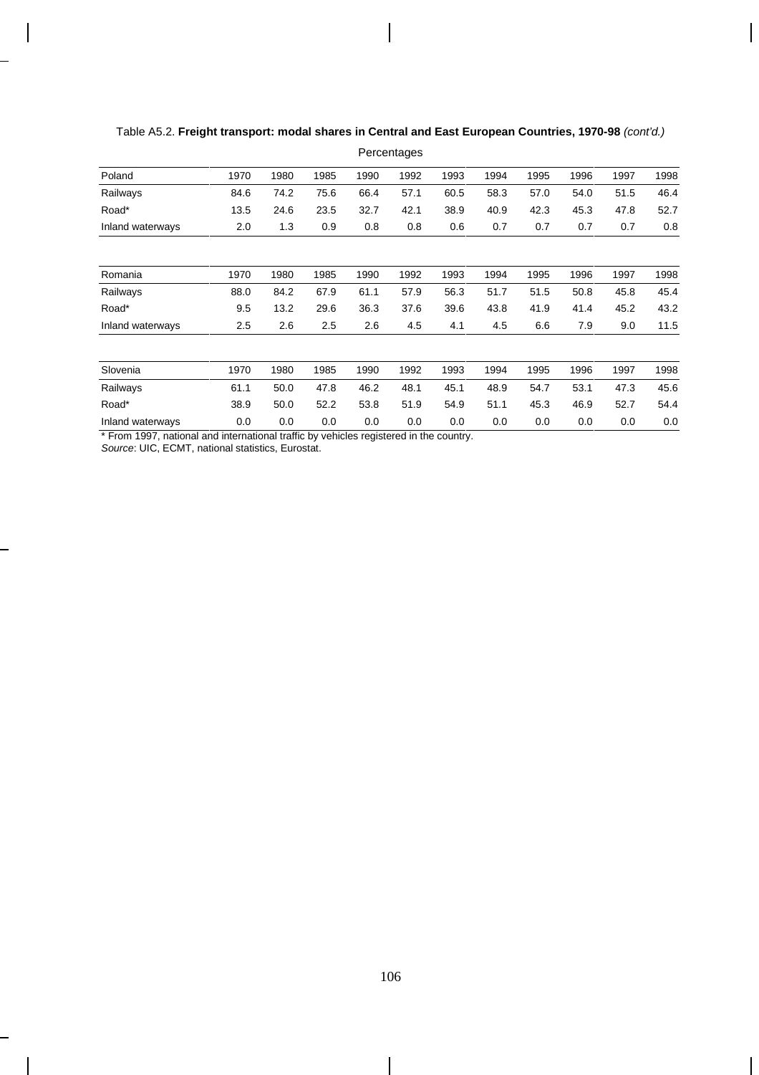| Poland                                       | 1970 | 1980 | 1985     | 1990 | 1992 | 1993 | 1994 | 1995 | 1996 | 1997 | 1998 |
|----------------------------------------------|------|------|----------|------|------|------|------|------|------|------|------|
| Railways                                     | 84.6 | 74.2 | 75.6     | 66.4 | 57.1 | 60.5 | 58.3 | 57.0 | 54.0 | 51.5 | 46.4 |
| Road*                                        | 13.5 | 24.6 | 23.5     | 32.7 | 42.1 | 38.9 | 40.9 | 42.3 | 45.3 | 47.8 | 52.7 |
| Inland waterways                             | 2.0  | 1.3  | 0.9      | 0.8  | 0.8  | 0.6  | 0.7  | 0.7  | 0.7  | 0.7  | 0.8  |
| Romania                                      | 1970 | 1980 | 1985     | 1990 | 1992 | 1993 | 1994 | 1995 | 1996 | 1997 | 1998 |
| Railways                                     | 88.0 | 84.2 | 67.9     | 61.1 | 57.9 | 56.3 | 51.7 | 51.5 | 50.8 | 45.8 | 45.4 |
| Road*                                        | 9.5  | 13.2 | 29.6     | 36.3 | 37.6 | 39.6 | 43.8 | 41.9 | 41.4 | 45.2 | 43.2 |
| Inland waterways                             | 2.5  | 2.6  | 2.5      | 2.6  | 4.5  | 4.1  | 4.5  | 6.6  | 7.9  | 9.0  | 11.5 |
| Slovenia                                     | 1970 | 1980 | 1985     | 1990 | 1992 | 1993 | 1994 | 1995 | 1996 | 1997 | 1998 |
| Railways                                     | 61.1 | 50.0 | 47.8     | 46.2 | 48.1 | 45.1 | 48.9 | 54.7 | 53.1 | 47.3 | 45.6 |
| Road*                                        | 38.9 | 50.0 | 52.2     | 53.8 | 51.9 | 54.9 | 51.1 | 45.3 | 46.9 | 52.7 | 54.4 |
| Inland waterways                             | 0.0  | 0.0  | 0.0      | 0.0  | 0.0  | 0.0  | 0.0  | 0.0  | 0.0  | 0.0  | 0.0  |
| $\sim$ $\sim$<br>$\sim$ $\sim$ $\sim$ $\sim$ |      |      | $\cdots$ |      |      |      |      |      |      |      |      |

# Table A5.2. **Freight transport: modal shares in Central and East European Countries, 1970-98** (cont'd.)

Percentages

\* From 1997, national and international traffic by vehicles registered in the country.

Source: UIC, ECMT, national statistics, Eurostat.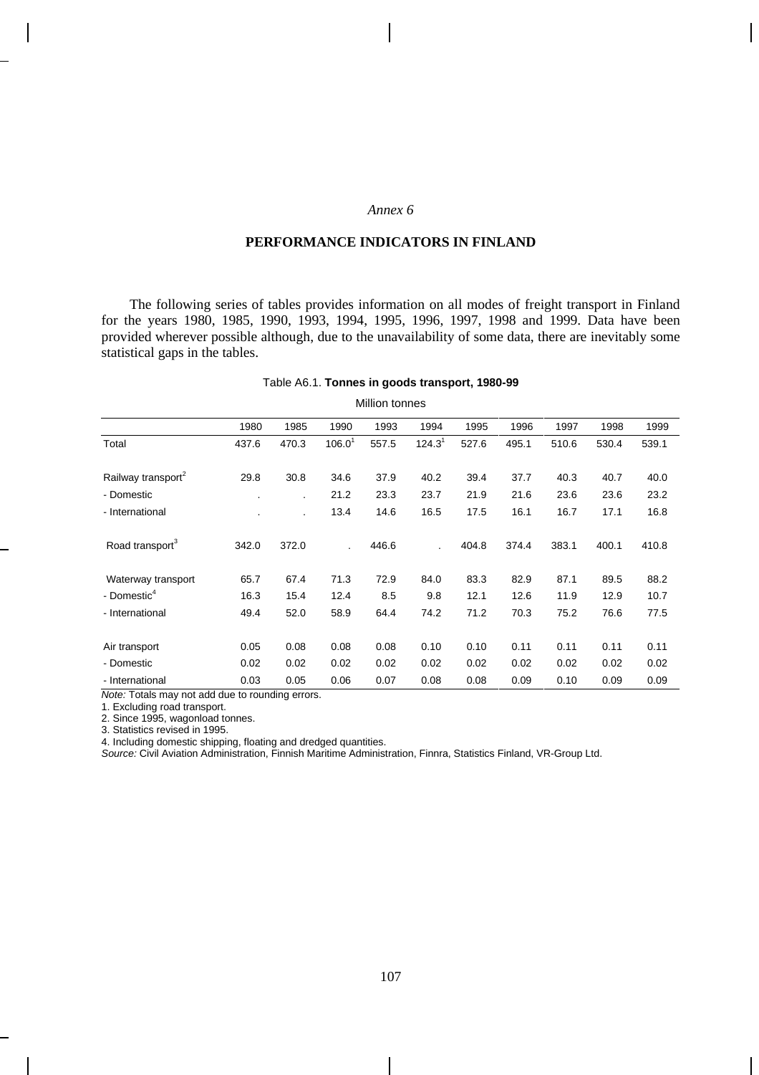### *Annex 6*

### **PERFORMANCE INDICATORS IN FINLAND**

The following series of tables provides information on all modes of freight transport in Finland for the years 1980, 1985, 1990, 1993, 1994, 1995, 1996, 1997, 1998 and 1999. Data have been provided wherever possible although, due to the unavailability of some data, there are inevitably some statistical gaps in the tables.

|                                | <b>IVIIIIUII WHIGS</b> |                      |           |       |                    |       |       |       |       |       |  |  |  |  |
|--------------------------------|------------------------|----------------------|-----------|-------|--------------------|-------|-------|-------|-------|-------|--|--|--|--|
|                                | 1980                   | 1985                 | 1990      | 1993  | 1994               | 1995  | 1996  | 1997  | 1998  | 1999  |  |  |  |  |
| Total                          | 437.6                  | 470.3                | $106.0^1$ | 557.5 | 124.3 <sup>1</sup> | 527.6 | 495.1 | 510.6 | 530.4 | 539.1 |  |  |  |  |
| Railway transport <sup>2</sup> | 29.8                   | 30.8                 | 34.6      | 37.9  | 40.2               | 39.4  | 37.7  | 40.3  | 40.7  | 40.0  |  |  |  |  |
| - Domestic                     |                        | $\ddot{\phantom{0}}$ | 21.2      | 23.3  | 23.7               | 21.9  | 21.6  | 23.6  | 23.6  | 23.2  |  |  |  |  |
| - International                |                        |                      | 13.4      | 14.6  | 16.5               | 17.5  | 16.1  | 16.7  | 17.1  | 16.8  |  |  |  |  |
| Road transport <sup>3</sup>    | 342.0                  | 372.0                |           | 446.6 |                    | 404.8 | 374.4 | 383.1 | 400.1 | 410.8 |  |  |  |  |
| Waterway transport             | 65.7                   | 67.4                 | 71.3      | 72.9  | 84.0               | 83.3  | 82.9  | 87.1  | 89.5  | 88.2  |  |  |  |  |
| - Domestic <sup>4</sup>        | 16.3                   | 15.4                 | 12.4      | 8.5   | 9.8                | 12.1  | 12.6  | 11.9  | 12.9  | 10.7  |  |  |  |  |
| - International                | 49.4                   | 52.0                 | 58.9      | 64.4  | 74.2               | 71.2  | 70.3  | 75.2  | 76.6  | 77.5  |  |  |  |  |
| Air transport                  | 0.05                   | 0.08                 | 0.08      | 0.08  | 0.10               | 0.10  | 0.11  | 0.11  | 0.11  | 0.11  |  |  |  |  |
| - Domestic                     | 0.02                   | 0.02                 | 0.02      | 0.02  | 0.02               | 0.02  | 0.02  | 0.02  | 0.02  | 0.02  |  |  |  |  |
| - International                | 0.03                   | 0.05                 | 0.06      | 0.07  | 0.08               | 0.08  | 0.09  | 0.10  | 0.09  | 0.09  |  |  |  |  |

### Table A6.1. **Tonnes in goods transport, 1980-99**

Million tonnes

Note: Totals may not add due to rounding errors.

1. Excluding road transport.

2. Since 1995, wagonload tonnes.

3. Statistics revised in 1995.

4. Including domestic shipping, floating and dredged quantities.

Source: Civil Aviation Administration, Finnish Maritime Administration, Finnra, Statistics Finland, VR-Group Ltd.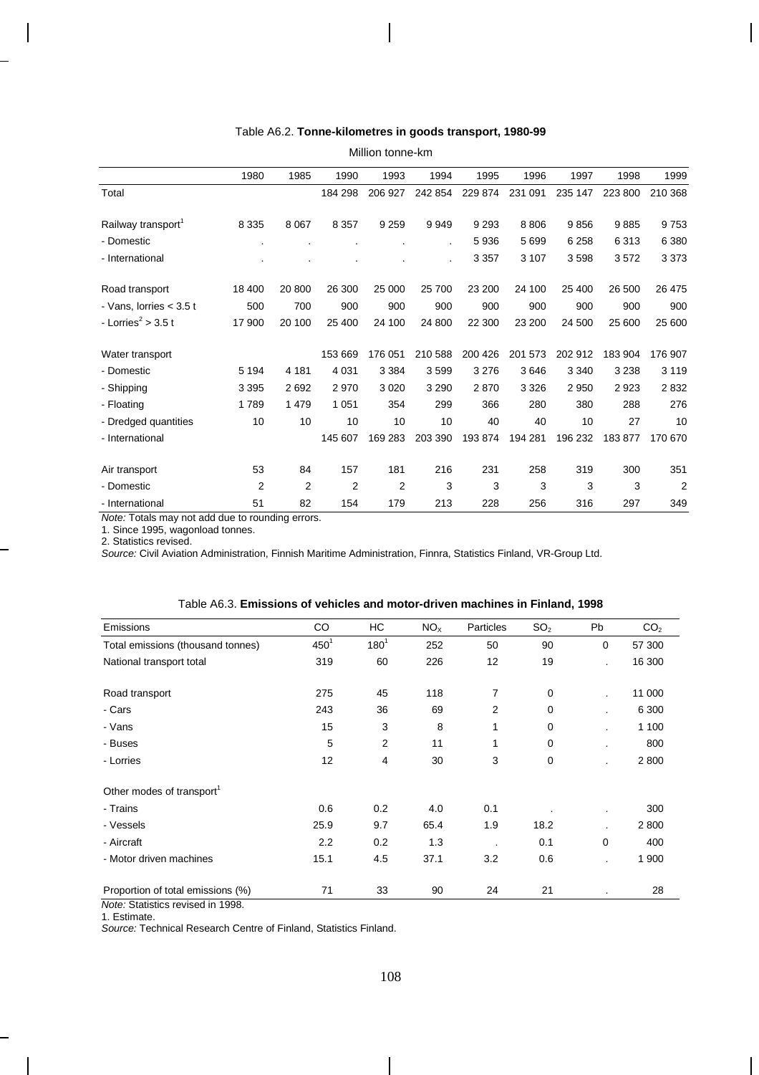Million tonne-km

|                                | 1980           | 1985           | 1990           | 1993           | 1994    | 1995    | 1996       | 1997    | 1998    | 1999           |
|--------------------------------|----------------|----------------|----------------|----------------|---------|---------|------------|---------|---------|----------------|
| Total                          |                |                | 184 298        | 206 927        | 242 854 | 229 874 | 231 091    | 235 147 | 223 800 | 210 368        |
|                                |                |                |                |                |         |         |            |         |         |                |
| Railway transport <sup>1</sup> | 8 3 3 5        | 8 0 6 7        | 8 3 5 7        | 9 2 5 9        | 9949    | 9 2 9 3 | 8806       | 9856    | 9885    | 9753           |
| - Domestic                     |                |                |                |                | ٠       | 5936    | 5699       | 6 2 5 8 | 6313    | 6 3 8 0        |
| - International                |                |                |                |                |         | 3 3 5 7 | 3 1 0 7    | 3598    | 3572    | 3 3 7 3        |
|                                |                |                |                |                |         |         |            |         |         |                |
| Road transport                 | 18 400         | 20 800         | 26 300         | 25 000         | 25 700  | 23 200  | 24 100     | 25 400  | 26 500  | 26 475         |
| - Vans, lorries $<$ 3.5 t      | 500            | 700            | 900            | 900            | 900     | 900     | 900        | 900     | 900     | 900            |
| - Lorries <sup>2</sup> > 3.5 t | 17 900         | 20 100         | 25 400         | 24 100         | 24 800  | 22 300  | 23 200     | 24 500  | 25 600  | 25 600         |
|                                |                |                |                |                |         |         |            |         |         |                |
| Water transport                |                |                | 153 669        | 176 051        | 210 588 | 200 426 | 201 573    | 202 912 | 183 904 | 176 907        |
| - Domestic                     | 5 1 9 4        | 4 1 8 1        | 4 0 31         | 3 3 8 4        | 3599    | 3 2 7 6 | 3646       | 3 3 4 0 | 3 2 3 8 | 3 1 1 9        |
| - Shipping                     | 3 3 9 5        | 2692           | 2970           | 3 0 2 0        | 3 2 9 0 | 2870    | 3 3 2 6    | 2 9 5 0 | 2923    | 2832           |
| - Floating                     | 1789           | 1 4 7 9        | 1 0 5 1        | 354            | 299     | 366     | 280        | 380     | 288     | 276            |
| - Dredged quantities           | 10             | 10             | 10             | 10             | 10      | 40      | 40         | 10      | 27      | 10             |
| - International                |                |                | 145 607        | 169 283        | 203 390 | 193874  | 281<br>194 | 196 232 | 183877  | 170 670        |
|                                |                |                |                |                |         |         |            |         |         |                |
| Air transport                  | 53             | 84             | 157            | 181            | 216     | 231     | 258        | 319     | 300     | 351            |
| - Domestic                     | $\overline{2}$ | $\overline{2}$ | $\overline{2}$ | $\overline{2}$ | 3       | 3       | 3          | 3       | 3       | $\overline{2}$ |
| - International                | 51             | 82             | 154            | 179            | 213     | 228     | 256        | 316     | 297     | 349            |

Note: Totals may not add due to rounding errors.

1. Since 1995, wagonload tonnes.

2. Statistics revised.

Source: Civil Aviation Administration, Finnish Maritime Administration, Finnra, Statistics Finland, VR-Group Ltd.

| Emissions                             | CO      | НC        | NO <sub>x</sub> | Particles | SO <sub>2</sub> | Pb          | CO <sub>2</sub> |
|---------------------------------------|---------|-----------|-----------------|-----------|-----------------|-------------|-----------------|
| Total emissions (thousand tonnes)     | $450^1$ | $180^{1}$ | 252             | 50        | 90              | 0           | 57 300          |
| National transport total              | 319     | 60        | 226             | 12        | 19              | $\cdot$     | 16 300          |
| Road transport                        | 275     | 45        | 118             | 7         | 0               | $\cdot$     | 11 000          |
| - Cars                                | 243     | 36        | 69              | 2         | 0               |             | 6 300           |
| - Vans                                | 15      | 3         | 8               | 1         | 0               |             | 1 100           |
| - Buses                               | 5       | 2         | 11              | 1         | 0               |             | 800             |
| - Lorries                             | 12      | 4         | 30              | 3         | 0               |             | 2800            |
| Other modes of transport <sup>1</sup> |         |           |                 |           |                 |             |                 |
| - Trains                              | 0.6     | 0.2       | 4.0             | 0.1       |                 |             | 300             |
| - Vessels                             | 25.9    | 9.7       | 65.4            | 1.9       | 18.2            |             | 2800            |
| - Aircraft                            | 2.2     | 0.2       | 1.3             |           | 0.1             | $\mathbf 0$ | 400             |
| - Motor driven machines               | 15.1    | 4.5       | 37.1            | 3.2       | 0.6             |             | 1 900           |
| Proportion of total emissions (%)     | 71      | 33        | 90              | 24        | 21              | $\bullet$   | 28              |

|  |  | Table A6.3. Emissions of vehicles and motor-driven machines in Finland. 1998 |  |  |  |  |  |  |  |
|--|--|------------------------------------------------------------------------------|--|--|--|--|--|--|--|
|--|--|------------------------------------------------------------------------------|--|--|--|--|--|--|--|

Note: Statistics revised in 1998.

Source: Technical Research Centre of Finland, Statistics Finland.

<sup>1.</sup> Estimate.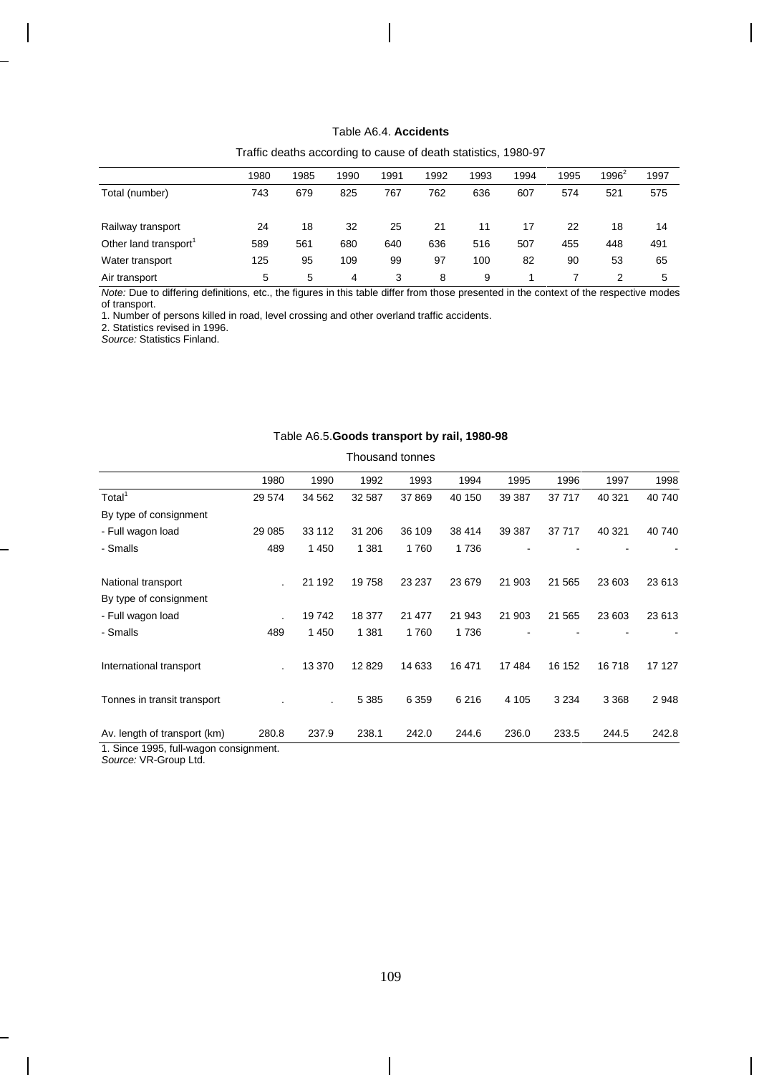#### Table A6.4. **Accidents**

|                                   | 1980 | 1985 | 1990 | 1991 | 1992 | 1993 | 1994 | 1995 | $1996^2$ | 1997 |
|-----------------------------------|------|------|------|------|------|------|------|------|----------|------|
| Total (number)                    | 743  | 679  | 825  | 767  | 762  | 636  | 607  | 574  | 521      | 575  |
| Railway transport                 | 24   | 18   | 32   | 25   | 21   | 11   | 17   | 22   | 18       | 14   |
| Other land transport <sup>1</sup> | 589  | 561  | 680  | 640  | 636  | 516  | 507  | 455  | 448      | 491  |
| Water transport                   | 125  | 95   | 109  | 99   | 97   | 100  | 82   | 90   | 53       | 65   |
| Air transport                     | 5    | 5    | 4    | 3    | 8    | 9    |      |      | 2        | 5    |

Traffic deaths according to cause of death statistics, 1980-97

Note: Due to differing definitions, etc., the figures in this table differ from those presented in the context of the respective modes of transport.

1. Number of persons killed in road, level crossing and other overland traffic accidents.

2. Statistics revised in 1996.

Source: Statistics Finland.

# Table A6.5.**Goods transport by rail, 1980-98** Thousand tonnes

|                                                                                                   | 1980    | 1990   | 1992    | 1993    | 1994    | 1995    | 1996    | 1997    | 1998   |
|---------------------------------------------------------------------------------------------------|---------|--------|---------|---------|---------|---------|---------|---------|--------|
|                                                                                                   |         |        |         |         |         |         |         |         |        |
| Total <sup>1</sup>                                                                                | 29 574  | 34 562 | 32 587  | 37 869  | 40 150  | 39 387  | 37 717  | 40 321  | 40 740 |
| By type of consignment                                                                            |         |        |         |         |         |         |         |         |        |
| - Full wagon load                                                                                 | 29 0 85 | 33 112 | 31 206  | 36 109  | 38 414  | 39 387  | 37 717  | 40 321  | 40 740 |
| - Smalls                                                                                          | 489     | 1450   | 1 3 8 1 | 1760    | 1736    |         |         |         |        |
| National transport                                                                                |         | 21 192 | 19758   | 23 237  | 23 679  | 21 903  | 21 565  | 23 603  | 23 613 |
| By type of consignment                                                                            |         |        |         |         |         |         |         |         |        |
| - Full wagon load                                                                                 |         | 19742  | 18 377  | 21 477  | 21 943  | 21 903  | 21 5 65 | 23 603  | 23 613 |
| - Smalls                                                                                          | 489     | 1450   | 1 3 8 1 | 1760    | 1736    |         |         |         |        |
| International transport                                                                           |         | 13 370 | 12829   | 14 633  | 16 471  | 17484   | 16 152  | 16718   | 17 127 |
| Tonnes in transit transport                                                                       |         |        | 5 3 8 5 | 6 3 5 9 | 6 2 1 6 | 4 1 0 5 | 3 2 3 4 | 3 3 6 8 | 2948   |
| Av. length of transport (km)<br>$\triangle$ C <sub>ream</sub> $A$ OOF full we see a second second | 280.8   | 237.9  | 238.1   | 242.0   | 244.6   | 236.0   | 233.5   | 244.5   | 242.8  |

1. Since 1995, full-wagon consignment.

Source: VR-Group Ltd.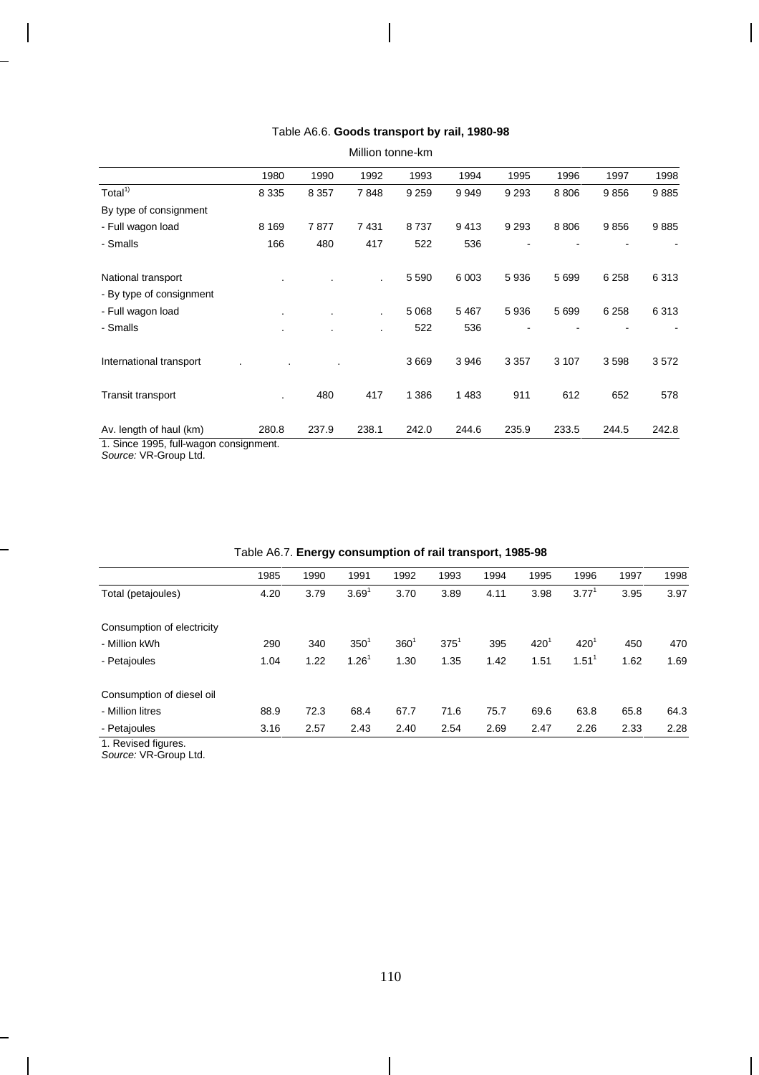|                                        | 1980    | 1990    | 1992           | 1993    | 1994    | 1995    | 1996    | 1997    | 1998              |
|----------------------------------------|---------|---------|----------------|---------|---------|---------|---------|---------|-------------------|
| Total <sup>1)</sup>                    | 8 3 3 5 | 8 3 5 7 | 7848           | 9 2 5 9 | 9949    | 9 2 9 3 | 8806    | 9856    | 9885              |
| By type of consignment                 |         |         |                |         |         |         |         |         |                   |
| - Full wagon load                      | 8 1 6 9 | 7877    | 7431           | 8737    | 9413    | 9 2 9 3 | 8806    | 9856    | 9885              |
| - Smalls                               | 166     | 480     | 417            | 522     | 536     |         |         |         |                   |
| National transport                     |         |         | $\blacksquare$ | 5 5 9 0 | 6 0 03  | 5936    | 5 6 9 9 | 6 2 5 8 | 6313              |
| - By type of consignment               |         |         |                |         |         |         |         |         |                   |
| - Full wagon load                      |         |         | ٠              | 5 0 68  | 5 4 6 7 | 5936    | 5 6 9 9 | 6 2 5 8 | 6313              |
| - Smalls                               |         |         | ٠              | 522     | 536     |         |         |         | $\hbox{\small -}$ |
| International transport                |         |         |                | 3669    | 3946    | 3 3 5 7 | 3 1 0 7 | 3598    | 3572              |
| Transit transport                      |         | 480     | 417            | 1 386   | 1483    | 911     | 612     | 652     | 578               |
| Av. length of haul (km)                | 280.8   | 237.9   | 238.1          | 242.0   | 244.6   | 235.9   | 233.5   | 244.5   | 242.8             |
| 1. Since 1995, full-wagon consignment. |         |         |                |         |         |         |         |         |                   |

# Table A6.6. **Goods transport by rail, 1980-98**

Million tonne-km

Source: VR-Group Ltd.

|                                | Table A6.7. Energy consumption of rail transport, 1985-98 |      |                |      |         |      |               |                     |      |      |  |
|--------------------------------|-----------------------------------------------------------|------|----------------|------|---------|------|---------------|---------------------|------|------|--|
|                                | 1985                                                      | 1990 | 1991           | 1992 | 1993    | 1994 | 1995          | 1996                | 1997 | 1998 |  |
| Total (petajoules)             | 4.20                                                      | 3.79 | $3.69^{\circ}$ | 3.70 | 3.89    | 4.11 | 3.98          | $3.77^{1}$          | 3.95 | 3.97 |  |
| Consumption of electricity     |                                                           |      |                |      |         |      |               |                     |      |      |  |
| - Million kWh                  | 290                                                       | 340  | $350^{\circ}$  | 360  | $375^1$ | 395  | $420^{\circ}$ | 420 <sup>1</sup>    | 450  | 470  |  |
| - Petajoules                   | 1.04                                                      | 1.22 | $1.26^{1}$     | 1.30 | 1.35    | 1.42 | 1.51          | $1.51$ <sup>1</sup> | 1.62 | 1.69 |  |
| Consumption of diesel oil      |                                                           |      |                |      |         |      |               |                     |      |      |  |
| - Million litres               | 88.9                                                      | 72.3 | 68.4           | 67.7 | 71.6    | 75.7 | 69.6          | 63.8                | 65.8 | 64.3 |  |
| - Petajoules                   | 3.16                                                      | 2.57 | 2.43           | 2.40 | 2.54    | 2.69 | 2.47          | 2.26                | 2.33 | 2.28 |  |
| $\cdot$ $\sim$ $\cdot$ $\cdot$ |                                                           |      |                |      |         |      |               |                     |      |      |  |

1. Revised figures.

Source: VR-Group Ltd.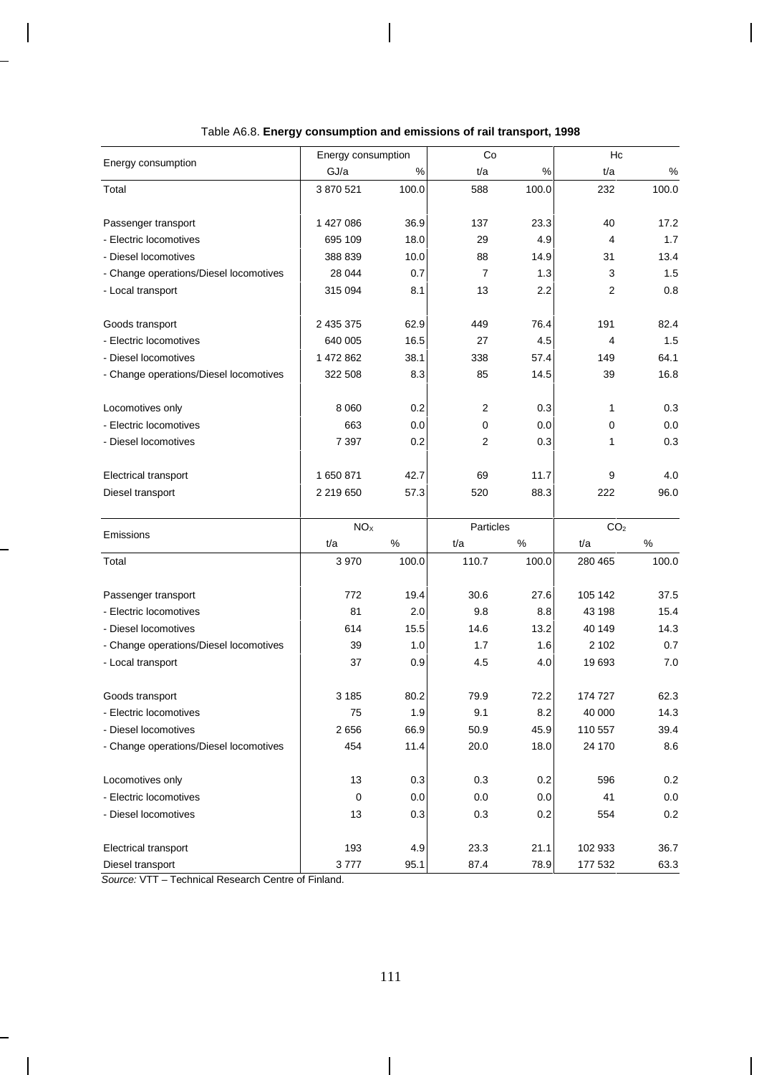|                                        | Energy consumption |       | Co             |       | Hc              |       |
|----------------------------------------|--------------------|-------|----------------|-------|-----------------|-------|
| Energy consumption                     | GJ/a               | %     | t/a            | %     | t/a             | %     |
| Total                                  | 3 870 521          | 100.0 | 588            | 100.0 | 232             | 100.0 |
|                                        |                    |       |                |       |                 |       |
| Passenger transport                    | 1 427 086          | 36.9  | 137            | 23.3  | 40              | 17.2  |
| - Electric locomotives                 | 695 109            | 18.0  | 29             | 4.9   | 4               | 1.7   |
| - Diesel locomotives                   | 388 839            | 10.0  | 88             | 14.9  | 31              | 13.4  |
| - Change operations/Diesel locomotives | 28 044             | 0.7   | $\overline{7}$ | 1.3   | 3               | 1.5   |
| - Local transport                      | 315 094            | 8.1   | 13             | 2.2   | $\overline{2}$  | 0.8   |
| Goods transport                        | 2 435 375          | 62.9  | 449            | 76.4  | 191             | 82.4  |
| - Electric locomotives                 | 640 005            | 16.5  | 27             | 4.5   | 4               | 1.5   |
| - Diesel locomotives                   | 1 472 862          | 38.1  | 338            | 57.4  | 149             | 64.1  |
| - Change operations/Diesel locomotives | 322 508            | 8.3   | 85             | 14.5  | 39              | 16.8  |
| Locomotives only                       | 8 0 6 0            | 0.2   | $\overline{2}$ | 0.3   | 1               | 0.3   |
| - Electric locomotives                 | 663                | 0.0   | 0              | 0.0   | 0               | 0.0   |
| - Diesel locomotives                   | 7 3 9 7            | 0.2   | 2              | 0.3   | 1               | 0.3   |
| <b>Electrical transport</b>            | 1650871            | 42.7  | 69             | 11.7  | 9               | 4.0   |
| Diesel transport                       | 2 219 650          | 57.3  | 520            | 88.3  | 222             | 96.0  |
|                                        |                    |       |                |       |                 |       |
|                                        |                    |       |                |       |                 |       |
|                                        | NO <sub>X</sub>    |       | Particles      |       | CO <sub>2</sub> |       |
| Emissions                              | t/a                | %     | t/a            | $\%$  | t/a             | $\%$  |
| Total                                  | 3 9 7 0            | 100.0 | 110.7          | 100.0 | 280 465         | 100.0 |
| Passenger transport                    | 772                | 19.4  | 30.6           | 27.6  | 105 142         | 37.5  |
| - Electric locomotives                 | 81                 | 2.0   | 9.8            | 8.8   | 43 198          | 15.4  |
| - Diesel locomotives                   | 614                | 15.5  | 14.6           | 13.2  | 40 149          | 14.3  |
| - Change operations/Diesel locomotives | 39                 | 1.0   | 1.7            | 1.6   | 2 1 0 2         | 0.7   |
| - Local transport                      | 37                 | 0.9   | 4.5            | 4.0   | 19 693          | 7.0   |
| Goods transport                        | 3 1 8 5            | 80.2  | 79.9           | 72.2  | 174 727         | 62.3  |
| - Electric locomotives                 | 75                 | 1.9   | 9.1            | 8.2   | 40 000          | 14.3  |
| - Diesel locomotives                   | 2656               | 66.9  | 50.9           | 45.9  | 110 557         | 39.4  |
| - Change operations/Diesel locomotives | 454                | 11.4  | 20.0           | 18.0  | 24 170          | 8.6   |
| Locomotives only                       | 13                 | 0.3   | 0.3            | 0.2   | 596             | 0.2   |
| - Electric locomotives                 | $\pmb{0}$          | 0.0   | $0.0\,$        | 0.0   | 41              | 0.0   |
| - Diesel locomotives                   | 13                 | 0.3   | 0.3            | 0.2   | 554             | 0.2   |
| Electrical transport                   | 193                | 4.9   | 23.3           | 21.1  | 102 933         | 36.7  |

# Table A6.8. **Energy consumption and emissions of rail transport, 1998**

Source: VTT – Technical Research Centre of Finland.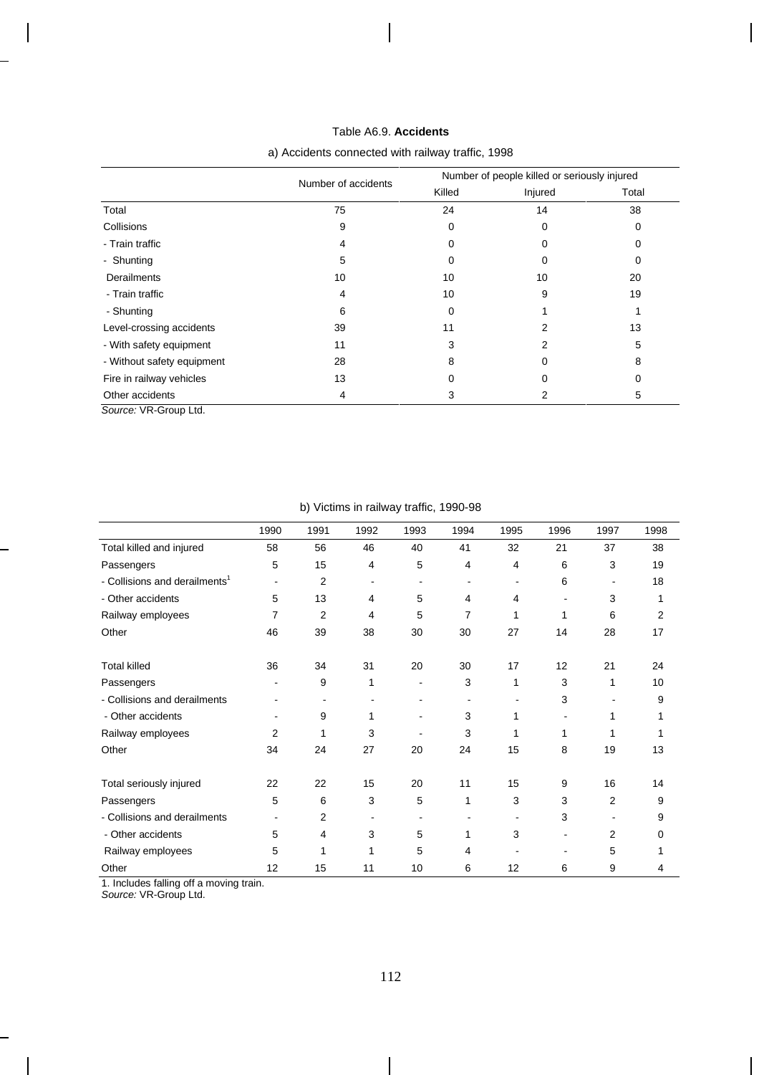# Table A6.9. **Accidents**

|                            | Number of accidents |        | Number of people killed or seriously injured |       |  |  |
|----------------------------|---------------------|--------|----------------------------------------------|-------|--|--|
|                            |                     | Killed | Injured                                      | Total |  |  |
| Total                      | 75                  | 24     | 14                                           | 38    |  |  |
| Collisions                 | 9                   | 0      | 0                                            | 0     |  |  |
| - Train traffic            | 4                   | 0      | 0                                            | 0     |  |  |
| - Shunting                 | 5                   | 0      | 0                                            | Ω     |  |  |
| <b>Derailments</b>         | 10                  | 10     | 10                                           | 20    |  |  |
| - Train traffic            | 4                   | 10     | 9                                            | 19    |  |  |
| - Shunting                 | 6                   | 0      |                                              |       |  |  |
| Level-crossing accidents   | 39                  | 11     |                                              | 13    |  |  |
| - With safety equipment    | 11                  | 3      | 2                                            | 5     |  |  |
| - Without safety equipment | 28                  | 8      | O                                            | 8     |  |  |
| Fire in railway vehicles   | 13                  | 0      | Ω                                            | O     |  |  |
| Other accidents            | 4                   | 3      | 2                                            | 5     |  |  |

## a) Accidents connected with railway traffic, 1998

b) Victims in railway traffic, 1990-98

|                                           | 1990 | 1991           | 1992                     | 1993           | 1994 | 1995 | 1996 | 1997           | 1998 |
|-------------------------------------------|------|----------------|--------------------------|----------------|------|------|------|----------------|------|
| Total killed and injured                  | 58   | 56             | 46                       | 40             | 41   | 32   | 21   | 37             | 38   |
| Passengers                                | 5    | 15             | 4                        | 5              | 4    | 4    | 6    | 3              | 19   |
| - Collisions and derailments <sup>1</sup> |      | $\overline{2}$ | $\overline{a}$           | $\blacksquare$ |      |      | 6    | $\blacksquare$ | 18   |
| - Other accidents                         | 5    | 13             | 4                        | 5              | 4    | 4    |      | 3              | 1    |
| Railway employees                         | 7    | $\overline{2}$ | 4                        | 5              | 7    | 1    | 1    | 6              | 2    |
| Other                                     | 46   | 39             | 38                       | 30             | 30   | 27   | 14   | 28             | 17   |
| <b>Total killed</b>                       | 36   | 34             | 31                       | 20             | 30   | 17   | 12   | 21             | 24   |
| Passengers                                |      | 9              | 1                        | ۰              | 3    | 1    | 3    | 1              | 10   |
| - Collisions and derailments              |      |                |                          |                |      |      | 3    |                | 9    |
| - Other accidents                         |      | 9              | 1                        | ä,             | 3    | 1    |      | 1              |      |
| Railway employees                         | 2    | 1              | 3                        |                | 3    | 1    | 1    | 1              |      |
| Other                                     | 34   | 24             | 27                       | 20             | 24   | 15   | 8    | 19             | 13   |
| Total seriously injured                   | 22   | 22             | 15                       | 20             | 11   | 15   | 9    | 16             | 14   |
| Passengers                                | 5    | 6              | 3                        | 5              | 1    | 3    | 3    | $\overline{2}$ | 9    |
| - Collisions and derailments              |      | 2              | $\overline{\phantom{a}}$ |                |      |      | 3    |                | 9    |
| - Other accidents                         | 5    | 4              | 3                        | 5              | 1    | 3    |      | 2              | 0    |
| Railway employees                         | 5    |                | 1                        | 5              | 4    |      |      | 5              |      |
| Other                                     | 12   | 15             | 11                       | 10             | 6    | 12   | 6    | 9              | 4    |

1. Includes falling off a moving train.

Source: VR-Group Ltd.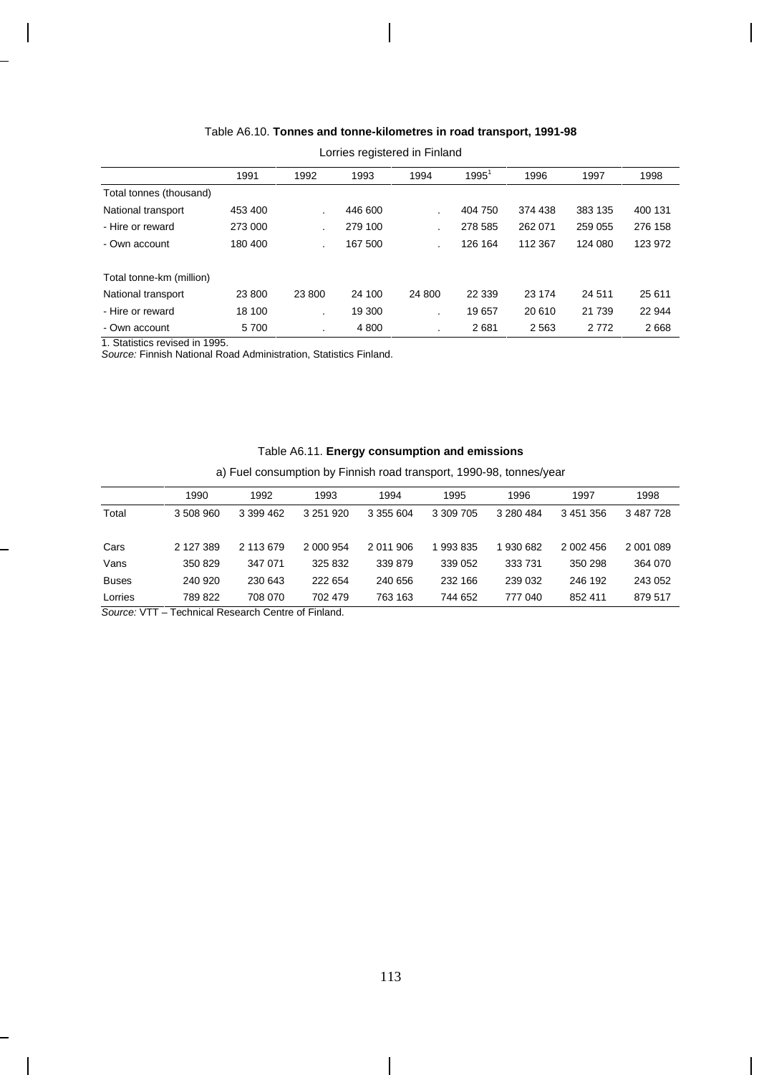| Table A6.10. Tonnes and tonne-kilometres in road transport, 1991-98 |  |  |
|---------------------------------------------------------------------|--|--|
|---------------------------------------------------------------------|--|--|

|                          | 1991    | 1992   | 1993    | 1994   | 1995    | 1996    | 1997    | 1998    |
|--------------------------|---------|--------|---------|--------|---------|---------|---------|---------|
| Total tonnes (thousand)  |         |        |         |        |         |         |         |         |
| National transport       | 453 400 |        | 446 600 |        | 404 750 | 374 438 | 383 135 | 400 131 |
| - Hire or reward         | 273 000 |        | 279 100 |        | 278 585 | 262 071 | 259 055 | 276 158 |
| - Own account            | 180 400 |        | 167 500 |        | 126 164 | 112 367 | 124 080 | 123 972 |
| Total tonne-km (million) |         |        |         |        |         |         |         |         |
| National transport       | 23 800  | 23 800 | 24 100  | 24 800 | 22 3 39 | 23 174  | 24 5 11 | 25 611  |
| - Hire or reward         | 18 100  |        | 19 300  |        | 19657   | 20 610  | 21 739  | 22 944  |
| - Own account            | 5700    |        | 4 800   |        | 2681    | 2563    | 2772    | 2668    |

Lorries registered in Finland

1. Statistics revised in 1995.

Source: Finnish National Road Administration, Statistics Finland.

## Table A6.11. **Energy consumption and emissions**

a) Fuel consumption by Finnish road transport, 1990-98, tonnes/year

|              | 1990      | 1992      | 1993      | 1994      | 1995      | 1996      | 1997      | 1998      |
|--------------|-----------|-----------|-----------|-----------|-----------|-----------|-----------|-----------|
| Total        | 3 508 960 | 3 399 462 | 3 251 920 | 3 355 604 | 3 309 705 | 3 280 484 | 3451356   | 3 487 728 |
|              |           |           |           |           |           |           |           |           |
| Cars         | 2 127 389 | 2 113 679 | 2 000 954 | 2 011 906 | 993 835   | 930 682   | 2 002 456 | 2 001 089 |
| Vans         | 350 829   | 347 071   | 325 832   | 339 879   | 339 052   | 333 731   | 350 298   | 364 070   |
| <b>Buses</b> | 240 920   | 230 643   | 222 654   | 240 656   | 232 166   | 239 032   | 246 192   | 243 052   |
| Lorries      | 789822    | 708 070   | 702 479   | 763 163   | 744 652   | 777 040   | 852 411   | 879 517   |
|              |           |           |           |           |           |           |           |           |

Source: VTT – Technical Research Centre of Finland.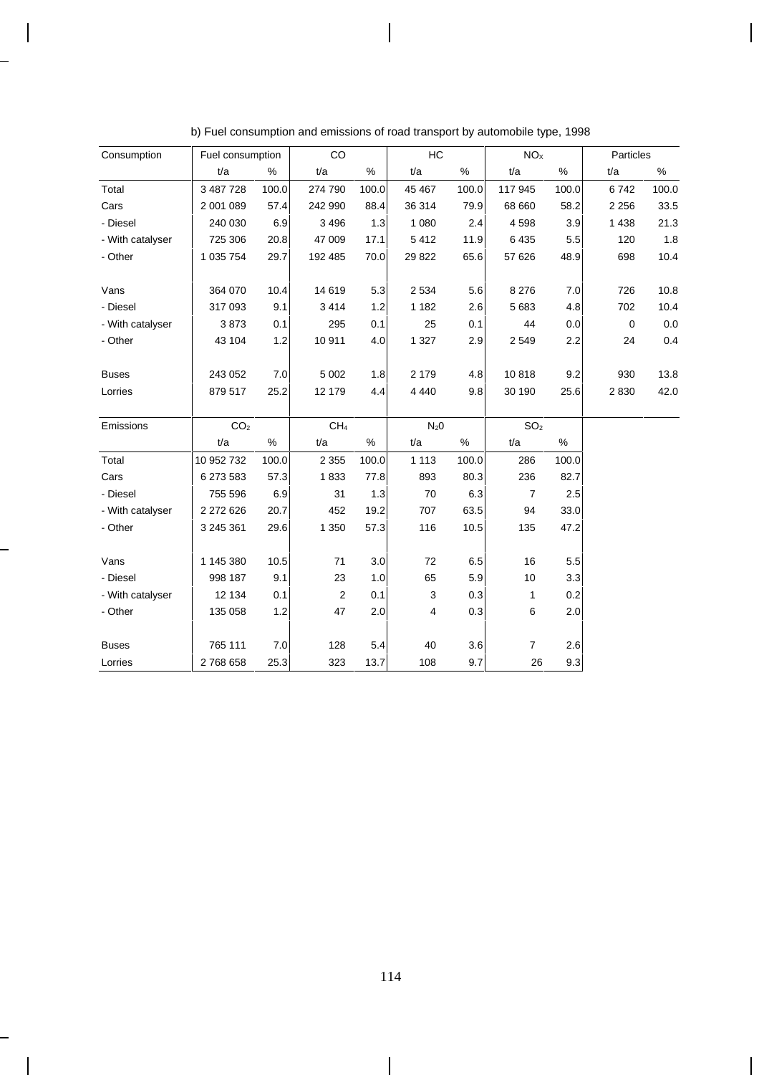| Consumption      | Fuel consumption |       | CO              |       | HC             |       | $\mathsf{NO}_\mathsf{X}$ |       | Particles   |       |
|------------------|------------------|-------|-----------------|-------|----------------|-------|--------------------------|-------|-------------|-------|
|                  | t/a              | $\%$  | t/a             | %     | t/a            | $\%$  | t/a                      | $\%$  | t/a         | $\%$  |
| Total            | 3 487 728        | 100.0 | 274 790         | 100.0 | 45 467         | 100.0 | 117 945                  | 100.0 | 6742        | 100.0 |
| Cars             | 2 001 089        | 57.4  | 242 990         | 88.4  | 36 314         | 79.9  | 68 660                   | 58.2  | 2 2 5 6     | 33.5  |
| - Diesel         | 240 030          | 6.9   | 3 4 9 6         | 1.3   | 1 0 8 0        | 2.4   | 4598                     | 3.9   | 1 4 3 8     | 21.3  |
| - With catalyser | 725 306          | 20.8  | 47 009          | 17.1  | 5412           | 11.9  | 6435                     | 5.5   | 120         | 1.8   |
| - Other          | 1 035 754        | 29.7  | 192 485         | 70.0  | 29 822         | 65.6  | 57 626                   | 48.9  | 698         | 10.4  |
| Vans             | 364 070          | 10.4  | 14619           | 5.3   | 2 5 3 4        | 5.6   | 8 2 7 6                  | 7.0   | 726         | 10.8  |
| - Diesel         | 317 093          | 9.1   | 3414            | 1.2   | 1 1 8 2        | 2.6   | 5 6 8 3                  | 4.8   | 702         | 10.4  |
| - With catalyser | 3873             | 0.1   | 295             | 0.1   | 25             | 0.1   | 44                       | 0.0   | $\mathbf 0$ | 0.0   |
| - Other          | 43 104           | 1.2   | 10911           | 4.0   | 1 3 2 7        | 2.9   | 2549                     | 2.2   | 24          | 0.4   |
| <b>Buses</b>     | 243 052          | 7.0   | 5 0 0 2         | 1.8   | 2 179          | 4.8   | 10818                    | 9.2   | 930         | 13.8  |
| Lorries          | 879 517          | 25.2  | 12 179          | 4.4   | 4 4 4 0        | 9.8   | 30 190                   | 25.6  | 2830        | 42.0  |
| Emissions        | CO <sub>2</sub>  |       | CH <sub>4</sub> |       | $N_20$         |       | SO <sub>2</sub>          |       |             |       |
|                  | t/a              | $\%$  | t/a             | %     | t/a            | $\%$  | t/a                      | $\%$  |             |       |
| Total            | 10 952 732       | 100.0 | 2 3 5 5         | 100.0 | 1 1 1 3        | 100.0 | 286                      | 100.0 |             |       |
| Cars             | 6 273 583        | 57.3  | 1833            | 77.8  | 893            | 80.3  | 236                      | 82.7  |             |       |
| - Diesel         | 755 596          | 6.9   | 31              | 1.3   | 70             | 6.3   | $\overline{7}$           | 2.5   |             |       |
| - With catalyser | 2 272 626        | 20.7  | 452             | 19.2  | 707            | 63.5  | 94                       | 33.0  |             |       |
| - Other          | 3 245 361        | 29.6  | 1 3 5 0         | 57.3  | 116            | 10.5  | 135                      | 47.2  |             |       |
| Vans             | 1 145 380        | 10.5  | 71              | 3.0   | 72             | 6.5   | 16                       | 5.5   |             |       |
| - Diesel         | 998 187          | 9.1   | 23              | 1.0   | 65             | 5.9   | 10                       | 3.3   |             |       |
| - With catalyser | 12 134           | 0.1   | $\overline{2}$  | 0.1   | 3              | 0.3   | $\mathbf{1}$             | 0.2   |             |       |
| - Other          | 135 058          | 1.2   | 47              | 2.0   | $\overline{4}$ | 0.3   | 6                        | 2.0   |             |       |
| <b>Buses</b>     | 765 111          | 7.0   | 128             | $5.4$ | 40             | 3.6   | $\overline{7}$           | 2.6   |             |       |
| Lorries          | 2768658          | 25.3  | 323             | 13.7  | 108            | 9.7   | 26                       | 9.3   |             |       |

b) Fuel consumption and emissions of road transport by automobile type, 1998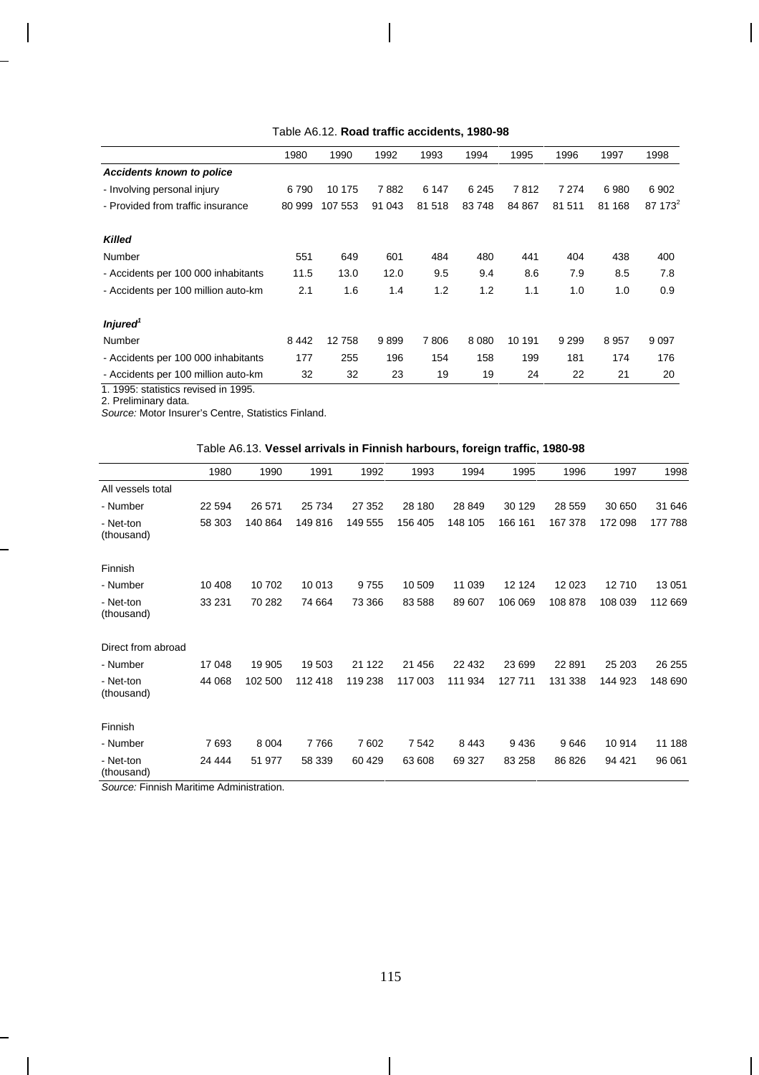|                                     | 1980    | 1990    | 1992   | 1993    | 1994    | 1995   | 1996    | 1997   | 1998         |
|-------------------------------------|---------|---------|--------|---------|---------|--------|---------|--------|--------------|
| <b>Accidents known to police</b>    |         |         |        |         |         |        |         |        |              |
| - Involving personal injury         | 6790    | 10 175  | 7882   | 6 1 4 7 | 6 2 4 5 | 7812   | 7 2 7 4 | 6980   | 6902         |
| - Provided from traffic insurance   | 80 999  | 107 553 | 91 043 | 81 518  | 83748   | 84 867 | 81 511  | 81 168 | $87.173^{2}$ |
| Killed                              |         |         |        |         |         |        |         |        |              |
| Number                              | 551     | 649     | 601    | 484     | 480     | 441    | 404     | 438    | 400          |
| - Accidents per 100 000 inhabitants | 11.5    | 13.0    | 12.0   | 9.5     | 9.4     | 8.6    | 7.9     | 8.5    | 7.8          |
| - Accidents per 100 million auto-km | 2.1     | 1.6     | 1.4    | 1.2     | 1.2     | 1.1    | 1.0     | 1.0    | 0.9          |
| <b>Injured</b>                      |         |         |        |         |         |        |         |        |              |
| Number                              | 8 4 4 2 | 12758   | 9899   | 7806    | 8 0 8 0 | 10 191 | 9 2 9 9 | 8957   | 9 0 9 7      |
| - Accidents per 100 000 inhabitants | 177     | 255     | 196    | 154     | 158     | 199    | 181     | 174    | 176          |
| - Accidents per 100 million auto-km | 32      | 32      | 23     | 19      | 19      | 24     | 22      | 21     | 20           |

# Table A6.12. **Road traffic accidents, 1980-98**

1. 1995: statistics revised in 1995.

2. Preliminary data.

Source: Motor Insurer's Centre, Statistics Finland.

|                         | 1980    | 1990    | 1991    | 1992    | 1993    | 1994    | 1995    | 1996    | 1997    | 1998    |
|-------------------------|---------|---------|---------|---------|---------|---------|---------|---------|---------|---------|
| All vessels total       |         |         |         |         |         |         |         |         |         |         |
| - Number                | 22 594  | 26 571  | 25 7 34 | 27 352  | 28 180  | 28 849  | 30 129  | 28 559  | 30 650  | 31 646  |
| - Net-ton<br>(thousand) | 58 303  | 140 864 | 149 816 | 149 555 | 156 405 | 148 105 | 166 161 | 167 378 | 172 098 | 177 788 |
| Finnish                 |         |         |         |         |         |         |         |         |         |         |
| - Number                | 10 408  | 10 702  | 10 013  | 9755    | 10 509  | 11 039  | 12 124  | 12 023  | 12710   | 13 051  |
| - Net-ton<br>(thousand) | 33 231  | 70 282  | 74 664  | 73 366  | 83 588  | 89 607  | 106 069 | 108 878 | 108 039 | 112 669 |
| Direct from abroad      |         |         |         |         |         |         |         |         |         |         |
| - Number                | 17 048  | 19 905  | 19 503  | 21 1 22 | 21 456  | 22 4 32 | 23 699  | 22 891  | 25 203  | 26 255  |
| - Net-ton<br>(thousand) | 44 068  | 102 500 | 112 418 | 119 238 | 117 003 | 111 934 | 127 711 | 131 338 | 144 923 | 148 690 |
| Finnish                 |         |         |         |         |         |         |         |         |         |         |
| - Number                | 7693    | 8 0 0 4 | 7766    | 7602    | 7542    | 8 4 4 3 | 9436    | 9646    | 10914   | 11 188  |
| - Net-ton<br>(thousand) | 24 4 44 | 51 977  | 58 339  | 60 4 29 | 63 608  | 69 327  | 83 258  | 86 826  | 94 421  | 96 061  |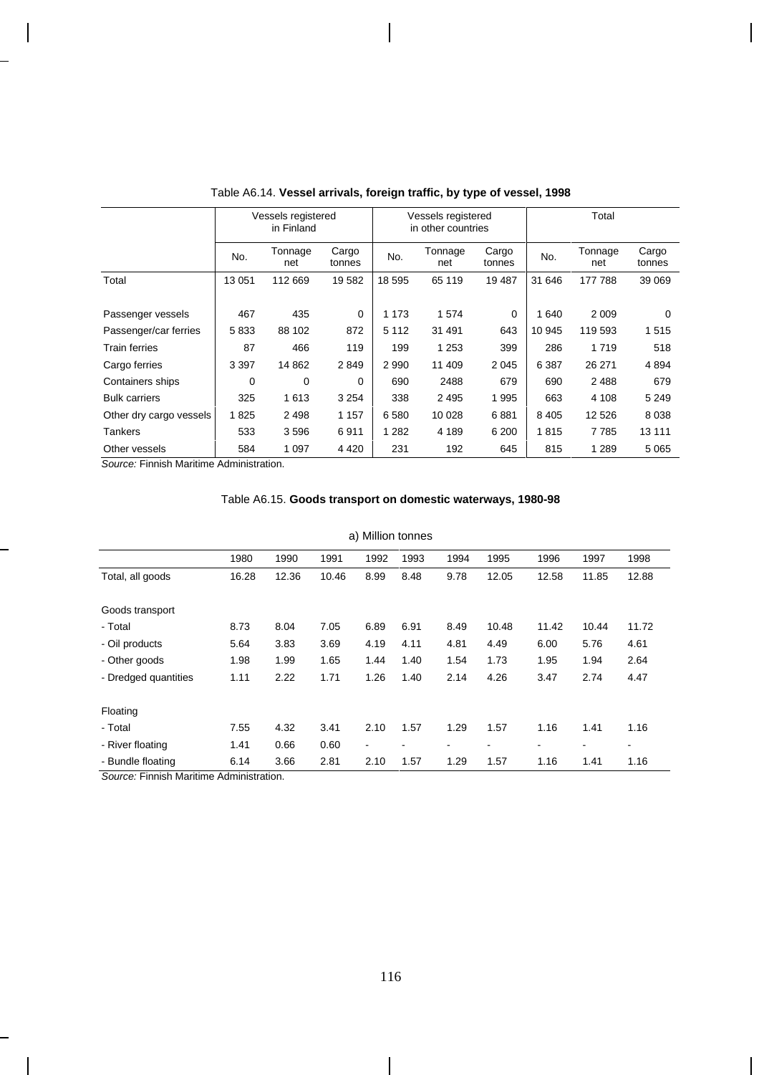|                         | Vessels registered<br>in Finland |                |                 |         | Vessels registered<br>in other countries |                 | Total   |                |                 |  |
|-------------------------|----------------------------------|----------------|-----------------|---------|------------------------------------------|-----------------|---------|----------------|-----------------|--|
|                         | No.                              | Tonnage<br>net | Cargo<br>tonnes | No.     | Tonnage<br>net                           | Cargo<br>tonnes | No.     | Tonnage<br>net | Cargo<br>tonnes |  |
| Total                   | 13 0 51                          | 112 669        | 19582           | 18 595  | 65 119                                   | 19 487          | 31 646  | 177 788        | 39 069          |  |
| Passenger vessels       | 467                              | 435            | $\Omega$        | 1 173   | 1574                                     | $\Omega$        | 1640    | 2 0 0 9        | 0               |  |
| Passenger/car ferries   | 5833                             | 88 102         | 872             | 5 1 1 2 | 31 491                                   | 643             | 10 945  | 119 593        | 1515            |  |
| <b>Train ferries</b>    | 87                               | 466            | 119             | 199     | 1 2 5 3                                  | 399             | 286     | 1 7 1 9        | 518             |  |
| Cargo ferries           | 3 3 9 7                          | 14 862         | 2849            | 2 9 9 0 | 11 409                                   | 2 0 4 5         | 6 3 8 7 | 26 271         | 4894            |  |
| Containers ships        | 0                                | 0              | $\Omega$        | 690     | 2488                                     | 679             | 690     | 2488           | 679             |  |
| <b>Bulk carriers</b>    | 325                              | 1613           | 3 2 5 4         | 338     | 2 4 9 5                                  | 1995            | 663     | 4 108          | 5 2 4 9         |  |
| Other dry cargo vessels | 1825                             | 2 4 9 8        | 1 1 5 7         | 6580    | 10 0 28                                  | 6881            | 8 4 0 5 | 12 5 26        | 8 0 3 8         |  |
| Tankers                 | 533                              | 3596           | 6911            | 1 2 8 2 | 4 1 8 9                                  | 6 200           | 1815    | 7785           | 13 111          |  |
| Other vessels           | 584                              | 1 0 9 7        | 4 4 2 0         | 231     | 192                                      | 645             | 815     | 1 2 8 9        | 5 0 6 5         |  |

Table A6.14. **Vessel arrivals, foreign traffic, by type of vessel, 1998**

Source: Finnish Maritime Administration.

## Table A6.15. **Goods transport on domestic waterways, 1980-98**

|                      | 1980  | 1990  | 1991  | 1992                     | 1993           | 1994                     | 1995  | 1996  | 1997  | 1998  |
|----------------------|-------|-------|-------|--------------------------|----------------|--------------------------|-------|-------|-------|-------|
| Total, all goods     | 16.28 | 12.36 | 10.46 | 8.99                     | 8.48           | 9.78                     | 12.05 | 12.58 | 11.85 | 12.88 |
| Goods transport      |       |       |       |                          |                |                          |       |       |       |       |
| - Total              | 8.73  | 8.04  | 7.05  | 6.89                     | 6.91           | 8.49                     | 10.48 | 11.42 | 10.44 | 11.72 |
| - Oil products       | 5.64  | 3.83  | 3.69  | 4.19                     | 4.11           | 4.81                     | 4.49  | 6.00  | 5.76  | 4.61  |
| - Other goods        | 1.98  | 1.99  | 1.65  | 1.44                     | 1.40           | 1.54                     | 1.73  | 1.95  | 1.94  | 2.64  |
| - Dredged quantities | 1.11  | 2.22  | 1.71  | 1.26                     | 1.40           | 2.14                     | 4.26  | 3.47  | 2.74  | 4.47  |
| Floating             |       |       |       |                          |                |                          |       |       |       |       |
| - Total              | 7.55  | 4.32  | 3.41  | 2.10                     | 1.57           | 1.29                     | 1.57  | 1.16  | 1.41  | 1.16  |
| - River floating     | 1.41  | 0.66  | 0.60  | $\overline{\phantom{0}}$ | $\blacksquare$ | $\overline{\phantom{a}}$ |       | ۰     |       | ۰     |
| - Bundle floating    | 6.14  | 3.66  | 2.81  | 2.10                     | 1.57           | 1.29                     | 1.57  | 1.16  | 1.41  | 1.16  |

# a) Million tonnes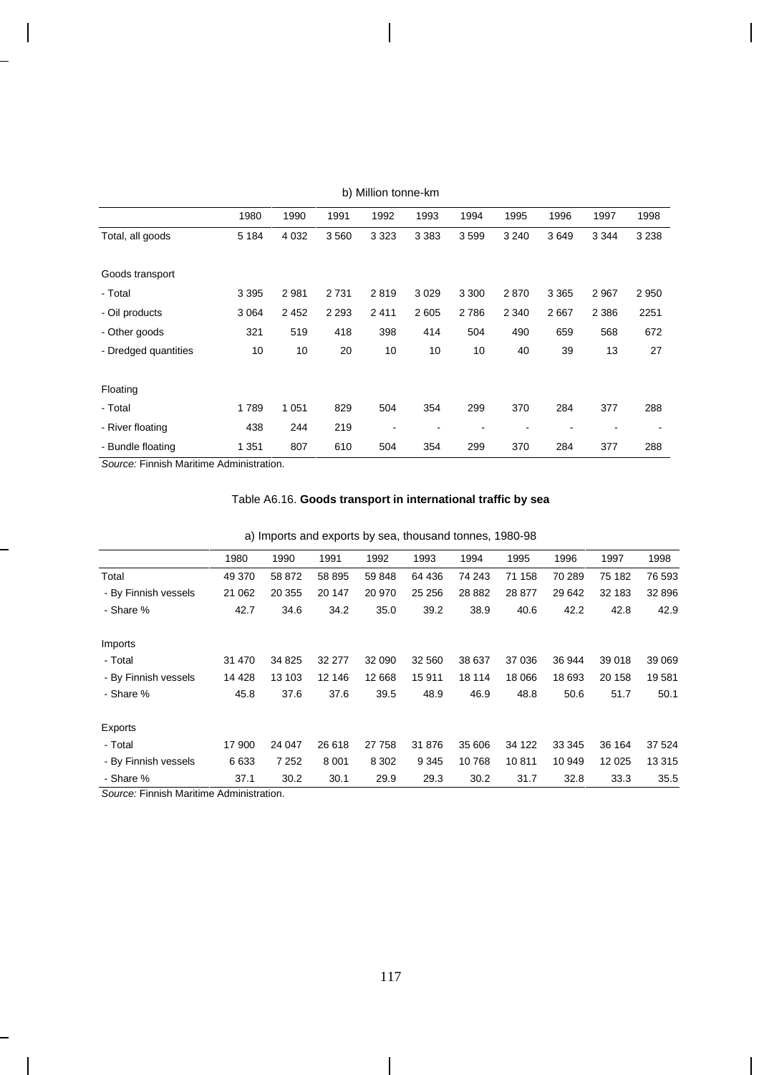|                      | 1980     | 1990    | 1991    | 1992    | 1993    | 1994    | 1995    | 1996    | 1997    | 1998    |
|----------------------|----------|---------|---------|---------|---------|---------|---------|---------|---------|---------|
| Total, all goods     | 5 1 8 4  | 4 0 3 2 | 3560    | 3 3 2 3 | 3 3 8 3 | 3599    | 3 2 4 0 | 3649    | 3 3 4 4 | 3 2 3 8 |
|                      |          |         |         |         |         |         |         |         |         |         |
| Goods transport      |          |         |         |         |         |         |         |         |         |         |
| - Total              | 3 3 9 5  | 2981    | 2731    | 2819    | 3 0 2 9 | 3 3 0 0 | 2870    | 3 3 6 5 | 2967    | 2 9 5 0 |
| - Oil products       | 3 0 6 4  | 2452    | 2 2 9 3 | 2411    | 2 6 0 5 | 2 7 8 6 | 2 3 4 0 | 2667    | 2 3 8 6 | 2251    |
| - Other goods        | 321      | 519     | 418     | 398     | 414     | 504     | 490     | 659     | 568     | 672     |
| - Dredged quantities | 10       | 10      | 20      | 10      | 10      | 10      | 40      | 39      | 13      | 27      |
|                      |          |         |         |         |         |         |         |         |         |         |
| Floating             |          |         |         |         |         |         |         |         |         |         |
| - Total              | 1789     | 1 0 5 1 | 829     | 504     | 354     | 299     | 370     | 284     | 377     | 288     |
| - River floating     | 438      | 244     | 219     | ۰       |         |         |         |         |         |         |
| - Bundle floating    | 351<br>1 | 807     | 610     | 504     | 354     | 299     | 370     | 284     | 377     | 288     |

b) Million tonne-km

Source: Finnish Maritime Administration.

# Table A6.16. **Goods transport in international traffic by sea**

|                      | 1980    | 1990    | 1991    | 1992    | 1993    | 1994    | 1995   | 1996   | 1997    | 1998    |
|----------------------|---------|---------|---------|---------|---------|---------|--------|--------|---------|---------|
| Total                | 49 370  | 58 872  | 58 895  | 59 848  | 64 436  | 74 243  | 71 158 | 70 289 | 75 182  | 76 593  |
| - By Finnish vessels | 21 062  | 20 355  | 20 147  | 20 970  | 25 25 6 | 28 8 82 | 28 877 | 29 642 | 32 183  | 32 896  |
| - Share %            | 42.7    | 34.6    | 34.2    | 35.0    | 39.2    | 38.9    | 40.6   | 42.2   | 42.8    | 42.9    |
| Imports              |         |         |         |         |         |         |        |        |         |         |
| - Total              | 31 470  | 34 825  | 32 277  | 32 090  | 32 560  | 38 637  | 37 036 | 36 944 | 39 018  | 39 069  |
| - By Finnish vessels | 14 4 28 | 13 103  | 12 14 6 | 12 668  | 15 911  | 18 114  | 18 066 | 18 693 | 20 158  | 19581   |
| - Share %            | 45.8    | 37.6    | 37.6    | 39.5    | 48.9    | 46.9    | 48.8   | 50.6   | 51.7    | 50.1    |
| Exports              |         |         |         |         |         |         |        |        |         |         |
| - Total              | 17 900  | 24 047  | 26 618  | 27 758  | 31 876  | 35 606  | 34 122 | 33 345 | 36 164  | 37 5 24 |
| - By Finnish vessels | 6633    | 7 2 5 2 | 8 0 0 1 | 8 3 0 2 | 9 3 4 5 | 10768   | 10811  | 10 949 | 12 0 25 | 13315   |
| - Share %            | 37.1    | 30.2    | 30.1    | 29.9    | 29.3    | 30.2    | 31.7   | 32.8   | 33.3    | 35.5    |

a) Imports and exports by sea, thousand tonnes, 1980-98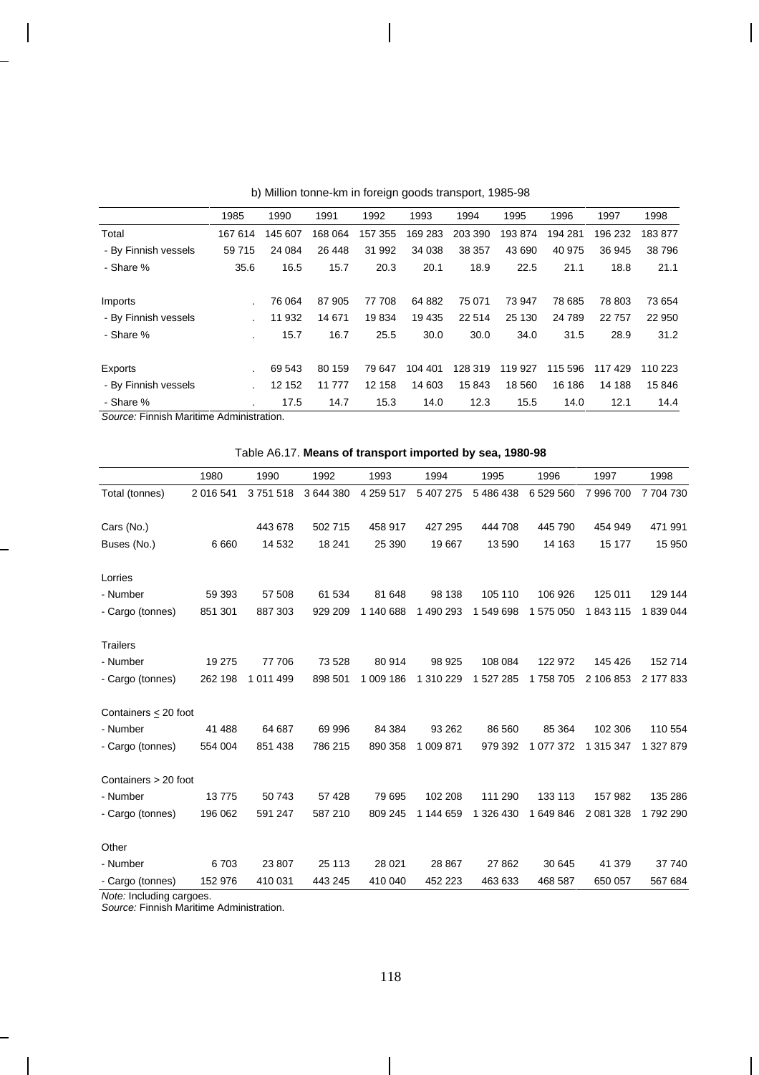|                      | 1985    | 1990    | 1991    | 1992    | 1993    | 1994    | 1995    | 1996    | 1997    | 1998    |
|----------------------|---------|---------|---------|---------|---------|---------|---------|---------|---------|---------|
| Total                | 167 614 | 145 607 | 168 064 | 157 355 | 169 283 | 203 390 | 193874  | 194 281 | 196 232 | 183877  |
| - By Finnish vessels | 59 715  | 24 084  | 26 448  | 31 992  | 34 038  | 38 357  | 43 690  | 40 975  | 36 945  | 38796   |
| - Share %            | 35.6    | 16.5    | 15.7    | 20.3    | 20.1    | 18.9    | 22.5    | 21.1    | 18.8    | 21.1    |
| Imports              | $\cdot$ | 76 064  | 87 905  | 77 708  | 64 882  | 75 071  | 73 947  | 78 685  | 78 803  | 73 654  |
| - By Finnish vessels |         | 11 932  | 14 671  | 19834   | 19 4 35 | 22 5 14 | 25 130  | 24 789  | 22757   | 22 950  |
| - Share %            |         | 15.7    | 16.7    | 25.5    | 30.0    | 30.0    | 34.0    | 31.5    | 28.9    | 31.2    |
| Exports              |         | 69 543  | 80 159  | 79 647  | 104 401 | 128 319 | 119 927 | 115 596 | 117429  | 110 223 |
| - By Finnish vessels |         | 12 152  | 11 777  | 12 158  | 14 603  | 15 843  | 18 560  | 16 18 6 | 14 188  | 15846   |
| - Share %<br>.       | .       | 17.5    | 14.7    | 15.3    | 14.0    | 12.3    | 15.5    | 14.0    | 12.1    | 14.4    |

b) Million tonne-km in foreign goods transport, 1985-98

Source: Finnish Maritime Administration.

|                      | $10.11.$ means of transport imported by |           |         |           |           |           |           |           |           |  |  |  |
|----------------------|-----------------------------------------|-----------|---------|-----------|-----------|-----------|-----------|-----------|-----------|--|--|--|
|                      | 1980                                    | 1990      | 1992    | 1993      | 1994      | 1995      | 1996      | 1997      | 1998      |  |  |  |
| Total (tonnes)       | 2 016 541                               | 3751518   | 3644380 | 4 259 517 | 5 407 275 | 5 486 438 | 6 529 560 | 7 996 700 | 7704730   |  |  |  |
| Cars (No.)           |                                         | 443 678   | 502 715 | 458 917   | 427 295   | 444 708   | 445 790   | 454 949   | 471 991   |  |  |  |
| Buses (No.)          | 6660                                    | 14 532    | 18 241  | 25 390    | 19 667    | 13 590    | 14 163    | 15 177    | 15 950    |  |  |  |
| Lorries              |                                         |           |         |           |           |           |           |           |           |  |  |  |
| - Number             | 59 393                                  | 57 508    | 61 534  | 81 648    | 98 138    | 105 110   | 106 926   | 125 011   | 129 144   |  |  |  |
| - Cargo (tonnes)     | 851 301                                 | 887 303   | 929 209 | 1 140 688 | 1 490 293 | 1549698   | 1 575 050 | 1843115   | 1839044   |  |  |  |
| <b>Trailers</b>      |                                         |           |         |           |           |           |           |           |           |  |  |  |
| - Number             | 19 275                                  | 77 706    | 73 528  | 80 914    | 98 925    | 108 084   | 122 972   | 145 426   | 152 714   |  |  |  |
| - Cargo (tonnes)     | 262 198                                 | 1 011 499 | 898 501 | 1 009 186 | 1 310 229 | 1 527 285 | 1758705   | 2 106 853 | 2 177 833 |  |  |  |
| Containers < 20 foot |                                         |           |         |           |           |           |           |           |           |  |  |  |
| - Number             | 41 488                                  | 64 687    | 69 996  | 84 384    | 93 262    | 86 560    | 85 364    | 102 306   | 110 554   |  |  |  |
| - Cargo (tonnes)     | 554 004                                 | 851 438   | 786 215 | 890 358   | 1 009 871 | 979 392   | 1 077 372 | 1 315 347 | 1 327 879 |  |  |  |
| Containers > 20 foot |                                         |           |         |           |           |           |           |           |           |  |  |  |
| - Number             | 13775                                   | 50 743    | 57 4 28 | 79 695    | 102 208   | 111 290   | 133 113   | 157 982   | 135 286   |  |  |  |
| - Cargo (tonnes)     | 196 062                                 | 591 247   | 587 210 | 809 245   | 1 144 659 | 1 326 430 | 1 649 846 | 2 081 328 | 1792290   |  |  |  |
| Other                |                                         |           |         |           |           |           |           |           |           |  |  |  |
| - Number             | 6703                                    | 23 807    | 25 113  | 28 0 21   | 28 867    | 27 862    | 30 645    | 41 379    | 37 740    |  |  |  |
| - Cargo (tonnes)     | 152 976                                 | 410 031   | 443 245 | 410 040   | 452 223   | 463 633   | 468 587   | 650 057   | 567 684   |  |  |  |

Table A6.17. **Means of transport imported by sea, 1980-98**

Note: Including cargoes.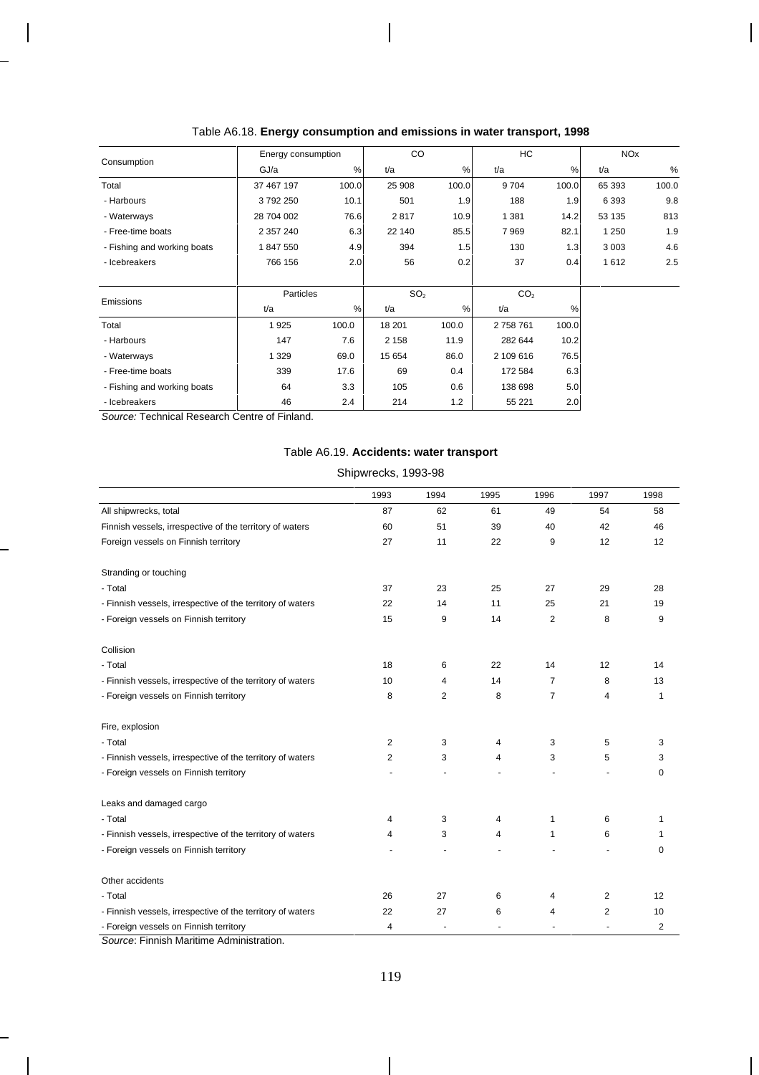|                             | Energy consumption |       | CO.             |       | HC              |               | <b>NO<sub>x</sub></b> |       |
|-----------------------------|--------------------|-------|-----------------|-------|-----------------|---------------|-----------------------|-------|
| Consumption                 | GJ/a               | %     | t/a             | %     | t/a             | $\frac{0}{0}$ | t/a                   | %     |
| Total                       | 37 467 197         | 100.0 | 25 908          | 100.0 | 9704            | 100.0         | 65 393                | 100.0 |
| - Harbours                  | 3792250            | 10.1  | 501             | 1.9   | 188             | 1.9           | 6 3 9 3               | 9.8   |
| - Waterways                 | 28 704 002         | 76.6  | 2817            | 10.9  | 1 3 8 1         | 14.2          | 53 135                | 813   |
| - Free-time boats           | 2 3 5 7 2 4 0      | 6.3   | 22 140          | 85.5  | 7969            | 82.1          | 1 2 5 0               | 1.9   |
| - Fishing and working boats | 1847550            | 4.9   | 394             | 1.5   | 130             | 1.3           | 3 0 0 3               | 4.6   |
| - Icebreakers               | 766 156            | 2.0   | 56              | 0.2   | 37              | 0.4           | 1612                  | 2.5   |
|                             | Particles          |       | SO <sub>2</sub> |       | CO <sub>2</sub> |               |                       |       |
| Emissions                   | t/a                | %     | t/a             | %     | t/a             | %             |                       |       |
| Total                       | 1925               | 100.0 | 18 201          | 100.0 | 2758761         | 100.0         |                       |       |
| - Harbours                  | 147                | 7.6   | 2 1 5 8         | 11.9  | 282 644         | 10.2          |                       |       |
| - Waterways                 | 1 3 2 9            | 69.0  | 15 654          | 86.0  | 2 109 616       | 76.5          |                       |       |
| - Free-time boats           | 339                | 17.6  | 69              | 0.4   | 172 584         | 6.3           |                       |       |
| - Fishing and working boats | 64                 | 3.3   | 105             | 0.6   | 138 698         | 5.0           |                       |       |
| - Icebreakers               | 46                 | 2.4   | 214             | 1.2   | 55 221          | 2.0           |                       |       |

## Table A6.18. **Energy consumption and emissions in water transport, 1998**

Source: Technical Research Centre of Finland.

## Table A6.19. **Accidents: water transport**

#### Shipwrecks, 1993-98

|                                                            | 1993 | 1994           | 1995 | 1996           | 1997           | 1998           |
|------------------------------------------------------------|------|----------------|------|----------------|----------------|----------------|
| All shipwrecks, total                                      | 87   | 62             | 61   | 49             | 54             | 58             |
| Finnish vessels, irrespective of the territory of waters   | 60   | 51             | 39   | 40             | 42             | 46             |
| Foreign vessels on Finnish territory                       | 27   | 11             | 22   | 9              | 12             | 12             |
| Stranding or touching                                      |      |                |      |                |                |                |
| - Total                                                    | 37   | 23             | 25   | 27             | 29             | 28             |
| - Finnish vessels, irrespective of the territory of waters | 22   | 14             | 11   | 25             | 21             | 19             |
| - Foreign vessels on Finnish territory                     | 15   | 9              | 14   | $\overline{2}$ | 8              | 9              |
| Collision                                                  |      |                |      |                |                |                |
| - Total                                                    | 18   | 6              | 22   | 14             | 12             | 14             |
| - Finnish vessels, irrespective of the territory of waters | 10   | 4              | 14   | 7              | 8              | 13             |
| - Foreign vessels on Finnish territory                     | 8    | $\overline{2}$ | 8    | $\overline{7}$ | 4              | 1              |
| Fire, explosion                                            |      |                |      |                |                |                |
| - Total                                                    | 2    | 3              | 4    | 3              | 5              | 3              |
| - Finnish vessels, irrespective of the territory of waters | 2    | 3              | 4    | 3              | 5              | 3              |
| - Foreign vessels on Finnish territory                     |      |                |      |                |                | 0              |
| Leaks and damaged cargo                                    |      |                |      |                |                |                |
| - Total                                                    | 4    | 3              | 4    | 1              | 6              | 1              |
| - Finnish vessels, irrespective of the territory of waters | 4    | 3              | 4    | 1              | 6              | 1              |
| - Foreign vessels on Finnish territory                     |      |                |      |                |                | 0              |
| Other accidents                                            |      |                |      |                |                |                |
| - Total                                                    | 26   | 27             | 6    | 4              | $\overline{2}$ | 12             |
| - Finnish vessels, irrespective of the territory of waters | 22   | 27             | 6    | 4              | 2              | 10             |
| - Foreign vessels on Finnish territory                     | 4    |                |      |                |                | $\overline{2}$ |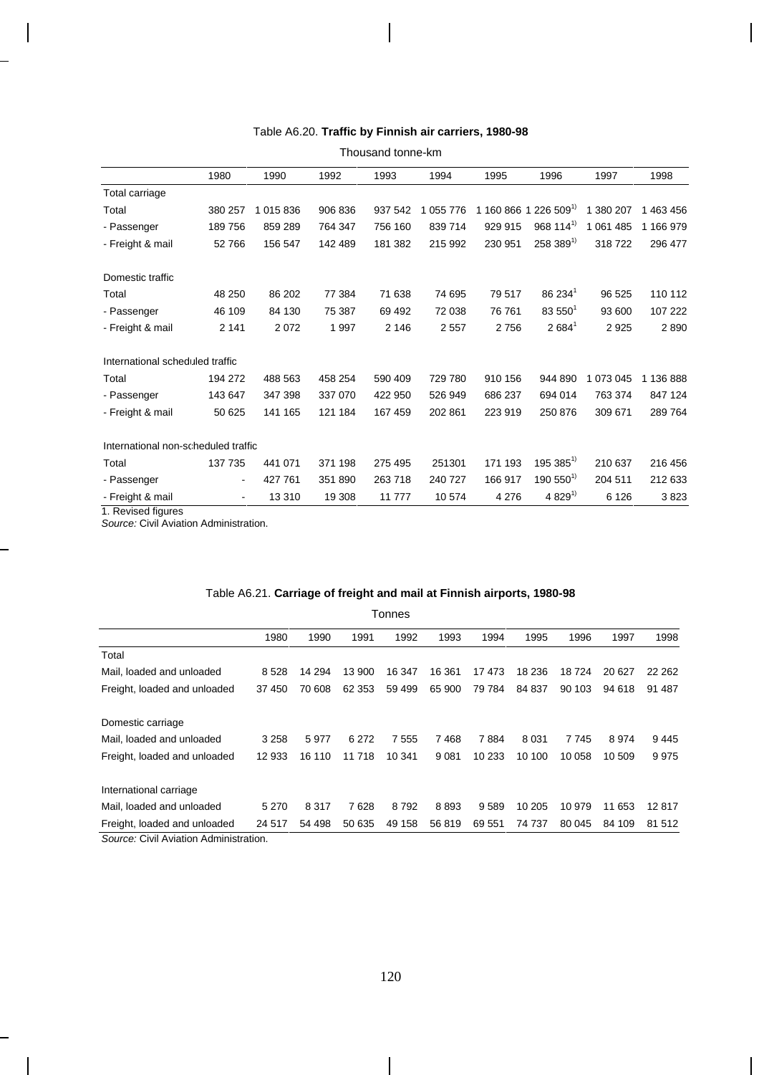|                                     | 1980    | 1990      | 1992    | 1993    | 1994      | 1995    | 1996                              | 1997      | 1998      |
|-------------------------------------|---------|-----------|---------|---------|-----------|---------|-----------------------------------|-----------|-----------|
| Total carriage                      |         |           |         |         |           |         |                                   |           |           |
| Total                               | 380 257 | 1 015 836 | 906 836 | 937 542 | 1 055 776 |         | 1 160 866 1 226 509 <sup>1)</sup> | 1 380 207 | 1 463 456 |
| - Passenger                         | 189756  | 859 289   | 764 347 | 756 160 | 839 714   | 929 915 | 968 114 <sup>1)</sup>             | 1 061 485 | 1 166 979 |
| - Freight & mail                    | 52 766  | 156 547   | 142 489 | 181 382 | 215 992   | 230 951 | $258389^{1}$                      | 318722    | 296 477   |
| Domestic traffic                    |         |           |         |         |           |         |                                   |           |           |
| Total                               | 48 250  | 86 202    | 77 384  | 71 638  | 74 695    | 79517   | $86234^1$                         | 96 525    | 110 112   |
| - Passenger                         | 46 109  | 84 130    | 75 387  | 69 492  | 72 038    | 76761   | 83 550 <sup>1</sup>               | 93 600    | 107 222   |
| - Freight & mail                    | 2 141   | 2072      | 1 9 9 7 | 2 1 4 6 | 2 5 5 7   | 2756    | $2684^1$                          | 2925      | 2890      |
| International scheduled traffic     |         |           |         |         |           |         |                                   |           |           |
| Total                               | 194 272 | 488 563   | 458 254 | 590 409 | 729 780   | 910 156 | 944 890                           | 1 073 045 | 1 136 888 |
| - Passenger                         | 143 647 | 347 398   | 337 070 | 422 950 | 526 949   | 686 237 | 694 014                           | 763 374   | 847 124   |
| - Freight & mail                    | 50 625  | 141 165   | 121 184 | 167 459 | 202 861   | 223 919 | 250 876                           | 309 671   | 289 764   |
| International non-scheduled traffic |         |           |         |         |           |         |                                   |           |           |
| Total                               | 137 735 | 441 071   | 371 198 | 275 495 | 251301    | 171 193 | $195385^{1}$                      | 210 637   | 216 456   |
| - Passenger                         | ۰       | 427 761   | 351 890 | 263718  | 240 727   | 166 917 | $190,550^{1}$                     | 204 511   | 212 633   |
| - Freight & mail                    | ۰.      | 13 310    | 19 308  | 11777   | 10 574    | 4 2 7 6 | $4829^{1}$                        | 6 1 2 6   | 3823      |

## Table A6.20. **Traffic by Finnish air carriers, 1980-98**

Thousand tonne-km

1. Revised figures

Source: Civil Aviation Administration.

## Table A6.21. **Carriage of freight and mail at Finnish airports, 1980-98**

|                              |         |         |         | Tonnes |         |        |         |        |        |         |
|------------------------------|---------|---------|---------|--------|---------|--------|---------|--------|--------|---------|
|                              | 1980    | 1990    | 1991    | 1992   | 1993    | 1994   | 1995    | 1996   | 1997   | 1998    |
| Total                        |         |         |         |        |         |        |         |        |        |         |
| Mail, loaded and unloaded    | 8528    | 14 294  | 13 900  | 16 347 | 16 361  | 17473  | 18 236  | 18724  | 20 627 | 22 26 2 |
| Freight, loaded and unloaded | 37 450  | 70 608  | 62 353  | 59 499 | 65 900  | 79 784 | 84 837  | 90 103 | 94 618 | 91 487  |
| Domestic carriage            |         |         |         |        |         |        |         |        |        |         |
| Mail, loaded and unloaded    | 3 2 5 8 | 5977    | 6 2 7 2 | 7555   | 7468    | 7884   | 8 0 3 1 | 7745   | 8974   | 9445    |
| Freight, loaded and unloaded | 12 933  | 16 110  | 11 718  | 10 341 | 9 0 8 1 | 10 233 | 10 100  | 10 058 | 10 509 | 9975    |
| International carriage       |         |         |         |        |         |        |         |        |        |         |
| Mail, loaded and unloaded    | 5 2 7 0 | 8 3 1 7 | 7628    | 8792   | 8893    | 9589   | 10 205  | 10 979 | 11 653 | 12817   |
| Freight, loaded and unloaded | 24 517  | 54 498  | 50 635  | 49 158 | 56 819  | 69 551 | 74 737  | 80 045 | 84 109 | 81 512  |

Source: Civil Aviation Administration.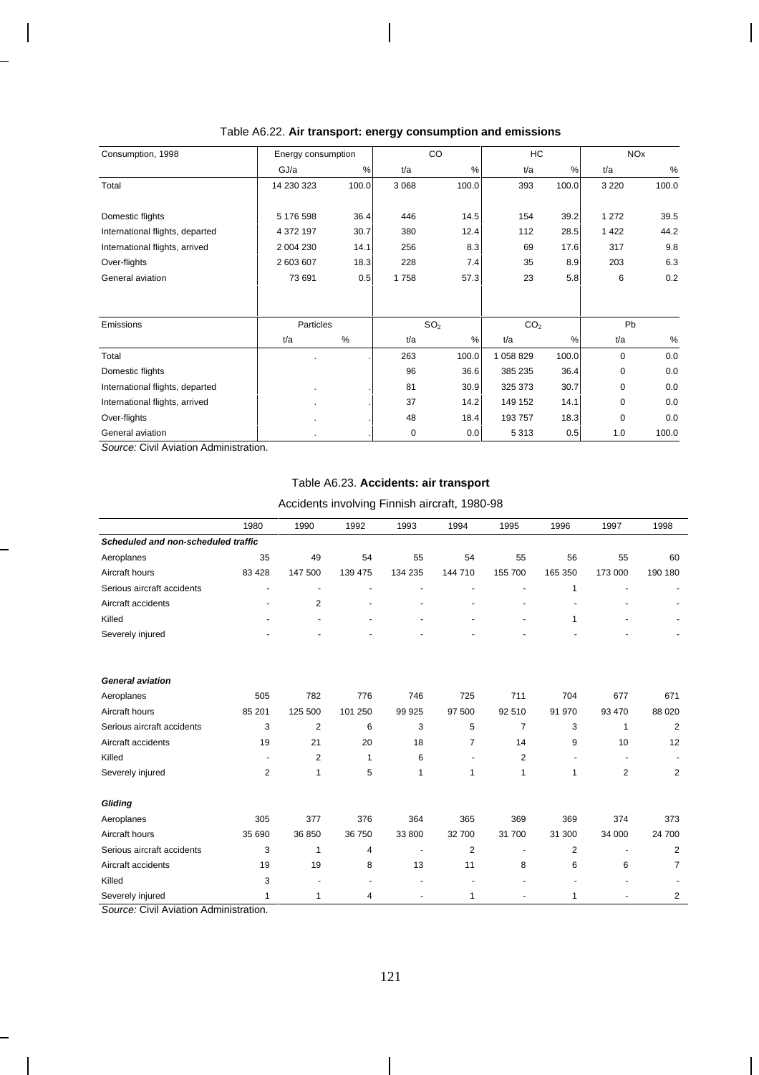| Consumption, 1998               | Energy consumption |       |             | <b>CO</b>       | HC              |       | <b>NO<sub>x</sub></b> |       |
|---------------------------------|--------------------|-------|-------------|-----------------|-----------------|-------|-----------------------|-------|
|                                 | GJ/a               | %     | t/a         | $\%$            | t/a             | $\%$  | t/a                   | $\%$  |
| Total                           | 14 230 323         | 100.0 | 3 0 6 8     | 100.0           | 393             | 100.0 | 3 2 2 0               | 100.0 |
| Domestic flights                | 5 176 598          | 36.4  | 446         | 14.5            | 154             | 39.2  | 1 2 7 2               | 39.5  |
| International flights, departed | 4 372 197          | 30.7  | 380         | 12.4            | 112             | 28.5  | 1422                  | 44.2  |
| International flights, arrived  | 2 004 230          | 14.1  | 256         | 8.3             | 69              | 17.6  | 317                   | 9.8   |
| Over-flights                    | 2 603 607          | 18.3  | 228         | 7.4             | 35              | 8.9   | 203                   | 6.3   |
| General aviation                | 73 691             | 0.5   | 1758        | 57.3            | 23              | 5.8   | 6                     | 0.2   |
|                                 |                    |       |             |                 |                 |       |                       |       |
| Emissions                       | Particles          |       |             | SO <sub>2</sub> | CO <sub>2</sub> |       | Pb                    |       |
|                                 | t/a                | %     | t/a         | $\frac{0}{0}$   | t/a             | $\%$  | t/a                   | $\%$  |
| Total                           |                    |       | 263         | 100.0           | 1 058 829       | 100.0 | 0                     | 0.0   |
| Domestic flights                |                    |       | 96          | 36.6            | 385 235         | 36.4  | $\mathbf 0$           | 0.0   |
| International flights, departed |                    |       | 81          | 30.9            | 325 373         | 30.7  | 0                     | 0.0   |
| International flights, arrived  |                    |       | 37          | 14.2            | 149 152         | 14.1  | 0                     | 0.0   |
| Over-flights                    |                    |       | 48          | 18.4            | 193 757         | 18.3  | 0                     | 0.0   |
| General aviation                |                    |       | $\mathbf 0$ | 0.0             | 5313            | 0.5   | 1.0                   | 100.0 |

## Table A6.22. **Air transport: energy consumption and emissions**

Source: Civil Aviation Administration.

# Table A6.23. **Accidents: air transport**

Accidents involving Finnish aircraft, 1980-98

|                                     | 1980                     | 1990           | 1992           | 1993                     | 1994           | 1995                     | 1996           | 1997                     | 1998                     |
|-------------------------------------|--------------------------|----------------|----------------|--------------------------|----------------|--------------------------|----------------|--------------------------|--------------------------|
| Scheduled and non-scheduled traffic |                          |                |                |                          |                |                          |                |                          |                          |
| Aeroplanes                          | 35                       | 49             | 54             | 55                       | 54             | 55                       | 56             | 55                       | 60                       |
| Aircraft hours                      | 83 4 28                  | 147 500        | 139 475        | 134 235                  | 144 710        | 155 700                  | 165 350        | 173 000                  | 190 180                  |
| Serious aircraft accidents          | ٠                        | $\blacksquare$ |                |                          |                |                          | $\mathbf{1}$   | $\ddot{\phantom{1}}$     | $\overline{\phantom{a}}$ |
| Aircraft accidents                  |                          | $\overline{2}$ |                |                          |                |                          |                |                          |                          |
| Killed                              |                          |                |                |                          |                |                          | 1              |                          |                          |
| Severely injured                    |                          |                |                |                          |                |                          |                |                          |                          |
| <b>General aviation</b>             |                          |                |                |                          |                |                          |                |                          |                          |
| Aeroplanes                          | 505                      | 782            | 776            | 746                      | 725            | 711                      | 704            | 677                      | 671                      |
| Aircraft hours                      | 85 201                   | 125 500        | 101 250        | 99 925                   | 97 500         | 92 510                   | 91 970         | 93 470                   | 88 0 20                  |
| Serious aircraft accidents          | 3                        | 2              | 6              | 3                        | 5              | 7                        | 3              | 1                        | $\overline{2}$           |
| Aircraft accidents                  | 19                       | 21             | 20             | 18                       | $\overline{7}$ | 14                       | 9              | 10                       | 12                       |
| Killed                              | $\overline{\phantom{a}}$ | 2              | $\mathbf{1}$   | 6                        |                | 2                        |                | $\overline{a}$           |                          |
| Severely injured                    | 2                        | 1              | 5              | 1                        | 1              | 1                        | 1              | 2                        | 2                        |
| Gliding                             |                          |                |                |                          |                |                          |                |                          |                          |
| Aeroplanes                          | 305                      | 377            | 376            | 364                      | 365            | 369                      | 369            | 374                      | 373                      |
| Aircraft hours                      | 35 690                   | 36 850         | 36 750         | 33 800                   | 32 700         | 31 700                   | 31 300         | 34 000                   | 24 700                   |
| Serious aircraft accidents          | 3                        | 1              | $\overline{4}$ | $\overline{\phantom{a}}$ | 2              | $\overline{\phantom{a}}$ | $\overline{2}$ | $\overline{\phantom{a}}$ | 2                        |
| Aircraft accidents                  | 19                       | 19             | 8              | 13                       | 11             | 8                        | 6              | 6                        | 7                        |
| Killed                              | 3                        | $\blacksquare$ |                | ٠                        |                |                          |                |                          |                          |
| Severely injured                    | 1                        | 1              | 4              | ٠                        | 1              |                          | 1              |                          | 2                        |

Source: Civil Aviation Administration.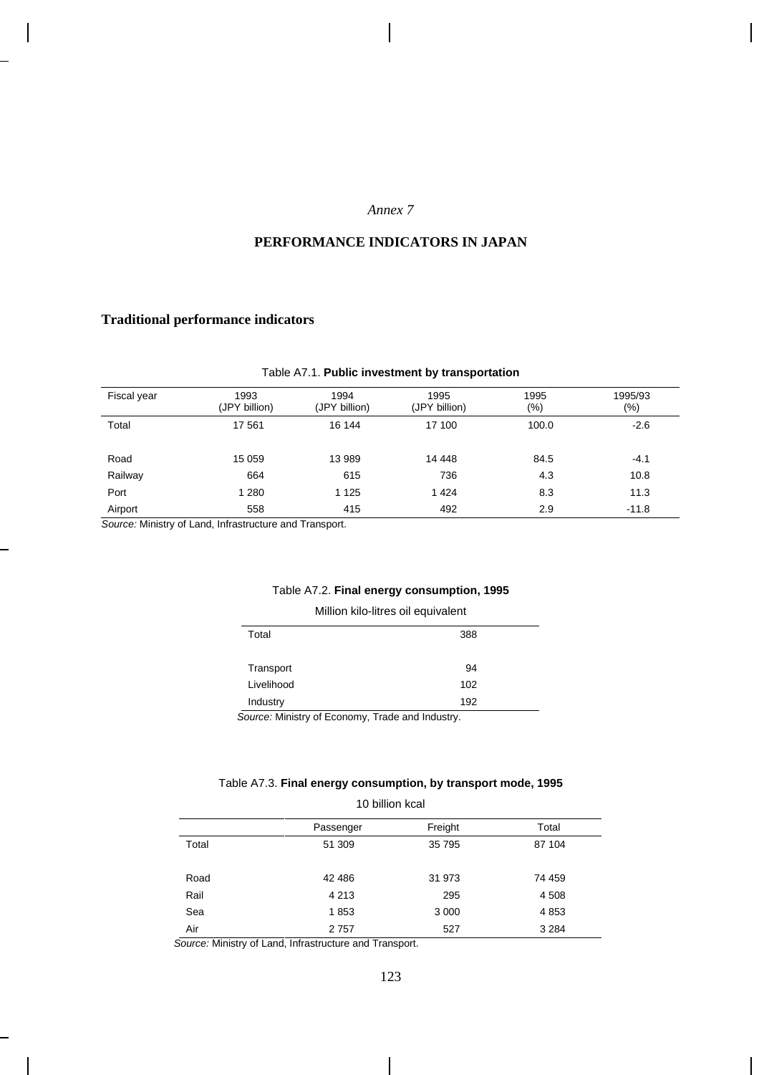# *Annex 7*

# **PERFORMANCE INDICATORS IN JAPAN**

# **Traditional performance indicators**

## Table A7.1. **Public investment by transportation**

| Fiscal year | 1993<br>(JPY billion) | 1994<br>(JPY billion) | 1995<br>(JPY billion) | 1995<br>$(\%)$ | 1995/93<br>$(\% )$ |
|-------------|-----------------------|-----------------------|-----------------------|----------------|--------------------|
| Total       | 17561                 | 16 144                | 17 100                | 100.0          | $-2.6$             |
| Road        | 15 059                | 13 989                | 14 4 48               | 84.5           | $-4.1$             |
| Railway     | 664                   | 615                   | 736                   | 4.3            | 10.8               |
| Port        | 1 2 8 0               | 1 1 2 5               | 1424                  | 8.3            | 11.3               |
| Airport     | 558                   | 415                   | 492                   | 2.9            | $-11.8$            |

Source: Ministry of Land, Infrastructure and Transport.

## Table A7.2. **Final energy consumption, 1995**

|            | Million kilo-litres oil equivalent |
|------------|------------------------------------|
| Total      | 388                                |
| Transport  | 94                                 |
| Livelihood | 102                                |
| Industry   | 192                                |

Source: Ministry of Economy, Trade and Industry.

#### Table A7.3. **Final energy consumption, by transport mode, 1995**

|  | 10 billion kcal |
|--|-----------------|
|  |                 |

|       | Passenger | Freight | Total   |
|-------|-----------|---------|---------|
| Total | 51 309    | 35 795  | 87 104  |
| Road  | 42 486    | 31 973  | 74 459  |
| Rail  | 4 2 1 3   | 295     | 4 5 0 8 |
| Sea   | 1853      | 3 0 0 0 | 4853    |
| Air   | 2757      | 527     | 3 2 8 4 |

Source: Ministry of Land, Infrastructure and Transport.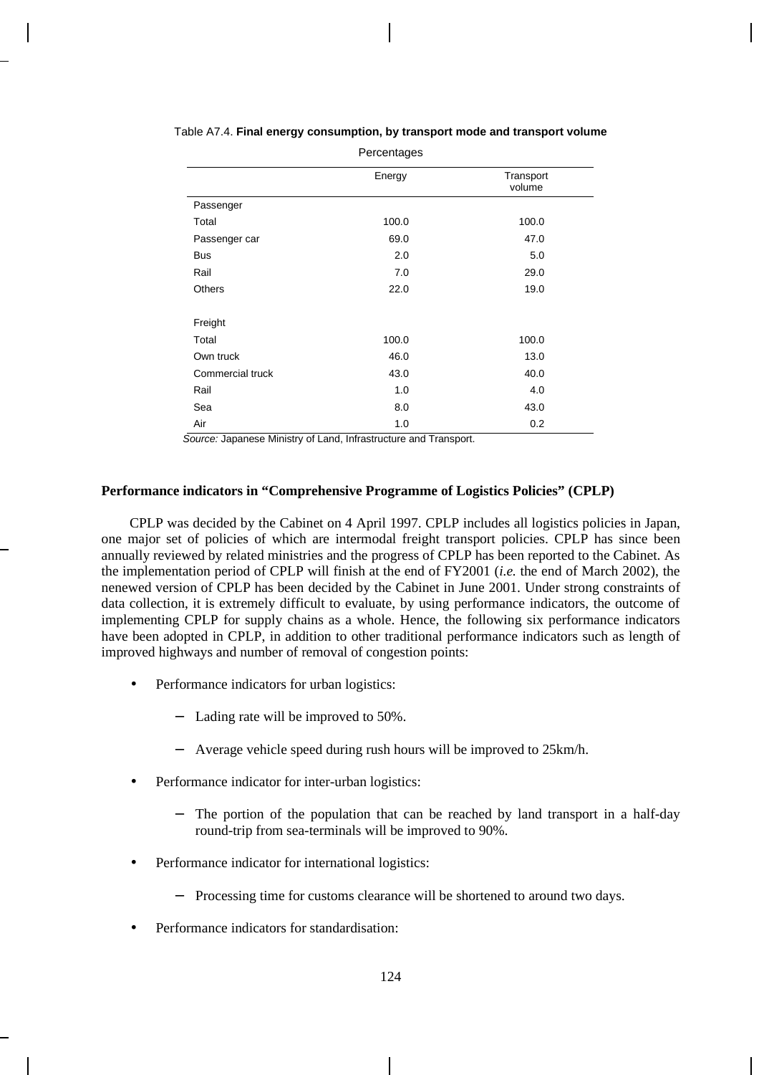|                  | ັ      |                     |
|------------------|--------|---------------------|
|                  | Energy | Transport<br>volume |
| Passenger        |        |                     |
| Total            | 100.0  | 100.0               |
| Passenger car    | 69.0   | 47.0                |
| <b>Bus</b>       | 2.0    | 5.0                 |
| Rail             | 7.0    | 29.0                |
| Others           | 22.0   | 19.0                |
|                  |        |                     |
| Freight          |        |                     |
| Total            | 100.0  | 100.0               |
| Own truck        | 46.0   | 13.0                |
| Commercial truck | 43.0   | 40.0                |
| Rail             | 1.0    | 4.0                 |
| Sea              | 8.0    | 43.0                |
| Air              | 1.0    | 0.2                 |

# Table A7.4. **Final energy consumption, by transport mode and transport volume Percentages**

Source: Japanese Ministry of Land, Infrastructure and Transport.

# **Performance indicators in "Comprehensive Programme of Logistics Policies" (CPLP)**

CPLP was decided by the Cabinet on 4 April 1997. CPLP includes all logistics policies in Japan, one major set of policies of which are intermodal freight transport policies. CPLP has since been annually reviewed by related ministries and the progress of CPLP has been reported to the Cabinet. As the implementation period of CPLP will finish at the end of FY2001 (*i.e.* the end of March 2002), the nenewed version of CPLP has been decided by the Cabinet in June 2001. Under strong constraints of data collection, it is extremely difficult to evaluate, by using performance indicators, the outcome of implementing CPLP for supply chains as a whole. Hence, the following six performance indicators have been adopted in CPLP, in addition to other traditional performance indicators such as length of improved highways and number of removal of congestion points:

- Performance indicators for urban logistics:
	- − Lading rate will be improved to 50%.
	- − Average vehicle speed during rush hours will be improved to 25km/h.
- Performance indicator for inter-urban logistics:
	- − The portion of the population that can be reached by land transport in a half-day round-trip from sea-terminals will be improved to 90%.
- Performance indicator for international logistics:
	- − Processing time for customs clearance will be shortened to around two days.
- Performance indicators for standardisation: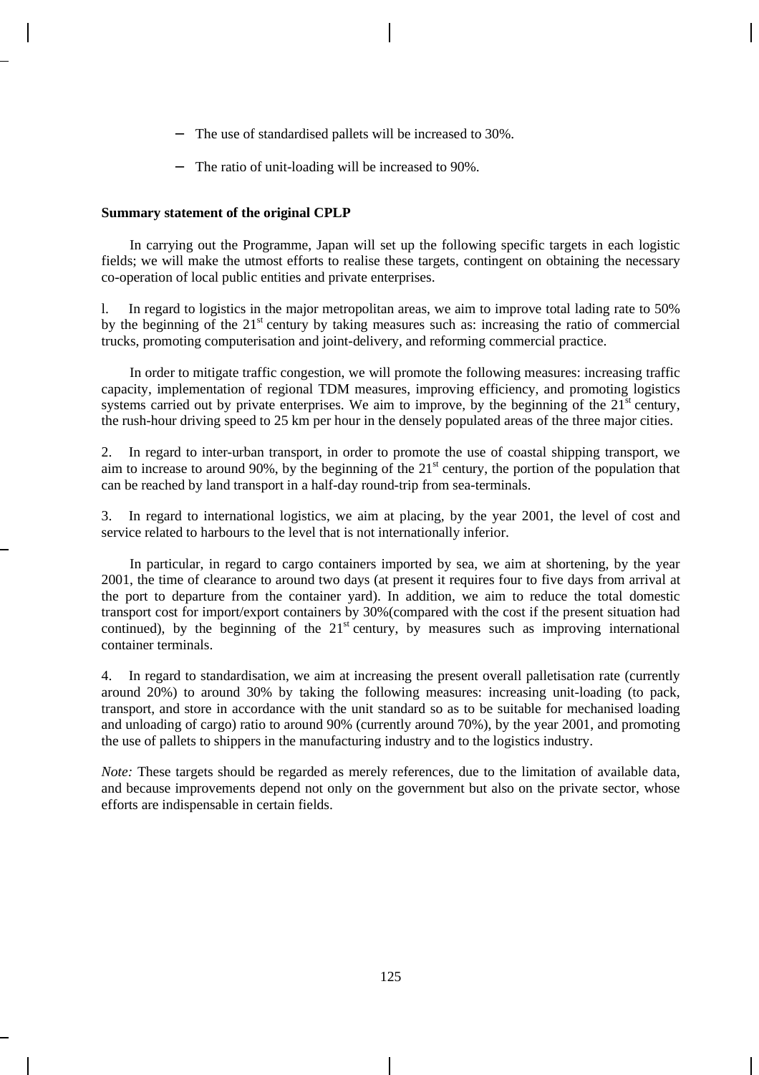- − The use of standardised pallets will be increased to 30%.
- − The ratio of unit-loading will be increased to 90%.

# **Summary statement of the original CPLP**

In carrying out the Programme, Japan will set up the following specific targets in each logistic fields; we will make the utmost efforts to realise these targets, contingent on obtaining the necessary co-operation of local public entities and private enterprises.

l. In regard to logistics in the major metropolitan areas, we aim to improve total lading rate to 50% by the beginning of the  $21<sup>st</sup>$  century by taking measures such as: increasing the ratio of commercial trucks, promoting computerisation and joint-delivery, and reforming commercial practice.

In order to mitigate traffic congestion, we will promote the following measures: increasing traffic capacity, implementation of regional TDM measures, improving efficiency, and promoting logistics systems carried out by private enterprises. We aim to improve, by the beginning of the  $21<sup>st</sup>$  century, the rush-hour driving speed to 25 km per hour in the densely populated areas of the three major cities.

2. In regard to inter-urban transport, in order to promote the use of coastal shipping transport, we aim to increase to around 90%, by the beginning of the  $21<sup>st</sup>$  century, the portion of the population that can be reached by land transport in a half-day round-trip from sea-terminals.

3. In regard to international logistics, we aim at placing, by the year 2001, the level of cost and service related to harbours to the level that is not internationally inferior.

In particular, in regard to cargo containers imported by sea, we aim at shortening, by the year 2001, the time of clearance to around two days (at present it requires four to five days from arrival at the port to departure from the container yard). In addition, we aim to reduce the total domestic transport cost for import/export containers by 30%(compared with the cost if the present situation had continued), by the beginning of the  $21<sup>st</sup>$  century, by measures such as improving international container terminals.

4. In regard to standardisation, we aim at increasing the present overall palletisation rate (currently around 20%) to around 30% by taking the following measures: increasing unit-loading (to pack, transport, and store in accordance with the unit standard so as to be suitable for mechanised loading and unloading of cargo) ratio to around 90% (currently around 70%), by the year 2001, and promoting the use of pallets to shippers in the manufacturing industry and to the logistics industry.

*Note:* These targets should be regarded as merely references, due to the limitation of available data, and because improvements depend not only on the government but also on the private sector, whose efforts are indispensable in certain fields.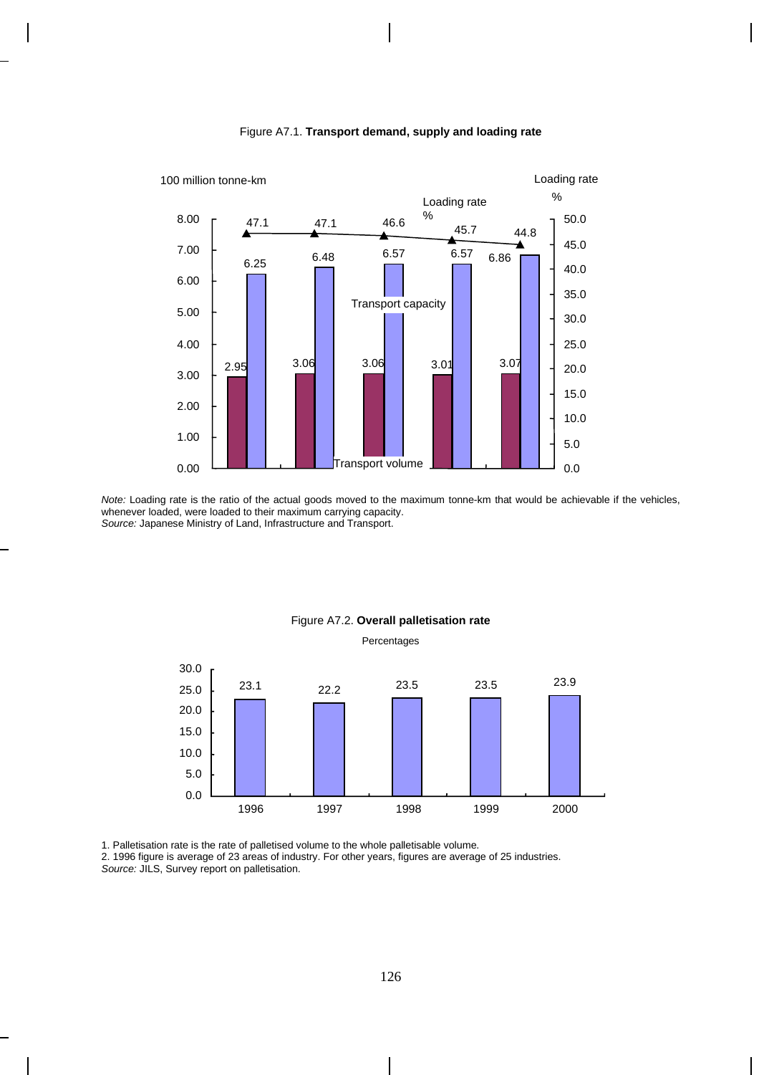

#### Figure A7.1. **Transport demand, supply and loading rate**

Note: Loading rate is the ratio of the actual goods moved to the maximum tonne-km that would be achievable if the vehicles, whenever loaded, were loaded to their maximum carrying capacity. Source: Japanese Ministry of Land, Infrastructure and Transport.



#### Figure A7.2. **Overall palletisation rate**

1. Palletisation rate is the rate of palletised volume to the whole palletisable volume.

2. 1996 figure is average of 23 areas of industry. For other years, figures are average of 25 industries. Source: JILS, Survey report on palletisation.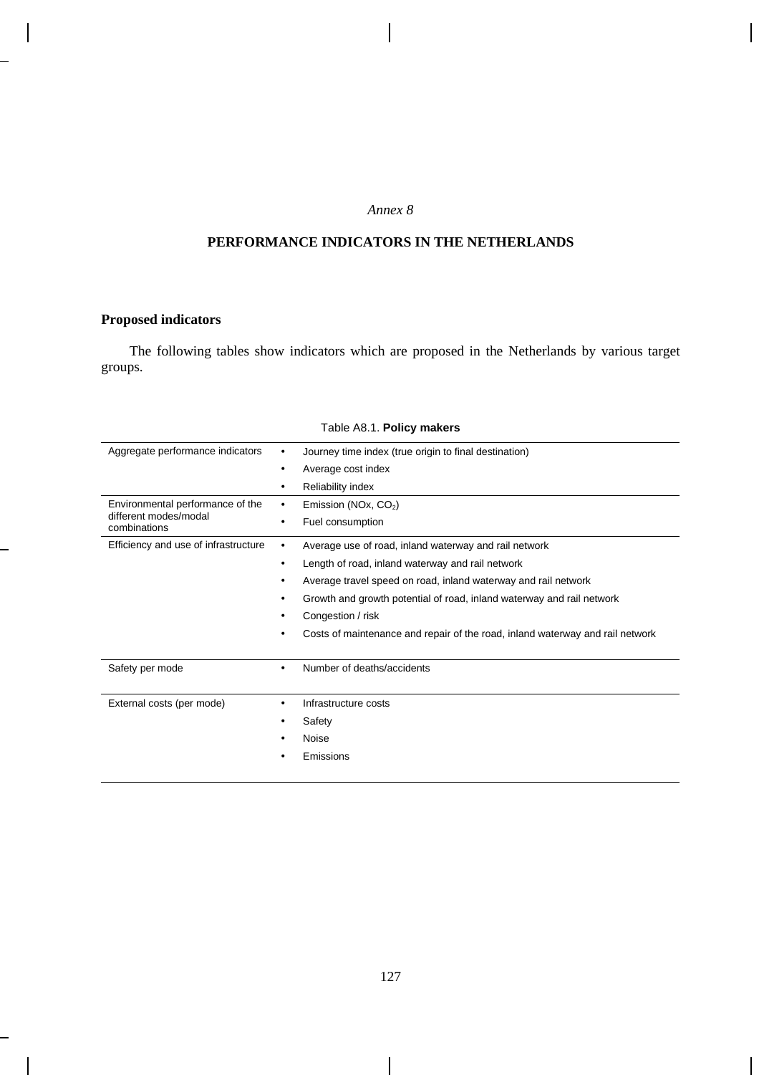# *Annex 8*

# **PERFORMANCE INDICATORS IN THE NETHERLANDS**

# **Proposed indicators**

The following tables show indicators which are proposed in the Netherlands by various target groups.

| Aggregate performance indicators      | Journey time index (true origin to final destination)<br>Average cost index<br>٠ |
|---------------------------------------|----------------------------------------------------------------------------------|
|                                       |                                                                                  |
|                                       |                                                                                  |
|                                       | Reliability index<br>٠                                                           |
| Environmental performance of the      | Emission (NOx, CO <sub>2</sub> )                                                 |
| different modes/modal<br>combinations | Fuel consumption<br>$\bullet$                                                    |
| Efficiency and use of infrastructure  | Average use of road, inland waterway and rail network                            |
|                                       | Length of road, inland waterway and rail network<br>$\bullet$                    |
|                                       | Average travel speed on road, inland waterway and rail network                   |
|                                       | Growth and growth potential of road, inland waterway and rail network            |
|                                       | Congestion / risk                                                                |
|                                       | Costs of maintenance and repair of the road, inland waterway and rail network    |
| Safety per mode                       | Number of deaths/accidents<br>$\bullet$                                          |
| External costs (per mode)             | Infrastructure costs                                                             |
|                                       | Safety                                                                           |
|                                       | Noise                                                                            |
|                                       | Emissions                                                                        |
|                                       |                                                                                  |

# Table A8.1. **Policy makers**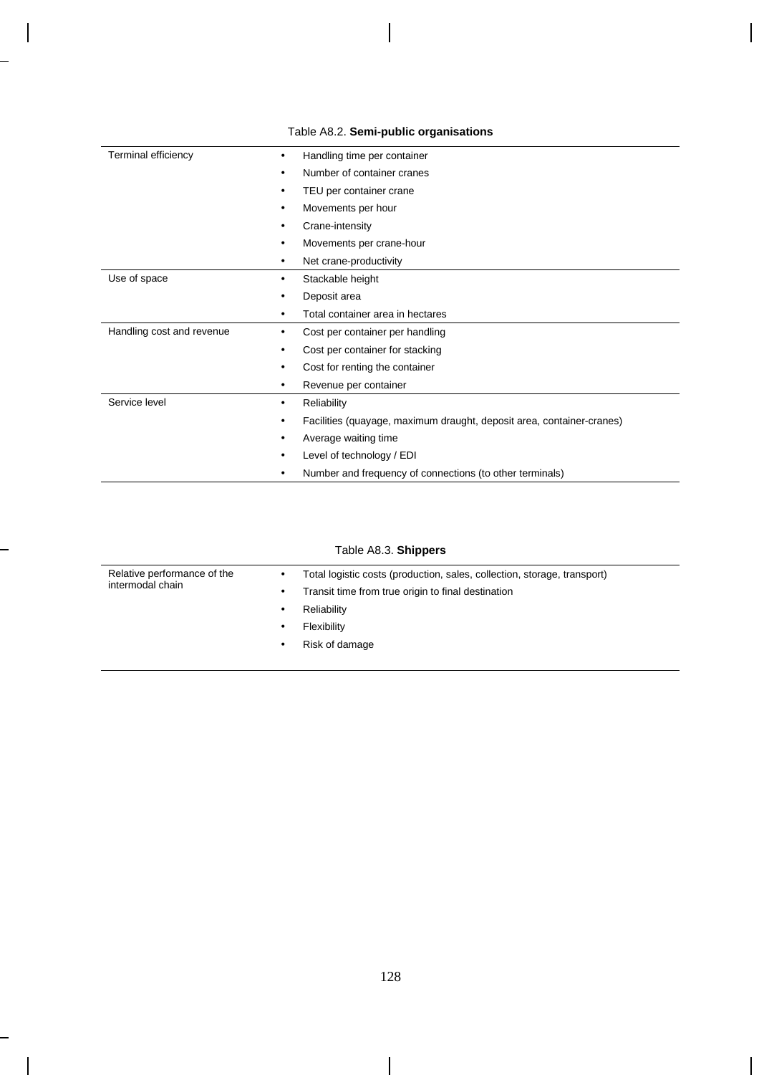# Table A8.2. **Semi-public organisations**

| Terminal efficiency       | Handling time per container<br>$\bullet$                                           |
|---------------------------|------------------------------------------------------------------------------------|
|                           | Number of container cranes<br>٠                                                    |
|                           | TEU per container crane<br>٠                                                       |
|                           | Movements per hour<br>٠                                                            |
|                           | Crane-intensity<br>٠                                                               |
|                           | Movements per crane-hour                                                           |
|                           | Net crane-productivity<br>$\bullet$                                                |
| Use of space              | Stackable height<br>٠                                                              |
|                           | Deposit area<br>٠                                                                  |
|                           | Total container area in hectares<br>٠                                              |
| Handling cost and revenue | Cost per container per handling                                                    |
|                           | Cost per container for stacking<br>٠                                               |
|                           | Cost for renting the container                                                     |
|                           | Revenue per container<br>٠                                                         |
| Service level             | Reliability<br>$\bullet$                                                           |
|                           | Facilities (quayage, maximum draught, deposit area, container-cranes)<br>$\bullet$ |
|                           | Average waiting time<br>٠                                                          |
|                           | Level of technology / EDI<br>٠                                                     |
|                           | Number and frequency of connections (to other terminals)<br>٠                      |
|                           |                                                                                    |

## Table A8.3. **Shippers**

| Relative performance of the | $\bullet$ | Total logistic costs (production, sales, collection, storage, transport) |
|-----------------------------|-----------|--------------------------------------------------------------------------|
| intermodal chain            | ٠         | Transit time from true origin to final destination                       |
|                             |           | Reliability                                                              |
|                             |           | Flexibility                                                              |
|                             |           | Risk of damage                                                           |
|                             |           |                                                                          |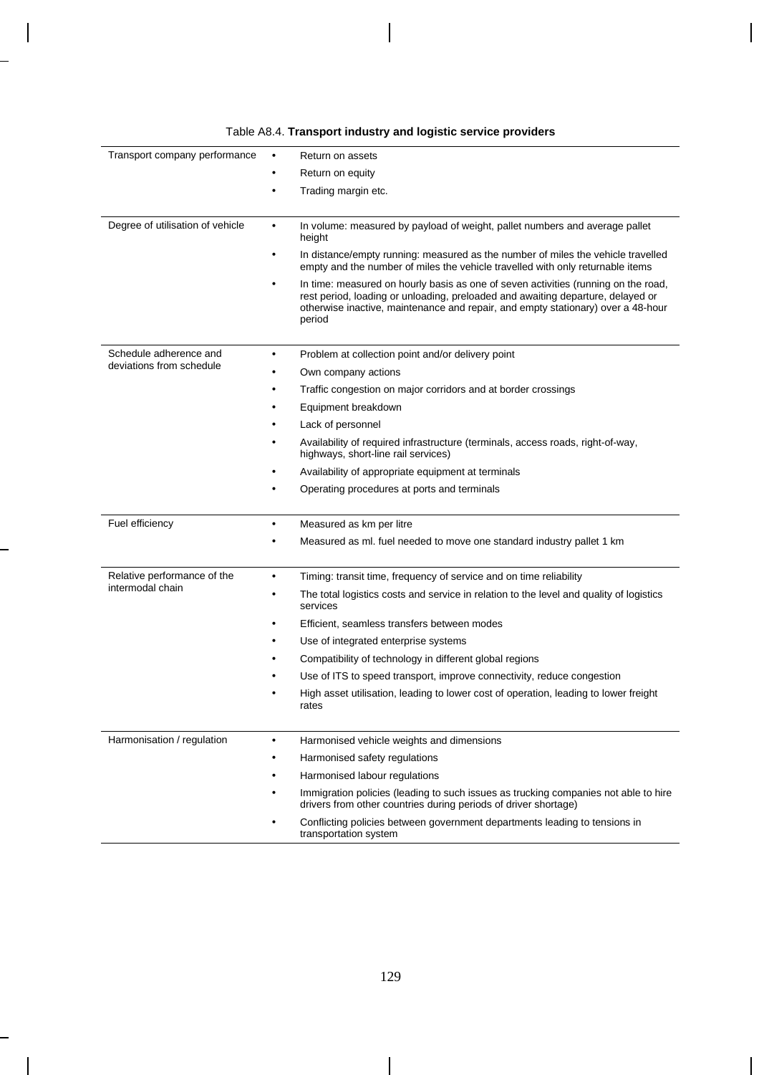| Transport company performance    | Return on assets<br>٠                                                                                                                                                                                                                                               |
|----------------------------------|---------------------------------------------------------------------------------------------------------------------------------------------------------------------------------------------------------------------------------------------------------------------|
|                                  | Return on equity                                                                                                                                                                                                                                                    |
|                                  | Trading margin etc.                                                                                                                                                                                                                                                 |
| Degree of utilisation of vehicle | In volume: measured by payload of weight, pallet numbers and average pallet<br>height                                                                                                                                                                               |
|                                  | In distance/empty running: measured as the number of miles the vehicle travelled<br>empty and the number of miles the vehicle travelled with only returnable items                                                                                                  |
|                                  | In time: measured on hourly basis as one of seven activities (running on the road,<br>rest period, loading or unloading, preloaded and awaiting departure, delayed or<br>otherwise inactive, maintenance and repair, and empty stationary) over a 48-hour<br>period |
| Schedule adherence and           | Problem at collection point and/or delivery point<br>٠                                                                                                                                                                                                              |
| deviations from schedule         | Own company actions                                                                                                                                                                                                                                                 |
|                                  | Traffic congestion on major corridors and at border crossings                                                                                                                                                                                                       |
|                                  | Equipment breakdown                                                                                                                                                                                                                                                 |
|                                  | Lack of personnel                                                                                                                                                                                                                                                   |
|                                  | Availability of required infrastructure (terminals, access roads, right-of-way,<br>highways, short-line rail services)                                                                                                                                              |
|                                  | Availability of appropriate equipment at terminals                                                                                                                                                                                                                  |
|                                  | Operating procedures at ports and terminals                                                                                                                                                                                                                         |
| Fuel efficiency                  | Measured as km per litre<br>$\bullet$                                                                                                                                                                                                                               |
|                                  | Measured as ml. fuel needed to move one standard industry pallet 1 km                                                                                                                                                                                               |
| Relative performance of the      | Timing: transit time, frequency of service and on time reliability<br>٠                                                                                                                                                                                             |
| intermodal chain                 | The total logistics costs and service in relation to the level and quality of logistics<br>services                                                                                                                                                                 |
|                                  | Efficient, seamless transfers between modes                                                                                                                                                                                                                         |
|                                  | Use of integrated enterprise systems                                                                                                                                                                                                                                |
|                                  | Compatibility of technology in different global regions                                                                                                                                                                                                             |
|                                  | Use of ITS to speed transport, improve connectivity, reduce congestion                                                                                                                                                                                              |
|                                  | High asset utilisation, leading to lower cost of operation, leading to lower freight<br>rates                                                                                                                                                                       |
| Harmonisation / regulation       | Harmonised vehicle weights and dimensions                                                                                                                                                                                                                           |
|                                  | Harmonised safety regulations                                                                                                                                                                                                                                       |
|                                  | Harmonised labour regulations                                                                                                                                                                                                                                       |
|                                  | Immigration policies (leading to such issues as trucking companies not able to hire<br>drivers from other countries during periods of driver shortage)                                                                                                              |
|                                  | Conflicting policies between government departments leading to tensions in<br>transportation system                                                                                                                                                                 |

Table A8.4. **Transport industry and logistic service providers**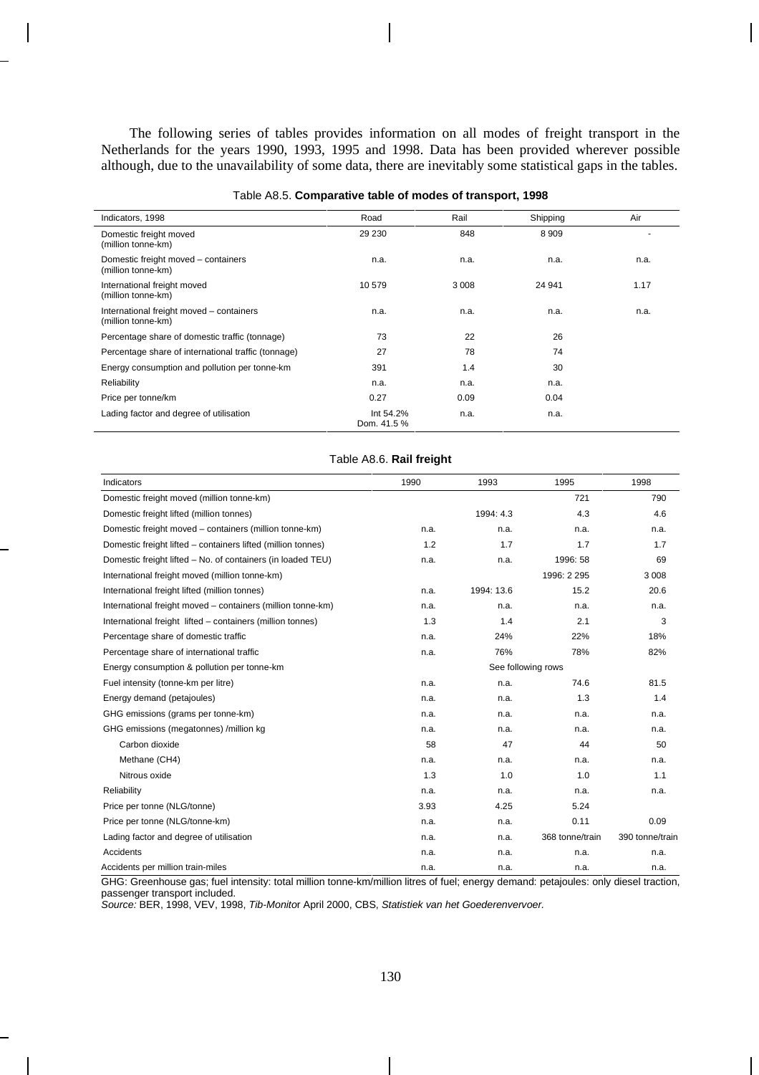The following series of tables provides information on all modes of freight transport in the Netherlands for the years 1990, 1993, 1995 and 1998. Data has been provided wherever possible although, due to the unavailability of some data, there are inevitably some statistical gaps in the tables.

|  |  |  | Table A8.5. Comparative table of modes of transport, 1998 |  |
|--|--|--|-----------------------------------------------------------|--|
|--|--|--|-----------------------------------------------------------|--|

| Indicators, 1998                                               | Road                     | Rail    | Shipping | Air  |
|----------------------------------------------------------------|--------------------------|---------|----------|------|
| Domestic freight moved<br>(million tonne-km)                   | 29 230                   | 848     | 8909     |      |
| Domestic freight moved - containers<br>(million tonne-km)      | n.a.                     | n.a.    | n.a.     | n.a. |
| International freight moved<br>(million tonne-km)              | 10579                    | 3 0 0 8 | 24 941   | 1.17 |
| International freight moved - containers<br>(million tonne-km) | n.a.                     | n.a.    | n.a.     | n.a. |
| Percentage share of domestic traffic (tonnage)                 | 73                       | 22      | 26       |      |
| Percentage share of international traffic (tonnage)            | 27                       | 78      | 74       |      |
| Energy consumption and pollution per tonne-km                  | 391                      | 1.4     | 30       |      |
| Reliability                                                    | n.a.                     | n.a.    | n.a.     |      |
| Price per tonne/km                                             | 0.27                     | 0.09    | 0.04     |      |
| Lading factor and degree of utilisation                        | Int 54.2%<br>Dom. 41.5 % | n.a.    | n.a.     |      |

## Table A8.6. **Rail freight**

| Indicators                                                   | 1990               | 1993       | 1995            | 1998            |
|--------------------------------------------------------------|--------------------|------------|-----------------|-----------------|
| Domestic freight moved (million tonne-km)                    |                    |            | 721             | 790             |
| Domestic freight lifted (million tonnes)                     |                    | 1994: 4.3  | 4.3             | 4.6             |
| Domestic freight moved - containers (million tonne-km)       | n.a.               | n.a.       | n.a.            | n.a.            |
| Domestic freight lifted – containers lifted (million tonnes) | 1.2                | 1.7        | 1.7             | 1.7             |
| Domestic freight lifted - No. of containers (in loaded TEU)  | n.a.               | n.a.       | 1996: 58        | 69              |
| International freight moved (million tonne-km)               |                    |            | 1996: 2 295     | 3 0 0 8         |
| International freight lifted (million tonnes)                | n.a.               | 1994: 13.6 | 15.2            | 20.6            |
| International freight moved – containers (million tonne-km)  | n.a.               | n.a.       | n.a.            | n.a.            |
| International freight lifted – containers (million tonnes)   | 1.3                | 1.4        | 2.1             | 3               |
| Percentage share of domestic traffic                         | n.a.               | 24%        | 22%             | 18%             |
| Percentage share of international traffic                    | n.a.               | 76%        | 78%             | 82%             |
| Energy consumption & pollution per tonne-km                  | See following rows |            |                 |                 |
| Fuel intensity (tonne-km per litre)                          | n.a.               | n.a.       | 74.6            | 81.5            |
| Energy demand (petajoules)                                   | n.a.               | n.a.       | 1.3             | 1.4             |
| GHG emissions (grams per tonne-km)                           | n.a.               | n.a.       | n.a.            | n.a.            |
| GHG emissions (megatonnes) / million kg                      | n.a.               | n.a.       | n.a.            | n.a.            |
| Carbon dioxide                                               | 58                 | 47         | 44              | 50              |
| Methane (CH4)                                                | n.a.               | n.a.       | n.a.            | n.a.            |
| Nitrous oxide                                                | 1.3                | 1.0        | 1.0             | 1.1             |
| Reliability                                                  | n.a.               | n.a.       | n.a.            | n.a.            |
| Price per tonne (NLG/tonne)                                  | 3.93               | 4.25       | 5.24            |                 |
| Price per tonne (NLG/tonne-km)                               | n.a.               | n.a.       | 0.11            | 0.09            |
| Lading factor and degree of utilisation                      | n.a.               | n.a.       | 368 tonne/train | 390 tonne/train |
| Accidents                                                    | n.a.               | n.a.       | n.a.            | n.a.            |
| Accidents per million train-miles                            | n.a.               | n.a.       | n.a.            | n.a.            |

GHG: Greenhouse gas; fuel intensity: total million tonne-km/million litres of fuel; energy demand: petajoules: only diesel traction, passenger transport included.

Source: BER, 1998, VEV, 1998, Tib-Monitor April 2000, CBS, Statistiek van het Goederenvervoer.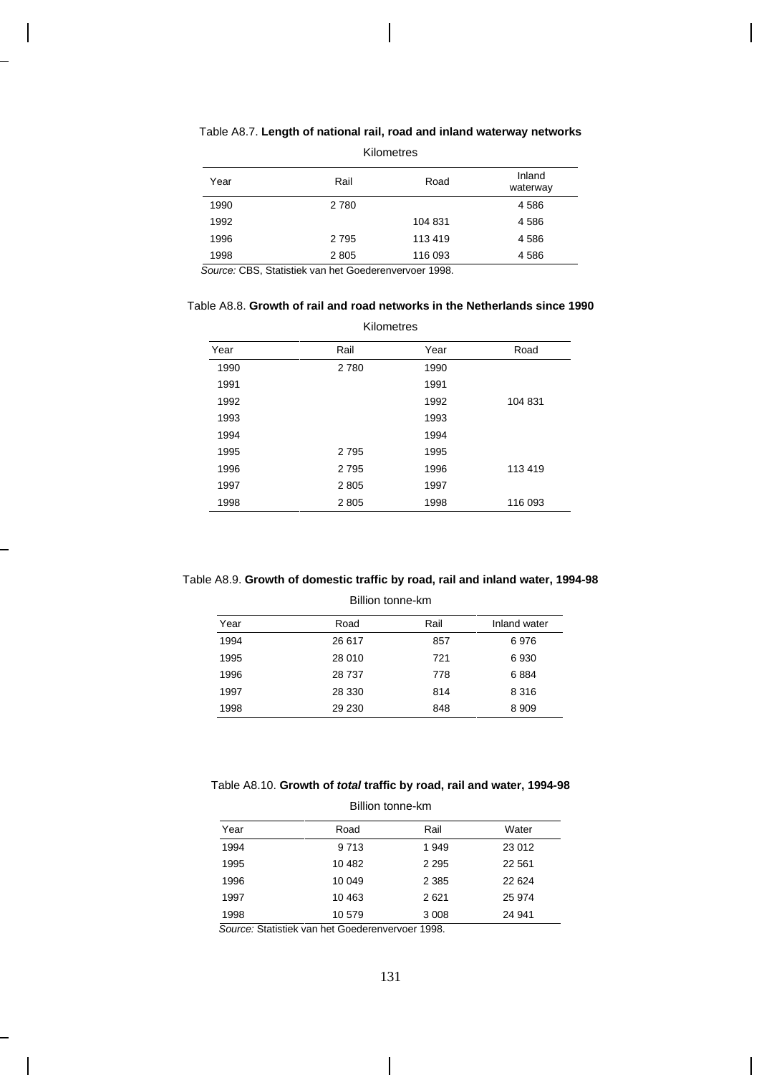| Year | Rail    | Road    | Inland<br>waterway |
|------|---------|---------|--------------------|
| 1990 | 2780    |         | 4586               |
| 1992 |         | 104 831 | 4586               |
| 1996 | 2 7 9 5 | 113419  | 4586               |
| 1998 | 2805    | 116 093 | 4586               |

Table A8.7. **Length of national rail, road and inland waterway networks**

Kilometres

Source: CBS, Statistiek van het Goederenvervoer 1998.

#### Table A8.8. **Growth of rail and road networks in the Netherlands since 1990**

| Kilometres |         |      |         |
|------------|---------|------|---------|
| Year       | Rail    | Year | Road    |
| 1990       | 2 7 8 0 | 1990 |         |
| 1991       |         | 1991 |         |
| 1992       |         | 1992 | 104 831 |
| 1993       |         | 1993 |         |
| 1994       |         | 1994 |         |
| 1995       | 2795    | 1995 |         |
| 1996       | 2795    | 1996 | 113419  |
| 1997       | 2805    | 1997 |         |
| 1998       | 2 8 0 5 | 1998 | 116 093 |

Table A8.9. **Growth of domestic traffic by road, rail and inland water, 1994-98**

Billion tonne-km

| Year | Road   | Rail | Inland water |
|------|--------|------|--------------|
| 1994 | 26 617 | 857  | 6976         |
| 1995 | 28 010 | 721  | 6930         |
| 1996 | 28 737 | 778  | 6884         |
| 1997 | 28 330 | 814  | 8 3 1 6      |
| 1998 | 29 230 | 848  | 8909         |
|      |        |      |              |

# Table A8.10. **Growth of total traffic by road, rail and water, 1994-98**

#### Billion tonne-km

| Year | Road    | Rail    | Water   |
|------|---------|---------|---------|
| 1994 | 9 7 1 3 | 1 949   | 23 012  |
| 1995 | 10 482  | 2 2 9 5 | 22 5 61 |
| 1996 | 10 049  | 2 3 8 5 | 22 624  |
| 1997 | 10 463  | 2621    | 25 974  |
| 1998 | 10 579  | 3 0 0 8 | 24 941  |

Source: Statistiek van het Goederenvervoer 1998.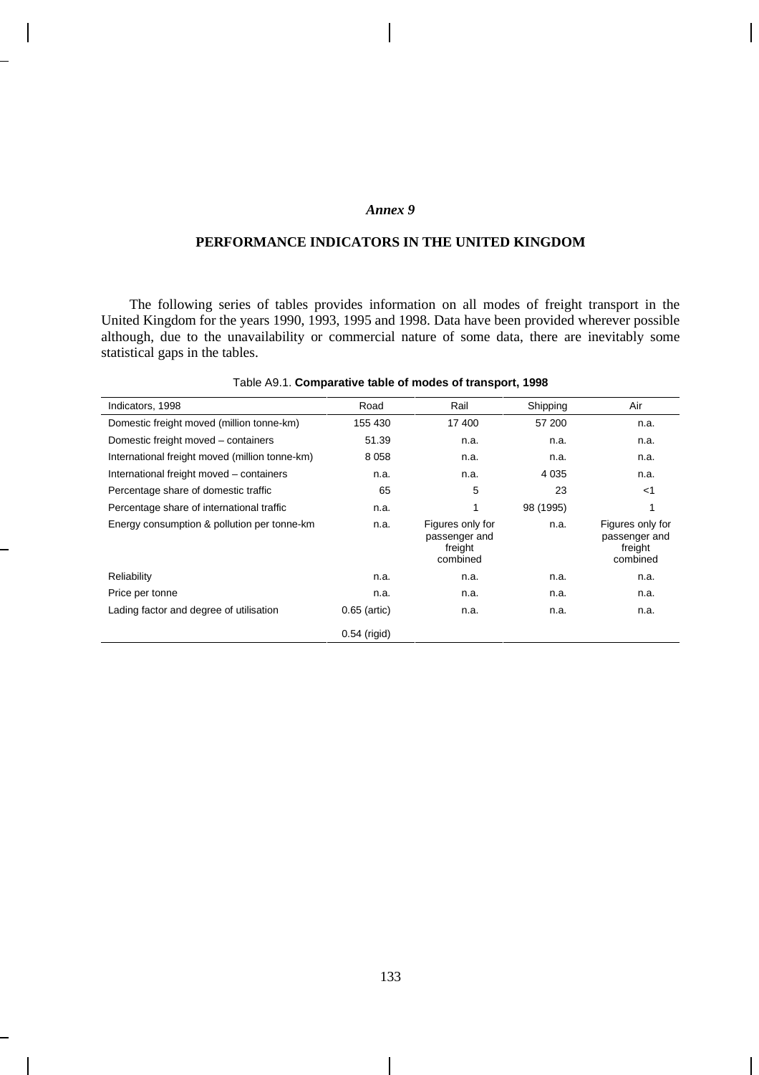# *Annex 9*

# **PERFORMANCE INDICATORS IN THE UNITED KINGDOM**

The following series of tables provides information on all modes of freight transport in the United Kingdom for the years 1990, 1993, 1995 and 1998. Data have been provided wherever possible although, due to the unavailability or commercial nature of some data, there are inevitably some statistical gaps in the tables.

| Indicators, 1998                               | Road           | Rail                                                     | Shipping  | Air                                                      |
|------------------------------------------------|----------------|----------------------------------------------------------|-----------|----------------------------------------------------------|
| Domestic freight moved (million tonne-km)      | 155 430        | 17400                                                    | 57 200    | n.a.                                                     |
| Domestic freight moved - containers            | 51.39          | n.a.                                                     | n.a.      | n.a.                                                     |
| International freight moved (million tonne-km) | 8058           | n.a.                                                     | n.a.      | n.a.                                                     |
| International freight moved - containers       | n.a.           | n.a.                                                     | 4 0 3 5   | n.a.                                                     |
| Percentage share of domestic traffic           | 65             | 5                                                        | 23        | $<$ 1                                                    |
| Percentage share of international traffic      | n.a.           | 1                                                        | 98 (1995) |                                                          |
| Energy consumption & pollution per tonne-km    | n.a.           | Figures only for<br>passenger and<br>freight<br>combined | n.a.      | Figures only for<br>passenger and<br>freight<br>combined |
| Reliability                                    | n.a.           | n.a.                                                     | n.a.      | n.a.                                                     |
| Price per tonne                                | n.a.           | n.a.                                                     | n.a.      | n.a.                                                     |
| Lading factor and degree of utilisation        | $0.65$ (artic) | n.a.                                                     | n.a.      | n.a.                                                     |
|                                                | 0.54 (rigid)   |                                                          |           |                                                          |

## Table A9.1. **Comparative table of modes of transport, 1998**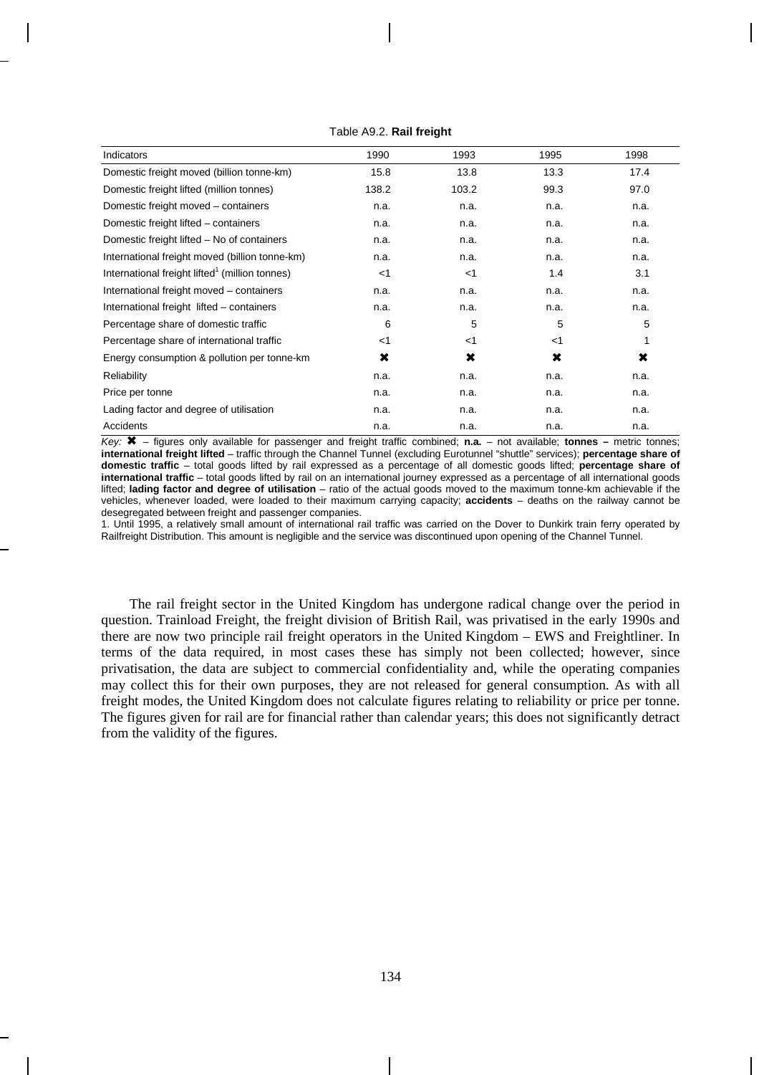| Indicators                                                 | 1990  | 1993  | 1995  | 1998 |
|------------------------------------------------------------|-------|-------|-------|------|
|                                                            |       |       |       |      |
| Domestic freight moved (billion tonne-km)                  | 15.8  | 13.8  | 13.3  | 17.4 |
| Domestic freight lifted (million tonnes)                   | 138.2 | 103.2 | 99.3  | 97.0 |
| Domestic freight moved - containers                        | n.a.  | n.a.  | n.a.  | n.a. |
| Domestic freight lifted - containers                       | n.a.  | n.a.  | n.a.  | n.a. |
| Domestic freight lifted - No of containers                 | n.a.  | n.a.  | n.a.  | n.a. |
| International freight moved (billion tonne-km)             | n.a.  | n.a.  | n.a.  | n.a. |
| International freight lifted <sup>1</sup> (million tonnes) | $<$ 1 | $<$ 1 | 1.4   | 3.1  |
| International freight moved - containers                   | n.a.  | n.a.  | n.a.  | n.a. |
| International freight lifted - containers                  | n.a.  | n.a.  | n.a.  | n.a. |
| Percentage share of domestic traffic                       | 6     | 5     | 5     | 5    |
| Percentage share of international traffic                  | $<$ 1 | $<$ 1 | $<$ 1 |      |
| Energy consumption & pollution per tonne-km                | x     | x     | x     | x    |
| Reliability                                                | n.a.  | n.a.  | n.a.  | n.a. |
| Price per tonne                                            | n.a.  | n.a.  | n.a.  | n.a. |
| Lading factor and degree of utilisation                    | n.a.  | n.a.  | n.a.  | n.a. |
| Accidents                                                  | n.a.  | n.a.  | n.a.  | n.a. |

Key: ✖ – figures only available for passenger and freight traffic combined; **n.a.** – not available; **tonnes –** metric tonnes; **international freight lifted** – traffic through the Channel Tunnel (excluding Eurotunnel "shuttle" services); **percentage share of domestic traffic** – total goods lifted by rail expressed as a percentage of all domestic goods lifted; **percentage share of international traffic** – total goods lifted by rail on an international journey expressed as a percentage of all international goods lifted; **lading factor and degree of utilisation** – ratio of the actual goods moved to the maximum tonne-km achievable if the vehicles, whenever loaded, were loaded to their maximum carrying capacity; **accidents** – deaths on the railway cannot be desegregated between freight and passenger companies.

1. Until 1995, a relatively small amount of international rail traffic was carried on the Dover to Dunkirk train ferry operated by Railfreight Distribution. This amount is negligible and the service was discontinued upon opening of the Channel Tunnel.

The rail freight sector in the United Kingdom has undergone radical change over the period in question. Trainload Freight, the freight division of British Rail, was privatised in the early 1990s and there are now two principle rail freight operators in the United Kingdom – EWS and Freightliner. In terms of the data required, in most cases these has simply not been collected; however, since privatisation, the data are subject to commercial confidentiality and, while the operating companies may collect this for their own purposes, they are not released for general consumption. As with all freight modes, the United Kingdom does not calculate figures relating to reliability or price per tonne. The figures given for rail are for financial rather than calendar years; this does not significantly detract from the validity of the figures.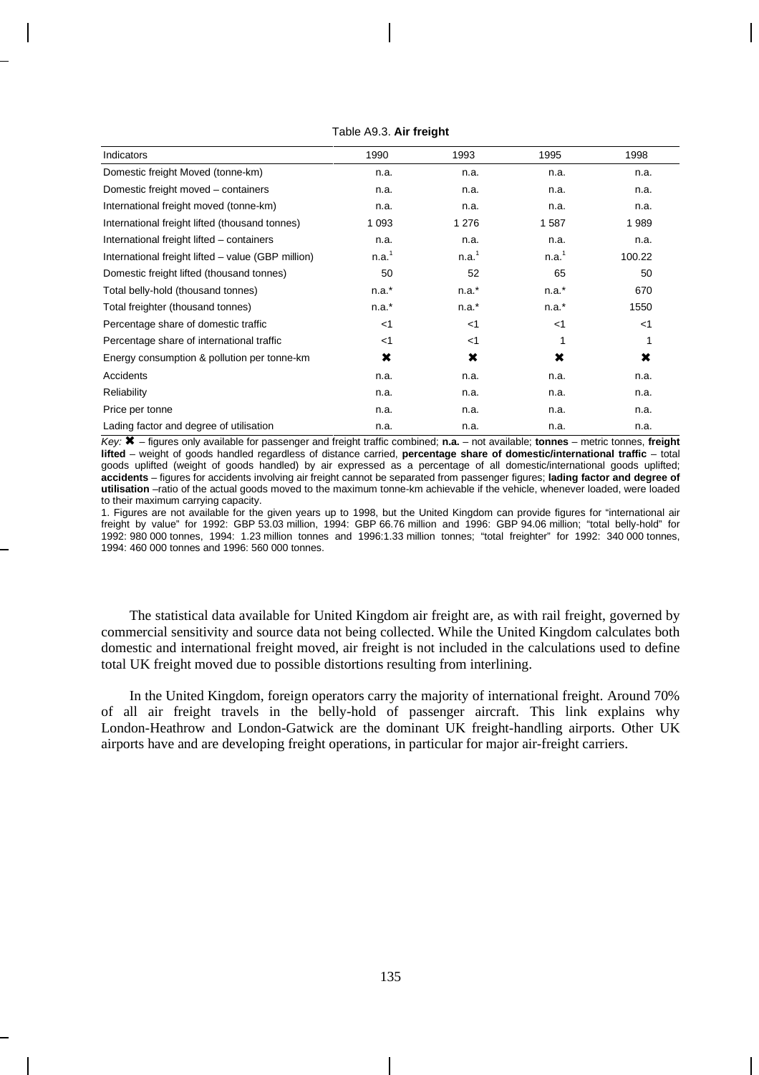| Indicators                                         | 1990              | 1993              | 1995              | 1998   |
|----------------------------------------------------|-------------------|-------------------|-------------------|--------|
| Domestic freight Moved (tonne-km)                  | n.a.              | n.a.              | n.a.              | n.a.   |
| Domestic freight moved - containers                | n.a.              | n.a.              | n.a.              | n.a.   |
| International freight moved (tonne-km)             | n.a.              | n.a.              | n.a.              | n.a.   |
| International freight lifted (thousand tonnes)     | 1 0 9 3           | 1 2 7 6           | 1587              | 1989   |
| International freight lifted - containers          | n.a.              | n.a.              | n.a.              | n.a.   |
| International freight lifted - value (GBP million) | n.a. <sup>1</sup> | n.a. <sup>1</sup> | n.a. <sup>1</sup> | 100.22 |
| Domestic freight lifted (thousand tonnes)          | 50                | 52                | 65                | 50     |
| Total belly-hold (thousand tonnes)                 | $n.a.*$           | $n.a.*$           | $n.a.*$           | 670    |
| Total freighter (thousand tonnes)                  | $n.a.*$           | $n.a.*$           | $n.a.*$           | 1550   |
| Percentage share of domestic traffic               | $<$ 1             | $<$ 1             | $<$ 1             | $<$ 1  |
| Percentage share of international traffic          | $<$ 1             | $<$ 1             |                   |        |
| Energy consumption & pollution per tonne-km        | X                 | X                 | x                 | X      |
| Accidents                                          | n.a.              | n.a.              | n.a.              | n.a.   |
| Reliability                                        | n.a.              | n.a.              | n.a.              | n.a.   |
| Price per tonne                                    | n.a.              | n.a.              | n.a.              | n.a.   |
| Lading factor and degree of utilisation            | n.a.              | n.a.              | n.a.              | n.a.   |

Table A9.3. **Air freight**

Key: ✖ – figures only available for passenger and freight traffic combined; **n.a.** – not available; **tonnes** – metric tonnes, **freight lifted** – weight of goods handled regardless of distance carried, **percentage share of domestic/international traffic** – total goods uplifted (weight of goods handled) by air expressed as a percentage of all domestic/international goods uplifted; **accidents** – figures for accidents involving air freight cannot be separated from passenger figures; **lading factor and degree of utilisation** –ratio of the actual goods moved to the maximum tonne-km achievable if the vehicle, whenever loaded, were loaded to their maximum carrying capacity.

1. Figures are not available for the given years up to 1998, but the United Kingdom can provide figures for "international air freight by value" for 1992: GBP 53.03 million, 1994: GBP 66.76 million and 1996: GBP 94.06 million; "total belly-hold" for 1992: 980 000 tonnes, 1994: 1.23 million tonnes and 1996:1.33 million tonnes; "total freighter" for 1992: 340 000 tonnes, 1994: 460 000 tonnes and 1996: 560 000 tonnes.

The statistical data available for United Kingdom air freight are, as with rail freight, governed by commercial sensitivity and source data not being collected. While the United Kingdom calculates both domestic and international freight moved, air freight is not included in the calculations used to define total UK freight moved due to possible distortions resulting from interlining.

In the United Kingdom, foreign operators carry the majority of international freight. Around 70% of all air freight travels in the belly-hold of passenger aircraft. This link explains why London-Heathrow and London-Gatwick are the dominant UK freight-handling airports. Other UK airports have and are developing freight operations, in particular for major air-freight carriers.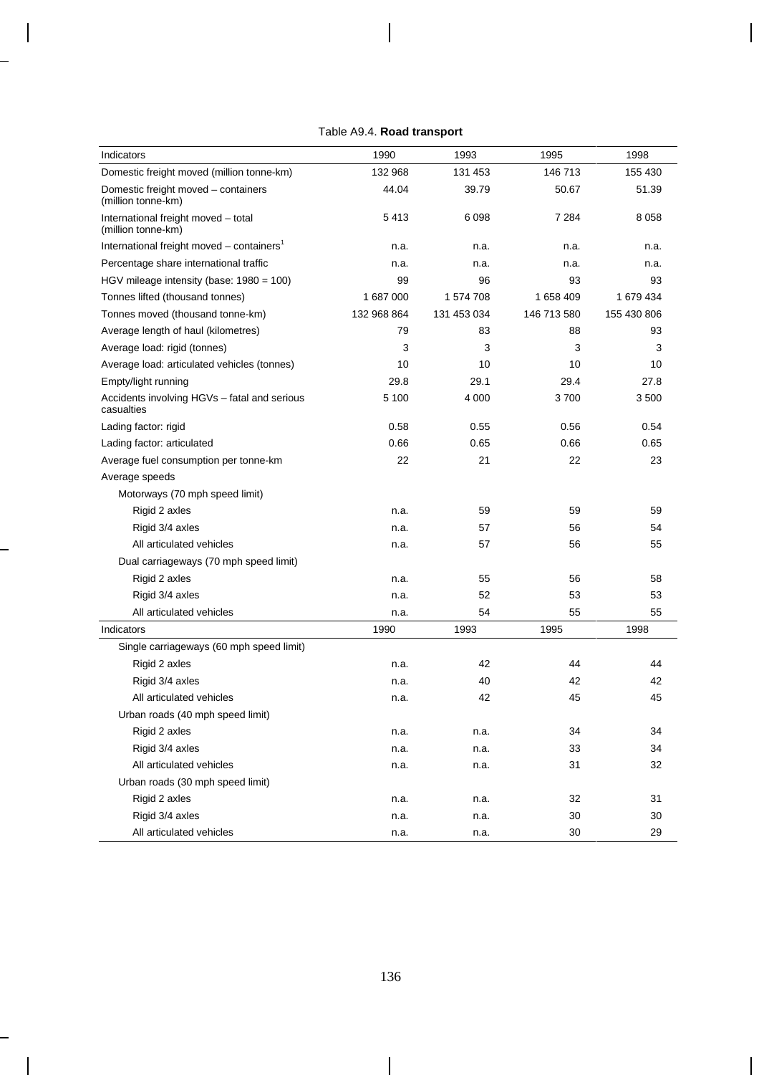# Table A9.4. **Road transport**

| Indicators                                                 | 1990        | 1993        | 1995        | 1998        |
|------------------------------------------------------------|-------------|-------------|-------------|-------------|
| Domestic freight moved (million tonne-km)                  | 132 968     | 131 453     | 146 713     | 155 430     |
| Domestic freight moved - containers<br>(million tonne-km)  | 44.04       | 39.79       | 50.67       | 51.39       |
| International freight moved - total<br>(million tonne-km)  | 5413        | 6 0 98      | 7 2 8 4     | 8 0 5 8     |
| International freight moved - containers <sup>1</sup>      | n.a.        | n.a.        | n.a.        | n.a.        |
| Percentage share international traffic                     | n.a.        | n.a.        | n.a.        | n.a.        |
| HGV mileage intensity (base: 1980 = 100)                   | 99          | 96          | 93          | 93          |
| Tonnes lifted (thousand tonnes)                            | 1 687 000   | 1 574 708   | 1 658 409   | 1 679 434   |
| Tonnes moved (thousand tonne-km)                           | 132 968 864 | 131 453 034 | 146 713 580 | 155 430 806 |
| Average length of haul (kilometres)                        | 79          | 83          | 88          | 93          |
| Average load: rigid (tonnes)                               | 3           | 3           | 3           | 3           |
| Average load: articulated vehicles (tonnes)                | 10          | 10          | 10          | 10          |
| Empty/light running                                        | 29.8        | 29.1        | 29.4        | 27.8        |
| Accidents involving HGVs - fatal and serious<br>casualties | 5 100       | 4 0 0 0     | 3700        | 3500        |
| Lading factor: rigid                                       | 0.58        | 0.55        | 0.56        | 0.54        |
| Lading factor: articulated                                 | 0.66        | 0.65        | 0.66        | 0.65        |
| Average fuel consumption per tonne-km                      | 22          | 21          | 22          | 23          |
| Average speeds                                             |             |             |             |             |
| Motorways (70 mph speed limit)                             |             |             |             |             |
| Rigid 2 axles                                              | n.a.        | 59          | 59          | 59          |
| Rigid 3/4 axles                                            | n.a.        | 57          | 56          | 54          |
| All articulated vehicles                                   | n.a.        | 57          | 56          | 55          |
| Dual carriageways (70 mph speed limit)                     |             |             |             |             |
| Rigid 2 axles                                              | n.a.        | 55          | 56          | 58          |
| Rigid 3/4 axles                                            | n.a.        | 52          | 53          | 53          |
| All articulated vehicles                                   | n.a.        | 54          | 55          | 55          |
| Indicators                                                 | 1990        | 1993        | 1995        | 1998        |
| Single carriageways (60 mph speed limit)                   |             |             |             |             |
| Rigid 2 axles                                              | n.a.        | 42          | 44          | 44          |
| Rigid 3/4 axles                                            | n.a.        | 40          | 42          | 42          |
| All articulated vehicles                                   | n.a.        | 42          | 45          | 45          |
| Urban roads (40 mph speed limit)                           |             |             |             |             |
| Rigid 2 axles                                              | n.a.        | n.a.        | 34          | 34          |
| Rigid 3/4 axles                                            | n.a.        | n.a.        | 33          | 34          |
| All articulated vehicles                                   | n.a.        | n.a.        | 31          | 32          |
| Urban roads (30 mph speed limit)                           |             |             |             |             |
| Rigid 2 axles                                              | n.a.        | n.a.        | 32          | 31          |
| Rigid 3/4 axles                                            | n.a.        | n.a.        | 30          | $30\,$      |
| All articulated vehicles                                   | n.a.        | n.a.        | 30          | 29          |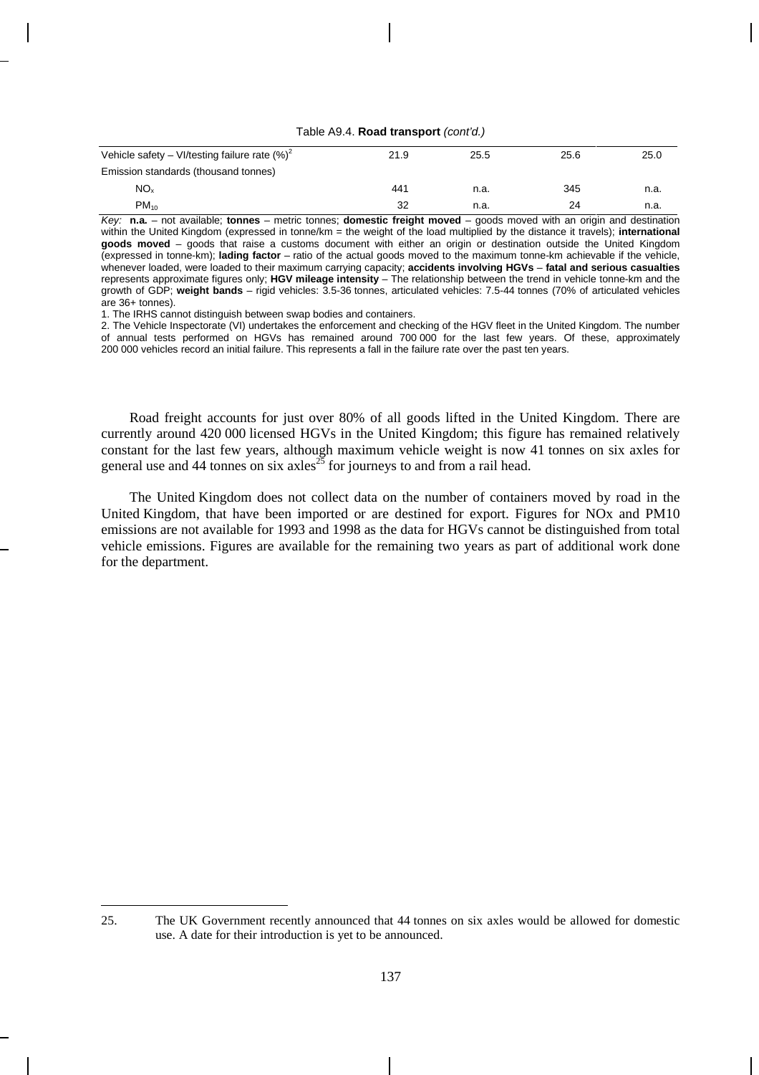| Table A9.4. Road transport (cont'd.) |  |  |  |  |
|--------------------------------------|--|--|--|--|
|--------------------------------------|--|--|--|--|

| Vehicle safety – VI/testing failure rate $(\%)^2$ | 21.9 | 25.5 | 25.6 | 25.0 |
|---------------------------------------------------|------|------|------|------|
| Emission standards (thousand tonnes)              |      |      |      |      |
| NO <sub>x</sub>                                   | 441  | n.a. | 345  | n.a. |
| $PM_{10}$                                         | 32   | n.a. | 24   | n.a. |
|                                                   |      |      |      |      |

Key: **n.a.** – not available; **tonnes** – metric tonnes; **domestic freight moved** – goods moved with an origin and destination within the United Kingdom (expressed in tonne/km = the weight of the load multiplied by the distance it travels); **international goods moved** – goods that raise a customs document with either an origin or destination outside the United Kingdom (expressed in tonne-km); **lading factor** – ratio of the actual goods moved to the maximum tonne-km achievable if the vehicle, whenever loaded, were loaded to their maximum carrying capacity; **accidents involving HGVs** – **fatal and serious casualties** represents approximate figures only; **HGV mileage intensity** – The relationship between the trend in vehicle tonne-km and the growth of GDP; **weight bands** – rigid vehicles: 3.5-36 tonnes, articulated vehicles: 7.5-44 tonnes (70% of articulated vehicles are 36+ tonnes).

1. The IRHS cannot distinguish between swap bodies and containers.

j

2. The Vehicle Inspectorate (VI) undertakes the enforcement and checking of the HGV fleet in the United Kingdom. The number of annual tests performed on HGVs has remained around 700 000 for the last few years. Of these, approximately 200 000 vehicles record an initial failure. This represents a fall in the failure rate over the past ten years.

Road freight accounts for just over 80% of all goods lifted in the United Kingdom. There are currently around 420 000 licensed HGVs in the United Kingdom; this figure has remained relatively constant for the last few years, although maximum vehicle weight is now 41 tonnes on six axles for general use and 44 tonnes on six axles<sup>25</sup> for journeys to and from a rail head.

The United Kingdom does not collect data on the number of containers moved by road in the United Kingdom, that have been imported or are destined for export. Figures for NOx and PM10 emissions are not available for 1993 and 1998 as the data for HGVs cannot be distinguished from total vehicle emissions. Figures are available for the remaining two years as part of additional work done for the department.

<sup>25.</sup> The UK Government recently announced that 44 tonnes on six axles would be allowed for domestic use. A date for their introduction is yet to be announced.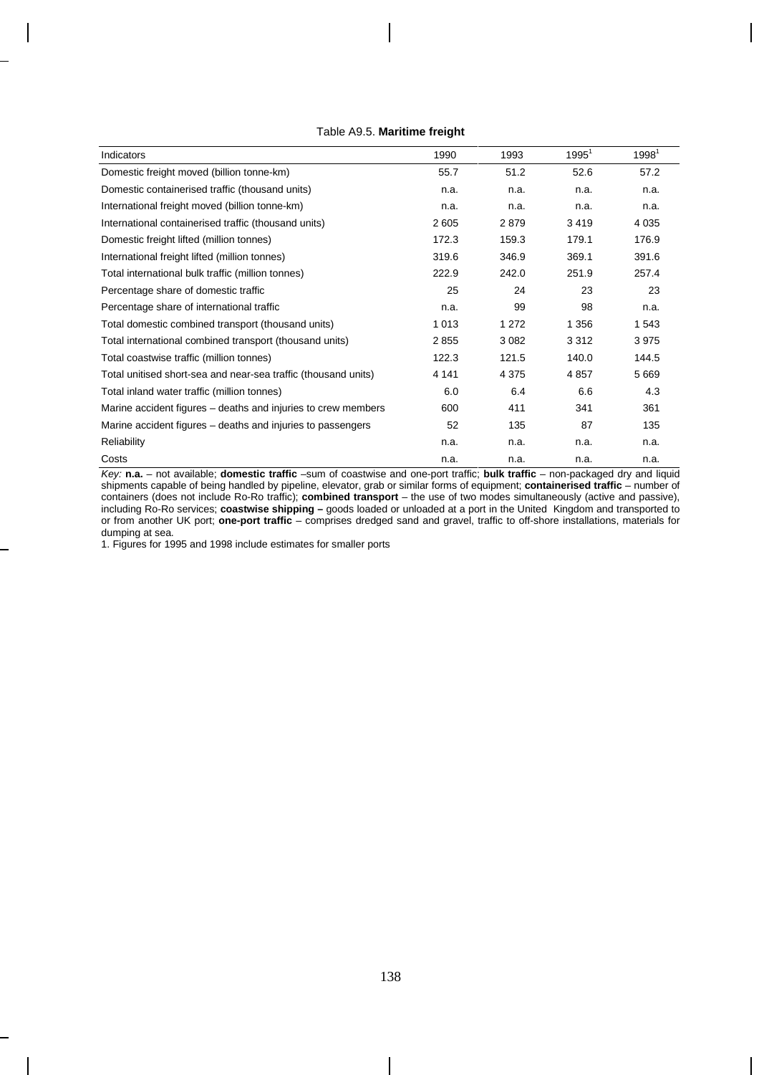## Table A9.5. **Maritime freight**

| Indicators                                                     | 1990    | 1993    | $1995^1$ | $1998^1$ |
|----------------------------------------------------------------|---------|---------|----------|----------|
| Domestic freight moved (billion tonne-km)                      | 55.7    | 51.2    | 52.6     | 57.2     |
| Domestic containerised traffic (thousand units)                | n.a.    | n.a.    | n.a.     | n.a.     |
| International freight moved (billion tonne-km)                 | n.a.    | n.a.    | n.a.     | n.a.     |
| International containerised traffic (thousand units)           | 2605    | 2879    | 3419     | 4 0 3 5  |
| Domestic freight lifted (million tonnes)                       | 172.3   | 159.3   | 179.1    | 176.9    |
| International freight lifted (million tonnes)                  | 319.6   | 346.9   | 369.1    | 391.6    |
| Total international bulk traffic (million tonnes)              | 222.9   | 242.0   | 251.9    | 257.4    |
| Percentage share of domestic traffic                           | 25      | 24      | 23       | 23       |
| Percentage share of international traffic                      | n.a.    | 99      | 98       | n.a.     |
| Total domestic combined transport (thousand units)             | 1 0 1 3 | 1 2 7 2 | 1 3 5 6  | 1 5 4 3  |
| Total international combined transport (thousand units)        | 2855    | 3 0 8 2 | 3 3 1 2  | 3975     |
| Total coastwise traffic (million tonnes)                       | 122.3   | 121.5   | 140.0    | 144.5    |
| Total unitised short-sea and near-sea traffic (thousand units) | 4 141   | 4 3 7 5 | 4 8 5 7  | 5 6 6 9  |
| Total inland water traffic (million tonnes)                    | 6.0     | 6.4     | 6.6      | 4.3      |
| Marine accident figures – deaths and injuries to crew members  | 600     | 411     | 341      | 361      |
| Marine accident figures – deaths and injuries to passengers    | 52      | 135     | 87       | 135      |
| <b>Reliability</b>                                             | n.a.    | n.a.    | n.a.     | n.a.     |
| Costs                                                          | n.a.    | n.a.    | n.a.     | n.a.     |

Key: **n.a.** – not available; **domestic traffic** –sum of coastwise and one-port traffic; **bulk traffic** – non-packaged dry and liquid shipments capable of being handled by pipeline, elevator, grab or similar forms of equipment; **containerised traffic** – number of containers (does not include Ro-Ro traffic); **combined transport** – the use of two modes simultaneously (active and passive), including Ro-Ro services; **coastwise shipping –** goods loaded or unloaded at a port in the United Kingdom and transported to or from another UK port; **one-port traffic** – comprises dredged sand and gravel, traffic to off-shore installations, materials for dumping at sea.

1. Figures for 1995 and 1998 include estimates for smaller ports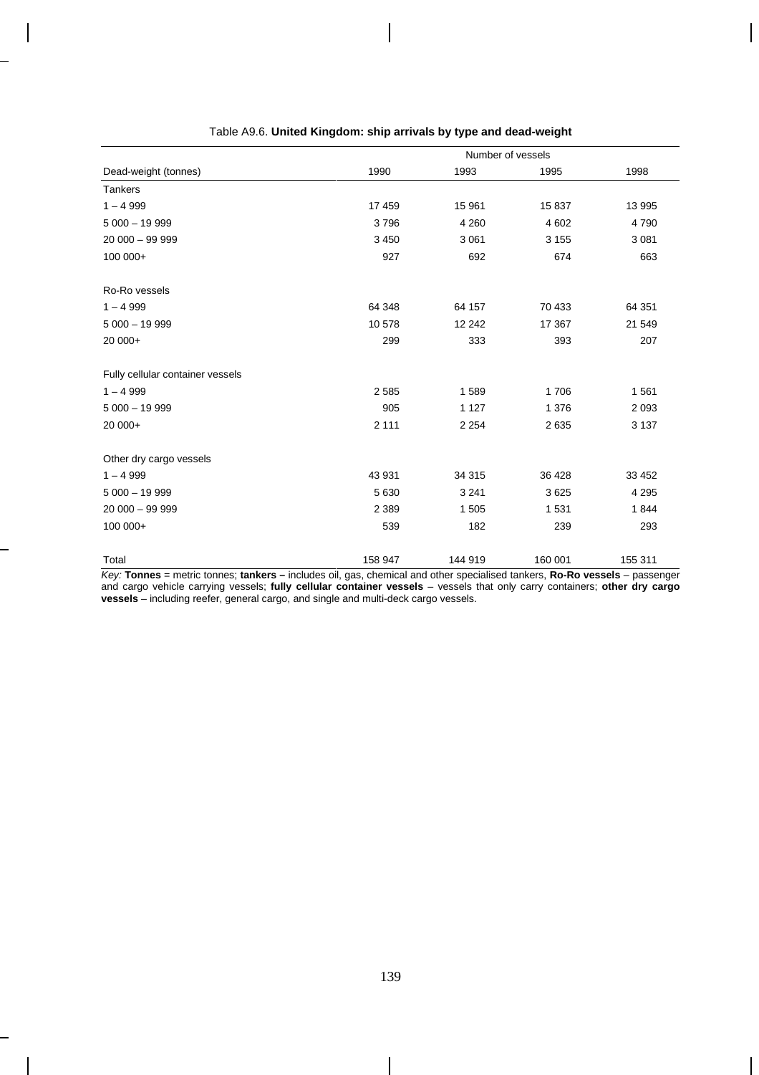|                                  |         | Number of vessels |         |         |
|----------------------------------|---------|-------------------|---------|---------|
| Dead-weight (tonnes)             | 1990    | 1993              | 1995    | 1998    |
| <b>Tankers</b>                   |         |                   |         |         |
| $1 - 4999$                       | 17 459  | 15 961            | 15837   | 13 995  |
| $5000 - 19999$                   | 3796    | 4 2 6 0           | 4 6 0 2 | 4790    |
| $20000 - 9999$                   | 3 4 5 0 | 3 0 6 1           | 3 1 5 5 | 3 0 8 1 |
| 100 000+                         | 927     | 692               | 674     | 663     |
| Ro-Ro vessels                    |         |                   |         |         |
| $1 - 4999$                       | 64 348  | 64 157            | 70 433  | 64 351  |
| $5000 - 19999$                   | 10 578  | 12 24 2           | 17 367  | 21 549  |
| 20 000+                          | 299     | 333               | 393     | 207     |
| Fully cellular container vessels |         |                   |         |         |
| $1 - 4999$                       | 2585    | 1589              | 1706    | 1561    |
| $5000 - 19999$                   | 905     | 1 1 2 7           | 1 376   | 2 0 9 3 |
| 20 000+                          | 2 1 1 1 | 2 2 5 4           | 2635    | 3 1 3 7 |
| Other dry cargo vessels          |         |                   |         |         |
| $1 - 4999$                       | 43 931  | 34 315            | 36 4 28 | 33 452  |
| $5000 - 19999$                   | 5 6 3 0 | 3 2 4 1           | 3625    | 4 2 9 5 |
| $20000 - 9999$                   | 2 3 8 9 | 1 505             | 1531    | 1844    |
| 100 000+                         | 539     | 182               | 239     | 293     |
| Total                            | 158 947 | 144 919           | 160 001 | 155 311 |

#### Table A9.6. **United Kingdom: ship arrivals by type and dead-weight**

Key: **Tonnes** = metric tonnes; **tankers –** includes oil, gas, chemical and other specialised tankers, **Ro-Ro vessels** – passenger and cargo vehicle carrying vessels; **fully cellular container vessels** – vessels that only carry containers; **other dry cargo vessels** – including reefer, general cargo, and single and multi-deck cargo vessels.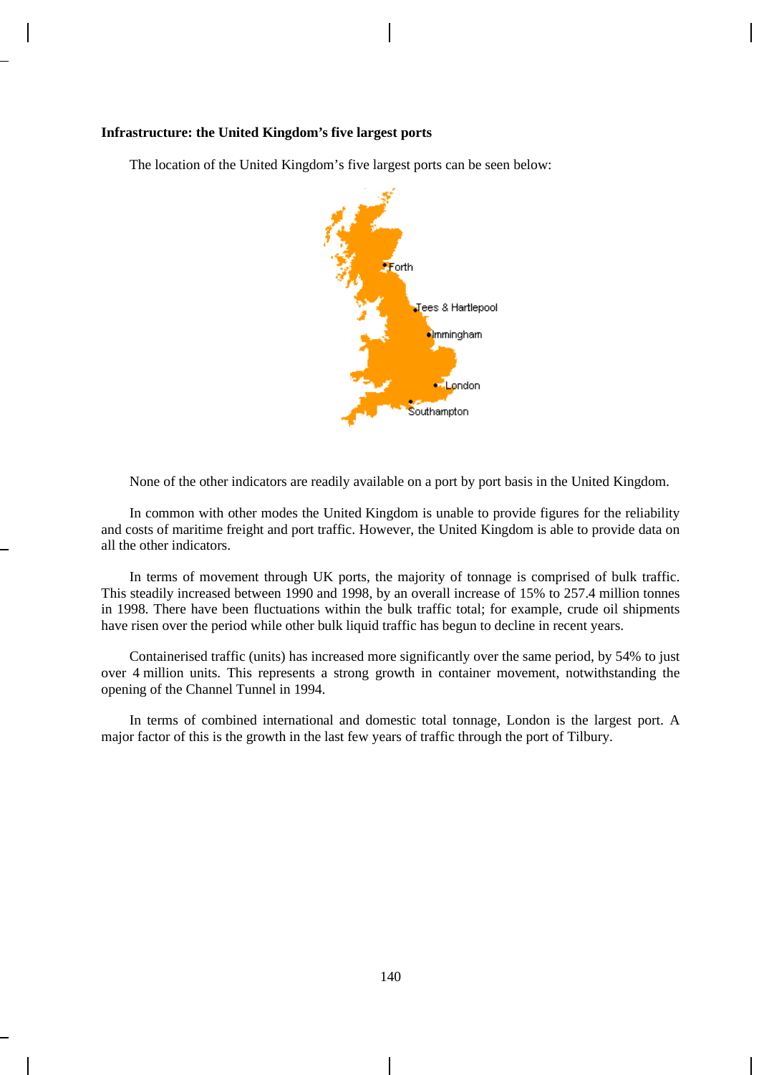## **Infrastructure: the United Kingdom's five largest ports**

The location of the United Kingdom's five largest ports can be seen below:



None of the other indicators are readily available on a port by port basis in the United Kingdom.

In common with other modes the United Kingdom is unable to provide figures for the reliability and costs of maritime freight and port traffic. However, the United Kingdom is able to provide data on all the other indicators.

In terms of movement through UK ports, the majority of tonnage is comprised of bulk traffic. This steadily increased between 1990 and 1998, by an overall increase of 15% to 257.4 million tonnes in 1998. There have been fluctuations within the bulk traffic total; for example, crude oil shipments have risen over the period while other bulk liquid traffic has begun to decline in recent years.

Containerised traffic (units) has increased more significantly over the same period, by 54% to just over 4 million units. This represents a strong growth in container movement, notwithstanding the opening of the Channel Tunnel in 1994.

In terms of combined international and domestic total tonnage, London is the largest port. A major factor of this is the growth in the last few years of traffic through the port of Tilbury.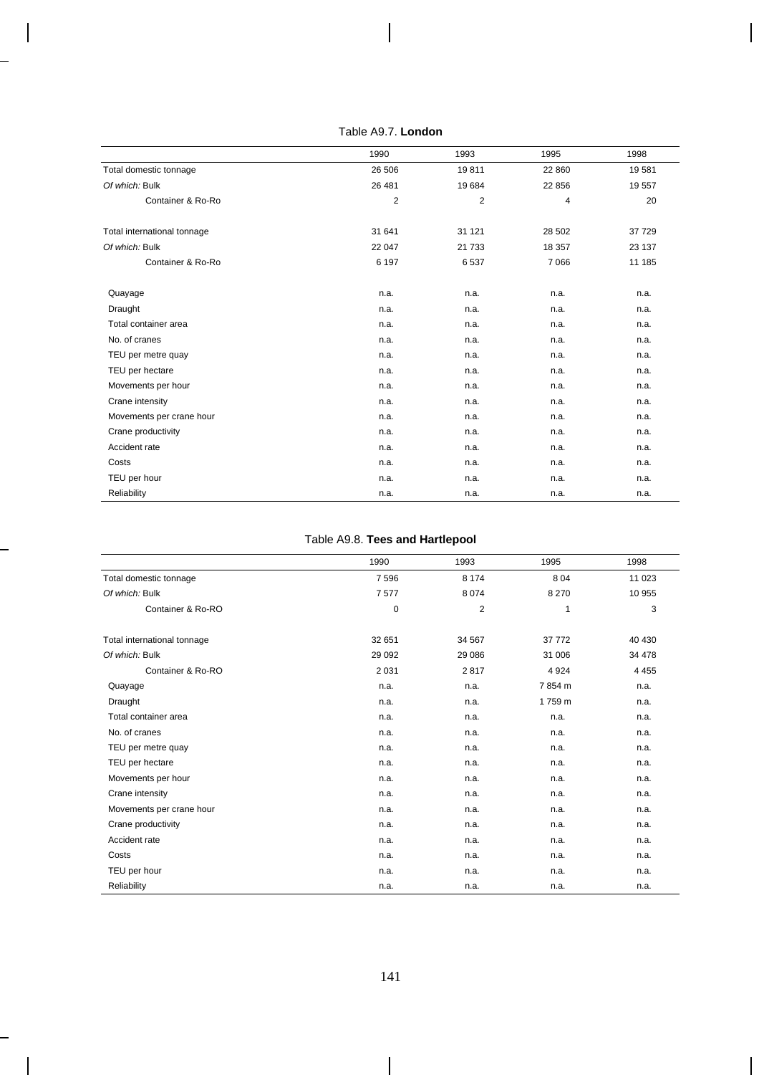| Table A9.7. London |  |
|--------------------|--|
|--------------------|--|

|                             | 1990           | 1993           | 1995   | 1998   |
|-----------------------------|----------------|----------------|--------|--------|
| Total domestic tonnage      | 26 50 6        | 19811          | 22 860 | 19581  |
| Of which: Bulk              | 26 481         | 19 684         | 22 856 | 19 557 |
| Container & Ro-Ro           | $\overline{2}$ | $\overline{2}$ | 4      | 20     |
| Total international tonnage | 31 641         | 31 121         | 28 502 | 37 729 |
| Of which: Bulk              | 22 047         | 21 733         | 18 357 | 23 137 |
| Container & Ro-Ro           | 6 1 9 7        | 6537           | 7066   | 11 185 |
| Quayage                     | n.a.           | n.a.           | n.a.   | n.a.   |
| Draught                     | n.a.           | n.a.           | n.a.   | n.a.   |
| Total container area        | n.a.           | n.a.           | n.a.   | n.a.   |
| No. of cranes               | n.a.           | n.a.           | n.a.   | n.a.   |
| TEU per metre quay          | n.a.           | n.a.           | n.a.   | n.a.   |
| TEU per hectare             | n.a.           | n.a.           | n.a.   | n.a.   |
| Movements per hour          | n.a.           | n.a.           | n.a.   | n.a.   |
| Crane intensity             | n.a.           | n.a.           | n.a.   | n.a.   |
| Movements per crane hour    | n.a.           | n.a.           | n.a.   | n.a.   |
| Crane productivity          | n.a.           | n.a.           | n.a.   | n.a.   |
| Accident rate               | n.a.           | n.a.           | n.a.   | n.a.   |
| Costs                       | n.a.           | n.a.           | n.a.   | n.a.   |
| TEU per hour                | n.a.           | n.a.           | n.a.   | n.a.   |
| Reliability                 | n.a.           | n.a.           | n.a.   | n.a.   |

# Table A9.8. **Tees and Hartlepool**

|                             | 1990     | 1993           | 1995    | 1998    |
|-----------------------------|----------|----------------|---------|---------|
| Total domestic tonnage      | 7596     | 8 1 7 4        | 804     | 11 023  |
| Of which: Bulk              | 7577     | 8 0 7 4        | 8 2 7 0 | 10 955  |
| Container & Ro-RO           | 0        | $\overline{2}$ | 1       | 3       |
| Total international tonnage | 32 651   | 34 567         | 37 772  | 40 430  |
| Of which: Bulk              | 29 0 9 2 | 29 0 86        | 31 006  | 34 478  |
| Container & Ro-RO           | 2031     | 2817           | 4924    | 4 4 5 5 |
| Quayage                     | n.a.     | n.a.           | 7854 m  | n.a.    |
| Draught                     | n.a.     | n.a.           | 1759 m  | n.a.    |
| Total container area        | n.a.     | n.a.           | n.a.    | n.a.    |
| No. of cranes               | n.a.     | n.a.           | n.a.    | n.a.    |
| TEU per metre quay          | n.a.     | n.a.           | n.a.    | n.a.    |
| TEU per hectare             | n.a.     | n.a.           | n.a.    | n.a.    |
| Movements per hour          | n.a.     | n.a.           | n.a.    | n.a.    |
| Crane intensity             | n.a.     | n.a.           | n.a.    | n.a.    |
| Movements per crane hour    | n.a.     | n.a.           | n.a.    | n.a.    |
| Crane productivity          | n.a.     | n.a.           | n.a.    | n.a.    |
| Accident rate               | n.a.     | n.a.           | n.a.    | n.a.    |
| Costs                       | n.a.     | n.a.           | n.a.    | n.a.    |
| TEU per hour                | n.a.     | n.a.           | n.a.    | n.a.    |
| Reliability                 | n.a.     | n.a.           | n.a.    | n.a.    |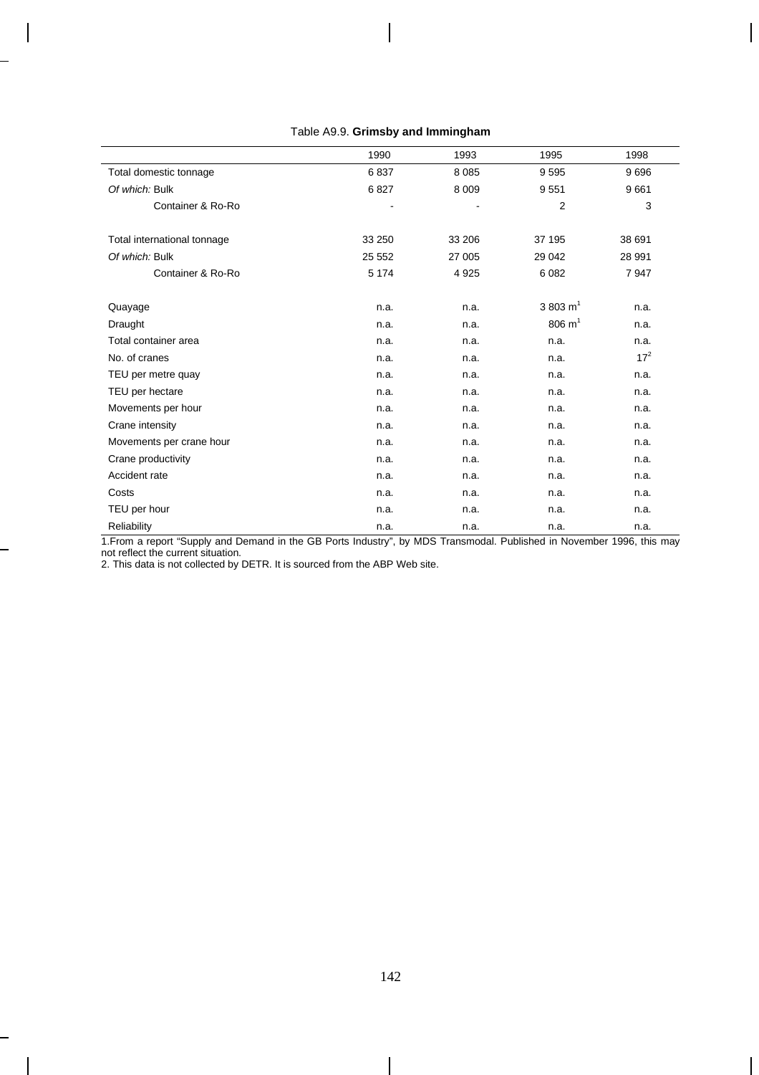|                             | 1990     | 1993    | 1995                | 1998     |
|-----------------------------|----------|---------|---------------------|----------|
| Total domestic tonnage      | 6837     | 8 0 8 5 | 9595                | 9696     |
| Of which: Bulk              | 6827     | 8 0 0 9 | 9551                | 9661     |
| Container & Ro-Ro           |          |         | 2                   | 3        |
| Total international tonnage | 33 250   | 33 206  | 37 195              | 38 691   |
| Of which: Bulk              | 25 5 5 2 | 27 005  | 29 042              | 28 991   |
| Container & Ro-Ro           | 5 1 7 4  | 4 9 2 5 | 6 0 8 2             | 7947     |
| Quayage                     | n.a.     | n.a.    | 3 803 $m1$          | n.a.     |
| Draught                     | n.a.     | n.a.    | $806 \; \text{m}^1$ | n.a.     |
| Total container area        | n.a.     | n.a.    | n.a.                | n.a.     |
| No. of cranes               | n.a.     | n.a.    | n.a.                | $17^{2}$ |
| TEU per metre quay          | n.a.     | n.a.    | n.a.                | n.a.     |
| TEU per hectare             | n.a.     | n.a.    | n.a.                | n.a.     |
| Movements per hour          | n.a.     | n.a.    | n.a.                | n.a.     |
| Crane intensity             | n.a.     | n.a.    | n.a.                | n.a.     |
| Movements per crane hour    | n.a.     | n.a.    | n.a.                | n.a.     |
| Crane productivity          | n.a.     | n.a.    | n.a.                | n.a.     |
| Accident rate               | n.a.     | n.a.    | n.a.                | n.a.     |
| Costs                       | n.a.     | n.a.    | n.a.                | n.a.     |
| TEU per hour                | n.a.     | n.a.    | n.a.                | n.a.     |
| Reliability                 | n.a.     | n.a.    | n.a.                | n.a.     |

#### Table A9.9. **Grimsby and Immingham**

1.From a report "Supply and Demand in the GB Ports Industry", by MDS Transmodal. Published in November 1996, this may not reflect the current situation.

2. This data is not collected by DETR. It is sourced from the ABP Web site.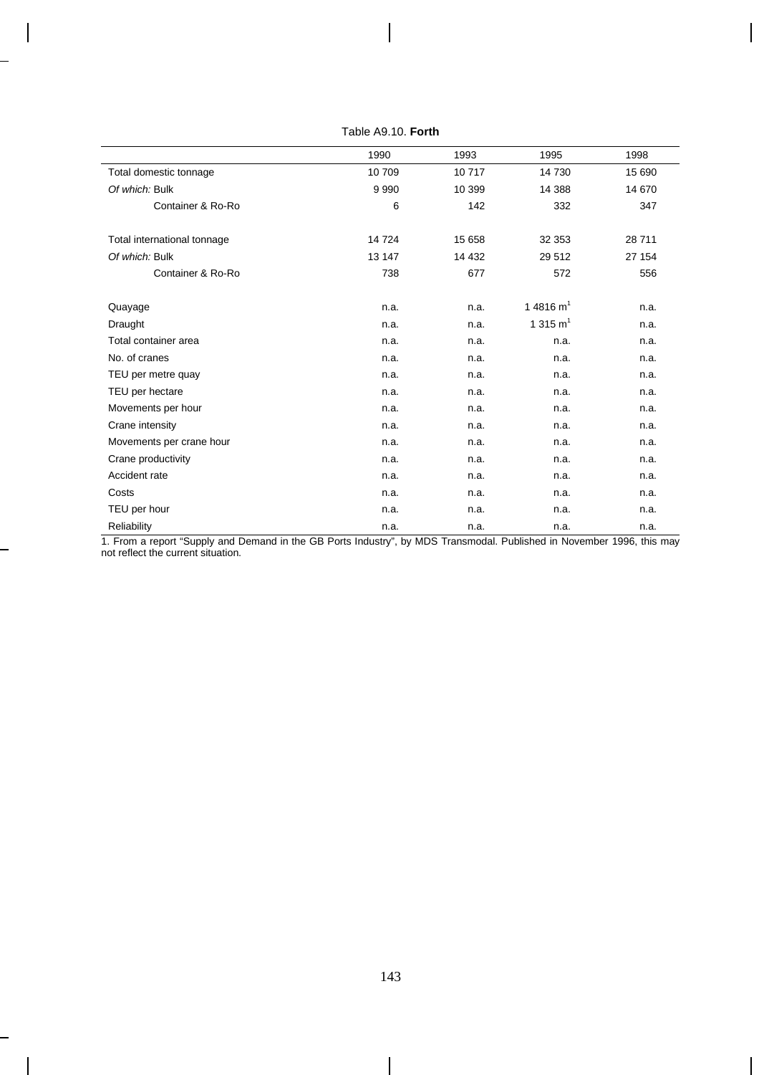1990 1993 1995 1998 Total domestic tonnage 10 709 10 709 10 717 14 730 15 690 Of which: Bulk 14 670 10 399 14 670 16 16 170 399 14 670 15 14 670 16 170 171 172 173 174 670 174 670 175 175 1 Container & Ro-Ro 6 142 332 347 Total international tonnage 14 724 15 658 32 353 28 711 Of which: Bulk 13 147 14 432 29 512 27 154 Container & Ro-Ro 738 677 572 556 Quayage n.a. n.a. 1 4816 m<sup>1</sup> n.a. Draught n.a. n.a. n.a. n.a. 1 315 m<sup>1</sup> n.a. n.a. Total container area n.a. n.a. n.a. n.a. No. of cranes n.a. n.a. n.a. n.a. TEU per metre quay n.a. n.a. n.a. n.a. TEU per hectare n.a. n.a. n.a. n.a. Movements per hour n.a. n.a. n.a. n.a. Crane intensity and the contract of the crane intensity and the crane intensity and the crane intensity and the crane intensity and the crane intensity and the crane intensity and the crane intensity and the crane intensit Movements per crane hour n.a. n.a. n.a. n.a. Crane productivity and the control of the crane n.a. n.a. n.a. n.a. n.a. n.a. n.a. Accident rate n.a. n.a. n.a. n.a. Costs n.a. n.a. n.a. n.a. TEU per hour n.a. n.a. n.a. n.a. Reliability n.a. n.a. n.a. n.a. n.a.

1. From a report "Supply and Demand in the GB Ports Industry", by MDS Transmodal. Published in November 1996, this may not reflect the current situation.

Table A9.10. **Forth**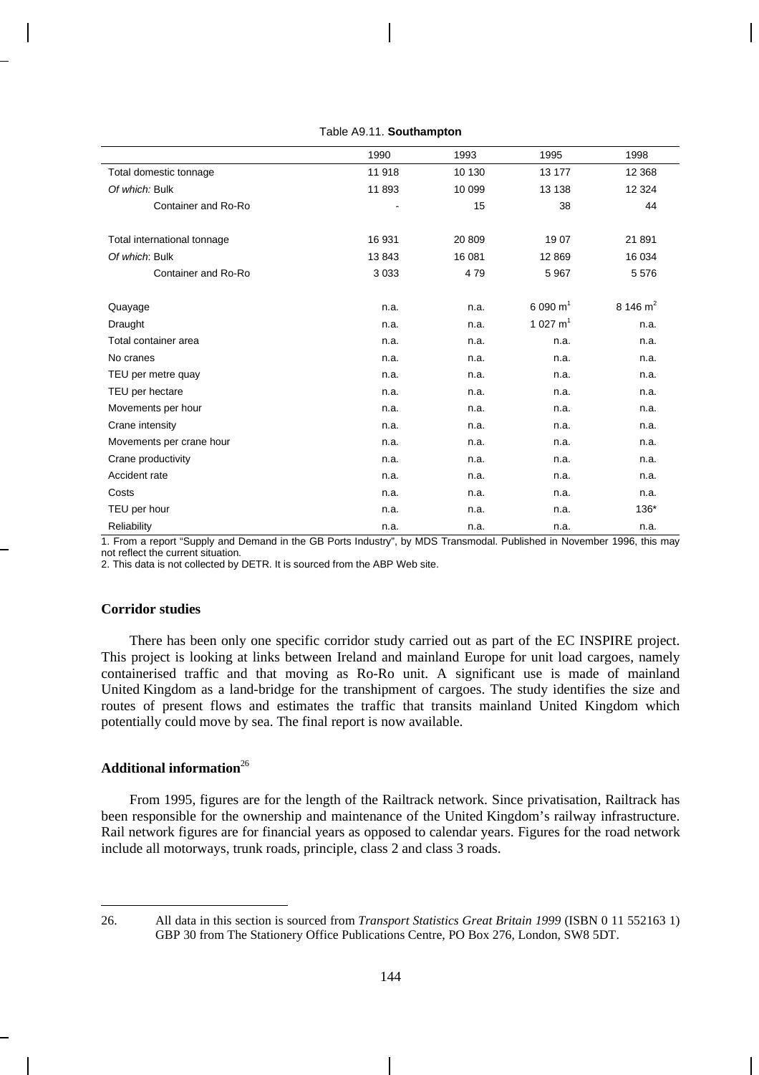|                             | 1990    | 1993   | 1995       | 1998        |  |
|-----------------------------|---------|--------|------------|-------------|--|
| Total domestic tonnage      | 11918   | 10 130 | 13 177     | 12 3 68     |  |
| Of which: Bulk              | 11893   | 10 099 | 13 138     | 12 3 24     |  |
| Container and Ro-Ro         |         | 15     | 38         | 44          |  |
|                             |         |        |            |             |  |
| Total international tonnage | 16 931  | 20 809 | 1907       | 21 891      |  |
| Of which: Bulk              | 13843   | 16 081 | 12 8 69    | 16 0 34     |  |
| Container and Ro-Ro         | 3 0 3 3 | 479    | 5 9 6 7    | 5576        |  |
|                             |         |        |            |             |  |
| Quayage                     | n.a.    | n.a.   | 6 090 $m1$ | 8 146 $m^2$ |  |
| Draught                     | n.a.    | n.a.   | 1 027 $m1$ | n.a.        |  |
| Total container area        | n.a.    | n.a.   | n.a.       | n.a.        |  |
| No cranes                   | n.a.    | n.a.   | n.a.       | n.a.        |  |
| TEU per metre quay          | n.a.    | n.a.   | n.a.       | n.a.        |  |
| TEU per hectare             | n.a.    | n.a.   | n.a.       | n.a.        |  |
| Movements per hour          | n.a.    | n.a.   | n.a.       | n.a.        |  |
| Crane intensity             | n.a.    | n.a.   | n.a.       | n.a.        |  |
| Movements per crane hour    | n.a.    | n.a.   | n.a.       | n.a.        |  |
| Crane productivity          | n.a.    | n.a.   | n.a.       | n.a.        |  |
| Accident rate               | n.a.    | n.a.   | n.a.       | n.a.        |  |
| Costs                       | n.a.    | n.a.   | n.a.       | n.a.        |  |
| TEU per hour                | n.a.    | n.a.   | n.a.       | $136*$      |  |
| Reliability                 | n.a.    | n.a.   | n.a.       | n.a.        |  |

### Table A9.11. **Southampton**

1. From a report "Supply and Demand in the GB Ports Industry", by MDS Transmodal. Published in November 1996, this may not reflect the current situation.

2. This data is not collected by DETR. It is sourced from the ABP Web site.

### **Corridor studies**

There has been only one specific corridor study carried out as part of the EC INSPIRE project. This project is looking at links between Ireland and mainland Europe for unit load cargoes, namely containerised traffic and that moving as Ro-Ro unit. A significant use is made of mainland United Kingdom as a land-bridge for the transhipment of cargoes. The study identifies the size and routes of present flows and estimates the traffic that transits mainland United Kingdom which potentially could move by sea. The final report is now available.

## **Additional information**<sup>26</sup>

From 1995, figures are for the length of the Railtrack network. Since privatisation, Railtrack has been responsible for the ownership and maintenance of the United Kingdom's railway infrastructure. Rail network figures are for financial years as opposed to calendar years. Figures for the road network include all motorways, trunk roads, principle, class 2 and class 3 roads.

j

<sup>26.</sup> All data in this section is sourced from *Transport Statistics Great Britain 1999* (ISBN 0 11 552163 1) GBP 30 from The Stationery Office Publications Centre, PO Box 276, London, SW8 5DT.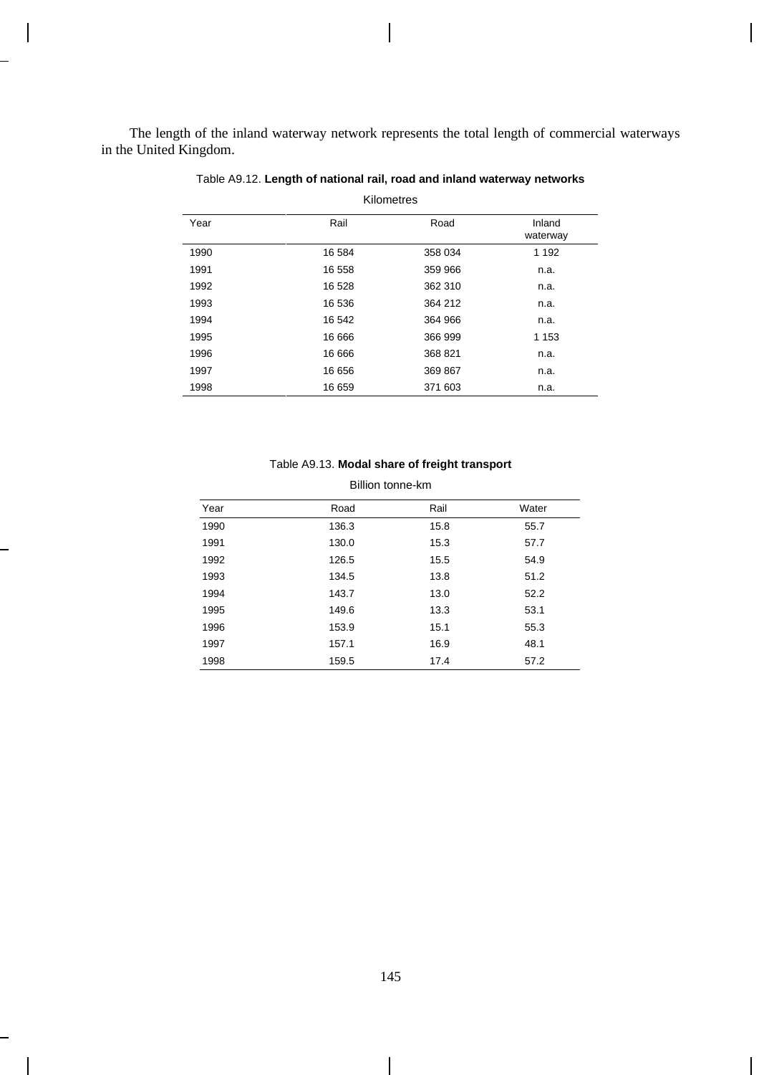The length of the inland waterway network represents the total length of commercial waterways in the United Kingdom.

| Kilometres |        |         |                    |  |  |  |
|------------|--------|---------|--------------------|--|--|--|
| Year       | Rail   | Road    | Inland<br>waterway |  |  |  |
| 1990       | 16 584 | 358 034 | 1 1 9 2            |  |  |  |
| 1991       | 16 558 | 359 966 | n.a.               |  |  |  |
| 1992       | 16 528 | 362 310 | n.a.               |  |  |  |
| 1993       | 16 536 | 364 212 | n.a.               |  |  |  |
| 1994       | 16 542 | 364 966 | n.a.               |  |  |  |
| 1995       | 16 666 | 366 999 | 1 1 5 3            |  |  |  |
| 1996       | 16 666 | 368 821 | n.a.               |  |  |  |
| 1997       | 16 656 | 369 867 | n.a.               |  |  |  |
| 1998       | 16 659 | 371 603 | n.a.               |  |  |  |

# Table A9.12. **Length of national rail, road and inland waterway networks**

## Table A9.13. **Modal share of freight transport**

#### Billion tonne-km

| Year | Road  | Rail | Water |
|------|-------|------|-------|
| 1990 | 136.3 | 15.8 | 55.7  |
| 1991 | 130.0 | 15.3 | 57.7  |
| 1992 | 126.5 | 15.5 | 54.9  |
| 1993 | 134.5 | 13.8 | 51.2  |
| 1994 | 143.7 | 13.0 | 52.2  |
| 1995 | 149.6 | 13.3 | 53.1  |
| 1996 | 153.9 | 15.1 | 55.3  |
| 1997 | 157.1 | 16.9 | 48.1  |
| 1998 | 159.5 | 17.4 | 57.2  |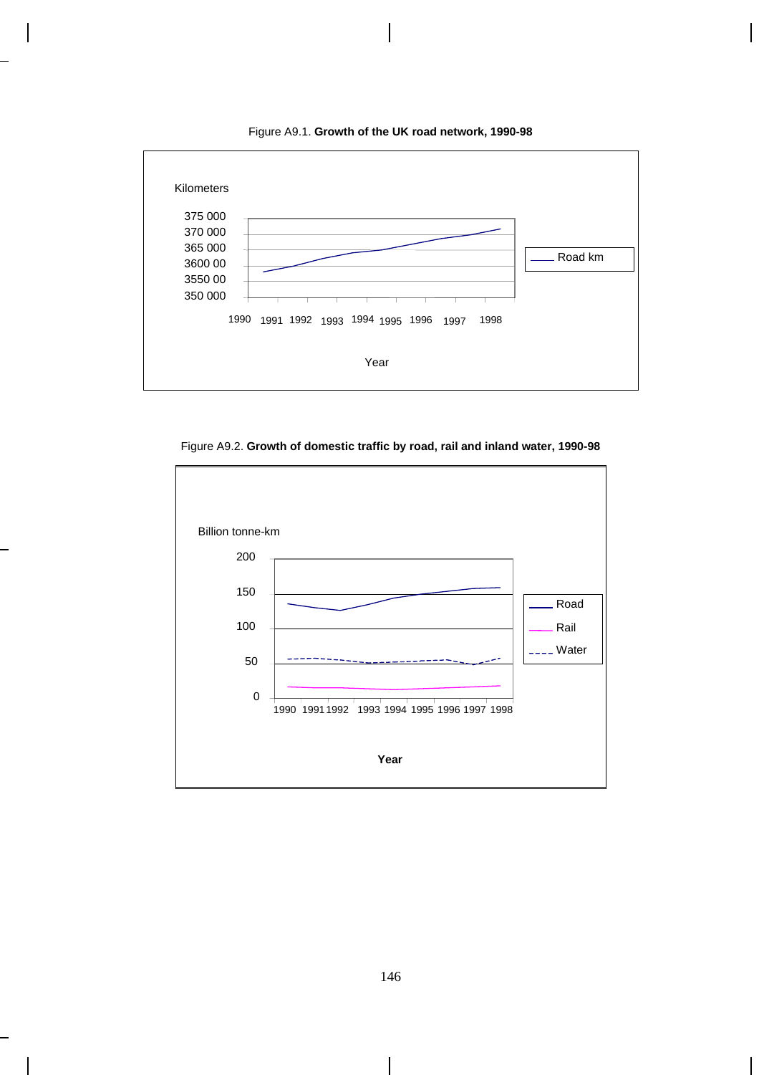

Figure A9.1. **Growth of the UK road network, 1990-98**

Figure A9.2. **Growth of domestic traffic by road, rail and inland water, 1990-98**